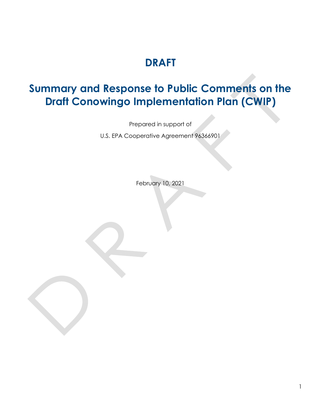# **DRAFT**

# **Summary and Response to Public Comments on the Draft Conowingo Implementation Plan (CWIP)**

Prepared in support of

U.S. EPA Cooperative Agreement 96366901

February 10, 2021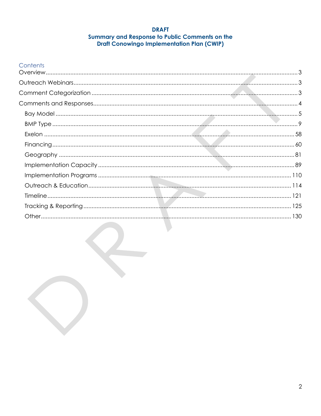#### **DRAFT** Summary and Response to Public Comments on the **Draft Conowingo Implementation Plan (CWIP)**

# Contents

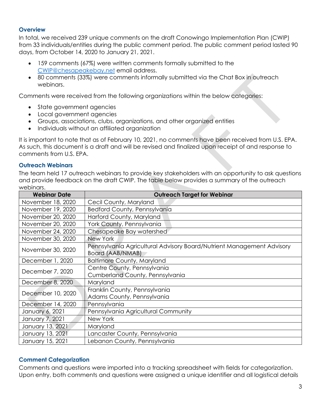### <span id="page-2-0"></span>**Overview**

In total, we received 239 unique comments on the draft Conowingo Implementation Plan (CWIP) from 33 individuals/entities during the public comment period. The public comment period lasted 90 days, from October 14, 2020 to January 21, 2021.

- 159 comments (67%) were written comments formally submitted to the [CWIP@chesapeakebay.net](mailto:CWIP@chesapeakebay.net) email address.
- 80 comments (33%) were comments informally submitted via the Chat Box in outreach webinars.

Comments were received from the following organizations within the below categories:

- State government agencies
- Local government agencies
- Groups, associations, clubs, organizations, and other organized entities
- Individuals without an affiliated organization

It is important to note that as of February 10, 2021, no comments have been received from U.S. EPA. As such, this document is a draft and will be revised and finalized upon receipt of and response to comments from U.S. EPA.

#### <span id="page-2-1"></span>**Outreach Webinars**

The team held 17 outreach webinars to provide key stakeholders with an opportunity to ask questions and provide feedback on the draft CWIP. The table below provides a summary of the outreach webinars.

| <b>Webinar Date</b> | <b>Outreach Target for Webinar</b>                                                        |
|---------------------|-------------------------------------------------------------------------------------------|
| November 18, 2020   | Cecil County, Maryland                                                                    |
| November 19, 2020   | Bedford County, Pennsylvania                                                              |
| November 20, 2020   | Harford County, Maryland                                                                  |
| November 20, 2020   | York County, Pennsylvania                                                                 |
| November 24, 2020   | Chesapeake Bay watershed                                                                  |
| November 30, 2020   | New York                                                                                  |
| November 30, 2020   | Pennsylvania Agricultural Advisory Board/Nutrient Management Advisory<br>Board (AAB/NMAB) |
| December 1, 2020    | <b>Baltimore County, Maryland</b>                                                         |
| December 7, 2020    | Centre County, Pennsylvania                                                               |
|                     | Cumberland County, Pennsylvania                                                           |
| December 8, 2020    | Maryland                                                                                  |
| December 10, 2020   | Franklin County, Pennsylvania                                                             |
|                     | Adams County, Pennsylvania                                                                |
| December 14, 2020   | Pennsylvania                                                                              |
| January 6, 2021     | Pennsylvania Agricultural Community                                                       |
| January 7, 2021     | New York                                                                                  |
| January 13, 2021    | Maryland                                                                                  |
| January 13, 2021    | Lancaster County, Pennsylvania                                                            |
| January 15, 2021    | Lebanon County, Pennsylvania                                                              |

# <span id="page-2-2"></span>**Comment Categorization**

Comments and questions were imported into a tracking spreadsheet with fields for categorization. Upon entry, both comments and questions were assigned a unique identifier and all logistical details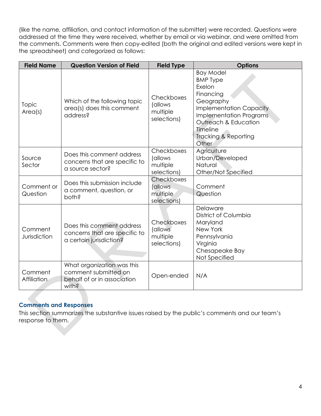(like the name, affiliation, and contact information of the submitter) were recorded. Questions were addressed at the time they were received, whether by email or via webinar, and were omitted from the comments. Comments were then copy-edited (both the original and edited versions were kept in the spreadsheet) and categorized as follows:

| <b>Field Name</b>             | <b>Question Version of Field</b>                                                           | <b>Field Type</b>                                 | <b>Options</b>                                                                                                                                                                                                              |
|-------------------------------|--------------------------------------------------------------------------------------------|---------------------------------------------------|-----------------------------------------------------------------------------------------------------------------------------------------------------------------------------------------------------------------------------|
| Topic<br>Area(s)              | Which of the following topic<br>area(s) does this comment<br>address?                      | Checkboxes<br>(allows<br>multiple<br>selections)  | <b>Bay Model</b><br><b>BMP Type</b><br>Exelon<br>Financing<br>Geography<br><b>Implementation Capacity</b><br><b>Implementation Programs</b><br>Outreach & Education<br>Timeline<br><b>Tracking &amp; Reporting</b><br>Other |
| Source<br>Sector              | Does this comment address<br>concerns that are specific to<br>a source sector?             | Checkboxes<br>(allows<br>multiple<br>selections)  | Agriculture<br>Urban/Developed<br>Natural<br>Other/Not Specified                                                                                                                                                            |
| Comment or<br>Question        | Does this submission include<br>a comment, question, or<br>both?                           | Checkboxes<br>(allows<br>multiple<br>selections)  | Comment<br>Question                                                                                                                                                                                                         |
| Comment<br>Jurisdiction       | Does this comment address<br>concerns that are specific to<br>a certain jurisdiction?      | Checkboxes<br>(allows)<br>multiple<br>selections) | Delaware<br>District of Columbia<br>Maryland<br>New York<br>Pennsylvania<br>Virginia<br>Chesapeake Bay<br>Not Specified                                                                                                     |
| Comment<br><b>Affiliation</b> | What organization was this<br>comment submitted on<br>behalf of or in association<br>with? | Open-ended                                        | N/A                                                                                                                                                                                                                         |

# <span id="page-3-0"></span>**Comments and Responses**

This section summarizes the substantive issues raised by the public's comments and our team's response to them.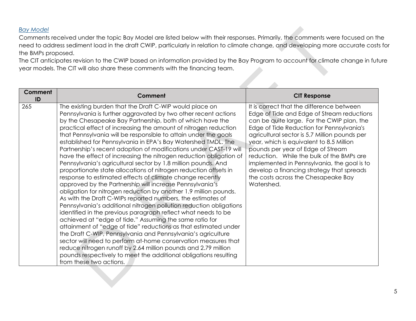#### *Bay Model*

Comments received under the topic Bay Model are listed below with their responses. Primarily, the comments were focused on the need to address sediment load in the draft CWIP, particularly in relation to climate change, and developing more accurate costs for the BMPs proposed.

The CIT anticipates revision to the CWIP based on information provided by the Bay Program to account for climate change in future year models. The CIT will also share these comments with the financing team.

<span id="page-4-0"></span>

| <b>Comment</b><br>ID | Comment                                                                                                                                                                                                                                                                                                                                                                                                                                                                                                                                                                                                                                                                                                                                                                                                                                                                                                                                                                                                                                                                                                                                                                                                                                                                                                                                                                                                                                                                                                          | <b>CIT Response</b>                                                                                                                                                                                                                                                                                                                                                                                                                                                                                                |
|----------------------|------------------------------------------------------------------------------------------------------------------------------------------------------------------------------------------------------------------------------------------------------------------------------------------------------------------------------------------------------------------------------------------------------------------------------------------------------------------------------------------------------------------------------------------------------------------------------------------------------------------------------------------------------------------------------------------------------------------------------------------------------------------------------------------------------------------------------------------------------------------------------------------------------------------------------------------------------------------------------------------------------------------------------------------------------------------------------------------------------------------------------------------------------------------------------------------------------------------------------------------------------------------------------------------------------------------------------------------------------------------------------------------------------------------------------------------------------------------------------------------------------------------|--------------------------------------------------------------------------------------------------------------------------------------------------------------------------------------------------------------------------------------------------------------------------------------------------------------------------------------------------------------------------------------------------------------------------------------------------------------------------------------------------------------------|
| 265                  | The existing burden that the Draft C-WIP would place on<br>Pennsylvania is further aggravated by two other recent actions<br>by the Chesapeake Bay Partnership, both of which have the<br>practical effect of increasing the amount of nitrogen reduction<br>that Pennsylvania will be responsible to attain under the goals<br>established for Pennsylvania in EPA's Bay Watershed TMDL. The<br>Partnership's recent adoption of modifications under CAST-19 will<br>have the effect of increasing the nitrogen reduction obligation of<br>Pennsylvania's agricultural sector by 1.8 million pounds. And<br>proportionate state allocations of nitrogen reduction offsets in<br>response to estimated effects of climate change recently<br>approved by the Partnership will increase Pennsylvania's<br>obligation for nitrogen reduction by another 1.9 million pounds.<br>As with the Draft C-WIPs reported numbers, the estimates of<br>Pennsylvania's additional nitrogen pollution reduction obligations<br>identified in the previous paragraph reflect what needs to be<br>achieved at "edge of tide." Assuming the same ratio for<br>attainment of "edge of tide" reductions as that estimated under<br>the Draft C-WIP, Pennsylvania and Pennsylvania's agriculture<br>sector will need to perform at-home conservation measures that<br>reduce nitrogen runoff by 2.64 million pounds and 2.79 million<br>pounds respectively to meet the additional obligations resulting<br>from these two actions. | It is correct that the difference between<br>Edge of Tide and Edge of Stream reductions<br>can be quite large. For the CWIP plan, the<br>Edge of Tide Reduction for Pennsylvania's<br>agricultural sector is 5.7 Million pounds per<br>year, which is equivalent to 8.5 Million<br>pounds per year of Edge of Stream<br>reduction. While the bulk of the BMPs are<br>implemented in Pennsylvania, the goal is to<br>develop a financing strategy that spreads<br>the costs across the Chesapeake Bay<br>Watershed. |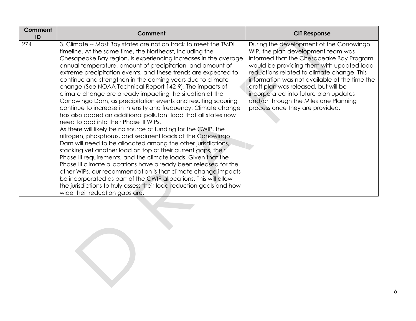| <b>Comment</b><br>ID | Comment                                                                                                                                                                                                                                                                                                                                                                                                                                                                                                                                                                                                                                                                                                                                                                                                                                                                                                                                                                                                                                                                                                                                                                                                                                                                                                                                                                                                                    | <b>CIT Response</b>                                                                                                                                                                                                                                                                                                                                                                                                                |
|----------------------|----------------------------------------------------------------------------------------------------------------------------------------------------------------------------------------------------------------------------------------------------------------------------------------------------------------------------------------------------------------------------------------------------------------------------------------------------------------------------------------------------------------------------------------------------------------------------------------------------------------------------------------------------------------------------------------------------------------------------------------------------------------------------------------------------------------------------------------------------------------------------------------------------------------------------------------------------------------------------------------------------------------------------------------------------------------------------------------------------------------------------------------------------------------------------------------------------------------------------------------------------------------------------------------------------------------------------------------------------------------------------------------------------------------------------|------------------------------------------------------------------------------------------------------------------------------------------------------------------------------------------------------------------------------------------------------------------------------------------------------------------------------------------------------------------------------------------------------------------------------------|
| 274                  | 3. Climate -- Most Bay states are not on track to meet the TMDL<br>timeline. At the same time, the Northeast, including the<br>Chesapeake Bay region, is experiencing increases in the average<br>annual temperature, amount of precipitation, and amount of<br>extreme precipitation events, and these trends are expected to<br>continue and strengthen in the coming years due to climate<br>change (See NOAA Technical Report 142-9). The impacts of<br>climate change are already impacting the situation at the<br>Conowingo Dam, as precipitation events and resulting scouring<br>continue to increase in intensity and frequency. Climate change<br>has also added an additional pollutant load that all states now<br>need to add into their Phase III WIPs.<br>As there will likely be no source of funding for the CWIP, the<br>nitrogen, phosphorus, and sediment loads at the Conowingo<br>Dam will need to be allocated among the other jurisdictions,<br>stacking yet another load on top of their current gaps, their<br>Phase III requirements, and the climate loads. Given that the<br>Phase III climate allocations have already been released for the<br>other WIPs, our recommendation is that climate change impacts<br>be incorporated as part of the CWIP allocations. This will allow<br>the jurisdictions to truly assess their load reduction goals and how<br>wide their reduction gaps are. | During the development of the Conowingo<br>WIP, the plan development team was<br>informed that the Chesapeake Bay Program<br>would be providing them with updated load<br>reductions related to climate change. This<br>information was not available at the time the<br>draft plan was released, but will be<br>incorporated into future plan updates<br>and/or through the Milestone Planning<br>process once they are provided. |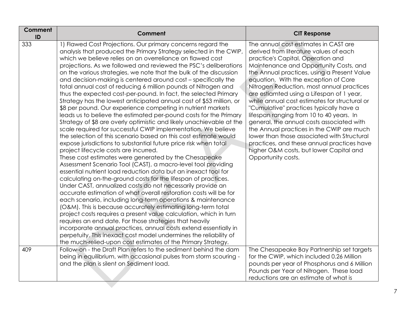| Comment<br>ID | <b>Comment</b>                                                                                                                                                                                                                                                                                                                                                                                                                                                                                                                                                                                                                                                                                                                                                                                                                                                                                                                                                                                                                                                                                                                                                                                                                                                                                                                                                                                                                                                                                                                                                                                                                                                                                                                                                                                                                                                                                                                                               | <b>CIT Response</b>                                                                                                                                                                                                                                                                                                                                                                                                                                                                                                                                                                                                                                                                                                                             |
|---------------|--------------------------------------------------------------------------------------------------------------------------------------------------------------------------------------------------------------------------------------------------------------------------------------------------------------------------------------------------------------------------------------------------------------------------------------------------------------------------------------------------------------------------------------------------------------------------------------------------------------------------------------------------------------------------------------------------------------------------------------------------------------------------------------------------------------------------------------------------------------------------------------------------------------------------------------------------------------------------------------------------------------------------------------------------------------------------------------------------------------------------------------------------------------------------------------------------------------------------------------------------------------------------------------------------------------------------------------------------------------------------------------------------------------------------------------------------------------------------------------------------------------------------------------------------------------------------------------------------------------------------------------------------------------------------------------------------------------------------------------------------------------------------------------------------------------------------------------------------------------------------------------------------------------------------------------------------------------|-------------------------------------------------------------------------------------------------------------------------------------------------------------------------------------------------------------------------------------------------------------------------------------------------------------------------------------------------------------------------------------------------------------------------------------------------------------------------------------------------------------------------------------------------------------------------------------------------------------------------------------------------------------------------------------------------------------------------------------------------|
| 333           | 1) Flawed Cost Projections. Our primary concerns regard the<br>analysis that produced the Primary Strategy selected in the CWIP,<br>which we believe relies on an overreliance on flawed cost<br>projections. As we followed and reviewed the PSC's deliberations<br>on the various strategies, we note that the bulk of the discussion<br>and decision-making is centered around cost - specifically the<br>total annual cost of reducing 6 million pounds of Nitrogen and<br>thus the expected cost-per-pound. In fact, the selected Primary<br>Strategy has the lowest anticipated annual cost of \$53 million, or<br>\$8 per pound. Our experience competing in nutrient markets<br>leads us to believe the estimated per-pound costs for the Primary<br>Strategy of \$8 are overly optimistic and likely unachievable at the<br>scale required for successful CWIP implementation. We believe<br>the selection of this scenario based on this cost estimate would<br>expose jurisdictions to substantial future price risk when total<br>project lifecycle costs are incurred.<br>These cost estimates were generated by the Chesapeake<br>Assessment Scenario Tool (CAST), a macro-level tool providing<br>essential nutrient load reduction data but an inexact tool for<br>calculating on-the-ground costs for the lifespan of practices.<br>Under CAST, annualized costs do not necessarily provide an<br>accurate estimation of what overall restoration costs will be for<br>each scenario, including long-term operations & maintenance<br>(O&M). This is because accurately estimating long-term total<br>project costs requires a present value calculation, which in turn<br>requires an end date. For those strategies that heavily<br>incorporate annual practices, annual costs extend essentially in<br>perpetuity. This inexact cost model undermines the reliability of<br>the much-relied-upon cost estimates of the Primary Strategy. | The annual cost estimates in CAST are<br>derived from literature values of each<br>practice's Capital, Operation and<br>Maintenance and Opportunity Costs, and<br>the Annual practices, using a Present Value<br>equation. With the exception of Core<br>Nitrogen Reduction, most annual practices<br>are estiamted using a Lifespan of 1 year,<br>while annual cost estimates for structural or<br>"Cumulative" practices typically have a<br>lifespan ranging from 10 to 40 years. In<br>general, the annual costs associated with<br>the Annual practices in the CWIP are much<br>lower than those associated with Structural<br>practices, and these annual practices have<br>higher O&M costs, but lower Capital and<br>Opportunity costs. |
| 409           | Follow-on - the Draft Plan refers to the sediment behind the dam<br>being in equilibrium, with occasional pulses from storm scouring -<br>and the plan is silent on Sediment load.                                                                                                                                                                                                                                                                                                                                                                                                                                                                                                                                                                                                                                                                                                                                                                                                                                                                                                                                                                                                                                                                                                                                                                                                                                                                                                                                                                                                                                                                                                                                                                                                                                                                                                                                                                           | The Chesapeake Bay Partnership set targets<br>for the CWIP, which included 0.26 Million<br>pounds per year of Phosphorus and 6 Million<br>Pounds per Year of Nitrogen. These load<br>reductions are an estimate of what is                                                                                                                                                                                                                                                                                                                                                                                                                                                                                                                      |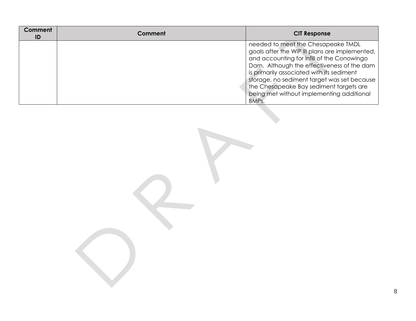| Comment<br>ID | Comment | <b>CIT Response</b>                                                                                                                                                                                                                                                                                                                                                           |
|---------------|---------|-------------------------------------------------------------------------------------------------------------------------------------------------------------------------------------------------------------------------------------------------------------------------------------------------------------------------------------------------------------------------------|
|               |         | needed to meet the Chesapeake TMDL<br>goals after the WIP III plans are implemented,<br>and accounting for infill of the Conowingo<br>Dam. Although the effectiveness of the dam<br>is primarily associated with its sediment<br>storage, no sediment target was set because<br>the Chesapeake Bay sediment targets are<br>being met without implementing additional<br>BMPs. |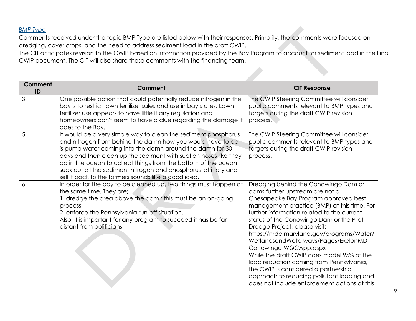# *BMP Type*

Comments received under the topic BMP Type are listed below with their responses. Primarily, the comments were focused on dredging, cover crops, and the need to address sediment load in the draft CWIP.

The CIT anticipates revision to the CWIP based on information provided by the Bay Program to account for sediment load in the Final CWIP document. The CIT will also share these comments with the financing team.

<span id="page-8-0"></span>

| Comment<br>ID | Comment                                                                                                                                                                                                                                                                                                                                                                                                                                                     | <b>CIT Response</b>                                                                                                                                                                                                                                                                                                                                                                                                                                                                                                                                                                                                                    |
|---------------|-------------------------------------------------------------------------------------------------------------------------------------------------------------------------------------------------------------------------------------------------------------------------------------------------------------------------------------------------------------------------------------------------------------------------------------------------------------|----------------------------------------------------------------------------------------------------------------------------------------------------------------------------------------------------------------------------------------------------------------------------------------------------------------------------------------------------------------------------------------------------------------------------------------------------------------------------------------------------------------------------------------------------------------------------------------------------------------------------------------|
| 3             | One possible action that could potentially reduce nitrogen in the<br>bay is to restrict lawn fertilizer sales and use in bay states. Lawn<br>fertilizer use appears to have little if any regulation and<br>homeowners don't seem to have a clue regarding the damage it<br>does to the Bay.                                                                                                                                                                | The CWIP Steering Committee will consider<br>public comments relevant to BMP types and<br>targets during the draft CWIP revision<br>process.                                                                                                                                                                                                                                                                                                                                                                                                                                                                                           |
| 5             | It would be a very simple way to clean the sediment phosphorus<br>and nitrogen from behind the damn how you would have to do<br>is pump water coming into the damn around the damn for 30<br>days and then clean up the sediment with suction hoses like they<br>do in the ocean to collect things from the bottom of the ocean<br>suck out all the sediment nitrogen and phosphorus let it dry and<br>sell it back to the farmers sounds like a good idea. | The CWIP Steering Committee will consider<br>public comments relevant to BMP types and<br>targets during the draft CWIP revision<br>process.                                                                                                                                                                                                                                                                                                                                                                                                                                                                                           |
| 6             | In order for the bay to be cleaned up, two things must happen at<br>the same time. They are;<br>1. dredge the area above the dam; this must be an on-going<br>process<br>2. enforce the Pennsylvania run-off situation.<br>Also, it is important for any program to succeed it has be far<br>distant from politicians.                                                                                                                                      | Dredging behind the Conowingo Dam or<br>dams further upstream are not a<br>Chesapeake Bay Program approved best<br>management practice (BMP) at this time. For<br>further information related to the current<br>status of the Conowingo Dam or the Pilot<br>Dredge Project, please visit:<br>https://mde.maryland.gov/programs/Water/<br>WetlandsandWaterways/Pages/ExelonMD-<br>Conowingo-WQCApp.aspx<br>While the draft CWIP does model 95% of the<br>load reduction coming from Pennsylvania,<br>the CWIP is considered a partnership<br>approach to reducing pollutant loading and<br>does not include enforcement actions at this |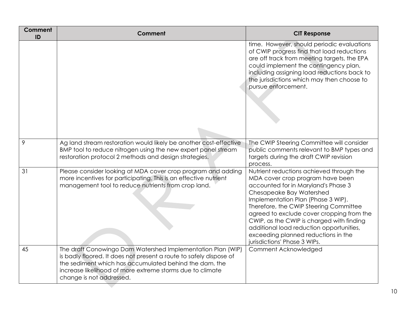| Comment<br>ID | <b>Comment</b>                                                                                                                                                                                                                                                                       | <b>CIT Response</b>                                                                                                                                                                                                                                                                                                                                                                                                                          |
|---------------|--------------------------------------------------------------------------------------------------------------------------------------------------------------------------------------------------------------------------------------------------------------------------------------|----------------------------------------------------------------------------------------------------------------------------------------------------------------------------------------------------------------------------------------------------------------------------------------------------------------------------------------------------------------------------------------------------------------------------------------------|
|               |                                                                                                                                                                                                                                                                                      | time. However, should periodic evaluations<br>of CWIP progress find that load reductions<br>are off track from meeting targets, the EPA<br>could implement the contingency plan,<br>including assigning load reductions back to<br>the jurisdictions which may then choose to<br>pursue enforcement.                                                                                                                                         |
| 9             | Ag land stream restoration would likely be another cost-effective<br>BMP tool to reduce nitrogen using the new expert panel stream<br>restoration protocol 2 methods and design strategies.                                                                                          | The CWIP Steering Committee will consider<br>public comments relevant to BMP types and<br>targets during the draft CWIP revision<br>process.                                                                                                                                                                                                                                                                                                 |
| 31            | Please consider looking at MDA cover crop program and adding<br>more incentives for participating. This is an effective nutrient<br>management tool to reduce nutrients from crop land.                                                                                              | Nutrient reductions achieved through the<br>MDA cover crop program have been<br>accounted for in Maryland's Phase 3<br>Chesapeake Bay Watershed<br>Implementation Plan (Phase 3 WIP).<br>Therefore, the CWIP Steering Committee<br>agreed to exclude cover cropping from the<br>CWIP, as the CWIP is charged with finding<br>additional load reduction opportunities,<br>exceeding planned reductions in the<br>jurisdictions' Phase 3 WIPs. |
| 45            | The draft Conowingo Dam Watershed Implementation Plan (WIP)<br>is badly floored. It does not present a route to safely dispose of<br>the sediment which has accumulated behind the dam. the<br>increase likelihood of more extreme storms due to climate<br>change is not addressed. | Comment Acknowledged                                                                                                                                                                                                                                                                                                                                                                                                                         |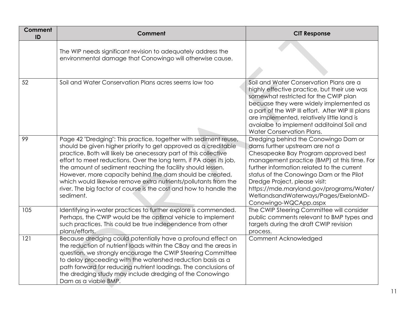| Comment<br>ID | Comment                                                                                                                                                                                                                                                                                                                                                                                                                                                                                                                                                       | <b>CIT Response</b>                                                                                                                                                                                                                                                                                                                                                                                    |
|---------------|---------------------------------------------------------------------------------------------------------------------------------------------------------------------------------------------------------------------------------------------------------------------------------------------------------------------------------------------------------------------------------------------------------------------------------------------------------------------------------------------------------------------------------------------------------------|--------------------------------------------------------------------------------------------------------------------------------------------------------------------------------------------------------------------------------------------------------------------------------------------------------------------------------------------------------------------------------------------------------|
|               | The WIP needs significant revision to adequately address the<br>environmental damage that Conowingo will otherwise cause.                                                                                                                                                                                                                                                                                                                                                                                                                                     |                                                                                                                                                                                                                                                                                                                                                                                                        |
| 52            | Soil and Water Conservation Plans acres seems low too                                                                                                                                                                                                                                                                                                                                                                                                                                                                                                         | Soil and Water Conservation Plans are a<br>highly effective practice, but their use was<br>somewhat restricted for the CWIP plan<br>becuase they were widely implemented as<br>a part of the WIP III effort. After WIP III plans<br>are implemented, relatively little land is<br>avaialbe to implement additoinal Soil and<br>Water Conservation Plans.                                               |
| 99            | Page 42 "Dredging": This practice, together with sediment reuse,<br>should be given higher priority to get approved as a creditable<br>practice. Both will likely be anecessary part of this collective<br>effort to meet reductions. Over the long term, if PA does its job,<br>the amount of sediment reaching the facility should lessen.<br>However, more capacity behind the dam should be created,<br>which would likewise remove extra nutrients/pollutants from the<br>river. The big factor of course is the cost and how to handle the<br>sediment. | Dredging behind the Conowingo Dam or<br>dams further upstream are not a<br>Chesapeake Bay Program approved best<br>management practice (BMP) at this time. For<br>further information related to the current<br>status of the Conowingo Dam or the Pilot<br>Dredge Project, please visit:<br>https://mde.maryland.gov/programs/Water/<br>WetlandsandWaterways/Pages/ExelonMD-<br>Conowingo-WQCApp.aspx |
| 105           | Identifying in-water practices to further explore is commended.<br>Perhaps, the CWIP would be the optimal vehicle to implement<br>such practices. This could be true independence from other<br>plans/efforts.                                                                                                                                                                                                                                                                                                                                                | The CWIP Steering Committee will consider<br>public comments relevant to BMP types and<br>targets during the draft CWIP revision<br>process.                                                                                                                                                                                                                                                           |
| 121           | Because dredging could potentially have a profound effect on<br>the reduction of nutrient loads within the CBay and the areas in<br>question, we strongly encourage the CWIP Steering Committee<br>to delay proceeding with the watershed reduction basis as a<br>path forward for reducing nutrient loadings. The conclusions of<br>the dredging study may include dredging of the Conowingo<br>Dam as a viable BMP.                                                                                                                                         | Comment Acknowledged                                                                                                                                                                                                                                                                                                                                                                                   |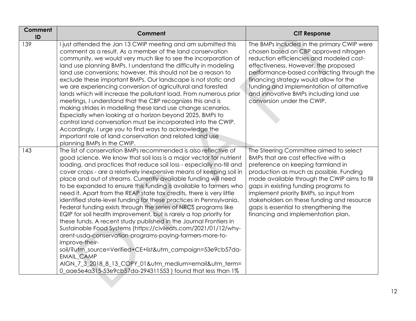| Comment<br>ID | Comment                                                                                                                                                                                                                                                                                                                                                                                                                                                                                                                                                                                                                                                                                                                                                                                                                                                                                                                                                                                                                                                                                                                                         | <b>CIT Response</b>                                                                                                                                                                                                                                                                                                                                                                                                           |
|---------------|-------------------------------------------------------------------------------------------------------------------------------------------------------------------------------------------------------------------------------------------------------------------------------------------------------------------------------------------------------------------------------------------------------------------------------------------------------------------------------------------------------------------------------------------------------------------------------------------------------------------------------------------------------------------------------------------------------------------------------------------------------------------------------------------------------------------------------------------------------------------------------------------------------------------------------------------------------------------------------------------------------------------------------------------------------------------------------------------------------------------------------------------------|-------------------------------------------------------------------------------------------------------------------------------------------------------------------------------------------------------------------------------------------------------------------------------------------------------------------------------------------------------------------------------------------------------------------------------|
| 139           | I just attended the Jan 13 CWIP meeting and am submitted this<br>comment as a result. As a member of the land conservation<br>community, we would very much like to see the incorporation of<br>land use planning BMPs. I understand the difficulty in modeling<br>land use conversions; however, this should not be a reason to<br>exclude these important BMPs. Our landscape is not static and<br>we are experiencing conversion of agricultural and forested<br>lands which will increase the pollutant load. From numerous prior<br>meetings, I understand that the CBP recognizes this and is<br>making strides in modelling these land use change scenarios.<br>Especially when looking at a horizon beyond 2025, BMPs to<br>control land conversation must be incorporated into the CWIP.<br>Accordingly, I urge you to find ways to acknowledge the<br>important role of land conservation and related land use<br>planning BMPs in the CWIP.                                                                                                                                                                                          | The BMPs included in the primary CWIP were<br>chosen based on CBP approved nitrogen<br>reduction efficiencies and modeled cost-<br>effectiveness. However, the proposed<br>performance-based contracting through the<br>financing strategy would allow for the<br>funding and implementation of alternative<br>and innovative BMPs including land use<br>conversion under the CWIP.                                           |
| 143           | The list of conservation BMPs recommended is also reflective of<br>good science. We know that soil loss is a major vector for nutrient<br>loading, and practices that reduce soil loss - especially no-till and<br>cover crops - are a relatively inexpensive means of keeping soil in<br>place and out of streams. Currently available funding will need<br>to be expanded to ensure this funding is available to farmers who<br>need it. Apart from the REAP state tax credits, there is very little<br>identified state-level funding for these practices in Pennsylvania.<br>Federal funding exists through the series of NRCS programs like<br>EQIP for soil health improvement, but is rarely a top priority for<br>these funds. A recent study published in the Journal Frontiers in<br>Sustainable Food Systems (https://civileats.com/2021/01/12/why-<br>arent-usda-conservation-programs-paying-farmers-more-to-<br>improve-their-<br>soil/?utm_source=Verified+CE+list&utm_campaign=53e9cb57da-<br>EMAIL_CAMP<br>AIGN_7_3_2018_8_13_COPY_01&utm_medium=email&utm_term=<br>0_aae5e4a315-53e9cb57da-294311553) found that less than 1% | The Steering Committee aimed to select<br>BMPs that are cost effective with a<br>preference on keeping farmland in<br>production as much as possible. Funding<br>made available through the CWIP aims to fill<br>gaps in existing funding programs to<br>implement priority BMPs, so input from<br>stakeholders on these funding and resource<br>gaps is essential to strengthening the<br>financing and implementation plan. |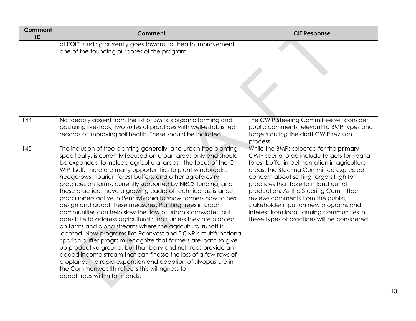| Comment<br>ID | Comment                                                                                                                                                                                                                                                                                                                                                                                                                                                                                                                                                                                                                                                                                                                                                                                                                                                                                                                                                                                                                                                                                                                                                                                                                                  | <b>CIT Response</b>                                                                                                                                                                                                                                                                                                                                                                                                                                                                       |
|---------------|------------------------------------------------------------------------------------------------------------------------------------------------------------------------------------------------------------------------------------------------------------------------------------------------------------------------------------------------------------------------------------------------------------------------------------------------------------------------------------------------------------------------------------------------------------------------------------------------------------------------------------------------------------------------------------------------------------------------------------------------------------------------------------------------------------------------------------------------------------------------------------------------------------------------------------------------------------------------------------------------------------------------------------------------------------------------------------------------------------------------------------------------------------------------------------------------------------------------------------------|-------------------------------------------------------------------------------------------------------------------------------------------------------------------------------------------------------------------------------------------------------------------------------------------------------------------------------------------------------------------------------------------------------------------------------------------------------------------------------------------|
|               | of EQIP funding currently goes toward soil health improvement,<br>one of the founding purposes of the program.                                                                                                                                                                                                                                                                                                                                                                                                                                                                                                                                                                                                                                                                                                                                                                                                                                                                                                                                                                                                                                                                                                                           |                                                                                                                                                                                                                                                                                                                                                                                                                                                                                           |
| 144           | Noticeably absent from the list of BMPs is organic farming and<br>pasturing livestock, two suites of practices with well-established<br>records of improving soil health. These should be included.                                                                                                                                                                                                                                                                                                                                                                                                                                                                                                                                                                                                                                                                                                                                                                                                                                                                                                                                                                                                                                      | The CWIP Steering Committee will consider<br>public comments relevant to BMP types and<br>targets during the draft CWIP revision<br>process.                                                                                                                                                                                                                                                                                                                                              |
| 145           | The inclusion of tree planting generally, and urban tree planting<br>specifically, is currently focused on urban areas only and should<br>be expanded to include agricultural areas - the focus of the C-<br>WIP itself. There are many opportunities to plant windbreaks,<br>hedgerows, riparian forest buffers, and other agroforestry<br>practices on farms, currently supported by NRCS funding, and<br>these practices have a growing cadre of technical assistance<br>practitioners active in Pennsylvania to show farmers how to best<br>design and adopt these measures. Planting trees in urban<br>communities can help slow the flow of urban stormwater, but<br>does little to address agricultural runoff unless they are planted<br>on farms and along streams where the agricultural runoff is<br>located. New programs like Pennvest and DCNR's multifunctional<br>riparian buffer program recognize that farmers are loath to give<br>up productive ground, but that berry and nut trees provide an<br>added income stream that can finesse the loss of a few rows of<br>cropland. The rapid expansion and adoption of silvopasture in<br>the Commonwealth reflects this willingness to<br>adopt trees within farmlands. | While the BMPs selected for the primary<br>CWIP scenario do include targets for riparian<br>forest buffer impelmentation in agricultural<br>areas, the Steering Committee expressed<br>concern about setting targets high for<br>practices that take farmland out of<br>production. As the Steering Committee<br>reviews comments from the public,<br>stakeholder input on new programs and<br>interest from local farming communities in<br>these types of practices will be considered. |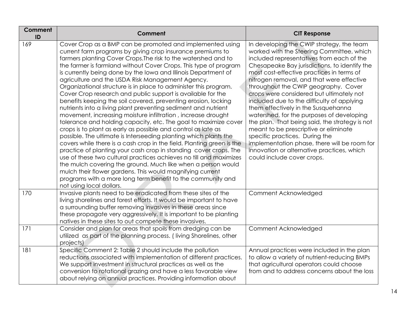| Comment<br>ID | Comment                                                                                                                                                                                                                                                                                                                                                                                                                                                                                                                                                                                                                                                                                                                                                                                                                                                                                                                                                                                                                                                                                                                                                                                                                                                                                                                                                                       | <b>CIT Response</b>                                                                                                                                                                                                                                                                                                                                                                                                                                                                                                                                                                                                                                                                                                                                           |
|---------------|-------------------------------------------------------------------------------------------------------------------------------------------------------------------------------------------------------------------------------------------------------------------------------------------------------------------------------------------------------------------------------------------------------------------------------------------------------------------------------------------------------------------------------------------------------------------------------------------------------------------------------------------------------------------------------------------------------------------------------------------------------------------------------------------------------------------------------------------------------------------------------------------------------------------------------------------------------------------------------------------------------------------------------------------------------------------------------------------------------------------------------------------------------------------------------------------------------------------------------------------------------------------------------------------------------------------------------------------------------------------------------|---------------------------------------------------------------------------------------------------------------------------------------------------------------------------------------------------------------------------------------------------------------------------------------------------------------------------------------------------------------------------------------------------------------------------------------------------------------------------------------------------------------------------------------------------------------------------------------------------------------------------------------------------------------------------------------------------------------------------------------------------------------|
| 169           | Cover Crop as a BMP can be promoted and implemented using<br>current farm programs by giving crop insurance premiums to<br>farmers planting Cover Crops. The risk to the watershed and to<br>the farmer is farmland without Cover Crops. This type of program<br>is currently being done by the lowa and Illinois Department of<br>agriculture and the USDA Risk Management Agency.<br>Organizational structure is in place to administer this program.<br>Cover Crop research and public support is available for the<br>benefits keeping the soil covered, preventing erosion, locking<br>nutrients into a living plant preventing sediment and nutrient<br>movement, increasing moisture infiltration, increase drought<br>tolerance and holding capacity, etc. The goal to maximize cover<br>crops is to plant as early as possible and control as late as<br>possible. The ultimate is Interseeding planting which plants the<br>covers while there is a cash crop in the field. Planting green is the<br>practice of planting your cash crop in standing cover crops. The<br>use of these two cultural practices achieves no till and maximizes<br>the mulch covering the ground. Much like when a person would<br>mulch their flower gardens. This would magnifying current<br>programs with a more long term benefit to the community and<br>not using local dollars. | In developing the CWIP strategy, the team<br>worked with the Steering Committee, which<br>included representatives from each of the<br>Chesapeake Bay jurisdictions, to identify the<br>most cost-effective practices in terms of<br>nitrogen removal, and that were effective<br>throughout the CWIP geography. Cover<br>crops were considered but ultimately not<br>included due to the difficulty of applying<br>them effectively in the Susquehanna<br>watershed, for the purposes of developing<br>the plan. That being said, the strategy is not<br>meant to be prescriptive or eliminate<br>specific practices. During the<br>implementation phase, there will be room for<br>innovation or alternative practices, which<br>could include cover crops. |
| 170           | Invasive plants need to be eradicated from these sites of the<br>living shorelines and forest efforts. It would be important to have<br>a surrounding buffer removing invasives in these areas since<br>these propagate very aggressively. It is important to be planting<br>natives in these sites to out compete these invasives.                                                                                                                                                                                                                                                                                                                                                                                                                                                                                                                                                                                                                                                                                                                                                                                                                                                                                                                                                                                                                                           | Comment Acknowledged                                                                                                                                                                                                                                                                                                                                                                                                                                                                                                                                                                                                                                                                                                                                          |
| 171           | Consider and plan for areas that spoils from dredging can be<br>utilized as part of the planning process. (living Shorelines, other<br>projects)                                                                                                                                                                                                                                                                                                                                                                                                                                                                                                                                                                                                                                                                                                                                                                                                                                                                                                                                                                                                                                                                                                                                                                                                                              | Comment Acknowledged                                                                                                                                                                                                                                                                                                                                                                                                                                                                                                                                                                                                                                                                                                                                          |
| 181           | Specific Comment 2: Table 2 should include the pollution<br>reductions associated with implementation of different practices.<br>We support investment in structural practices as well as the<br>conversion to rotational grazing and have a less favorable view<br>about relying on annual practices. Providing information about                                                                                                                                                                                                                                                                                                                                                                                                                                                                                                                                                                                                                                                                                                                                                                                                                                                                                                                                                                                                                                            | Annual practices were included in the plan<br>to allow a variety of nutrient-reducing BMPs<br>that agricultural operators could choose<br>from and to address concerns about the loss                                                                                                                                                                                                                                                                                                                                                                                                                                                                                                                                                                         |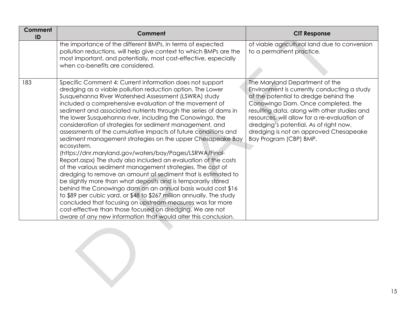| Comment<br>ID | Comment                                                                                                                                                                                                                                                                                                                                                                                                                                                                                                                                                                                                                                                                                                                                                                                                                                                                                                                                                                                                                                                                                                                                                                                                                                             | <b>CIT Response</b>                                                                                                                                                                                                                                                                                                                                                        |
|---------------|-----------------------------------------------------------------------------------------------------------------------------------------------------------------------------------------------------------------------------------------------------------------------------------------------------------------------------------------------------------------------------------------------------------------------------------------------------------------------------------------------------------------------------------------------------------------------------------------------------------------------------------------------------------------------------------------------------------------------------------------------------------------------------------------------------------------------------------------------------------------------------------------------------------------------------------------------------------------------------------------------------------------------------------------------------------------------------------------------------------------------------------------------------------------------------------------------------------------------------------------------------|----------------------------------------------------------------------------------------------------------------------------------------------------------------------------------------------------------------------------------------------------------------------------------------------------------------------------------------------------------------------------|
|               | the importance of the different BMPs, in terms of expected<br>pollution reductions, will help give context to which BMPs are the<br>most important, and potentially, most cost-effective, especially<br>when co-benefits are considered.                                                                                                                                                                                                                                                                                                                                                                                                                                                                                                                                                                                                                                                                                                                                                                                                                                                                                                                                                                                                            | of viable agricultural land due to conversion<br>to a permanent practice.                                                                                                                                                                                                                                                                                                  |
| 183           | Specific Comment 4: Current information does not support<br>dredging as a viable pollution reduction option. The Lower<br>Susquehanna River Watershed Assessment (LSWRA) study<br>included a comprehensive evaluation of the movement of<br>sediment and associated nutrients through the series of dams in<br>the lower Susquehanna river, including the Conowingo, the<br>consideration of strategies for sediment management, and<br>assessments of the cumulative impacts of future conditions and<br>sediment management strategies on the upper Chesapeake Bay<br>ecosystem.<br>(https://dnr.maryland.gov/waters/bay/Pages/LSRWA/Final-<br>Report.aspx) The study also included an evaluation of the costs<br>of the various sediment management strategies. The cost of<br>dredging to remove an amount of sediment that is estimated to<br>be slightly more than what deposits and is temporarily stored<br>behind the Conowingo dam on an annual basis would cost \$16<br>to \$89 per cubic yard, or \$48 to \$267 million annually. The study<br>concluded that focusing on upstream measures was far more<br>cost-effective than those focused on dredging. We are not<br>aware of any new information that would alter this conclusion. | The Maryland Department of the<br>Environment is currently conducting a study<br>of the potential to dredge behind the<br>Conowingo Dam. Once completed, the<br>resulting data, along with other studies and<br>resources, will allow for a re-evaluation of<br>dredging's potential. As of right now,<br>dredging is not an approved Chesapeake<br>Bay Program (CBP) BMP. |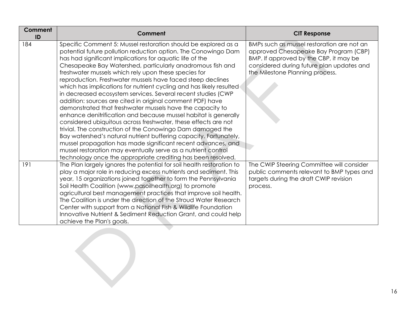| Comment<br>ID | Comment                                                                                                                                                                                                                                                                                                                                                                                                                                                                                                                                                                                                                                                                                                                                                                                                                                                                                                                                                                                                                                                                                                                    | <b>CIT Response</b>                                                                                                                                                                                           |
|---------------|----------------------------------------------------------------------------------------------------------------------------------------------------------------------------------------------------------------------------------------------------------------------------------------------------------------------------------------------------------------------------------------------------------------------------------------------------------------------------------------------------------------------------------------------------------------------------------------------------------------------------------------------------------------------------------------------------------------------------------------------------------------------------------------------------------------------------------------------------------------------------------------------------------------------------------------------------------------------------------------------------------------------------------------------------------------------------------------------------------------------------|---------------------------------------------------------------------------------------------------------------------------------------------------------------------------------------------------------------|
| 184           | Specific Comment 5: Mussel restoration should be explored as a<br>potential future pollution reduction option. The Conowingo Dam<br>has had significant implications for aquatic life of the<br>Chesapeake Bay Watershed, particularly anadromous fish and<br>freshwater mussels which rely upon these species for<br>reproduction. Freshwater mussels have faced steep declines<br>which has implications for nutrient cycling and has likely resulted<br>in decreased ecosystem services. Several recent studies (CWP<br>addition: sources are cited in original comment PDF) have<br>demonstrated that freshwater mussels have the capacity to<br>enhance denitrification and because mussel habitat is generally<br>considered ubiquitous across freshwater, these effects are not<br>trivial. The construction of the Conowingo Dam damaged the<br>Bay watershed's natural nutrient buffering capacity. Fortunately,<br>mussel propagation has made significant recent advances, and<br>mussel restoration may eventually serve as a nutrient control<br>technology once the appropriate crediting has been resolved. | BMPs such as mussel restoration are not an<br>approved Chesapeake Bay Program (CBP)<br>BMP. If approved by the CBP, it may be<br>considered during future plan updates and<br>the Milestone Planning process. |
| 191           | The Plan largely ignores the potential for soil health restoration to<br>play a major role in reducing excess nutrients and sediment. This<br>year, 15 organizations joined together to form the Pennsylvania<br>Soil Health Coalition (www.pasoilhealth.org) to promote<br>agricultural best management practices that improve soil health.<br>The Coalition is under the direction of the Stroud Water Research<br>Center with support from a National Fish & Wildlife Foundation<br>Innovative Nutrient & Sediment Reduction Grant, and could help<br>achieve the Plan's goals.                                                                                                                                                                                                                                                                                                                                                                                                                                                                                                                                         | The CWIP Steering Committee will consider<br>public comments relevant to BMP types and<br>targets during the draft CWIP revision<br>process.                                                                  |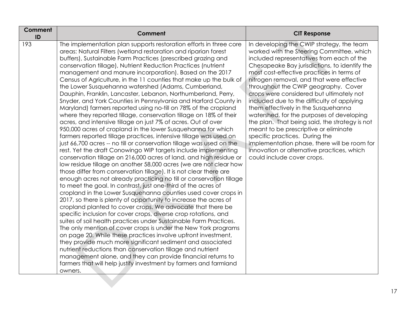| <b>Comment</b><br>ID | <b>Comment</b>                                                                                                                                                                                                                                                                                                                                                                                                                                                                                                                                                                                                                                                                                                                                                                                                                                                                                                                                                                                                                                                                                                                                                                                                                                                                                                                                                                                                                                                                                                                                                                                                                                                                                                                                                                                                                                                                                                                                                                                                                                                                                                                                                                                                | <b>CIT Response</b>                                                                                                                                                                                                                                                                                                                                                                                                                                                                                                                                                                                                                                                                                                                                           |
|----------------------|---------------------------------------------------------------------------------------------------------------------------------------------------------------------------------------------------------------------------------------------------------------------------------------------------------------------------------------------------------------------------------------------------------------------------------------------------------------------------------------------------------------------------------------------------------------------------------------------------------------------------------------------------------------------------------------------------------------------------------------------------------------------------------------------------------------------------------------------------------------------------------------------------------------------------------------------------------------------------------------------------------------------------------------------------------------------------------------------------------------------------------------------------------------------------------------------------------------------------------------------------------------------------------------------------------------------------------------------------------------------------------------------------------------------------------------------------------------------------------------------------------------------------------------------------------------------------------------------------------------------------------------------------------------------------------------------------------------------------------------------------------------------------------------------------------------------------------------------------------------------------------------------------------------------------------------------------------------------------------------------------------------------------------------------------------------------------------------------------------------------------------------------------------------------------------------------------------------|---------------------------------------------------------------------------------------------------------------------------------------------------------------------------------------------------------------------------------------------------------------------------------------------------------------------------------------------------------------------------------------------------------------------------------------------------------------------------------------------------------------------------------------------------------------------------------------------------------------------------------------------------------------------------------------------------------------------------------------------------------------|
| 193                  | The implementation plan supports restoration efforts in three core<br>areas: Natural Filters (wetland restoration and riparian forest<br>buffers), Sustainable Farm Practices (prescribed grazing and<br>conservation tillage), Nutrient Reduction Practices (nutrient<br>management and manure incorporation). Based on the 2017<br>Census of Agriculture, in the 11 counties that make up the bulk of<br>the Lower Susquehanna watershed (Adams, Cumberland,<br>Dauphin, Franklin, Lancaster, Lebanon, Northumberland, Perry,<br>Snyder, and York Counties in Pennsylvania and Harford County in<br>Maryland) farmers reported using no-till on 78% of the cropland<br>where they reported tillage, conservation tillage on 18% of their<br>acres, and intensive tillage on just 7% of acres. Out of over<br>950,000 acres of cropland in the lower Susquehanna for which<br>farmers reported tillage practices, intensive tillage was used on<br>just 66,700 acres -- no till or conservation tillage was used on the<br>rest. Yet the draft Conowingo WIP targets include implementing<br>conservation tillage on 216,000 acres of land, and high residue or<br>low residue tillage on another 58,000 acres (we are not clear how<br>those differ from conservation tillage). It is not clear there are<br>enough acres not already practicing no till or conservation tillage<br>to meet the goal. In contrast, just one-third of the acres of<br>cropland in the Lower Susquehanna counties used cover crops in<br>2017, so there is plenty of opportunity to increase the acres of<br>cropland planted to cover crops. We advocate that there be<br>specific inclusion for cover crops, diverse crop rotations, and<br>suites of soil health practices under Sustainable Farm Practices.<br>The only mention of cover crops is under the New York programs<br>on page 20. While these practices involve upfront investment,<br>they provide much more significant sediment and associated<br>nutrient reductions than conservation tillage and nutrient<br>management alone, and they can provide financial returns to<br>farmers that will help justify investment by farmers and farmland<br>owners. | In developing the CWIP strategy, the team<br>worked with the Steering Committee, which<br>included representatives from each of the<br>Chesapeake Bay jurisdictions, to identify the<br>most cost-effective practices in terms of<br>nitrogen removal, and that were effective<br>throughout the CWIP geography. Cover<br>crops were considered but ultimately not<br>included due to the difficulty of applying<br>them effectively in the Susquehanna<br>watershed, for the purposes of developing<br>the plan. That being said, the strategy is not<br>meant to be prescriptive or eliminate<br>specific practices. During the<br>implementation phase, there will be room for<br>innovation or alternative practices, which<br>could include cover crops. |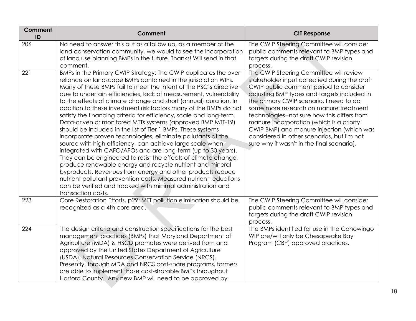| Comment<br>ID | Comment                                                                                                                                                                                                                                                                                                                                                                                                                                                                                                                                                                                                                                                                                                                                                                                                                                                                                                                                                                                                                                                                                                                                                                          | <b>CIT Response</b>                                                                                                                                                                                                                                                                                                                                                                                                                                                                                         |
|---------------|----------------------------------------------------------------------------------------------------------------------------------------------------------------------------------------------------------------------------------------------------------------------------------------------------------------------------------------------------------------------------------------------------------------------------------------------------------------------------------------------------------------------------------------------------------------------------------------------------------------------------------------------------------------------------------------------------------------------------------------------------------------------------------------------------------------------------------------------------------------------------------------------------------------------------------------------------------------------------------------------------------------------------------------------------------------------------------------------------------------------------------------------------------------------------------|-------------------------------------------------------------------------------------------------------------------------------------------------------------------------------------------------------------------------------------------------------------------------------------------------------------------------------------------------------------------------------------------------------------------------------------------------------------------------------------------------------------|
| 206           | No need to answer this but as a follow up, as a member of the<br>land conservation community, we would to see the incorporation<br>of land use planning BMPs in the future. Thanks! Will send in that<br>comment.                                                                                                                                                                                                                                                                                                                                                                                                                                                                                                                                                                                                                                                                                                                                                                                                                                                                                                                                                                | The CWIP Steering Committee will consider<br>public comments relevant to BMP types and<br>targets during the draft CWIP revision<br>process.                                                                                                                                                                                                                                                                                                                                                                |
| 221           | BMPs in the Primary CWIP Strategy: The CWIP duplicates the over<br>reliance on landscape BMPs contained in the jurisdiction WIPs.<br>Many of these BMPs fail to meet the intent of the PSC's directive<br>due to uncertain efficiencies, lack of measurement, vulnerability<br>to the effects of climate change and short (annual) duration. In<br>addition to these investment risk factors many of the BMPs do not<br>satisfy the financing criteria for efficiency, scale and long-term.<br>Data-driven or monitored MTTs systems (approved BMP MTT-19)<br>should be included in the list of Tier 1 BMPs. These systems<br>incorporate proven technologies, eliminate pollutants at the<br>source with high efficiency, can achieve large scale when<br>integrated with CAFO/AFOs and are long-term (up to 30 years).<br>They can be engineered to resist the effects of climate change,<br>produce renewable energy and recycle nutrient and mineral<br>byproducts. Revenues from energy and other products reduce<br>nutrient pollutant prevention costs. Measured nutrient reductions<br>can be verified and tracked with minimal administration and<br>transaction costs. | The CWIP Steering Committee will review<br>stakeholder input collectied during the draft<br>CWIP public comment period to consider<br>adjusting BMP types and targets included in<br>the primary CWIP scenario. I need to do<br>some more research on manure treatment<br>technologies--not sure how this differs from<br>manure incorporation (which is a priorty<br>CWIP BMP) and manure injection (which was<br>considered in other scenarios, but I'm not<br>sure why it wasn't in the final scenario). |
| 223           | Core Restoration Efforts, p29: MTT pollution elimination should be<br>recognized as a 4th core area.                                                                                                                                                                                                                                                                                                                                                                                                                                                                                                                                                                                                                                                                                                                                                                                                                                                                                                                                                                                                                                                                             | The CWIP Steering Committee will consider<br>public comments relevant to BMP types and<br>targets during the draft CWIP revision<br>process.                                                                                                                                                                                                                                                                                                                                                                |
| 224           | The design criteria and construction specifications for the best<br>management practices (BMPs) that Maryland Department of<br>Agriculture (MDA) & HSCD promotes were derived from and<br>approved by the United States Department of Agriculture<br>(USDA), Natural Resources Conservation Service (NRCS).<br>Presently, through MDA and NRCS cost-share programs, farmers<br>are able to implement those cost-sharable BMPs throughout<br>Harford County. Any new BMP will need to be approved by                                                                                                                                                                                                                                                                                                                                                                                                                                                                                                                                                                                                                                                                              | The BMPs identified for use in the Conowingo<br>WIP are/will only be Chesapeake Bay<br>Program (CBP) approved practices.                                                                                                                                                                                                                                                                                                                                                                                    |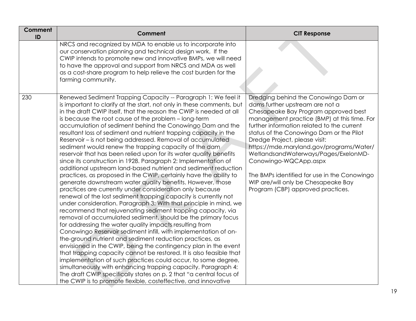| Comment<br>ID | <b>Comment</b>                                                                                                                                                                                                                                                                                                                                                                                                                                                                                                                                                                                                                                                                                                                                                                                                                                                                                                                                                                                                                                                                                                                                                                                                                                                                                                                                                                                                                                                                                                                                                                                                                                                                                                                                                                                                               | <b>CIT Response</b>                                                                                                                                                                                                                                                                                                                                                                                                                                                                                                                |
|---------------|------------------------------------------------------------------------------------------------------------------------------------------------------------------------------------------------------------------------------------------------------------------------------------------------------------------------------------------------------------------------------------------------------------------------------------------------------------------------------------------------------------------------------------------------------------------------------------------------------------------------------------------------------------------------------------------------------------------------------------------------------------------------------------------------------------------------------------------------------------------------------------------------------------------------------------------------------------------------------------------------------------------------------------------------------------------------------------------------------------------------------------------------------------------------------------------------------------------------------------------------------------------------------------------------------------------------------------------------------------------------------------------------------------------------------------------------------------------------------------------------------------------------------------------------------------------------------------------------------------------------------------------------------------------------------------------------------------------------------------------------------------------------------------------------------------------------------|------------------------------------------------------------------------------------------------------------------------------------------------------------------------------------------------------------------------------------------------------------------------------------------------------------------------------------------------------------------------------------------------------------------------------------------------------------------------------------------------------------------------------------|
|               | NRCS and recognized by MDA to enable us to incorporate into<br>our conservation planning and technical design work. If the<br>CWIP intends to promote new and innovative BMPs, we will need<br>to have the approval and support from NRCS and MDA as well<br>as a cost-share program to help relieve the cost burden for the<br>farming community.                                                                                                                                                                                                                                                                                                                                                                                                                                                                                                                                                                                                                                                                                                                                                                                                                                                                                                                                                                                                                                                                                                                                                                                                                                                                                                                                                                                                                                                                           |                                                                                                                                                                                                                                                                                                                                                                                                                                                                                                                                    |
| 230           | Renewed Sediment Trapping Capacity -- Paragraph 1: We feel it<br>is important to clarify at the start, not only in these comments, but<br>in the draft CWIP itself, that the reason the CWIP is needed at all<br>is because the root cause of the problem - long-term<br>accumulation of sediment behind the Conowingo Dam and the<br>resultant loss of sediment and nutrient trapping capacity in the<br>Reservoir - is not being addressed. Removal of accumulated<br>sediment would renew the trapping capacity of the dam<br>reservoir that has been relied upon for its water quality benefits<br>since its construction in 1928. Paragraph 2: Implementation of<br>additional upstream land-based nutrient and sediment reduction<br>practices, as proposed in the CWIP, certainly have the ability to<br>generate downstream water quality benefits. However, those<br>practices are currently under consideration only because<br>renewal of the lost sediment trapping capacity is currently not<br>under consideration. Paragraph 3: With that principle in mind, we<br>recommend that rejuvenating sediment trapping capacity, via<br>removal of accumulated sediment, should be the primary focus<br>for addressing the water quality impacts resulting from<br>Conowingo Reservoir sediment infill, with implementation of on-<br>the-ground nutrient and sediment reduction practices, as<br>envisioned in the CWIP, being the contingency plan in the event<br>that trapping capacity cannot be restored. It is also feasible that<br>implementation of such practices could occur, to some degree,<br>simultaneously with enhancing trapping capacity. Paragraph 4:<br>The draft CWIP specifically states on p. 2 that "a central focus of<br>the CWIP is to promote flexible, costeffective, and innovative | Dredging behind the Conowingo Dam or<br>dams further upstream are not a<br>Chesapeake Bay Program approved best<br>management practice (BMP) at this time. For<br>further information related to the current<br>status of the Conowingo Dam or the Pilot<br>Dredge Project, please visit:<br>https://mde.maryland.gov/programs/Water/<br>WetlandsandWaterways/Pages/ExelonMD-<br>Conowingo-WQCApp.aspx<br>The BMPs identified for use in the Conowingo<br>WIP are/will only be Chesapeake Bay<br>Program (CBP) approved practices. |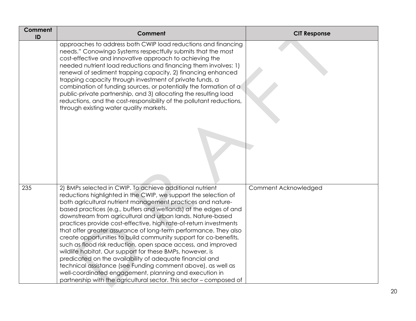| Comment<br>ID | <b>Comment</b>                                                                                                                                                                                                                                                                                                                                                                                                                                                                                                                                                                                                                                                                                                                                                                                                                                                                                                                       | <b>CIT Response</b>  |
|---------------|--------------------------------------------------------------------------------------------------------------------------------------------------------------------------------------------------------------------------------------------------------------------------------------------------------------------------------------------------------------------------------------------------------------------------------------------------------------------------------------------------------------------------------------------------------------------------------------------------------------------------------------------------------------------------------------------------------------------------------------------------------------------------------------------------------------------------------------------------------------------------------------------------------------------------------------|----------------------|
|               | approaches to address both CWIP load reductions and financing<br>needs." Conowingo Systems respectfully submits that the most<br>cost-effective and innovative approach to achieving the<br>needed nutrient load reductions and financing them involves: 1)<br>renewal of sediment trapping capacity, 2) financing enhanced<br>trapping capacity through investment of private funds, a<br>combination of funding sources, or potentially the formation of a<br>public-private partnership, and 3) allocating the resulting load<br>reductions, and the cost-responsibility of the pollutant reductions,<br>through existing water quality markets.                                                                                                                                                                                                                                                                                  |                      |
| 235           | 2) BMPs selected in CWIP. To achieve additional nutrient<br>reductions highlighted in the CWIP, we support the selection of<br>both agricultural nutrient management practices and nature-<br>based practices (e.g., buffers and wetlands) at the edges of and<br>downstream from agricultural and urban lands. Nature-based<br>practices provide cost-effective, high rate-of-return investments<br>that offer greater assurance of long-term performance. They also<br>create opportunities to build community support for co-benefits,<br>such as flood risk reduction, open space access, and improved<br>wildlife habitat. Our support for these BMPs, however, is<br>predicated on the availability of adequate financial and<br>technical assistance (see Funding comment above), as well as<br>well-coordinated engagement, planning and execution in<br>partnership with the agricultural sector. This sector - composed of | Comment Acknowledged |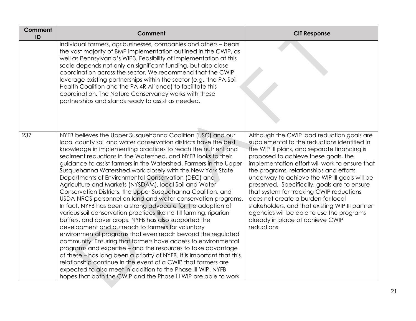| Comment<br>ID | Comment                                                                                                                                                                                                                                                                                                                                                                                                                                                                                                                                                                                                                                                                                                                                                                                                                                                                                                                                                                                                                                                                                                                                                                                                                                                                                                                                                                                 | <b>CIT Response</b>                                                                                                                                                                                                                                                                                                                                                                                                                                                                                                                                                                                                   |
|---------------|-----------------------------------------------------------------------------------------------------------------------------------------------------------------------------------------------------------------------------------------------------------------------------------------------------------------------------------------------------------------------------------------------------------------------------------------------------------------------------------------------------------------------------------------------------------------------------------------------------------------------------------------------------------------------------------------------------------------------------------------------------------------------------------------------------------------------------------------------------------------------------------------------------------------------------------------------------------------------------------------------------------------------------------------------------------------------------------------------------------------------------------------------------------------------------------------------------------------------------------------------------------------------------------------------------------------------------------------------------------------------------------------|-----------------------------------------------------------------------------------------------------------------------------------------------------------------------------------------------------------------------------------------------------------------------------------------------------------------------------------------------------------------------------------------------------------------------------------------------------------------------------------------------------------------------------------------------------------------------------------------------------------------------|
|               | individual farmers, agribusinesses, companies and others - bears<br>the vast majority of BMP implementation outlined in the CWIP, as<br>well as Pennsylvania's WIP3. Feasibility of implementation at this<br>scale depends not only on significant funding, but also close<br>coordination across the sector. We recommend that the CWIP<br>leverage existing partnerships within the sector (e.g., the PA Soil<br>Health Coalition and the PA 4R Alliance) to facilitate this<br>coordination. The Nature Conservancy works with these<br>partnerships and stands ready to assist as needed.                                                                                                                                                                                                                                                                                                                                                                                                                                                                                                                                                                                                                                                                                                                                                                                          |                                                                                                                                                                                                                                                                                                                                                                                                                                                                                                                                                                                                                       |
| 237           | NYFB believes the Upper Susquehanna Coalition (USC) and our<br>local county soil and water conservation districts have the best<br>knowledge in implementing practices to reach the nutrient and<br>sediment reductions in the Watershed, and NYFB looks to their<br>guidance to assist farmers in the Watershed. Farmers in the Upper<br>Susquehanna Watershed work closely with the New York State<br>Departments of Environmental Conservation (DEC) and<br>Agriculture and Markets (NYSDAM), local Soil and Water<br>Conservation Districts, the Upper Susquehanna Coalition, and<br>USDA-NRCS personnel on land and water conservation programs.<br>In fact, NYFB has been a strong advocate for the adoption of<br>various soil conservation practices like no-till farming, riparian<br>buffers, and cover crops. NYFB has also supported the<br>development and outreach to farmers for voluntary<br>environmental programs that even reach beyond the regulated<br>community. Ensuring that farmers have access to environmental<br>programs and expertise – and the resources to take advantage<br>of these - has long been a priority of NYFB. It is important that this<br>relationship continue in the event of a CWIP that farmers are<br>expected to also meet in addition to the Phase III WIP. NYFB<br>hopes that both the CWIP and the Phase III WIP are able to work | Although the CWIP load reduction goals are<br>supplemental to the reductions identified in<br>the WIP III plans, and separate financing is<br>proposed to achieve these goals, the<br>implementation effort will work to ensure that<br>the programs, relationships and efforts<br>underway to achieve the WIP III goals will be<br>preserved. Specifically, goals are to ensure<br>that system for tracking CWIP reductions<br>does not create a burden for local<br>stakeholders, and that existing WIP III partner<br>agencies will be able to use the programs<br>already in place of achieve CWIP<br>reductions. |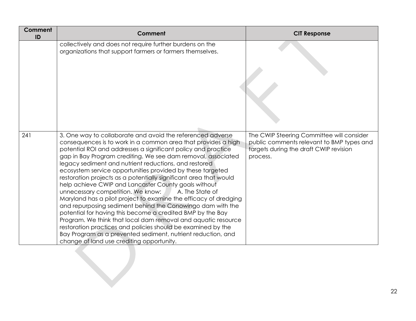| Comment<br>ID | <b>Comment</b>                                                                                                                                                                                                                                                                                                                                                                                                                                                                                                                                                                                                                                                                                                                                                                                                                                                                                                                                                                                                         | <b>CIT Response</b>                                                                                                                          |
|---------------|------------------------------------------------------------------------------------------------------------------------------------------------------------------------------------------------------------------------------------------------------------------------------------------------------------------------------------------------------------------------------------------------------------------------------------------------------------------------------------------------------------------------------------------------------------------------------------------------------------------------------------------------------------------------------------------------------------------------------------------------------------------------------------------------------------------------------------------------------------------------------------------------------------------------------------------------------------------------------------------------------------------------|----------------------------------------------------------------------------------------------------------------------------------------------|
|               | collectively and does not require further burdens on the<br>organizations that support farmers or farmers themselves.                                                                                                                                                                                                                                                                                                                                                                                                                                                                                                                                                                                                                                                                                                                                                                                                                                                                                                  |                                                                                                                                              |
| 241           | 3. One way to collaborate and avoid the referenced adverse<br>consequences is to work in a common area that provides a high<br>potential ROI and addresses a significant policy and practice<br>gap in Bay Program crediting. We see dam removal, associated<br>legacy sediment and nutrient reductions, and restored<br>ecosystem service opportunities provided by these targeted<br>restoration projects as a potentially significant area that would<br>help achieve CWIP and Lancaster County goals without<br>unnecessary competition. We know:<br>A. The State of<br>Maryland has a pilot project to examine the efficacy of dredging<br>and repurposing sediment behind the Conowingo dam with the<br>potential for having this become a credited BMP by the Bay<br>Program. We think that local dam removal and aquatic resource<br>restoration practices and policies should be examined by the<br>Bay Program as a prevented sediment, nutrient reduction, and<br>change of land use crediting opportunity. | The CWIP Steering Committee will consider<br>public comments relevant to BMP types and<br>targets during the draft CWIP revision<br>process. |
|               |                                                                                                                                                                                                                                                                                                                                                                                                                                                                                                                                                                                                                                                                                                                                                                                                                                                                                                                                                                                                                        |                                                                                                                                              |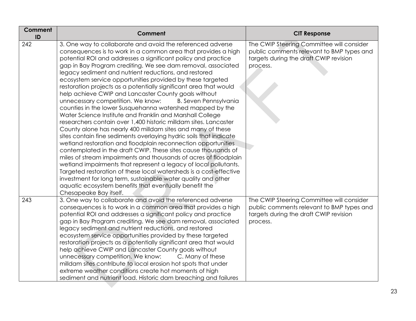| Comment<br>ID | Comment                                                                                                                                                                                                                                                                                                                                                                                                                                                                                                                                                                                                                                                                                                                                                                                                                                                                                                                                                                                                                                                                                                                                                                                                                                                                                                                                                                                                                        | <b>CIT Response</b>                                                                                                                          |
|---------------|--------------------------------------------------------------------------------------------------------------------------------------------------------------------------------------------------------------------------------------------------------------------------------------------------------------------------------------------------------------------------------------------------------------------------------------------------------------------------------------------------------------------------------------------------------------------------------------------------------------------------------------------------------------------------------------------------------------------------------------------------------------------------------------------------------------------------------------------------------------------------------------------------------------------------------------------------------------------------------------------------------------------------------------------------------------------------------------------------------------------------------------------------------------------------------------------------------------------------------------------------------------------------------------------------------------------------------------------------------------------------------------------------------------------------------|----------------------------------------------------------------------------------------------------------------------------------------------|
| 242           | 3. One way to collaborate and avoid the referenced adverse<br>consequences is to work in a common area that provides a high<br>potential ROI and addresses a significant policy and practice<br>gap in Bay Program crediting. We see dam removal, associated<br>legacy sediment and nutrient reductions, and restored<br>ecosystem service opportunities provided by these targeted<br>restoration projects as a potentially significant area that would<br>help achieve CWIP and Lancaster County goals without<br>unnecessary competition. We know:<br><b>B. Seven Pennsylvania</b><br>counties in the lower Susquehanna watershed mapped by the<br>Water Science Institute and Franklin and Marshall College<br>researchers contain over 1,400 historic milldam sites. Lancaster<br>County alone has nearly 400 milldam sites and many of these<br>sites contain fine sediments overlaying hydric soils that indicate<br>wetland restoration and floodplain reconnection opportunities<br>contemplated in the draft CWIP. These sites cause thousands of<br>miles of stream impairments and thousands of acres of floodplain<br>wetland impairments that represent a legacy of local pollutants.<br>Targeted restoration of these local watersheds is a cost-effective<br>investment for long term, sustainable water quality and other<br>aquatic ecosystem benefits that eventually benefit the<br>Chesapeake Bay itself. | The CWIP Steering Committee will consider<br>public comments relevant to BMP types and<br>targets during the draft CWIP revision<br>process. |
| 243           | 3. One way to collaborate and avoid the referenced adverse<br>consequences is to work in a common area that provides a high<br>potential ROI and addresses a significant policy and practice<br>gap in Bay Program crediting. We see dam removal, associated<br>legacy sediment and nutrient reductions, and restored<br>ecosystem service opportunities provided by these targeted<br>restoration projects as a potentially significant area that would<br>help achieve CWIP and Lancaster County goals without<br>unnecessary competition. We know:<br>C. Many of these<br>milldam sites contribute to local erosion hot spots that under<br>extreme weather conditions create hot moments of high<br>sediment and nutrient load. Historic dam breaching and failures                                                                                                                                                                                                                                                                                                                                                                                                                                                                                                                                                                                                                                                        | The CWIP Steering Committee will consider<br>public comments relevant to BMP types and<br>targets during the draft CWIP revision<br>process. |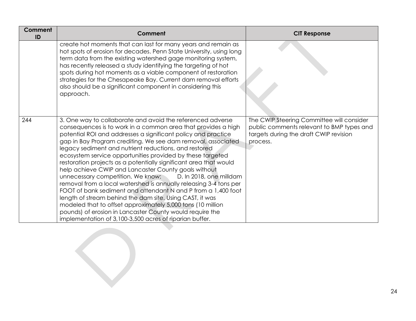| Comment<br>ID | <b>Comment</b>                                                                                                                                                                                                                                                                                                                                                                                                                                                                                                                                                                                                                                                                                                                                                                                                                                                                                                                                                           | <b>CIT Response</b>                                                                                                                          |
|---------------|--------------------------------------------------------------------------------------------------------------------------------------------------------------------------------------------------------------------------------------------------------------------------------------------------------------------------------------------------------------------------------------------------------------------------------------------------------------------------------------------------------------------------------------------------------------------------------------------------------------------------------------------------------------------------------------------------------------------------------------------------------------------------------------------------------------------------------------------------------------------------------------------------------------------------------------------------------------------------|----------------------------------------------------------------------------------------------------------------------------------------------|
|               | create hot moments that can last for many years and remain as<br>hot spots of erosion for decades. Penn State University, using long<br>term data from the existing watershed gage monitoring system,<br>has recently released a study identifying the targeting of hot<br>spots during hot moments as a viable component of restoration<br>strategies for the Chesapeake Bay. Current dam removal efforts<br>also should be a significant component in considering this<br>approach.                                                                                                                                                                                                                                                                                                                                                                                                                                                                                    |                                                                                                                                              |
| 244           | 3. One way to collaborate and avoid the referenced adverse<br>consequences is to work in a common area that provides a high<br>potential ROI and addresses a significant policy and practice<br>gap in Bay Program crediting. We see dam removal, associated<br>legacy sediment and nutrient reductions, and restored<br>ecosystem service opportunities provided by these targeted<br>restoration projects as a potentially significant area that would<br>help achieve CWIP and Lancaster County goals without<br>D. In 2018, one milldam<br>unnecessary competition. We know:<br>removal from a local watershed is annually releasing 3-4 tons per<br>FOOT of bank sediment and attendant N and P from a 1,400 foot<br>length of stream behind the dam site. Using CAST, it was<br>modeled that to offset approximately 5,000 tons (10 million<br>pounds) of erosion in Lancaster County would require the<br>implementation of 3,100-3,500 acres of riparian buffer. | The CWIP Steering Committee will consider<br>public comments relevant to BMP types and<br>targets during the draft CWIP revision<br>process. |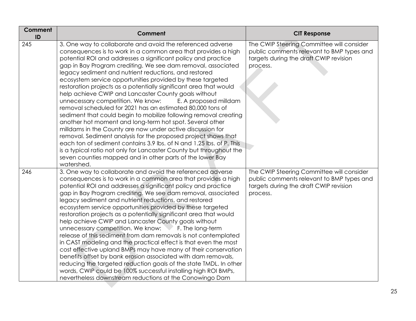| Comment<br>ID | <b>Comment</b>                                                                                                                                                                                                                                                                                                                                                                                                                                                                                                                                                                                                                                                                                                                                                                                                                                                                                                                                                                                                                                                                                                                         | <b>CIT Response</b>                                                                                                                          |
|---------------|----------------------------------------------------------------------------------------------------------------------------------------------------------------------------------------------------------------------------------------------------------------------------------------------------------------------------------------------------------------------------------------------------------------------------------------------------------------------------------------------------------------------------------------------------------------------------------------------------------------------------------------------------------------------------------------------------------------------------------------------------------------------------------------------------------------------------------------------------------------------------------------------------------------------------------------------------------------------------------------------------------------------------------------------------------------------------------------------------------------------------------------|----------------------------------------------------------------------------------------------------------------------------------------------|
| 245           | 3. One way to collaborate and avoid the referenced adverse<br>consequences is to work in a common area that provides a high<br>potential ROI and addresses a significant policy and practice<br>gap in Bay Program crediting. We see dam removal, associated<br>legacy sediment and nutrient reductions, and restored<br>ecosystem service opportunities provided by these targeted<br>restoration projects as a potentially significant area that would<br>help achieve CWIP and Lancaster County goals without<br>unnecessary competition. We know:<br>E. A proposed milldam<br>removal scheduled for 2021 has an estimated 80,000 tons of<br>sediment that could begin to mobilize following removal creating<br>another hot moment and long-term hot spot. Several other<br>milldams in the County are now under active discussion for<br>removal. Sediment analysis for the proposed project shows that<br>each ton of sediment contains 3.9 lbs. of N and 1.25 lbs. of P. This<br>is a typical ratio not only for Lancaster County but throughout the<br>seven counties mapped and in other parts of the lower Bay<br>watershed. | The CWIP Steering Committee will consider<br>public comments relevant to BMP types and<br>targets during the draft CWIP revision<br>process. |
| 246           | 3. One way to collaborate and avoid the referenced adverse<br>consequences is to work in a common area that provides a high<br>potential ROI and addresses a significant policy and practice<br>gap in Bay Program crediting. We see dam removal, associated<br>legacy sediment and nutrient reductions, and restored<br>ecosystem service opportunities provided by these targeted<br>restoration projects as a potentially significant area that would<br>help achieve CWIP and Lancaster County goals without<br>unnecessary competition. We know:<br>F. The long-term<br>release of this sediment from dam removals is not contemplated<br>in CAST modeling and the practical effect is that even the most<br>cost effective upland BMPs may have many of their conservation<br>benefits offset by bank erosion associated with dam removals,<br>reducing the targeted reduction goals of the state TMDL. In other<br>words, CWIP could be 100% successful installing high ROI BMPs,<br>nevertheless downstream reductions at the Conowingo Dam                                                                                    | The CWIP Steering Committee will consider<br>public comments relevant to BMP types and<br>targets during the draft CWIP revision<br>process. |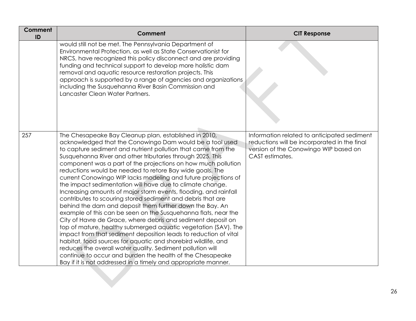| Comment<br>ID | <b>Comment</b>                                                                                                                                                                                                                                                                                                                                                                                                                                                                                                                                                                                                                                                                                                                                                                                                                                                                                                                                                                                                                                                                                                                                                                                                                                    | <b>CIT Response</b>                                                                                                                                     |
|---------------|---------------------------------------------------------------------------------------------------------------------------------------------------------------------------------------------------------------------------------------------------------------------------------------------------------------------------------------------------------------------------------------------------------------------------------------------------------------------------------------------------------------------------------------------------------------------------------------------------------------------------------------------------------------------------------------------------------------------------------------------------------------------------------------------------------------------------------------------------------------------------------------------------------------------------------------------------------------------------------------------------------------------------------------------------------------------------------------------------------------------------------------------------------------------------------------------------------------------------------------------------|---------------------------------------------------------------------------------------------------------------------------------------------------------|
|               | would still not be met. The Pennsylvania Department of<br>Environmental Protection, as well as State Conservationist for<br>NRCS, have recognized this policy disconnect and are providing<br>funding and technical support to develop more holistic dam<br>removal and aquatic resource restoration projects. This<br>approach is supported by a range of agencies and organizations<br>including the Susquehanna River Basin Commission and<br>Lancaster Clean Water Partners.                                                                                                                                                                                                                                                                                                                                                                                                                                                                                                                                                                                                                                                                                                                                                                  |                                                                                                                                                         |
| 257           | The Chesapeake Bay Cleanup plan, established in 2010,<br>acknowledged that the Conowingo Dam would be a tool used<br>to capture sediment and nutrient pollution that came from the<br>Susquehanna River and other tributaries through 2025. This<br>component was a part of the projections on how much pollution<br>reductions would be needed to retore Bay wide goals. The<br>current Conowingo WIP lacks modeling and future projections of<br>the impact sedimentation will have due to climate change.<br>Increasing amounts of major storm events, flooding, and rainfall<br>contributes to scouring stored sediment and debris that are<br>behind the dam and deposit them further down the Bay. An<br>example of this can be seen on the Susquehanna flats, near the<br>City of Havre de Grace, where debris and sediment deposit on<br>top of mature, healthy submerged aquatic vegetation (SAV). The<br>impact from that sediment deposition leads to reduction of vital<br>habitat, food sources for aquatic and shorebird wildlife, and<br>reduces the overall water quality. Sediment pollution will<br>continue to occur and burden the health of the Chesapeake<br>Bay if it is not addressed in a timely and appropriate manner. | Information related to anticipated sediment<br>reductions will be incorporated in the final<br>version of the Conowingo WIP based on<br>CAST estimates. |
|               |                                                                                                                                                                                                                                                                                                                                                                                                                                                                                                                                                                                                                                                                                                                                                                                                                                                                                                                                                                                                                                                                                                                                                                                                                                                   |                                                                                                                                                         |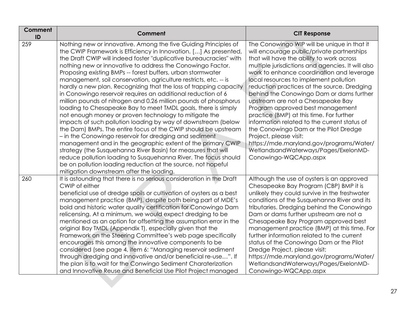| Comment<br>ID | <b>Comment</b>                                                                                                                                                                                                                                                                                                                                                                                                                                                                                                                                                                                                                                                                                                                                                                                                                                                                                                                                                                                                                                                                                                                                                                                                                                            | <b>CIT Response</b>                                                                                                                                                                                                                                                                                                                                                                                                                                                                                                                                                                                                                                                                                                                |
|---------------|-----------------------------------------------------------------------------------------------------------------------------------------------------------------------------------------------------------------------------------------------------------------------------------------------------------------------------------------------------------------------------------------------------------------------------------------------------------------------------------------------------------------------------------------------------------------------------------------------------------------------------------------------------------------------------------------------------------------------------------------------------------------------------------------------------------------------------------------------------------------------------------------------------------------------------------------------------------------------------------------------------------------------------------------------------------------------------------------------------------------------------------------------------------------------------------------------------------------------------------------------------------|------------------------------------------------------------------------------------------------------------------------------------------------------------------------------------------------------------------------------------------------------------------------------------------------------------------------------------------------------------------------------------------------------------------------------------------------------------------------------------------------------------------------------------------------------------------------------------------------------------------------------------------------------------------------------------------------------------------------------------|
| 259           | Nothing new or innovative. Among the five Guiding Principles of<br>the CWIP Framework is Efficiency in Innovation. [] As presented,<br>the Draft CWIP will indeed foster "duplicative bureaucracies" with<br>nothing new or innovative to address the Conowingo Factor.<br>Proposing existing BMPs -- forest buffers, urban stormwater<br>management, soil conservation, agriculture restricts, etc. -- is<br>hardly a new plan. Recognizing that the loss of trapping capacity<br>in Conowingo reservoir requires an additional reduction of 6<br>million pounds of nitrogen and 0.26 million pounds of phosphorus<br>loading to Chesapeake Bay to meet TMDL goals, there is simply<br>not enough money or proven technology to mitigate the<br>impacts of such pollution loading by way of downstream (below<br>the Dam) BMPs. The entire focus of the CWIP should be upstream<br>- in the Conowingo reservoir for dredging and sediment<br>management and in the geographic extent of the primary CWIP<br>strategy (the Susquehanna River Basin) for measures that will<br>reduce pollution loading to Susquehanna River. The focus should<br>be on pollution loading reduction at the source, not hopeful<br>mitigation downstream after the loading. | The Conowingo WIP will be unique in that it<br>will encourage public/private partnerships<br>that will have the ability to work across<br>multiple jurisdictions and agencies. It will also<br>work to enhance coordination and leverage<br>local resources to implement pollution<br>reduction practices at the source. Dredging<br>behind the Conowingo Dam or dams further<br>Upstream are not a Chesapeake Bay<br>Program approved best management<br>practice (BMP) at this time. For further<br>information related to the current status of<br>the Conowingo Dam or the Pilot Dredge<br>Project, please visit:<br>https://mde.maryland.gov/programs/Water/<br>WetlandsandWaterways/Pages/ExelonMD-<br>Conowingo-WQCApp.aspx |
| 260           | It is astounding that there is no serious consideration in the Draft<br>CWIP of either<br>beneficial use of dredge spoils or cultivation of oysters as a best<br>management practice (BMP), despite both being part of MDE's<br>bold and historic water quality certification for Conowingo Dam<br>relicensing. At a minimum, we would expect dredging to be<br>mentioned as an option for offsetting the assumption error in the<br>original Bay TMDL (Appendix T), especially given that the<br>Framework on the Steering Committee's web page specifically<br>encourages this among the innovative components to be<br>considered (see page 4, item 6: "Managing reservoir sediment<br>through dredging and innovative and/or beneficial re-use". If<br>the plan is to wait for the Conwingo Sediment Charaterization<br>and Innovative Reuse and Beneficial Use Pilot Project managed                                                                                                                                                                                                                                                                                                                                                                 | Although the use of oysters is an approved<br>Chesapeake Bay Program (CBP) BMP it is<br>unlikely they could survive in the freshwater<br>conditions of the Susquehanna River and its<br>tributaries. Dredging behind the Conowingo<br>Dam or dams further upstream are not a<br>Chesapeake Bay Program approved best<br>management practice (BMP) at this time. For<br>further information related to the current<br>status of the Conowingo Dam or the Pilot<br>Dredge Project, please visit:<br>https://mde.maryland.gov/programs/Water/<br>WetlandsandWaterways/Pages/ExelonMD-<br>Conowingo-WQCApp.aspx                                                                                                                        |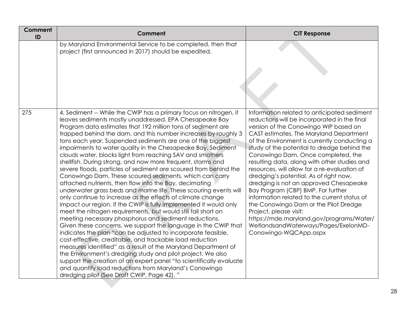| Comment<br>ID | <b>Comment</b>                                                                                                                                                                                                                                                                                                                                                                                                                                                                                                                                                                                                                                                                                                                                                                                                                                                                                                                                                                                                                                                                                                                                                                                                                                                                                                                                                                                                                                                                                                                                                    | <b>CIT Response</b>                                                                                                                                                                                                                                                                                                                                                                                                                                                                                                                                                                                                                                                                                                                                                            |
|---------------|-------------------------------------------------------------------------------------------------------------------------------------------------------------------------------------------------------------------------------------------------------------------------------------------------------------------------------------------------------------------------------------------------------------------------------------------------------------------------------------------------------------------------------------------------------------------------------------------------------------------------------------------------------------------------------------------------------------------------------------------------------------------------------------------------------------------------------------------------------------------------------------------------------------------------------------------------------------------------------------------------------------------------------------------------------------------------------------------------------------------------------------------------------------------------------------------------------------------------------------------------------------------------------------------------------------------------------------------------------------------------------------------------------------------------------------------------------------------------------------------------------------------------------------------------------------------|--------------------------------------------------------------------------------------------------------------------------------------------------------------------------------------------------------------------------------------------------------------------------------------------------------------------------------------------------------------------------------------------------------------------------------------------------------------------------------------------------------------------------------------------------------------------------------------------------------------------------------------------------------------------------------------------------------------------------------------------------------------------------------|
|               | by Maryland Environmental Service to be completed, then that<br>project (first announced in 2017) should be expedited.                                                                                                                                                                                                                                                                                                                                                                                                                                                                                                                                                                                                                                                                                                                                                                                                                                                                                                                                                                                                                                                                                                                                                                                                                                                                                                                                                                                                                                            |                                                                                                                                                                                                                                                                                                                                                                                                                                                                                                                                                                                                                                                                                                                                                                                |
| 275           | 4. Sediment -- While the CWIP has a primary focus on nitrogen, it<br>leaves sediments mostly unaddressed. EPA Chesapeake Bay<br>Program data estimates that 192 million tons of sediment are<br>trapped behind the dam, and this number increases by roughly 3<br>tons each year. Suspended sediments are one of the biggest<br>impairments to water quality in the Chesapeake Bay. Sediment<br>clouds water, blocks light from reaching SAV and smothers<br>shellfish. During strong, and now more frequent, storms and<br>severe floods, particles of sediment are scoured from behind the<br>Conowingo Dam. These scoured sediments, which can carry<br>attached nutrients, then flow into the Bay, decimating<br>underwater grass beds and marine life. These scouring events will<br>only continue to increase as the effects of climate change<br>impact our region. If the CWIP is fully implemented it would only<br>meet the nitrogen requirements, but would still fall short on<br>meeting necessary phosphorus and sediment reductions.<br>Given these concerns, we support the language in the CWIP that<br>indicates the plan "can be adjusted to incorporate feasible,<br>cost-effective, creditable, and trackable load reduction<br>measures identified" as a result of the Maryland Department of<br>the Environment's dredging study and pilot project. We also<br>support the creation of an expert panel "to scientifically evaluate<br>and quantify load reductions from Maryland's Conowingo<br>dredging pilot (See Draft CWIP, Page 42)." | Information related to anticipated sediment<br>reductions will be incorporated in the final<br>version of the Conowingo WIP based on<br>CAST estimates. The Maryland Department<br>of the Environment is currently conducting a<br>study of the potential to dredge behind the<br>Conowingo Dam. Once completed, the<br>resulting data, along with other studies and<br>resources, will allow for a re-evaluation of<br>dredging's potential. As of right now,<br>dredging is not an approved Chesapeake<br>Bay Program (CBP) BMP. For further<br>information related to the current status of<br>the Conowingo Dam or the Pilot Dredge<br>Project, please visit:<br>https://mde.maryland.gov/programs/Water/<br>WetlandsandWaterways/Pages/ExelonMD-<br>Conowingo-WQCApp.aspx |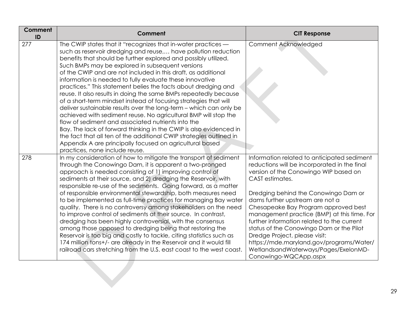| <b>Comment</b><br>ID | <b>Comment</b>                                                                                                                                                                                                                                                                                                                                                                                                                                                                                                                                                                                                                                                                                                                                                                                                                                                                                                                                                                                                                          | <b>CIT Response</b>                                                                                                                                                                                                                                                                                                                                                                                                                                                                                                                                               |
|----------------------|-----------------------------------------------------------------------------------------------------------------------------------------------------------------------------------------------------------------------------------------------------------------------------------------------------------------------------------------------------------------------------------------------------------------------------------------------------------------------------------------------------------------------------------------------------------------------------------------------------------------------------------------------------------------------------------------------------------------------------------------------------------------------------------------------------------------------------------------------------------------------------------------------------------------------------------------------------------------------------------------------------------------------------------------|-------------------------------------------------------------------------------------------------------------------------------------------------------------------------------------------------------------------------------------------------------------------------------------------------------------------------------------------------------------------------------------------------------------------------------------------------------------------------------------------------------------------------------------------------------------------|
| 277                  | The CWIP states that it "recognizes that in-water practices -<br>such as reservoir dredging and reuse, have pollution reduction<br>benefits that should be further explored and possibly utilized.<br>Such BMPs may be explored in subsequent versions<br>of the CWIP and are not included in this draft, as additional<br>information is needed to fully evaluate these innovative<br>practices." This statement belies the facts about dredging and<br>reuse. It also results in doing the same BMPs repeatedly because<br>of a short-term mindset instead of focusing strategies that will<br>deliver sustainable results over the long-term – which can only be<br>achieved with sediment reuse. No agricultural BMP will stop the<br>flow of sediment and associated nutrients into the<br>Bay. The lack of forward thinking in the CWIP is also evidenced in<br>the fact that all ten of the additional CWIP strategies outlined in<br>Appendix A are principally focused on agricultural based<br>practices, none include reuse. | Comment Acknowledged                                                                                                                                                                                                                                                                                                                                                                                                                                                                                                                                              |
| 278                  | In my consideration of how to mitigate the transport of sediment<br>through the Conowingo Dam, it is apparent a two-pronged<br>approach is needed consisting of 1) improving control of<br>sediments at their source, and 2) dredging the Reservoir, with<br>responsible re-use of the sediments. Going forward, as a matter<br>of responsible environmental stewardship, both measures need<br>to be implemented as full-time practices for managing Bay water<br>quality. There is no controversy among stakeholders on the need<br>to improve control of sediments at their source. In contrast,<br>dredging has been highly controversial, with the consensus<br>among those opposed to dredging being that restoring the<br>Reservoir is too big and costly to tackle, citing statistics such as<br>174 million tons+/- are already in the Reservoir and it would fill<br>railroad cars stretching from the U.S. east coast to the west coast.                                                                                     | Information related to anticipated sediment<br>reductions will be incorporated in the final<br>version of the Conowingo WIP based on<br>CAST estimates.<br>Dredging behind the Conowingo Dam or<br>dams further upstream are not a<br>Chesapeake Bay Program approved best<br>management practice (BMP) at this time. For<br>further information related to the current<br>status of the Conowingo Dam or the Pilot<br>Dredge Project, please visit:<br>https://mde.maryland.gov/programs/Water/<br>WetlandsandWaterways/Pages/ExelonMD-<br>Conowingo-WQCApp.aspx |
|                      |                                                                                                                                                                                                                                                                                                                                                                                                                                                                                                                                                                                                                                                                                                                                                                                                                                                                                                                                                                                                                                         |                                                                                                                                                                                                                                                                                                                                                                                                                                                                                                                                                                   |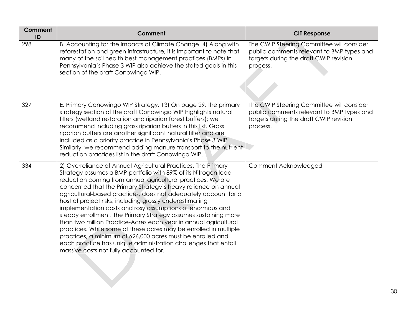| <b>Comment</b><br>ID | Comment                                                                                                                                                                                                                                                                                                                                                                                                                                                                                                                                                                                                                                                                                                                                                                                                                                           | <b>CIT Response</b>                                                                                                                          |
|----------------------|---------------------------------------------------------------------------------------------------------------------------------------------------------------------------------------------------------------------------------------------------------------------------------------------------------------------------------------------------------------------------------------------------------------------------------------------------------------------------------------------------------------------------------------------------------------------------------------------------------------------------------------------------------------------------------------------------------------------------------------------------------------------------------------------------------------------------------------------------|----------------------------------------------------------------------------------------------------------------------------------------------|
| 298                  | B. Accounting for the Impacts of Climate Change. 4) Along with<br>reforestation and green infrastructure, it is important to note that<br>many of the soil health best management practices (BMPs) in<br>Pennsylvania's Phase 3 WIP also achieve the stated goals in this<br>section of the draft Conowingo WIP.                                                                                                                                                                                                                                                                                                                                                                                                                                                                                                                                  | The CWIP Steering Committee will consider<br>public comments relevant to BMP types and<br>targets during the draft CWIP revision<br>process. |
| 327                  | E. Primary Conowingo WIP Strategy. 13) On page 29, the primary<br>strategy section of the draft Conowingo WIP highlights natural<br>filters (wetland restoration and riparian forest buffers); we<br>recommend including grass riparian buffers in this list. Grass<br>riparian buffers are another significant natural filter and are<br>included as a priority practice in Pennsylvania's Phase 3 WIP.<br>Similarly, we recommend adding manure transport to the nutrient<br>reduction practices list in the draft Conowingo WIP.                                                                                                                                                                                                                                                                                                               | The CWIP Steering Committee will consider<br>public comments relevant to BMP types and<br>targets during the draft CWIP revision<br>process. |
| 334                  | 2) Overreliance of Annual Agricultural Practices. The Primary<br>Strategy assumes a BMP portfolio with 89% of its Nitrogen load<br>reduction coming from annual agricultural practices. We are<br>concerned that the Primary Strategy's heavy reliance on annual<br>agricultural-based practices, does not adequately account for a<br>host of project risks, including grossly underestimating<br>implementation costs and rosy assumptions of enormous and<br>steady enrollment. The Primary Strategy assumes sustaining more<br>than two million Practice-Acres each year in annual agricultural<br>practices. While some of these acres may be enrolled in multiple<br>practices, a minimum of 626,000 acres must be enrolled and<br>each practice has unique administration challenges that entail<br>massive costs not fully accounted for. | Comment Acknowledged                                                                                                                         |
|                      |                                                                                                                                                                                                                                                                                                                                                                                                                                                                                                                                                                                                                                                                                                                                                                                                                                                   |                                                                                                                                              |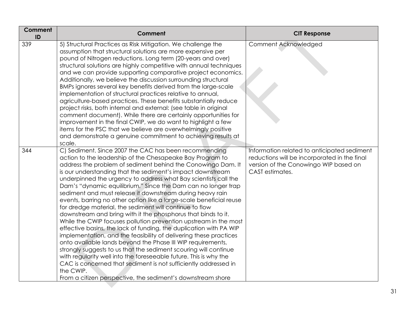| Comment<br>ID | <b>Comment</b>                                                                                                                                                                                                                                                                                                                                                                                                                                                                                                                                                                                                                                                                                                                                                                                                                                                                                                                                                                                                                                                                                                                                                                                                             | <b>CIT Response</b>                                                                                                                                     |
|---------------|----------------------------------------------------------------------------------------------------------------------------------------------------------------------------------------------------------------------------------------------------------------------------------------------------------------------------------------------------------------------------------------------------------------------------------------------------------------------------------------------------------------------------------------------------------------------------------------------------------------------------------------------------------------------------------------------------------------------------------------------------------------------------------------------------------------------------------------------------------------------------------------------------------------------------------------------------------------------------------------------------------------------------------------------------------------------------------------------------------------------------------------------------------------------------------------------------------------------------|---------------------------------------------------------------------------------------------------------------------------------------------------------|
| 339           | 5) Structural Practices as Risk Mitigation. We challenge the<br>assumption that structural solutions are more expensive per<br>pound of Nitrogen reductions. Long term (20-years and over)<br>structural solutions are highly competitive with annual techniques<br>and we can provide supporting comparative project economics.<br>Additionally, we believe the discussion surrounding structural<br>BMPs ignores several key benefits derived from the large-scale<br>implementation of structural practices relative to annual,<br>agriculture-based practices. These benefits substantially reduce<br>project risks, both internal and external: (see table in original<br>comment document). While there are certainly opportunities for<br>improvement in the final CWIP, we do want to highlight a few<br>items for the PSC that we believe are overwhelmingly positive<br>and demonstrate a genuine commitment to achieving results at<br>scale.                                                                                                                                                                                                                                                                   | Comment Acknowledged                                                                                                                                    |
| 344           | C) Sediment. Since 2007 the CAC has been recommending<br>action to the leadership of the Chesapeake Bay Program to<br>address the problem of sediment behind the Conowingo Dam. It<br>is our understanding that the sediment's impact downstream<br>underpinned the urgency to address what Bay scientists call the<br>Dam's "dynamic equilibrium." Since the Dam can no longer trap<br>sediment and must release it downstream during heavy rain<br>events, barring no other option like a large-scale beneficial reuse<br>for dredge material, the sediment will continue to flow<br>downstream and bring with it the phosphorus that binds to it.<br>While the CWIP focuses pollution prevention upstream in the most<br>effective basins, the lack of funding, the duplication with PA WIP<br>implementation, and the feasibility of delivering these practices<br>onto available lands beyond the Phase III WIP requirements,<br>strongly suggests to us that the sediment scouring will continue<br>with regularity well into the foreseeable future. This is why the<br>CAC is concerned that sediment is not sufficiently addressed in<br>the CWIP.<br>From a citizen perspective, the sediment's downstream shore | Information related to anticipated sediment<br>reductions will be incorporated in the final<br>version of the Conowingo WIP based on<br>CAST estimates. |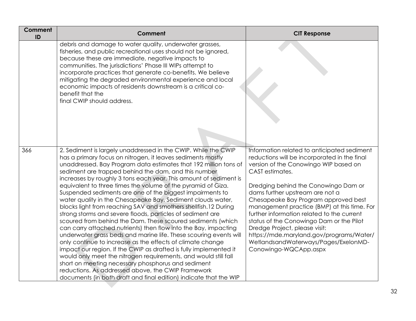| Comment<br>ID | Comment                                                                                                                                                                                                                                                                                                                                                                                                                                                                                                                                                                                                                                                                                                                                                                                                                                                                                                                                                                                                                                                                                                                                                                                                                                                   | <b>CIT Response</b>                                                                                                                                                                                                                                                                                                                                                                                                                                                                                                                                               |
|---------------|-----------------------------------------------------------------------------------------------------------------------------------------------------------------------------------------------------------------------------------------------------------------------------------------------------------------------------------------------------------------------------------------------------------------------------------------------------------------------------------------------------------------------------------------------------------------------------------------------------------------------------------------------------------------------------------------------------------------------------------------------------------------------------------------------------------------------------------------------------------------------------------------------------------------------------------------------------------------------------------------------------------------------------------------------------------------------------------------------------------------------------------------------------------------------------------------------------------------------------------------------------------|-------------------------------------------------------------------------------------------------------------------------------------------------------------------------------------------------------------------------------------------------------------------------------------------------------------------------------------------------------------------------------------------------------------------------------------------------------------------------------------------------------------------------------------------------------------------|
|               | debris and damage to water quality, underwater grasses,<br>fisheries, and public recreational uses should not be ignored,<br>because these are immediate, negative impacts to<br>communities. The jurisdictions' Phase III WIPs attempt to<br>incorporate practices that generate co-benefits. We believe<br>mitigating the degraded environmental experience and local<br>economic impacts of residents downstream is a critical co-<br>benefit that the<br>final CWIP should address.                                                                                                                                                                                                                                                                                                                                                                                                                                                                                                                                                                                                                                                                                                                                                                   |                                                                                                                                                                                                                                                                                                                                                                                                                                                                                                                                                                   |
| 366           | 2. Sediment is largely unaddressed in the CWIP. While the CWIP<br>has a primary focus on nitrogen, it leaves sediments mostly<br>unaddressed. Bay Program data estimates that 192 million tons of<br>sediment are trapped behind the dam, and this number<br>increases by roughly 3 tons each year. This amount of sediment is<br>equivalent to three times the volume of the pyramid of Giza.<br>Suspended sediments are one of the biggest impairments to<br>water quality in the Chesapeake Bay. Sediment clouds water,<br>blocks light from reaching SAV and smothers shellfish.12 During<br>strong storms and severe floods, particles of sediment are<br>scoured from behind the Dam. These scoured sediments (which<br>can carry attached nutrients) then flow into the Bay, impacting<br>underwater grass beds and marine life. These scouring events will<br>only continue to increase as the effects of climate change<br>impact our region. If the CWIP as drafted is fully implemented it<br>would only meet the nitrogen requirements, and would still fall<br>short on meeting necessary phosphorus and sediment<br>reductions. As addressed above, the CWIP Framework<br>documents (in both draft and final edition) indicate that the WIP | Information related to anticipated sediment<br>reductions will be incorporated in the final<br>version of the Conowingo WIP based on<br>CAST estimates.<br>Dredging behind the Conowingo Dam or<br>dams further upstream are not a<br>Chesapeake Bay Program approved best<br>management practice (BMP) at this time. For<br>further information related to the current<br>status of the Conowingo Dam or the Pilot<br>Dredge Project, please visit:<br>https://mde.maryland.gov/programs/Water/<br>WetlandsandWaterways/Pages/ExelonMD-<br>Conowingo-WQCApp.aspx |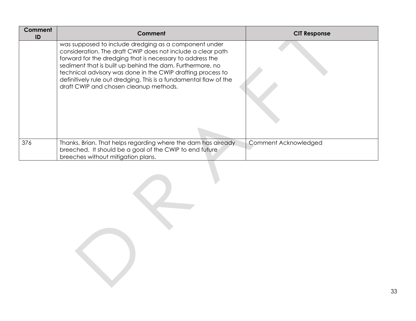| Comment<br>ID | Comment                                                                                                                                                                                                                                                                                                                                                                                                                      | <b>CIT Response</b>  |
|---------------|------------------------------------------------------------------------------------------------------------------------------------------------------------------------------------------------------------------------------------------------------------------------------------------------------------------------------------------------------------------------------------------------------------------------------|----------------------|
|               | was supposed to include dredging as a component under<br>consideration. The draft CWIP does not include a clear path<br>forward for the dredging that is necessary to address the<br>sediment that is built up behind the dam. Furthermore, no<br>technical advisory was done in the CWIP drafting process to<br>definitively rule out dredging. This is a fundamental flaw of the<br>draft CWIP and chosen cleanup methods. |                      |
| 376           | Thanks, Brian. That helps regarding where the dam has already<br>breeched. It should be a goal of the CWIP to end future<br>breeches without mitigation plans.                                                                                                                                                                                                                                                               | Comment Acknowledged |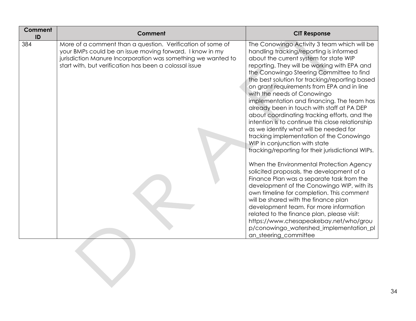| <b>Comment</b><br>ID | Comment                                                                                                                                                                                                                                          | <b>CIT Response</b>                                                                                                                                                                                                                                                                                                                                                                                                                                                                                                                                                                                                                                                                                                                                                                                                                                                                                                                                                                                                                                                                                                                                                                                                    |
|----------------------|--------------------------------------------------------------------------------------------------------------------------------------------------------------------------------------------------------------------------------------------------|------------------------------------------------------------------------------------------------------------------------------------------------------------------------------------------------------------------------------------------------------------------------------------------------------------------------------------------------------------------------------------------------------------------------------------------------------------------------------------------------------------------------------------------------------------------------------------------------------------------------------------------------------------------------------------------------------------------------------------------------------------------------------------------------------------------------------------------------------------------------------------------------------------------------------------------------------------------------------------------------------------------------------------------------------------------------------------------------------------------------------------------------------------------------------------------------------------------------|
| 384                  | More of a comment than a question. Verification of some of<br>your BMPs could be an issue moving forward. I know in my<br>jurisdiction Manure Incorporation was something we wanted to<br>start with, but verification has been a colossal issue | The Conowingo Activity 3 team which will be<br>handling tracking/reporting is informed<br>about the current system for state WIP<br>reporting. They will be working with EPA and<br>the Conowingo Steering Committee to find<br>the best solution for tracking/reporting based<br>on grant requirements from EPA and in line<br>with the needs of Conowingo<br>implementation and financing. The team has<br>already been in touch with staff at PA DEP<br>about coordinating tracking efforts, and the<br>intention is to continue this close relationship<br>as we identify what will be needed for<br>tracking implementation of the Conowingo<br>WIP in conjunction with state<br>tracking/reporting for their jurisdictional WIPs.<br>When the Environmental Protection Agency<br>solicited proposals, the development of a<br>Finance Plan was a separate task from the<br>development of the Conowingo WIP, with its<br>own timeline for completion. This comment<br>will be shared with the finance plan<br>development team. For more information<br>related to the finance plan, please visit:<br>https://www.chesapeakebay.net/who/grou<br>p/conowingo_watershed_implementation_pl<br>an_steering_committee |
|                      |                                                                                                                                                                                                                                                  |                                                                                                                                                                                                                                                                                                                                                                                                                                                                                                                                                                                                                                                                                                                                                                                                                                                                                                                                                                                                                                                                                                                                                                                                                        |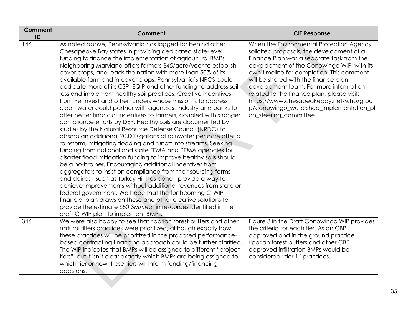| <b>Comment</b><br>ID | Comment                                                                                                                                                                                                                                                                                                                                                                                                                                                                                                                                                                                                                                                                                                                                                                                                                                                                                                                                                                                                                                                                                                                                                                                                                                                                                                                                                                                                                                                                                                                                                                                                                                        | <b>CIT Response</b>                                                                                                                                                                                                                                                                                                                                                                                                                                                         |
|----------------------|------------------------------------------------------------------------------------------------------------------------------------------------------------------------------------------------------------------------------------------------------------------------------------------------------------------------------------------------------------------------------------------------------------------------------------------------------------------------------------------------------------------------------------------------------------------------------------------------------------------------------------------------------------------------------------------------------------------------------------------------------------------------------------------------------------------------------------------------------------------------------------------------------------------------------------------------------------------------------------------------------------------------------------------------------------------------------------------------------------------------------------------------------------------------------------------------------------------------------------------------------------------------------------------------------------------------------------------------------------------------------------------------------------------------------------------------------------------------------------------------------------------------------------------------------------------------------------------------------------------------------------------------|-----------------------------------------------------------------------------------------------------------------------------------------------------------------------------------------------------------------------------------------------------------------------------------------------------------------------------------------------------------------------------------------------------------------------------------------------------------------------------|
| 146                  | As noted above, Pennsylvania has lagged far behind other<br>Chesapeake Bay states in providing dedicated state-level<br>funding to finance the implementation of agricultural BMPs.<br>Neighboring Maryland offers farmers \$45/acre/year to establish<br>cover crops, and leads the nation with more than 50% of its<br>available farmland in cover crops. Pennsylvania's NRCS could<br>dedicate more of its CSP, EQIP and other funding to address soil<br>loss and implement healthy soil practices. Creative incentives<br>from Pennyest and other funders whose mission is to address<br>clean water could partner with agencies, industry and banks to<br>offer better financial incentives to farmers, coupled with stronger<br>compliance efforts by DEP. Healthy soils are documented by<br>studies by the Natural Resource Defense Council (NRDC) to<br>absorb an additional 20,000 gallons of rainwater per acre after a<br>rainstorm, mitigating flooding and runoff into streams. Seeking<br>funding from national and state FEMA and PEMA agencies for<br>disaster flood mitigation funding to improve healthy soils should<br>be a no-brainer. Encouraging additional incentives from<br>aggregators to insist on compliance from their sourcing farms<br>and dairies - such as Turkey Hill has done - provide a way to<br>achieve improvements without additional revenues from state or<br>federal government. We hope that the forthcoming C-WIP<br>financial plan draws on these and other creative solutions to<br>provide the estimate \$50.3M/year in resources identified in the<br>draft C-WIP plan to implement BMPs. | When the Environmental Protection Agency<br>solicited proposals, the development of a<br>Finance Plan was a separate task from the<br>development of the Conowingo WIP, with its<br>own timeline for completion. This comment<br>will be shared with the finance plan<br>development team. For more information<br>related to the finance plan, please visit:<br>https://www.chesapeakebay.net/who/grou<br>p/conowingo_watershed_implementation_pl<br>an_steering_committee |
| 346                  | We were also happy to see that riparian forest buffers and other<br>natural filters practices were prioritized, although exactly how<br>these practices will be prioritized in the proposed performance-<br>based contracting financing approach could be further clarified.<br>The WIP indicates that BMPs will be assigned to different "project<br>tiers", but it isn't clear exactly which BMPs are being assigned to<br>which tier or how these tiers will inform funding/financing<br>decisions.                                                                                                                                                                                                                                                                                                                                                                                                                                                                                                                                                                                                                                                                                                                                                                                                                                                                                                                                                                                                                                                                                                                                         | Figure 3 in the Draft Conowingo WIP provides<br>the criteria for each tier. As an CBP<br>approved and in the ground practice<br>riparian forest buffers and other CBP<br>approved infiltration BMPs would be<br>considered "tier 1" practices.                                                                                                                                                                                                                              |
|                      |                                                                                                                                                                                                                                                                                                                                                                                                                                                                                                                                                                                                                                                                                                                                                                                                                                                                                                                                                                                                                                                                                                                                                                                                                                                                                                                                                                                                                                                                                                                                                                                                                                                |                                                                                                                                                                                                                                                                                                                                                                                                                                                                             |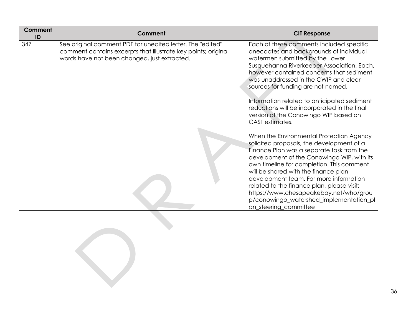| <b>Comment</b><br>ID | Comment                                                                                                                                                                      | <b>CIT Response</b>                                                                                                                                                                                                                                                                                                                                                                                                                                                         |
|----------------------|------------------------------------------------------------------------------------------------------------------------------------------------------------------------------|-----------------------------------------------------------------------------------------------------------------------------------------------------------------------------------------------------------------------------------------------------------------------------------------------------------------------------------------------------------------------------------------------------------------------------------------------------------------------------|
| 347                  | See original comment PDF for unedited letter. The "edited"<br>comment contains excerpts that illustrate key points; original<br>words have not been changed, just extracted. | Each of these comments included specific<br>anecdotes and backgrounds of individual<br>watermen submitted by the Lower<br>Susquehanna Riverkeeper Association. Each,<br>however contained concerns that sediment<br>was unaddressed in the CWIP and clear<br>sources for funding are not named.<br>Information related to anticipated sediment<br>reductions will be incorporated in the final<br>version of the Conowingo WIP based on<br>CAST estimates.                  |
|                      |                                                                                                                                                                              | When the Environmental Protection Agency<br>solicited proposals, the development of a<br>Finance Plan was a separate task from the<br>development of the Conowingo WIP, with its<br>own timeline for completion. This comment<br>will be shared with the finance plan<br>development team. For more information<br>related to the finance plan, please visit:<br>https://www.chesapeakebay.net/who/grou<br>p/conowingo_watershed_implementation_pl<br>an_steering_committee |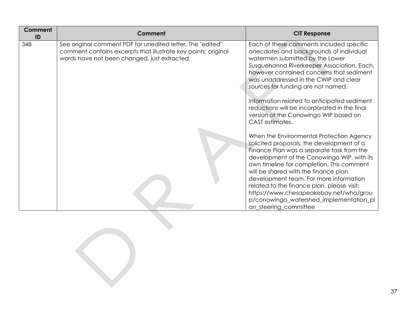| <b>Comment</b><br>ID | Comment                                                                                                                                                                      | <b>CIT Response</b>                                                                                                                                                                                                                                                                                                                                                                                                                                                         |
|----------------------|------------------------------------------------------------------------------------------------------------------------------------------------------------------------------|-----------------------------------------------------------------------------------------------------------------------------------------------------------------------------------------------------------------------------------------------------------------------------------------------------------------------------------------------------------------------------------------------------------------------------------------------------------------------------|
| 348                  | See original comment PDF for unedited letter. The "edited"<br>comment contains excerpts that illustrate key points; original<br>words have not been changed, just extracted. | Each of these comments included specific<br>anecdotes and backgrounds of individual<br>watermen submitted by the Lower<br>Susquehanna Riverkeeper Association. Each,<br>however contained concerns that sediment<br>was unaddressed in the CWIP and clear<br>sources for funding are not named.<br>Information related to anticipated sediment<br>reductions will be incorporated in the final<br>version of the Conowingo WIP based on<br>CAST estimates.                  |
|                      |                                                                                                                                                                              | When the Environmental Protection Agency<br>solicited proposals, the development of a<br>Finance Plan was a separate task from the<br>development of the Conowingo WIP, with its<br>own timeline for completion. This comment<br>will be shared with the finance plan<br>development team. For more information<br>related to the finance plan, please visit:<br>https://www.chesapeakebay.net/who/grou<br>p/conowingo_watershed_implementation_pl<br>an_steering_committee |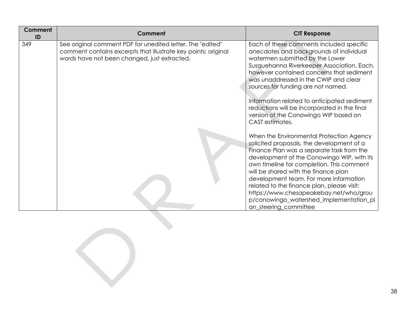| <b>Comment</b><br>ID | <b>Comment</b>                                                                                                                                                               | <b>CIT Response</b>                                                                                                                                                                                                                                                                                                                                                                                                                                                         |
|----------------------|------------------------------------------------------------------------------------------------------------------------------------------------------------------------------|-----------------------------------------------------------------------------------------------------------------------------------------------------------------------------------------------------------------------------------------------------------------------------------------------------------------------------------------------------------------------------------------------------------------------------------------------------------------------------|
| 349                  | See original comment PDF for unedited letter. The "edited"<br>comment contains excerpts that illustrate key points; original<br>words have not been changed, just extracted. | Each of these comments included specific<br>anecdotes and backgrounds of individual<br>watermen submitted by the Lower<br>Susquehanna Riverkeeper Association. Each,<br>however contained concerns that sediment<br>was unaddressed in the CWIP and clear<br>sources for funding are not named.<br>Information related to anticipated sediment<br>reductions will be incorporated in the final<br>version of the Conowingo WIP based on<br>CAST estimates.                  |
|                      |                                                                                                                                                                              | When the Environmental Protection Agency<br>solicited proposals, the development of a<br>Finance Plan was a separate task from the<br>development of the Conowingo WIP, with its<br>own timeline for completion. This comment<br>will be shared with the finance plan<br>development team. For more information<br>related to the finance plan, please visit:<br>https://www.chesapeakebay.net/who/grou<br>p/conowingo_watershed_implementation_pl<br>an_steering_committee |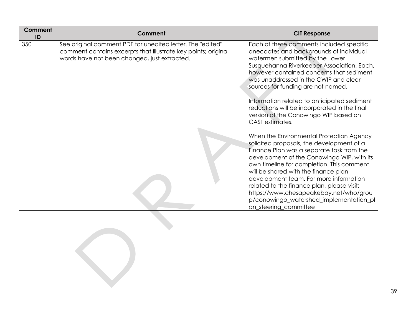| <b>Comment</b><br>ID | Comment                                                                                                                                                                      | <b>CIT Response</b>                                                                                                                                                                                                                                                                                                                                                                                                                                                         |
|----------------------|------------------------------------------------------------------------------------------------------------------------------------------------------------------------------|-----------------------------------------------------------------------------------------------------------------------------------------------------------------------------------------------------------------------------------------------------------------------------------------------------------------------------------------------------------------------------------------------------------------------------------------------------------------------------|
| 350                  | See original comment PDF for unedited letter. The "edited"<br>comment contains excerpts that illustrate key points; original<br>words have not been changed, just extracted. | Each of these comments included specific<br>anecdotes and backgrounds of individual<br>watermen submitted by the Lower<br>Susquehanna Riverkeeper Association. Each,<br>however contained concerns that sediment<br>was unaddressed in the CWIP and clear<br>sources for funding are not named.<br>Information related to anticipated sediment<br>reductions will be incorporated in the final<br>version of the Conowingo WIP based on<br>CAST estimates.                  |
|                      |                                                                                                                                                                              | When the Environmental Protection Agency<br>solicited proposals, the development of a<br>Finance Plan was a separate task from the<br>development of the Conowingo WIP, with its<br>own timeline for completion. This comment<br>will be shared with the finance plan<br>development team. For more information<br>related to the finance plan, please visit:<br>https://www.chesapeakebay.net/who/grou<br>p/conowingo_watershed_implementation_pl<br>an_steering_committee |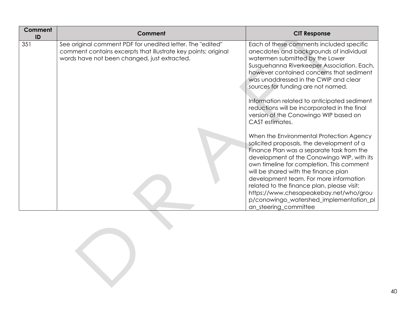| <b>Comment</b><br>ID | <b>Comment</b>                                                                                                                                                               | <b>CIT Response</b>                                                                                                                                                                                                                                                                                                                                                                                                                                                         |
|----------------------|------------------------------------------------------------------------------------------------------------------------------------------------------------------------------|-----------------------------------------------------------------------------------------------------------------------------------------------------------------------------------------------------------------------------------------------------------------------------------------------------------------------------------------------------------------------------------------------------------------------------------------------------------------------------|
| 351                  | See original comment PDF for unedited letter. The "edited"<br>comment contains excerpts that illustrate key points; original<br>words have not been changed, just extracted. | Each of these comments included specific<br>anecdotes and backgrounds of individual<br>watermen submitted by the Lower<br>Susquehanna Riverkeeper Association. Each,<br>however contained concerns that sediment<br>was unaddressed in the CWIP and clear<br>sources for funding are not named.<br>Information related to anticipated sediment<br>reductions will be incorporated in the final<br>version of the Conowingo WIP based on<br>CAST estimates.                  |
|                      |                                                                                                                                                                              | When the Environmental Protection Agency<br>solicited proposals, the development of a<br>Finance Plan was a separate task from the<br>development of the Conowingo WIP, with its<br>own timeline for completion. This comment<br>will be shared with the finance plan<br>development team. For more information<br>related to the finance plan, please visit:<br>https://www.chesapeakebay.net/who/grou<br>p/conowingo_watershed_implementation_pl<br>an_steering_committee |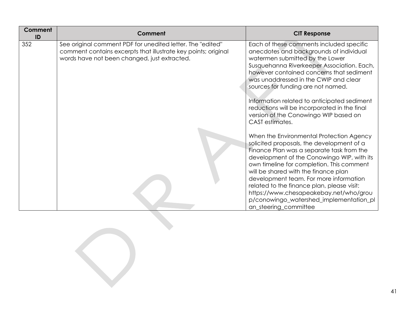| <b>Comment</b><br>ID | <b>Comment</b>                                                                                                                                                               | <b>CIT Response</b>                                                                                                                                                                                                                                                                                                                                                                                                                                                         |
|----------------------|------------------------------------------------------------------------------------------------------------------------------------------------------------------------------|-----------------------------------------------------------------------------------------------------------------------------------------------------------------------------------------------------------------------------------------------------------------------------------------------------------------------------------------------------------------------------------------------------------------------------------------------------------------------------|
| 352                  | See original comment PDF for unedited letter. The "edited"<br>comment contains excerpts that illustrate key points; original<br>words have not been changed, just extracted. | Each of these comments included specific<br>anecdotes and backgrounds of individual<br>watermen submitted by the Lower<br>Susquehanna Riverkeeper Association. Each,<br>however contained concerns that sediment<br>was unaddressed in the CWIP and clear<br>sources for funding are not named.<br>Information related to anticipated sediment<br>reductions will be incorporated in the final<br>version of the Conowingo WIP based on<br>CAST estimates.                  |
|                      |                                                                                                                                                                              | When the Environmental Protection Agency<br>solicited proposals, the development of a<br>Finance Plan was a separate task from the<br>development of the Conowingo WIP, with its<br>own timeline for completion. This comment<br>will be shared with the finance plan<br>development team. For more information<br>related to the finance plan, please visit:<br>https://www.chesapeakebay.net/who/grou<br>p/conowingo_watershed_implementation_pl<br>an_steering_committee |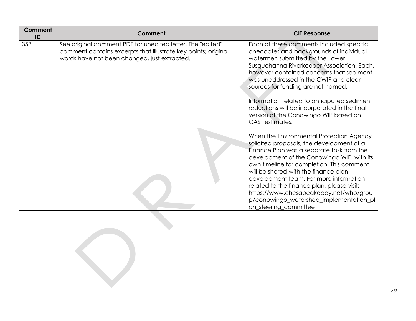| <b>Comment</b><br>ID | <b>Comment</b>                                                                                                                                                               | <b>CIT Response</b>                                                                                                                                                                                                                                                                                                                                                                                                                                                         |
|----------------------|------------------------------------------------------------------------------------------------------------------------------------------------------------------------------|-----------------------------------------------------------------------------------------------------------------------------------------------------------------------------------------------------------------------------------------------------------------------------------------------------------------------------------------------------------------------------------------------------------------------------------------------------------------------------|
| 353                  | See original comment PDF for unedited letter. The "edited"<br>comment contains excerpts that illustrate key points; original<br>words have not been changed, just extracted. | Each of these comments included specific<br>anecdotes and backgrounds of individual<br>watermen submitted by the Lower<br>Susquehanna Riverkeeper Association. Each,<br>however contained concerns that sediment<br>was unaddressed in the CWIP and clear<br>sources for funding are not named.<br>Information related to anticipated sediment<br>reductions will be incorporated in the final<br>version of the Conowingo WIP based on<br>CAST estimates.                  |
|                      |                                                                                                                                                                              | When the Environmental Protection Agency<br>solicited proposals, the development of a<br>Finance Plan was a separate task from the<br>development of the Conowingo WIP, with its<br>own timeline for completion. This comment<br>will be shared with the finance plan<br>development team. For more information<br>related to the finance plan, please visit:<br>https://www.chesapeakebay.net/who/grou<br>p/conowingo_watershed_implementation_pl<br>an_steering_committee |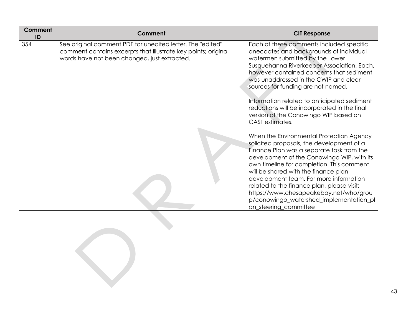| <b>Comment</b><br>ID | Comment                                                                                                                                                                      | <b>CIT Response</b>                                                                                                                                                                                                                                                                                                                                                                                                                                                         |
|----------------------|------------------------------------------------------------------------------------------------------------------------------------------------------------------------------|-----------------------------------------------------------------------------------------------------------------------------------------------------------------------------------------------------------------------------------------------------------------------------------------------------------------------------------------------------------------------------------------------------------------------------------------------------------------------------|
| 354                  | See original comment PDF for unedited letter. The "edited"<br>comment contains excerpts that illustrate key points; original<br>words have not been changed, just extracted. | Each of these comments included specific<br>anecdotes and backgrounds of individual<br>watermen submitted by the Lower<br>Susquehanna Riverkeeper Association. Each,<br>however contained concerns that sediment<br>was unaddressed in the CWIP and clear<br>sources for funding are not named.<br>Information related to anticipated sediment<br>reductions will be incorporated in the final<br>version of the Conowingo WIP based on<br>CAST estimates.                  |
|                      |                                                                                                                                                                              | When the Environmental Protection Agency<br>solicited proposals, the development of a<br>Finance Plan was a separate task from the<br>development of the Conowingo WIP, with its<br>own timeline for completion. This comment<br>will be shared with the finance plan<br>development team. For more information<br>related to the finance plan, please visit:<br>https://www.chesapeakebay.net/who/grou<br>p/conowingo_watershed_implementation_pl<br>an_steering_committee |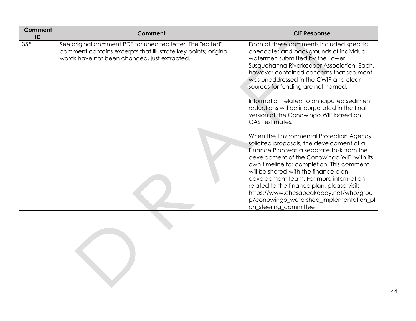| Comment<br>ID | Comment                                                                                                                                                                      | <b>CIT Response</b>                                                                                                                                                                                                                                                                                                                                                                                                                                                         |
|---------------|------------------------------------------------------------------------------------------------------------------------------------------------------------------------------|-----------------------------------------------------------------------------------------------------------------------------------------------------------------------------------------------------------------------------------------------------------------------------------------------------------------------------------------------------------------------------------------------------------------------------------------------------------------------------|
| 355           | See original comment PDF for unedited letter. The "edited"<br>comment contains excerpts that illustrate key points; original<br>words have not been changed, just extracted. | Each of these comments included specific<br>anecdotes and backgrounds of individual<br>watermen submitted by the Lower<br>Susquehanna Riverkeeper Association. Each,<br>however contained concerns that sediment<br>was unaddressed in the CWIP and clear<br>sources for funding are not named.<br>Information related to anticipated sediment<br>reductions will be incorporated in the final<br>version of the Conowingo WIP based on<br>CAST estimates.                  |
|               |                                                                                                                                                                              | When the Environmental Protection Agency<br>solicited proposals, the development of a<br>Finance Plan was a separate task from the<br>development of the Conowingo WIP, with its<br>own timeline for completion. This comment<br>will be shared with the finance plan<br>development team. For more information<br>related to the finance plan, please visit:<br>https://www.chesapeakebay.net/who/grou<br>p/conowingo_watershed_implementation_pl<br>an_steering_committee |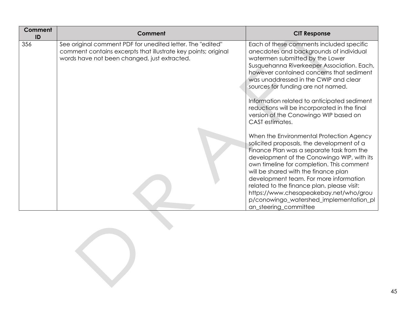| <b>Comment</b><br>ID | Comment                                                                                                                                                                      | <b>CIT Response</b>                                                                                                                                                                                                                                                                                                                                                                                                                                                         |
|----------------------|------------------------------------------------------------------------------------------------------------------------------------------------------------------------------|-----------------------------------------------------------------------------------------------------------------------------------------------------------------------------------------------------------------------------------------------------------------------------------------------------------------------------------------------------------------------------------------------------------------------------------------------------------------------------|
| 356                  | See original comment PDF for unedited letter. The "edited"<br>comment contains excerpts that illustrate key points; original<br>words have not been changed, just extracted. | Each of these comments included specific<br>anecdotes and backgrounds of individual<br>watermen submitted by the Lower<br>Susquehanna Riverkeeper Association. Each,<br>however contained concerns that sediment<br>was unaddressed in the CWIP and clear<br>sources for funding are not named.<br>Information related to anticipated sediment<br>reductions will be incorporated in the final<br>version of the Conowingo WIP based on<br>CAST estimates.                  |
|                      |                                                                                                                                                                              | When the Environmental Protection Agency<br>solicited proposals, the development of a<br>Finance Plan was a separate task from the<br>development of the Conowingo WIP, with its<br>own timeline for completion. This comment<br>will be shared with the finance plan<br>development team. For more information<br>related to the finance plan, please visit:<br>https://www.chesapeakebay.net/who/grou<br>p/conowingo_watershed_implementation_pl<br>an_steering_committee |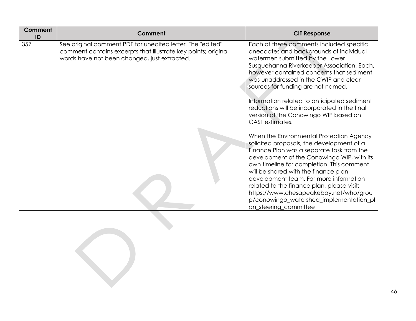| <b>Comment</b><br>ID | <b>Comment</b>                                                                                                                                                               | <b>CIT Response</b>                                                                                                                                                                                                                                                                                                                                                                                                                                                         |
|----------------------|------------------------------------------------------------------------------------------------------------------------------------------------------------------------------|-----------------------------------------------------------------------------------------------------------------------------------------------------------------------------------------------------------------------------------------------------------------------------------------------------------------------------------------------------------------------------------------------------------------------------------------------------------------------------|
| 357                  | See original comment PDF for unedited letter. The "edited"<br>comment contains excerpts that illustrate key points; original<br>words have not been changed, just extracted. | Each of these comments included specific<br>anecdotes and backgrounds of individual<br>watermen submitted by the Lower<br>Susquehanna Riverkeeper Association. Each,<br>however contained concerns that sediment<br>was unaddressed in the CWIP and clear<br>sources for funding are not named.<br>Information related to anticipated sediment<br>reductions will be incorporated in the final<br>version of the Conowingo WIP based on<br>CAST estimates.                  |
|                      |                                                                                                                                                                              | When the Environmental Protection Agency<br>solicited proposals, the development of a<br>Finance Plan was a separate task from the<br>development of the Conowingo WIP, with its<br>own timeline for completion. This comment<br>will be shared with the finance plan<br>development team. For more information<br>related to the finance plan, please visit:<br>https://www.chesapeakebay.net/who/grou<br>p/conowingo_watershed_implementation_pl<br>an_steering_committee |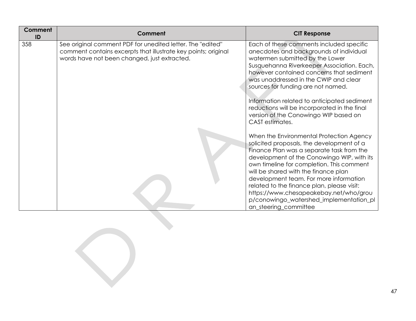| <b>Comment</b><br>ID | Comment                                                                                                                                                                      | <b>CIT Response</b>                                                                                                                                                                                                                                                                                                                                                                                                                                                         |
|----------------------|------------------------------------------------------------------------------------------------------------------------------------------------------------------------------|-----------------------------------------------------------------------------------------------------------------------------------------------------------------------------------------------------------------------------------------------------------------------------------------------------------------------------------------------------------------------------------------------------------------------------------------------------------------------------|
| 358                  | See original comment PDF for unedited letter. The "edited"<br>comment contains excerpts that illustrate key points; original<br>words have not been changed, just extracted. | Each of these comments included specific<br>anecdotes and backgrounds of individual<br>watermen submitted by the Lower<br>Susquehanna Riverkeeper Association. Each,<br>however contained concerns that sediment<br>was unaddressed in the CWIP and clear<br>sources for funding are not named.<br>Information related to anticipated sediment<br>reductions will be incorporated in the final<br>version of the Conowingo WIP based on<br>CAST estimates.                  |
|                      |                                                                                                                                                                              | When the Environmental Protection Agency<br>solicited proposals, the development of a<br>Finance Plan was a separate task from the<br>development of the Conowingo WIP, with its<br>own timeline for completion. This comment<br>will be shared with the finance plan<br>development team. For more information<br>related to the finance plan, please visit:<br>https://www.chesapeakebay.net/who/grou<br>p/conowingo_watershed_implementation_pl<br>an_steering_committee |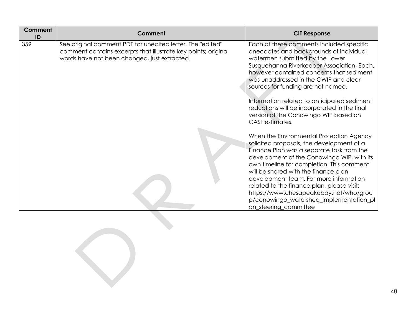| <b>Comment</b><br>ID | <b>Comment</b>                                                                                                                                                               | <b>CIT Response</b>                                                                                                                                                                                                                                                                                                                                                                                                                                                         |
|----------------------|------------------------------------------------------------------------------------------------------------------------------------------------------------------------------|-----------------------------------------------------------------------------------------------------------------------------------------------------------------------------------------------------------------------------------------------------------------------------------------------------------------------------------------------------------------------------------------------------------------------------------------------------------------------------|
| 359                  | See original comment PDF for unedited letter. The "edited"<br>comment contains excerpts that illustrate key points; original<br>words have not been changed, just extracted. | Each of these comments included specific<br>anecdotes and backgrounds of individual<br>watermen submitted by the Lower<br>Susquehanna Riverkeeper Association. Each,<br>however contained concerns that sediment<br>was unaddressed in the CWIP and clear<br>sources for funding are not named.<br>Information related to anticipated sediment<br>reductions will be incorporated in the final<br>version of the Conowingo WIP based on<br>CAST estimates.                  |
|                      |                                                                                                                                                                              | When the Environmental Protection Agency<br>solicited proposals, the development of a<br>Finance Plan was a separate task from the<br>development of the Conowingo WIP, with its<br>own timeline for completion. This comment<br>will be shared with the finance plan<br>development team. For more information<br>related to the finance plan, please visit:<br>https://www.chesapeakebay.net/who/grou<br>p/conowingo_watershed_implementation_pl<br>an_steering_committee |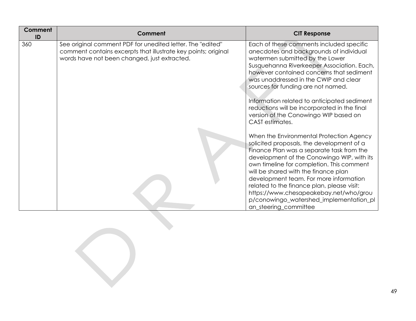| <b>Comment</b><br>ID | <b>Comment</b>                                                                                                                                                               | <b>CIT Response</b>                                                                                                                                                                                                                                                                                                                                                                                                                                                         |
|----------------------|------------------------------------------------------------------------------------------------------------------------------------------------------------------------------|-----------------------------------------------------------------------------------------------------------------------------------------------------------------------------------------------------------------------------------------------------------------------------------------------------------------------------------------------------------------------------------------------------------------------------------------------------------------------------|
| 360                  | See original comment PDF for unedited letter. The "edited"<br>comment contains excerpts that illustrate key points; original<br>words have not been changed, just extracted. | Each of these comments included specific<br>anecdotes and backgrounds of individual<br>watermen submitted by the Lower<br>Susquehanna Riverkeeper Association. Each,<br>however contained concerns that sediment<br>was unaddressed in the CWIP and clear<br>sources for funding are not named.<br>Information related to anticipated sediment<br>reductions will be incorporated in the final<br>version of the Conowingo WIP based on<br>CAST estimates.                  |
|                      |                                                                                                                                                                              | When the Environmental Protection Agency<br>solicited proposals, the development of a<br>Finance Plan was a separate task from the<br>development of the Conowingo WIP, with its<br>own timeline for completion. This comment<br>will be shared with the finance plan<br>development team. For more information<br>related to the finance plan, please visit:<br>https://www.chesapeakebay.net/who/grou<br>p/conowingo_watershed_implementation_pl<br>an_steering_committee |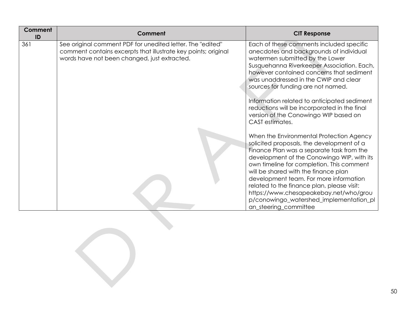| <b>Comment</b><br>ID | Comment                                                                                                                                                                      | <b>CIT Response</b>                                                                                                                                                                                                                                                                                                                                                                                                                                                         |
|----------------------|------------------------------------------------------------------------------------------------------------------------------------------------------------------------------|-----------------------------------------------------------------------------------------------------------------------------------------------------------------------------------------------------------------------------------------------------------------------------------------------------------------------------------------------------------------------------------------------------------------------------------------------------------------------------|
| 361                  | See original comment PDF for unedited letter. The "edited"<br>comment contains excerpts that illustrate key points; original<br>words have not been changed, just extracted. | Each of these comments included specific<br>anecdotes and backgrounds of individual<br>watermen submitted by the Lower<br>Susquehanna Riverkeeper Association. Each,<br>however contained concerns that sediment<br>was unaddressed in the CWIP and clear<br>sources for funding are not named.<br>Information related to anticipated sediment<br>reductions will be incorporated in the final<br>version of the Conowingo WIP based on<br>CAST estimates.                  |
|                      |                                                                                                                                                                              | When the Environmental Protection Agency<br>solicited proposals, the development of a<br>Finance Plan was a separate task from the<br>development of the Conowingo WIP, with its<br>own timeline for completion. This comment<br>will be shared with the finance plan<br>development team. For more information<br>related to the finance plan, please visit:<br>https://www.chesapeakebay.net/who/grou<br>p/conowingo_watershed_implementation_pl<br>an_steering_committee |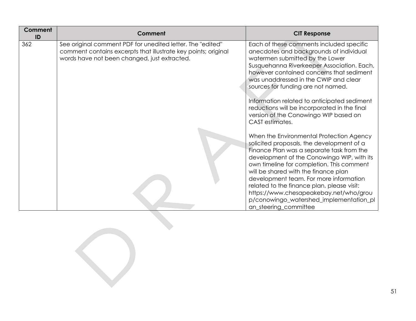| <b>Comment</b><br>ID | Comment                                                                                                                                                                      | <b>CIT Response</b>                                                                                                                                                                                                                                                                                                                                                                                                                                                         |
|----------------------|------------------------------------------------------------------------------------------------------------------------------------------------------------------------------|-----------------------------------------------------------------------------------------------------------------------------------------------------------------------------------------------------------------------------------------------------------------------------------------------------------------------------------------------------------------------------------------------------------------------------------------------------------------------------|
| 362                  | See original comment PDF for unedited letter. The "edited"<br>comment contains excerpts that illustrate key points; original<br>words have not been changed, just extracted. | Each of these comments included specific<br>anecdotes and backgrounds of individual<br>watermen submitted by the Lower<br>Susquehanna Riverkeeper Association. Each,<br>however contained concerns that sediment<br>was unaddressed in the CWIP and clear<br>sources for funding are not named.<br>Information related to anticipated sediment<br>reductions will be incorporated in the final<br>version of the Conowingo WIP based on<br>CAST estimates.                  |
|                      |                                                                                                                                                                              | When the Environmental Protection Agency<br>solicited proposals, the development of a<br>Finance Plan was a separate task from the<br>development of the Conowingo WIP, with its<br>own timeline for completion. This comment<br>will be shared with the finance plan<br>development team. For more information<br>related to the finance plan, please visit:<br>https://www.chesapeakebay.net/who/grou<br>p/conowingo_watershed_implementation_pl<br>an_steering_committee |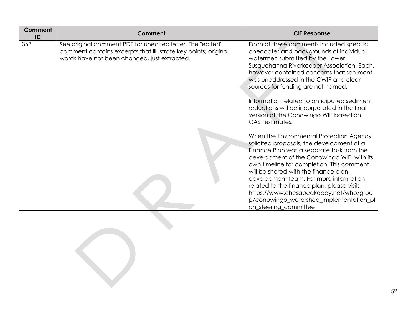| <b>Comment</b><br>ID | <b>Comment</b>                                                                                                                                                               | <b>CIT Response</b>                                                                                                                                                                                                                                                                                                                                                                                                                                                         |
|----------------------|------------------------------------------------------------------------------------------------------------------------------------------------------------------------------|-----------------------------------------------------------------------------------------------------------------------------------------------------------------------------------------------------------------------------------------------------------------------------------------------------------------------------------------------------------------------------------------------------------------------------------------------------------------------------|
| 363                  | See original comment PDF for unedited letter. The "edited"<br>comment contains excerpts that illustrate key points; original<br>words have not been changed, just extracted. | Each of these comments included specific<br>anecdotes and backgrounds of individual<br>watermen submitted by the Lower<br>Susquehanna Riverkeeper Association. Each,<br>however contained concerns that sediment<br>was unaddressed in the CWIP and clear<br>sources for funding are not named.<br>Information related to anticipated sediment<br>reductions will be incorporated in the final<br>version of the Conowingo WIP based on<br>CAST estimates.                  |
|                      |                                                                                                                                                                              | When the Environmental Protection Agency<br>solicited proposals, the development of a<br>Finance Plan was a separate task from the<br>development of the Conowingo WIP, with its<br>own timeline for completion. This comment<br>will be shared with the finance plan<br>development team. For more information<br>related to the finance plan, please visit:<br>https://www.chesapeakebay.net/who/grou<br>p/conowingo_watershed_implementation_pl<br>an_steering_committee |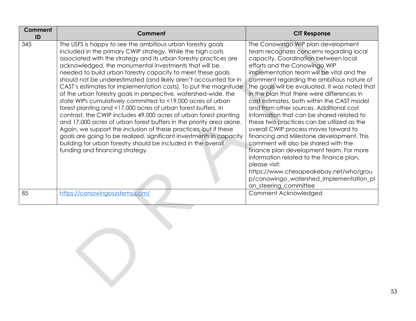| Comment<br>ID | <b>Comment</b>                                                                                                                                                                                                                                                                                                                                                                                                                                                                                                                                                                                                                                                                                                                                                                                                                                                                                                                                                                                                                                                 | <b>CIT Response</b>                                                                                                                                                                                                                                                                                                                                                                                                                                                                                                                                                                                                                                                                                                                                                                                                                                                                       |
|---------------|----------------------------------------------------------------------------------------------------------------------------------------------------------------------------------------------------------------------------------------------------------------------------------------------------------------------------------------------------------------------------------------------------------------------------------------------------------------------------------------------------------------------------------------------------------------------------------------------------------------------------------------------------------------------------------------------------------------------------------------------------------------------------------------------------------------------------------------------------------------------------------------------------------------------------------------------------------------------------------------------------------------------------------------------------------------|-------------------------------------------------------------------------------------------------------------------------------------------------------------------------------------------------------------------------------------------------------------------------------------------------------------------------------------------------------------------------------------------------------------------------------------------------------------------------------------------------------------------------------------------------------------------------------------------------------------------------------------------------------------------------------------------------------------------------------------------------------------------------------------------------------------------------------------------------------------------------------------------|
| 345           | The USFS is happy to see the ambitious urban forestry goals<br>included in the primary CWIP strategy. While the high costs<br>associated with the strategy and its urban forestry practices are<br>acknowledged, the monumental investments that will be<br>needed to build urban forestry capacity to meet these goals<br>should not be underestimated (and likely aren't accounted for in<br>CAST's estimates for implementation costs). To put the magnitude<br>of the urban forestry goals in perspective, watershed-wide, the<br>state WIPs cumulatively committed to <19,000 acres of urban<br>forest planting and <17,000 acres of urban forest buffers. In<br>contrast, the CWIP includes 49,000 acres of urban forest planting<br>and 17,000 acres of urban forest buffers in the priority area alone.<br>Again, we support the inclusion of these practices, but if these<br>goals are going to be realized, significant investments in capacity<br>building for urban forestry should be included in the overall<br>funding and financing strategy. | The Conowingo WIP plan development<br>team recognizes concerns regarding local<br>capacity. Coordination between local<br>efforts and the Conowingo WIP<br>implementation team will be vital and the<br>comment regarding the ambitious nature of<br>the goals will be evaluated. It was noted that<br>in the plan that there were differences in<br>cost estimates, both within the CAST model<br>and from other sources. Additional cost<br>information that can be shared related to<br>these two practices can be utilized as the<br>overall CWIP process moves forward to<br>financing and Milestone development. This<br>comment will also be shared with the<br>finance plan development team. For more<br>information related to the finance plan,<br>please visit:<br>https://www.chesapeakebay.net/who/grou<br>p/conowingo_watershed_implementation_pl<br>an_steering_committee |
| 85            | https://conowingosystems.com/                                                                                                                                                                                                                                                                                                                                                                                                                                                                                                                                                                                                                                                                                                                                                                                                                                                                                                                                                                                                                                  | Comment Acknowledged                                                                                                                                                                                                                                                                                                                                                                                                                                                                                                                                                                                                                                                                                                                                                                                                                                                                      |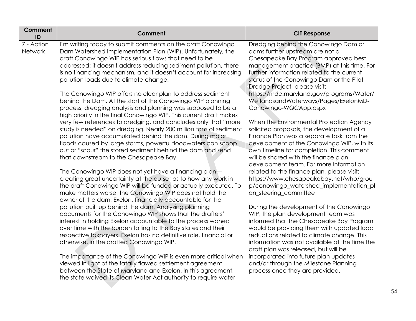| Comment<br>ID                | Comment                                                                                                                                                                                                                                                                                                                                                                                                                                                                                                                                                                                                                                                                                                                                                                                                                                                                                                                                                                                                                                                                                                                                                                                                                                                                                                                                                                                                                                                                                                                                                                                                                                                                                                        | <b>CIT Response</b>                                                                                                                                                                                                                                                                                                                                                                                                                                                                                                                                                                                                                                                                                                                                                                                                                                                                                                                                                                                                                                                                                                                                            |
|------------------------------|----------------------------------------------------------------------------------------------------------------------------------------------------------------------------------------------------------------------------------------------------------------------------------------------------------------------------------------------------------------------------------------------------------------------------------------------------------------------------------------------------------------------------------------------------------------------------------------------------------------------------------------------------------------------------------------------------------------------------------------------------------------------------------------------------------------------------------------------------------------------------------------------------------------------------------------------------------------------------------------------------------------------------------------------------------------------------------------------------------------------------------------------------------------------------------------------------------------------------------------------------------------------------------------------------------------------------------------------------------------------------------------------------------------------------------------------------------------------------------------------------------------------------------------------------------------------------------------------------------------------------------------------------------------------------------------------------------------|----------------------------------------------------------------------------------------------------------------------------------------------------------------------------------------------------------------------------------------------------------------------------------------------------------------------------------------------------------------------------------------------------------------------------------------------------------------------------------------------------------------------------------------------------------------------------------------------------------------------------------------------------------------------------------------------------------------------------------------------------------------------------------------------------------------------------------------------------------------------------------------------------------------------------------------------------------------------------------------------------------------------------------------------------------------------------------------------------------------------------------------------------------------|
| 7 - Action<br><b>Network</b> | I'm writing today to submit comments on the draft Conowingo<br>Dam Watershed Implementation Plan (WIP). Unfortunately, the<br>draft Conowingo WIP has serious flaws that need to be<br>addressed: it doesn't address reducing sediment pollution, there<br>is no financing mechanism, and it doesn't account for increasing<br>pollution loads due to climate change.<br>The Conowingo WIP offers no clear plan to address sediment<br>behind the Dam. At the start of the Conowingo WIP planning<br>process, dredging analysis and planning was supposed to be a<br>high priority in the final Conowingo WIP. This current draft makes<br>very few references to dredging, and concludes only that "more<br>study is needed" on dredging. Nearly 200 million tons of sediment<br>pollution have accumulated behind the dam. During major<br>floods caused by large storms, powerful floodwaters can scoop<br>out or "scour" the stored sediment behind the dam and send<br>that downstream to the Chesapeake Bay.<br>The Conowingo WIP does not yet have a financing plan-<br>creating great uncertainty at the outset as to how any work in<br>the draft Conowingo WIP will be funded or actually executed. To<br>make matters worse, the Conowingo WIP does not hold the<br>owner of the dam, Exelon, financially accountable for the<br>pollution built up behind the dam. Analyzing planning<br>documents for the Conowingo WIP shows that the drafters'<br>interest in holding Exelon accountable to the process waned<br>over time with the burden falling to the Bay states and their<br>respective taxpayers. Exelon has no definitive role, financial or<br>otherwise, in the drafted Conowingo WIP. | Dredging behind the Conowingo Dam or<br>dams further upstream are not a<br>Chesapeake Bay Program approved best<br>management practice (BMP) at this time. For<br>further information related to the current<br>status of the Conowingo Dam or the Pilot<br>Dredge Project, please visit:<br>https://mde.maryland.gov/programs/Water/<br>WetlandsandWaterways/Pages/ExelonMD-<br>Conowingo-WQCApp.aspx<br>When the Environmental Protection Agency<br>solicited proposals, the development of a<br>Finance Plan was a separate task from the<br>development of the Conowingo WIP, with its<br>own timeline for completion. This comment<br>will be shared with the finance plan<br>development team. For more information<br>related to the finance plan, please visit:<br>https://www.chesapeakebay.net/who/grou<br>p/conowingo_watershed_implementation_pl<br>an_steering_committee<br>During the development of the Conowingo<br>WIP, the plan development team was<br>informed that the Chesapeake Bay Program<br>would be providing them with updated load<br>reductions related to climate change. This<br>information was not available at the time the |
|                              | The importance of the Conowingo WIP is even more critical when                                                                                                                                                                                                                                                                                                                                                                                                                                                                                                                                                                                                                                                                                                                                                                                                                                                                                                                                                                                                                                                                                                                                                                                                                                                                                                                                                                                                                                                                                                                                                                                                                                                 | draft plan was released, but will be<br>incorporated into future plan updates                                                                                                                                                                                                                                                                                                                                                                                                                                                                                                                                                                                                                                                                                                                                                                                                                                                                                                                                                                                                                                                                                  |
|                              | viewed in light of the fatally flawed settlement agreement<br>between the State of Maryland and Exelon. In this agreement,<br>the state waived its Clean Water Act authority to require water                                                                                                                                                                                                                                                                                                                                                                                                                                                                                                                                                                                                                                                                                                                                                                                                                                                                                                                                                                                                                                                                                                                                                                                                                                                                                                                                                                                                                                                                                                                  | and/or through the Milestone Planning<br>process once they are provided.                                                                                                                                                                                                                                                                                                                                                                                                                                                                                                                                                                                                                                                                                                                                                                                                                                                                                                                                                                                                                                                                                       |
|                              |                                                                                                                                                                                                                                                                                                                                                                                                                                                                                                                                                                                                                                                                                                                                                                                                                                                                                                                                                                                                                                                                                                                                                                                                                                                                                                                                                                                                                                                                                                                                                                                                                                                                                                                |                                                                                                                                                                                                                                                                                                                                                                                                                                                                                                                                                                                                                                                                                                                                                                                                                                                                                                                                                                                                                                                                                                                                                                |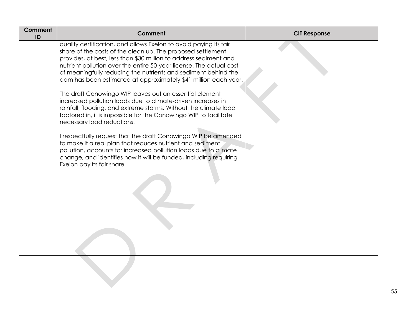| <b>Comment</b><br>ID | Comment                                                                                                                                                                                                                                                                                                                                                                                                                                                                                                                                                                                                                                                                                                                                                                                                                                                                                                                                                                                                                    | <b>CIT Response</b> |
|----------------------|----------------------------------------------------------------------------------------------------------------------------------------------------------------------------------------------------------------------------------------------------------------------------------------------------------------------------------------------------------------------------------------------------------------------------------------------------------------------------------------------------------------------------------------------------------------------------------------------------------------------------------------------------------------------------------------------------------------------------------------------------------------------------------------------------------------------------------------------------------------------------------------------------------------------------------------------------------------------------------------------------------------------------|---------------------|
|                      | quality certification, and allows Exelon to avoid paying its fair<br>share of the costs of the clean up. The proposed settlement<br>provides, at best, less than \$30 million to address sediment and<br>nutrient pollution over the entire 50-year license. The actual cost<br>of meaningfully reducing the nutrients and sediment behind the<br>dam has been estimated at approximately \$41 million each year.<br>The draft Conowingo WIP leaves out an essential element-<br>increased pollution loads due to climate-driven increases in<br>rainfall, flooding, and extreme storms. Without the climate load<br>factored in, it is impossible for the Conowingo WIP to facilitate<br>necessary load reductions.<br>I respectfully request that the draft Conowingo WIP be amended<br>to make it a real plan that reduces nutrient and sediment<br>pollution, accounts for increased pollution loads due to climate<br>change, and identifies how it will be funded, including requiring<br>Exelon pay its fair share. |                     |
|                      |                                                                                                                                                                                                                                                                                                                                                                                                                                                                                                                                                                                                                                                                                                                                                                                                                                                                                                                                                                                                                            |                     |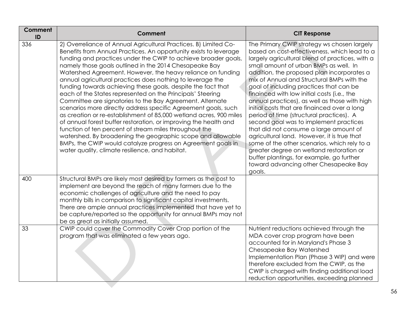| Comment<br>ID | Comment                                                                                                                                                                                                                                                                                                                                                                                                                                                                                                                                                                                                                                                                                                                                                                                                                                                                                                                                                                                                                                           | <b>CIT Response</b>                                                                                                                                                                                                                                                                                                                                                                                                                                                                                                                                                                                                                                                                                                                                                                                                                                        |
|---------------|---------------------------------------------------------------------------------------------------------------------------------------------------------------------------------------------------------------------------------------------------------------------------------------------------------------------------------------------------------------------------------------------------------------------------------------------------------------------------------------------------------------------------------------------------------------------------------------------------------------------------------------------------------------------------------------------------------------------------------------------------------------------------------------------------------------------------------------------------------------------------------------------------------------------------------------------------------------------------------------------------------------------------------------------------|------------------------------------------------------------------------------------------------------------------------------------------------------------------------------------------------------------------------------------------------------------------------------------------------------------------------------------------------------------------------------------------------------------------------------------------------------------------------------------------------------------------------------------------------------------------------------------------------------------------------------------------------------------------------------------------------------------------------------------------------------------------------------------------------------------------------------------------------------------|
| 336           | 2) Overreliance of Annual Agricultural Practices. B) Limited Co-<br>Benefits from Annual Practices. An opportunity exists to leverage<br>funding and practices under the CWIP to achieve broader goals,<br>namely those goals outlined in the 2014 Chesapeake Bay<br>Watershed Agreement. However, the heavy reliance on funding<br>annual agricultural practices does nothing to leverage the<br>funding towards achieving these goals, despite the fact that<br>each of the States represented on the Principals' Steering<br>Committee are signatories to the Bay Agreement. Alternate<br>scenarios more directly address specific Agreement goals, such<br>as creation or re-establishment of 85,000 wetland acres, 900 miles<br>of annual forest buffer restoration, or improving the health and<br>function of ten percent of stream miles throughout the<br>watershed. By broadening the geographic scope and allowable<br>BMPs, the CWIP would catalyze progress on Agreement goals in<br>water quality, climate resilience, and habitat. | The Primary CWIP strategy ws chosen largely<br>based on cost-effectiveness, which lead to a<br>largely agricultural blend of practices, with a<br>small amount of urban BMPs as well. In<br>addition, the proposed plan incorporates a<br>mix of Annual and Structural BMPs with the<br>goal of including practices that can be<br>finainced with low initial costs (i.e., the<br>annual practices), as well as those with high<br>initial costs that are finainced over a long<br>period of time (structural practices). A<br>second goal was to implement practices<br>that did not consume a large amount of<br>agricultural land. However, it is true that<br>some of the other scenarios, which rely to a<br>greater degree on wetland restoration or<br>buffer plantings, for example, go further<br>toward advancing other Chesapeake Bay<br>goals. |
| 400           | Structural BMPs are likely most desired by farmers as the cost to<br>implement are beyond the reach of many farmers due to the<br>economic challenges of agriculture and the need to pay<br>monthly bills in comparison to significant capital investments.<br>There are ample annual practices implemented that have yet to<br>be capture/reported so the opportunity for annual BMPs may not<br>be as great as initially assumed.                                                                                                                                                                                                                                                                                                                                                                                                                                                                                                                                                                                                               |                                                                                                                                                                                                                                                                                                                                                                                                                                                                                                                                                                                                                                                                                                                                                                                                                                                            |
| 33            | CWIP could cover the Commodity Cover Crop portion of the<br>program that was eliminated a few years ago.                                                                                                                                                                                                                                                                                                                                                                                                                                                                                                                                                                                                                                                                                                                                                                                                                                                                                                                                          | Nutrient reductions achieved through the<br>MDA cover crop program have been<br>accounted for in Maryland's Phase 3<br>Chesapeake Bay Watershed<br>Implementation Plan (Phase 3 WIP) and were<br>therefore excluded from the CWIP, as the<br>CWIP is charged with finding additional load<br>reduction opportunities, exceeding planned                                                                                                                                                                                                                                                                                                                                                                                                                                                                                                                    |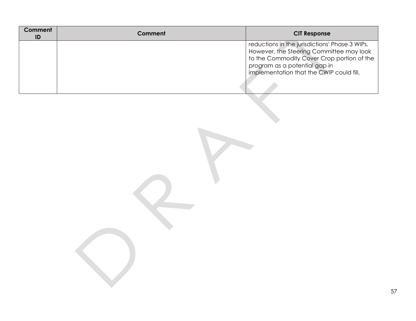| Comment<br>ID | Comment | <b>CIT Response</b>                                                                                                                                                                                                   |
|---------------|---------|-----------------------------------------------------------------------------------------------------------------------------------------------------------------------------------------------------------------------|
|               |         | reductions in the jurisdictions' Phase 3 WIPs.<br>However, the Steering Committee may look<br>to the Commodity Cover Crop portion of the<br>program as a potential gap in<br>implementation that the CWIP could fill. |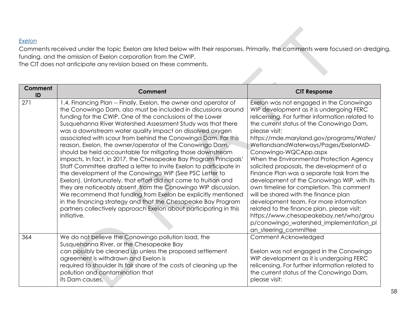## *Exelon*

Comments received under the topic Exelon are listed below with their responses. Primarily, the comments were focused on dredging, funding, and the omission of Exelon corporation from the CWIP.

The CIT does not anticipate any revision based on these comments.

| Comment<br>ID | Comment                                                                                                                                                                                                                                                                                                                                                                                                                                                                                                                                                                                                                                                                                                                                                                                                                                                                                                                                                                                                                                                                                   | <b>CIT Response</b>                                                                                                                                                                                                                                                                                                                                                                                                                                                                                                                                                                                                                                                                                                                                                                             |
|---------------|-------------------------------------------------------------------------------------------------------------------------------------------------------------------------------------------------------------------------------------------------------------------------------------------------------------------------------------------------------------------------------------------------------------------------------------------------------------------------------------------------------------------------------------------------------------------------------------------------------------------------------------------------------------------------------------------------------------------------------------------------------------------------------------------------------------------------------------------------------------------------------------------------------------------------------------------------------------------------------------------------------------------------------------------------------------------------------------------|-------------------------------------------------------------------------------------------------------------------------------------------------------------------------------------------------------------------------------------------------------------------------------------------------------------------------------------------------------------------------------------------------------------------------------------------------------------------------------------------------------------------------------------------------------------------------------------------------------------------------------------------------------------------------------------------------------------------------------------------------------------------------------------------------|
| 271           | 1.4. Financing Plan -- Finally, Exelon, the owner and operator of<br>the Conowingo Dam, also must be included in discussions around<br>funding for the CWIP. One of the conclusions of the Lower<br>Susquehanna River Watershed Assessment Study was that there<br>was a downstream water quality impact on dissolved oxygen<br>associated with scour from behind the Conowingo Dam. For this<br>reason, Exelon, the owner/operator of the Conowingo Dam,<br>should be held accountable for mitigating those downstream<br>impacts. In fact, in 2017, the Chesapeake Bay Program Principals'<br>Staff Committee drafted a letter to invite Exelon to participate in<br>the development of the Conowingo WIP (See PSC Letter to<br>Exelon). Unfortunately, that effort did not come to fruition and<br>they are noticeably absent from the Conowingo WIP discussion.<br>We recommend that funding from Exelon be explicitly mentioned<br>in the financing strategy and that the Chesapeake Bay Program<br>partners collectively approach Exelon about participating in this<br>initiative. | Exelon was not engaged in the Conowingo<br>WIP development as it is undergoing FERC<br>relicensing. For further information related to<br>the current status of the Conowingo Dam,<br>please visit:<br>https://mde.maryland.gov/programs/Water/<br>WetlandsandWaterways/Pages/ExelonMD-<br>Conowingo-WQCApp.aspx<br>When the Environmental Protection Agency<br>solicited proposals, the development of a<br>Finance Plan was a separate task from the<br>development of the Conowingo WIP, with its<br>own timeline for completion. This comment<br>will be shared with the finance plan<br>development team. For more information<br>related to the finance plan, please visit:<br>https://www.chesapeakebay.net/who/grou<br>p/conowingo_watershed_implementation_pl<br>an_steering_committee |
| 364           | We do not believe the Conowingo pollution load, the<br>Susquehanna River, or the Chesapeake Bay<br>can possibly be cleaned up unless the proposed settlement<br>agreement is withdrawn and Exelon is<br>required to shoulder its fair share of the costs of cleaning up the<br>pollution and contamination that<br>its Dam causes.                                                                                                                                                                                                                                                                                                                                                                                                                                                                                                                                                                                                                                                                                                                                                        | Comment Acknowledged<br>Exelon was not engaged in the Conowingo<br>WIP development as it is undergoing FERC<br>relicensing. For further information related to<br>the current status of the Conowingo Dam,<br>please visit:                                                                                                                                                                                                                                                                                                                                                                                                                                                                                                                                                                     |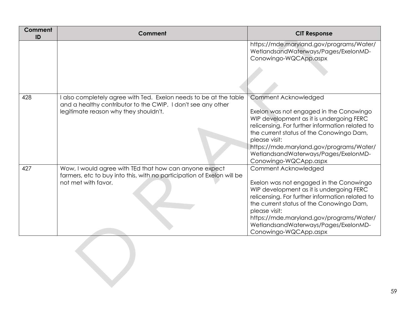| <b>Comment</b><br>ID | Comment                                                                                                                                                                  | <b>CIT Response</b>                                                                                                                                                                                                                                                                                                                      |
|----------------------|--------------------------------------------------------------------------------------------------------------------------------------------------------------------------|------------------------------------------------------------------------------------------------------------------------------------------------------------------------------------------------------------------------------------------------------------------------------------------------------------------------------------------|
|                      |                                                                                                                                                                          | https://mde.maryland.gov/programs/Water/<br>WetlandsandWaterways/Pages/ExelonMD-<br>Conowingo-WQCApp.aspx                                                                                                                                                                                                                                |
| 428                  | also completely agree with Ted. Exelon needs to be at the table<br>and a healthy contributor to the CWIP. I don't see any other<br>legitimate reason why they shouldn't. | Comment Acknowledged<br>Exelon was not engaged in the Conowingo<br>WIP development as it is undergoing FERC<br>relicensing. For further information related to<br>the current status of the Conowingo Dam,<br>please visit:<br>https://mde.maryland.gov/programs/Water/<br>WetlandsandWaterways/Pages/ExelonMD-<br>Conowingo-WQCApp.aspx |
| 427                  | Wow, I would agree with TEd that how can anyone expect<br>farmers, etc to buy into this, with no participation of Exelon will be<br>not met with favor.                  | Comment Acknowledged<br>Exelon was not engaged in the Conowingo<br>WIP development as it is undergoing FERC<br>relicensing. For further information related to<br>the current status of the Conowingo Dam,<br>please visit:<br>https://mde.maryland.gov/programs/Water/<br>WetlandsandWaterways/Pages/ExelonMD-<br>Conowingo-WQCApp.aspx |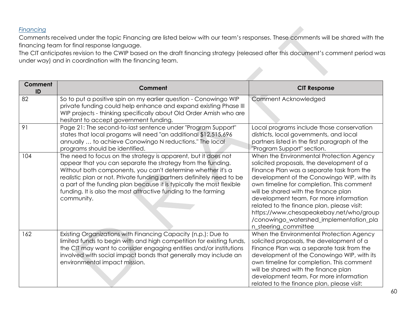## *Financing*

Comments received under the topic Financing are listed below with our team's responses. These comments will be shared with the financing team for final response language.

The CIT anticipates revision to the CWIP based on the draft financing strategy (released after this document's comment period was under way) and in coordination with the financing team.

| Comment<br>ID | <b>Comment</b>                                                                                                                                                                                                                                                                                                                                                                                                                | <b>CIT Response</b>                                                                                                                                                                                                                                                                                                                                                                                                                                                         |
|---------------|-------------------------------------------------------------------------------------------------------------------------------------------------------------------------------------------------------------------------------------------------------------------------------------------------------------------------------------------------------------------------------------------------------------------------------|-----------------------------------------------------------------------------------------------------------------------------------------------------------------------------------------------------------------------------------------------------------------------------------------------------------------------------------------------------------------------------------------------------------------------------------------------------------------------------|
| 82            | So to put a positive spin on my earlier question - Conowingo WIP<br>private funding could help enhance and expand existing Phase III<br>WIP projects - thinking specifically about Old Order Amish who are<br>hesitant to accept government funding.                                                                                                                                                                          | Comment Acknowledged                                                                                                                                                                                                                                                                                                                                                                                                                                                        |
| 91            | Page 21: The second-to-last sentence under "Program Support"<br>states that local progams will need "an additional \$12,515,696<br>annually  to achieve Conowingo N reductions." The local<br>programs should be identified.                                                                                                                                                                                                  | Local programs include those conservation<br>districts, local governments, and local<br>partners listed in the first paragraph of the<br>"Program Support" section.                                                                                                                                                                                                                                                                                                         |
| 104           | The need to focus on the strategy is apparent, but it does not<br>appear that you can separate the strategy from the funding.<br>Without both components, you can't determine whether it's a<br>realistic plan or not. Private funding partners definitely need to be<br>a part of the funding plan because it is typically the most flexible<br>funding. It is also the most attractive funding to the farming<br>community. | When the Environmental Protection Agency<br>solicited proposals, the development of a<br>Finance Plan was a separate task from the<br>development of the Conowingo WIP, with its<br>own timeline for completion. This comment<br>will be shared with the finance plan<br>development team. For more information<br>related to the finance plan, please visit:<br>https://www.chesapeakebay.net/who/group<br>/conowingo_watershed_implementation_pla<br>n_steering_committee |
| 162           | Existing Organizations with Financing Capacity (n.p.): Due to<br>limited funds to begin with and high competition for existing funds,<br>the CIT may want to consider engaging entities and/or institutions<br>involved with social impact bonds that generally may include an<br>environmental impact mission.                                                                                                               | When the Environmental Protection Agency<br>solicited proposals, the development of a<br>Finance Plan was a separate task from the<br>development of the Conowingo WIP, with its<br>own timeline for completion. This comment<br>will be shared with the finance plan<br>development team. For more information<br>related to the finance plan, please visit:                                                                                                               |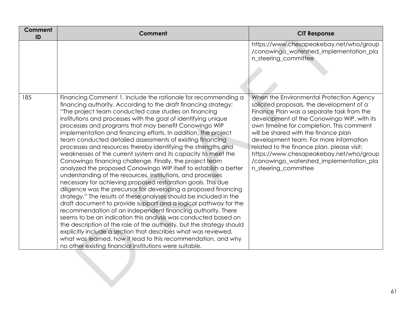| Comment<br>ID | Comment                                                                                                                                                                                                                                                                                                                                                                                                                                                                                                                                                                                                                                                                                                                                                                                                                                                                                                                                                                                                                                                                                                                                                                                                                                                                                                                                                                                                                                                                  | <b>CIT Response</b>                                                                                                                                                                                                                                                                                                                                                                                                                                                         |
|---------------|--------------------------------------------------------------------------------------------------------------------------------------------------------------------------------------------------------------------------------------------------------------------------------------------------------------------------------------------------------------------------------------------------------------------------------------------------------------------------------------------------------------------------------------------------------------------------------------------------------------------------------------------------------------------------------------------------------------------------------------------------------------------------------------------------------------------------------------------------------------------------------------------------------------------------------------------------------------------------------------------------------------------------------------------------------------------------------------------------------------------------------------------------------------------------------------------------------------------------------------------------------------------------------------------------------------------------------------------------------------------------------------------------------------------------------------------------------------------------|-----------------------------------------------------------------------------------------------------------------------------------------------------------------------------------------------------------------------------------------------------------------------------------------------------------------------------------------------------------------------------------------------------------------------------------------------------------------------------|
|               |                                                                                                                                                                                                                                                                                                                                                                                                                                                                                                                                                                                                                                                                                                                                                                                                                                                                                                                                                                                                                                                                                                                                                                                                                                                                                                                                                                                                                                                                          | https://www.chesapeakebay.net/who/group<br>/conowingo_watershed_implementation_pla<br>n_steering_committee                                                                                                                                                                                                                                                                                                                                                                  |
| 185           | Financing Comment 1. Include the rationale for recommending a<br>financing authority. According to the draft financing strategy:<br>"The project team conducted case studies on financing<br>institutions and processes with the goal of identifying unique<br>processes and programs that may benefit Conowingo WIP<br>implementation and financing efforts. In addition, the project<br>team conducted detailed assessments of existing financing<br>processes and resources thereby identifying the strengths and<br>weaknesses of the current system and its capacity to meet the<br>Conowingo financing challenge. Finally, the project team<br>analyzed the proposed Conowingo WIP itself to establish a better<br>understanding of the resources, institutions, and processes<br>necessary for achieving proposed restoration goals. This due<br>diligence was the precursor for developing a proposed financing<br>strategy." The results of these analyses should be included in the<br>draft document to provide support and a logical pathway for the<br>recommendation of an independent financing authority. There<br>seems to be an indication this analysis was conducted based on<br>the description of the role of the authority, but the strategy should<br>explicitly include a section that describes what was reviewed,<br>what was learned, how it lead to this recommendation, and why<br>no other existing financial institutions were suitable. | When the Environmental Protection Agency<br>solicited proposals, the development of a<br>Finance Plan was a separate task from the<br>development of the Conowingo WIP, with its<br>own timeline for completion. This comment<br>will be shared with the finance plan<br>development team. For more information<br>related to the finance plan, please visit:<br>https://www.chesapeakebay.net/who/group<br>/conowingo_watershed_implementation_pla<br>n_steering_committee |
|               |                                                                                                                                                                                                                                                                                                                                                                                                                                                                                                                                                                                                                                                                                                                                                                                                                                                                                                                                                                                                                                                                                                                                                                                                                                                                                                                                                                                                                                                                          |                                                                                                                                                                                                                                                                                                                                                                                                                                                                             |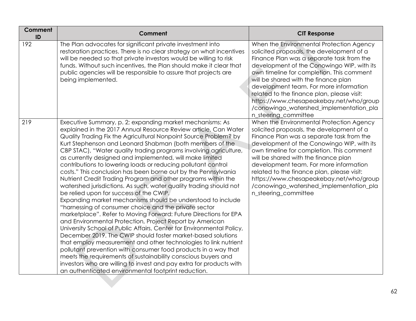| <b>Comment</b><br>ID | <b>Comment</b>                                                                                                                                                                                                                                                                                                                                                                                                                                                                                                                                                                                                                                                                                                                                                                                                                                                                                                                                                                                                                                                                                                                                                                                                                                                                                                                                                                                                                                         | <b>CIT Response</b>                                                                                                                                                                                                                                                                                                                                                                                                                                                         |
|----------------------|--------------------------------------------------------------------------------------------------------------------------------------------------------------------------------------------------------------------------------------------------------------------------------------------------------------------------------------------------------------------------------------------------------------------------------------------------------------------------------------------------------------------------------------------------------------------------------------------------------------------------------------------------------------------------------------------------------------------------------------------------------------------------------------------------------------------------------------------------------------------------------------------------------------------------------------------------------------------------------------------------------------------------------------------------------------------------------------------------------------------------------------------------------------------------------------------------------------------------------------------------------------------------------------------------------------------------------------------------------------------------------------------------------------------------------------------------------|-----------------------------------------------------------------------------------------------------------------------------------------------------------------------------------------------------------------------------------------------------------------------------------------------------------------------------------------------------------------------------------------------------------------------------------------------------------------------------|
| 192                  | The Plan advocates for significant private investment into<br>restoration practices. There is no clear strategy on what incentives<br>will be needed so that private investors would be willing to risk<br>funds. Without such incentives, the Plan should make it clear that<br>public agencies will be responsible to assure that projects are<br>being implemented.                                                                                                                                                                                                                                                                                                                                                                                                                                                                                                                                                                                                                                                                                                                                                                                                                                                                                                                                                                                                                                                                                 | When the Environmental Protection Agency<br>solicited proposals, the development of a<br>Finance Plan was a separate task from the<br>development of the Conowingo WIP, with its<br>own timeline for completion. This comment<br>will be shared with the finance plan<br>development team. For more information<br>related to the finance plan, please visit:<br>https://www.chesapeakebay.net/who/group<br>/conowingo_watershed_implementation_pla<br>n_steering_committee |
| 219                  | Executive Summary, p. 2; expanding market mechanisms: As<br>explained in the 2017 Annual Resource Review article, Can Water<br>Quality Trading Fix the Agricultural Nonpoint Source Problem? by<br>Kurt Stephenson and Leonard Shabman (both members of the<br>CBP STAC), "Water quality trading programs involving agriculture,<br>as currently designed and implemented, will make limited<br>contributions to lowering loads or reducing pollutant control<br>costs." This conclusion has been borne out by the Pennsylvania<br>Nutrient Credit Trading Program and other programs within the<br>watershed jurisdictions. As such, water quality trading should not<br>be relied upon for success of the CWIP.<br>Expanding market mechanisms should be understood to include<br>"harnessing of consumer choice and the private sector<br>marketplace". Refer to Moving Forward: Future Directions for EPA<br>and Environmental Protection, Project Report by American<br>University School of Public Affairs, Center for Environmental Policy,<br>December 2019. The CWIP should foster market-based solutions<br>that employ measurement and other technologies to link nutrient<br>pollutant prevention with consumer food products in a way that<br>meets the requirements of sustainability conscious buyers and<br>investors who are willing to invest and pay extra for products with<br>an authenticated environmental footprint reduction. | When the Environmental Protection Agency<br>solicited proposals, the development of a<br>Finance Plan was a separate task from the<br>development of the Conowingo WIP, with its<br>own timeline for completion. This comment<br>will be shared with the finance plan<br>development team. For more information<br>related to the finance plan, please visit:<br>https://www.chesapeakebay.net/who/group<br>/conowingo_watershed_implementation_pla<br>n_steering_committee |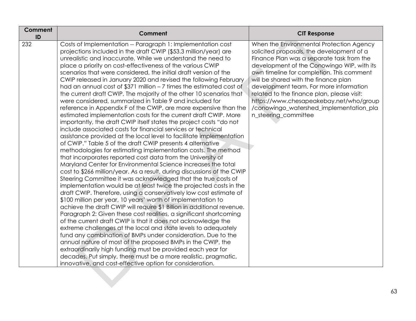| <b>Comment</b><br>ID | <b>Comment</b>                                                                                                                                                                                                                                                                                                                                                                                                                                                                                                                                                                                                                                                                                                                                                                                                                                                                                                                                                                                                                                                                                                                                                                                                                                                                                                                                                                                                                                                                                                                                                                                                                                                                                                                                                                                                                                                                                                                                                                                                                                                                                                                                                                                            | <b>CIT Response</b>                                                                                                                                                                                                                                                                                                                                                                                                                                                         |
|----------------------|-----------------------------------------------------------------------------------------------------------------------------------------------------------------------------------------------------------------------------------------------------------------------------------------------------------------------------------------------------------------------------------------------------------------------------------------------------------------------------------------------------------------------------------------------------------------------------------------------------------------------------------------------------------------------------------------------------------------------------------------------------------------------------------------------------------------------------------------------------------------------------------------------------------------------------------------------------------------------------------------------------------------------------------------------------------------------------------------------------------------------------------------------------------------------------------------------------------------------------------------------------------------------------------------------------------------------------------------------------------------------------------------------------------------------------------------------------------------------------------------------------------------------------------------------------------------------------------------------------------------------------------------------------------------------------------------------------------------------------------------------------------------------------------------------------------------------------------------------------------------------------------------------------------------------------------------------------------------------------------------------------------------------------------------------------------------------------------------------------------------------------------------------------------------------------------------------------------|-----------------------------------------------------------------------------------------------------------------------------------------------------------------------------------------------------------------------------------------------------------------------------------------------------------------------------------------------------------------------------------------------------------------------------------------------------------------------------|
| 232                  | Costs of Implementation -- Paragraph 1: Implementation cost<br>projections included in the draft CWIP (\$53.3 million/year) are<br>unrealistic and inaccurate. While we understand the need to<br>place a priority on cost-effectiveness of the various CWIP<br>scenarios that were considered, the initial draft version of the<br>CWIP released in January 2020 and revised the following February<br>had an annual cost of \$371 million $-7$ times the estimated cost of<br>the current draft CWIP. The majority of the other 10 scenarios that<br>were considered, summarized in Table 9 and included for<br>reference in Appendix F of the CWIP, are more expensive than the<br>estimated implementation costs for the current draft CWIP. More<br>importantly, the draft CWIP itself states the project costs "do not<br>include associated costs for financial services or technical<br>assistance provided at the local level to facilitate implementation<br>of CWIP." Table 5 of the draft CWIP presents 4 alternative<br>methodologies for estimating implementation costs. The method<br>that incorporates reported cost data from the University of<br>Maryland Center for Environmental Science increases the total<br>cost to \$266 million/year. As a result, during discussions of the CWIP<br>Steering Committee it was acknowledged that the true costs of<br>implementation would be at least twice the projected costs in the<br>draft CWIP. Therefore, using a conservatively low cost estimate of<br>\$100 million per year, 10 years' worth of implementation to<br>achieve the draft CWIP will require \$1 Billion in additional revenue.<br>Paragraph 2: Given these cost realities, a significant shortcoming<br>of the current draft CWIP is that it does not acknowledge the<br>extreme challenges at the local and state levels to adequately<br>fund any combination of BMPs under consideration. Due to the<br>annual nature of most of the proposed BMPs in the CWIP, the<br>extraordinarily high funding must be provided each year for<br>decades. Put simply, there must be a more realistic, pragmatic,<br>innovative, and cost-effective option for consideration. | When the Environmental Protection Agency<br>solicited proposals, the development of a<br>Finance Plan was a separate task from the<br>development of the Conowingo WIP, with its<br>own timeline for completion. This comment<br>will be shared with the finance plan<br>development team. For more information<br>related to the finance plan, please visit:<br>https://www.chesapeakebay.net/who/group<br>/conowingo_watershed_implementation_pla<br>n_steering_committee |
|                      |                                                                                                                                                                                                                                                                                                                                                                                                                                                                                                                                                                                                                                                                                                                                                                                                                                                                                                                                                                                                                                                                                                                                                                                                                                                                                                                                                                                                                                                                                                                                                                                                                                                                                                                                                                                                                                                                                                                                                                                                                                                                                                                                                                                                           |                                                                                                                                                                                                                                                                                                                                                                                                                                                                             |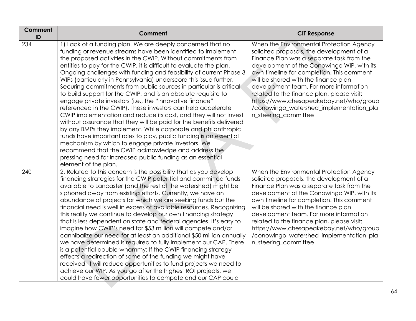| Comment<br>ID | Comment                                                                                                                                                                                                                                                                                                                                                                                                                                                                                                                                                                                                                                                                                                                                                                                                                                                                                                                                                                                                                                                                                                                                                                  | <b>CIT Response</b>                                                                                                                                                                                                                                                                                                                                                                                                                                                         |
|---------------|--------------------------------------------------------------------------------------------------------------------------------------------------------------------------------------------------------------------------------------------------------------------------------------------------------------------------------------------------------------------------------------------------------------------------------------------------------------------------------------------------------------------------------------------------------------------------------------------------------------------------------------------------------------------------------------------------------------------------------------------------------------------------------------------------------------------------------------------------------------------------------------------------------------------------------------------------------------------------------------------------------------------------------------------------------------------------------------------------------------------------------------------------------------------------|-----------------------------------------------------------------------------------------------------------------------------------------------------------------------------------------------------------------------------------------------------------------------------------------------------------------------------------------------------------------------------------------------------------------------------------------------------------------------------|
| 234           | 1) Lack of a funding plan. We are deeply concerned that no<br>funding or revenue streams have been identified to implement<br>the proposed activities in the CWIP. Without commitments from<br>entities to pay for the CWIP, it is difficult to evaluate the plan.<br>Ongoing challenges with funding and feasibility of current Phase 3<br>WIPs (particularly in Pennsylvania) underscore this issue further.<br>Securing commitments from public sources in particular is critical<br>to build support for the CWIP, and is an absolute requisite to<br>engage private investors (i.e., the "innovative finance"<br>referenced in the CWIP). These investors can help accelerate<br>CWIP implementation and reduce its cost, and they will not invest<br>without assurance that they will be paid for the benefits delivered<br>by any BMPs they implement. While corporate and philanthropic<br>funds have important roles to play, public funding is an essential<br>mechanism by which to engage private investors. We<br>recommend that the CWIP acknowledge and address the<br>pressing need for increased public funding as an essential<br>element of the plan. | When the Environmental Protection Agency<br>solicited proposals, the development of a<br>Finance Plan was a separate task from the<br>development of the Conowingo WIP, with its<br>own timeline for completion. This comment<br>will be shared with the finance plan<br>development team. For more information<br>related to the finance plan, please visit:<br>https://www.chesapeakebay.net/who/group<br>/conowingo_watershed_implementation_pla<br>n_steering_committee |
| 240           | 2. Related to this concern is the possibility that as you develop<br>financing strategies for the CWIP potential and committed funds<br>available to Lancaster (and the rest of the watershed) might be<br>siphoned away from existing efforts. Currently, we have an<br>abundance of projects for which we are seeking funds but the<br>financial need is well in excess of available resources. Recognizing<br>this reality we continue to develop our own financing strategy<br>that is less dependent on state and federal agencies. It's easy to<br>imagine how CWIP's need for \$53 million will compete and/or<br>cannibalize our need for at least an additional \$50 million annually<br>we have determined is required to fully implement our CAP. There<br>is a potential double-whammy: If the CWIP financing strategy<br>effects a redirection of some of the funding we might have<br>received, if will reduce opportunities to fund projects we need to<br>achieve our WIP. As you go after the highest ROI projects, we<br>could have fewer opportunities to compete and our CAP could                                                                   | When the Environmental Protection Agency<br>solicited proposals, the development of a<br>Finance Plan was a separate task from the<br>development of the Conowingo WIP, with its<br>own timeline for completion. This comment<br>will be shared with the finance plan<br>development team. For more information<br>related to the finance plan, please visit:<br>https://www.chesapeakebay.net/who/group<br>/conowingo_watershed_implementation_pla<br>n_steering_committee |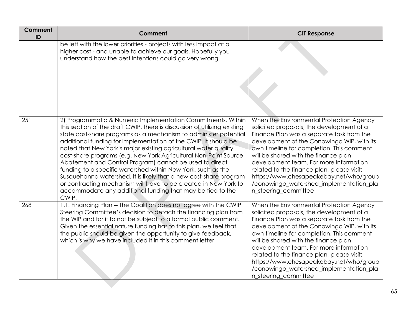| Comment<br>ID | Comment                                                                                                                                                                                                                                                                                                                                                                                                                                                                                                                                                                                                                                                                                                                                                           | <b>CIT Response</b>                                                                                                                                                                                                                                                                                                                                                                                                                                                         |
|---------------|-------------------------------------------------------------------------------------------------------------------------------------------------------------------------------------------------------------------------------------------------------------------------------------------------------------------------------------------------------------------------------------------------------------------------------------------------------------------------------------------------------------------------------------------------------------------------------------------------------------------------------------------------------------------------------------------------------------------------------------------------------------------|-----------------------------------------------------------------------------------------------------------------------------------------------------------------------------------------------------------------------------------------------------------------------------------------------------------------------------------------------------------------------------------------------------------------------------------------------------------------------------|
|               | be left with the lower priorities - projects with less impact at a<br>higher cost - and unable to achieve our goals. Hopefully you<br>understand how the best intentions could go very wrong.                                                                                                                                                                                                                                                                                                                                                                                                                                                                                                                                                                     |                                                                                                                                                                                                                                                                                                                                                                                                                                                                             |
| 251           | 2) Programmatic & Numeric Implementation Commitments. Within<br>this section of the draft CWIP, there is discussion of utilizing existing<br>state cost-share programs as a mechanism to administer potential<br>additional funding for implementation of the CWIP. It should be<br>noted that New York's major existing agricultural water quality<br>cost-share programs (e.g. New York Agricultural Non-Point Source<br>Abatement and Control Program) cannot be used to direct<br>funding to a specific watershed within New York, such as the<br>Susquehanna watershed. It is likely that a new cost-share program<br>or contracting mechanism will have to be created in New York to<br>accommodate any additional funding that may be tied to the<br>CWIP. | When the Environmental Protection Agency<br>solicited proposals, the development of a<br>Finance Plan was a separate task from the<br>development of the Conowingo WIP, with its<br>own timeline for completion. This comment<br>will be shared with the finance plan<br>development team. For more information<br>related to the finance plan, please visit:<br>https://www.chesapeakebay.net/who/group<br>/conowingo_watershed_implementation_pla<br>n_steering_committee |
| 268           | 1.1. Financing Plan -- The Coalition does not agree with the CWIP<br>Steering Committee's decision to detach the financing plan from<br>the WIP and for it to not be subject to a formal public comment.<br>Given the essential nature funding has to this plan, we feel that<br>the public should be given the opportunity to give feedback,<br>which is why we have included it in this comment letter.                                                                                                                                                                                                                                                                                                                                                         | When the Environmental Protection Agency<br>solicited proposals, the development of a<br>Finance Plan was a separate task from the<br>development of the Conowingo WIP, with its<br>own timeline for completion. This comment<br>will be shared with the finance plan<br>development team. For more information<br>related to the finance plan, please visit:<br>https://www.chesapeakebay.net/who/group<br>/conowingo_watershed_implementation_pla<br>n_steering_committee |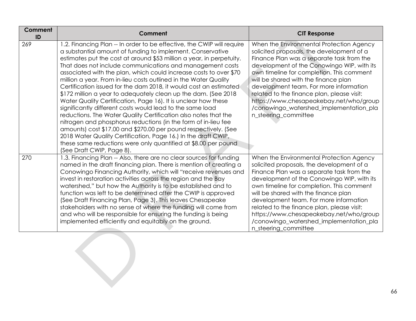| Comment<br>ID | Comment                                                                                                                                                                                                                                                                                                                                                                                                                                                                                                                                                                                                                                                                                                                                                                                                                                                                                                                                                                                                                                                            | <b>CIT Response</b>                                                                                                                                                                                                                                                                                                                                                                                                                                                         |
|---------------|--------------------------------------------------------------------------------------------------------------------------------------------------------------------------------------------------------------------------------------------------------------------------------------------------------------------------------------------------------------------------------------------------------------------------------------------------------------------------------------------------------------------------------------------------------------------------------------------------------------------------------------------------------------------------------------------------------------------------------------------------------------------------------------------------------------------------------------------------------------------------------------------------------------------------------------------------------------------------------------------------------------------------------------------------------------------|-----------------------------------------------------------------------------------------------------------------------------------------------------------------------------------------------------------------------------------------------------------------------------------------------------------------------------------------------------------------------------------------------------------------------------------------------------------------------------|
| 269           | 1.2. Financing Plan -- In order to be effective, the CWIP will require<br>a substantial amount of funding to implement. Conservative<br>estimates put the cost at around \$53 million a year, in perpetuity.<br>That does not include communications and management costs<br>associated with the plan, which could increase costs to over \$70<br>million a year. From in-lieu costs outlined in the Water Quality<br>Certification issued for the dam 2018, it would cost an estimated<br>\$172 million a year to adequately clean up the dam. (See 2018)<br>Water Quality Certification, Page 16). It is unclear how these<br>significantly different costs would lead to the same load<br>reductions. The Water Quality Certification also notes that the<br>nitrogen and phosphorus reductions (in the form of in-lieu fee<br>amounts) cost \$17.00 and \$270.00 per pound respectively. (See<br>2018 Water Quality Certification, Page 16.) In the draft CWIP,<br>these same reductions were only quantified at \$8.00 per pound<br>(See Draft CWIP, Page 8). | When the Environmental Protection Agency<br>solicited proposals, the development of a<br>Finance Plan was a separate task from the<br>development of the Conowingo WIP, with its<br>own timeline for completion. This comment<br>will be shared with the finance plan<br>development team. For more information<br>related to the finance plan, please visit:<br>https://www.chesapeakebay.net/who/group<br>/conowingo_watershed_implementation_pla<br>n_steering_committee |
| 270           | 1.3. Financing Plan -- Also, there are no clear sources for funding<br>named in the draft financing plan. There is mention of creating a<br>Conowingo Financing Authority, which will "receive revenues and<br>invest in restoration activities across the region and the Bay<br>watershed," but how the Authority is to be established and to<br>function was left to be determined after the CWIP is approved<br>(See Draft Financing Plan, Page 3). This leaves Chesapeake<br>stakeholders with no sense of where the funding will come from<br>and who will be responsible for ensuring the funding is being<br>implemented efficiently and equitably on the ground.                                                                                                                                                                                                                                                                                                                                                                                           | When the Environmental Protection Agency<br>solicited proposals, the development of a<br>Finance Plan was a separate task from the<br>development of the Conowingo WIP, with its<br>own timeline for completion. This comment<br>will be shared with the finance plan<br>development team. For more information<br>related to the finance plan, please visit:<br>https://www.chesapeakebay.net/who/group<br>/conowingo_watershed_implementation_pla<br>n_steering_committee |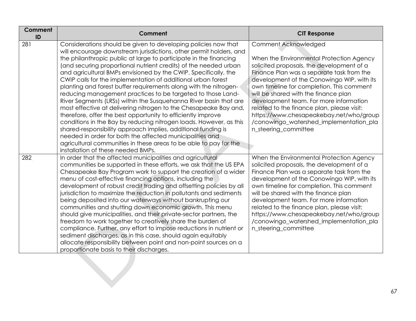| Comment<br>ID | Comment                                                                                                                                                                                                                                                                                                                                                                                                                                                                                                                                                                                                                                                                                                                                                                                                                                                                                                                                                                                                                                                                    | <b>CIT Response</b>                                                                                                                                                                                                                                                                                                                                                                                                                                                                                 |
|---------------|----------------------------------------------------------------------------------------------------------------------------------------------------------------------------------------------------------------------------------------------------------------------------------------------------------------------------------------------------------------------------------------------------------------------------------------------------------------------------------------------------------------------------------------------------------------------------------------------------------------------------------------------------------------------------------------------------------------------------------------------------------------------------------------------------------------------------------------------------------------------------------------------------------------------------------------------------------------------------------------------------------------------------------------------------------------------------|-----------------------------------------------------------------------------------------------------------------------------------------------------------------------------------------------------------------------------------------------------------------------------------------------------------------------------------------------------------------------------------------------------------------------------------------------------------------------------------------------------|
| 281           | Considerations should be given to developing policies now that<br>will encourage downstream jurisdictions, other permit holders, and<br>the philanthropic public at large to participate in the financing<br>(and securing proportional nutrient credits) of the needed urban<br>and agricultural BMPs envisioned by the CWIP. Specifically, the<br>CWIP calls for the implementation of additional urban forest<br>planting and forest buffer requirements along with the nitrogen-<br>reducing management practices to be targeted to those Land-<br>River Segments (LRSs) within the Susquehanna River basin that are<br>most effective at delivering nitrogen to the Chesapeake Bay and,<br>therefore, offer the best opportunity to efficiently improve<br>conditions in the Bay by reducing nitrogen loads. However, as this<br>shared-responsibility approach implies, additional funding is<br>needed in order for both the affected municipalities and<br>agricultural communities in these areas to be able to pay for the<br>installation of these needed BMPs. | Comment Acknowledged<br>When the Environmental Protection Agency<br>solicited proposals, the development of a<br>Finance Plan was a separate task from the<br>development of the Conowingo WIP, with its<br>own timeline for completion. This comment<br>will be shared with the finance plan<br>development team. For more information<br>related to the finance plan, please visit:<br>https://www.chesapeakebay.net/who/group<br>/conowingo_watershed_implementation_pla<br>n_steering_committee |
| 282           | In order that the affected municipalities and agricultural<br>communities be supported in these efforts, we ask that the US EPA<br>Chesapeake Bay Program work to support the creation of a wider<br>menu of cost-effective financing options, including the<br>development of robust credit trading and offsetting policies by all<br>jurisdiction to maximize the reduction in pollutants and sediments<br>being deposited into our waterways without bankrupting our<br>communities and shutting down economic growth. This menu<br>should give municipalities, and their private-sector partners, the<br>freedom to work together to creatively share the burden of<br>compliance. Further, any effort to impose reductions in nutrient or<br>sediment discharges, as in this case, should again equitably<br>allocate responsibility between point and non-point sources on a<br>proportionate basis to their discharges.                                                                                                                                             | When the Environmental Protection Agency<br>solicited proposals, the development of a<br>Finance Plan was a separate task from the<br>development of the Conowingo WIP, with its<br>own timeline for completion. This comment<br>will be shared with the finance plan<br>development team. For more information<br>related to the finance plan, please visit:<br>https://www.chesapeakebay.net/who/group<br>/conowingo_watershed_implementation_pla<br>n_steering_committee                         |
|               |                                                                                                                                                                                                                                                                                                                                                                                                                                                                                                                                                                                                                                                                                                                                                                                                                                                                                                                                                                                                                                                                            |                                                                                                                                                                                                                                                                                                                                                                                                                                                                                                     |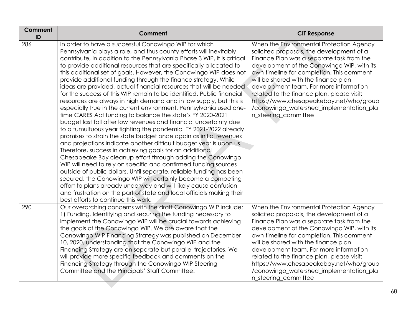| Comment<br>ID | Comment                                                                                                                                                                                                                                                                                                                                                                                                                                                                                                                                                                                                                                                                                                                                                                                                                                                                                                                                                                                                                                                                                                                                                                                                                                                                                                                                                                                                                                                                                                                                                                                   | <b>CIT Response</b>                                                                                                                                                                                                                                                                                                                                                                                                                                                         |
|---------------|-------------------------------------------------------------------------------------------------------------------------------------------------------------------------------------------------------------------------------------------------------------------------------------------------------------------------------------------------------------------------------------------------------------------------------------------------------------------------------------------------------------------------------------------------------------------------------------------------------------------------------------------------------------------------------------------------------------------------------------------------------------------------------------------------------------------------------------------------------------------------------------------------------------------------------------------------------------------------------------------------------------------------------------------------------------------------------------------------------------------------------------------------------------------------------------------------------------------------------------------------------------------------------------------------------------------------------------------------------------------------------------------------------------------------------------------------------------------------------------------------------------------------------------------------------------------------------------------|-----------------------------------------------------------------------------------------------------------------------------------------------------------------------------------------------------------------------------------------------------------------------------------------------------------------------------------------------------------------------------------------------------------------------------------------------------------------------------|
| 286           | In order to have a successful Conowingo WIP for which<br>Pennsylvania plays a role, and thus county efforts will inevitably<br>contribute, in addition to the Pennsylvania Phase 3 WIP, it is critical<br>to provide additional resources that are specifically allocated to<br>this additional set of goals. However, the Conowingo WIP does not<br>provide additional funding through the finance strategy. While<br>ideas are provided, actual financial resources that will be needed<br>for the success of this WIP remain to be identified. Public financial<br>resources are always in high demand and in low supply, but this is<br>especially true in the current environment. Pennsylvania used one-<br>time CARES Act funding to balance the state's FY 2020-2021<br>budget last fall after low revenues and financial uncertainty due<br>to a tumultuous year fighting the pandemic. FY 2021-2022 already<br>promises to strain the state budget once again as initial revenues<br>and projections indicate another difficult budget year is upon us.<br>Therefore, success in achieving goals for an additional<br>Chesapeake Bay cleanup effort through adding the Conowingo<br>WIP will need to rely on specific and confirmed funding sources<br>outside of public dollars. Until separate, reliable funding has been<br>secured, the Conowingo WIP will certainly become a competing<br>effort to plans already underway and will likely cause confusion<br>and frustration on the part of state and local officials making their<br>best efforts to continue this work. | When the Environmental Protection Agency<br>solicited proposals, the development of a<br>Finance Plan was a separate task from the<br>development of the Conowingo WIP, with its<br>own timeline for completion. This comment<br>will be shared with the finance plan<br>development team. For more information<br>related to the finance plan, please visit:<br>https://www.chesapeakebay.net/who/group<br>/conowingo_watershed_implementation_pla<br>n_steering_committee |
| 290           | Our overarching concerns with the draft Conowingo WIP include:<br>1) Funding. Identifying and securing the funding necessary to<br>implement the Conowingo WIP will be crucial towards achieving<br>the goals of the Conowingo WIP. We are aware that the<br>Conowingo WIP Financing Strategy was published on December<br>10, 2020, understanding that the Conowingo WIP and the<br>Financing Strategy are on separate but parallel trajectories. We<br>will provide more specific feedback and comments on the<br>Financing Strategy through the Conowingo WIP Steering<br>Committee and the Principals' Staff Committee.                                                                                                                                                                                                                                                                                                                                                                                                                                                                                                                                                                                                                                                                                                                                                                                                                                                                                                                                                               | When the Environmental Protection Agency<br>solicited proposals, the development of a<br>Finance Plan was a separate task from the<br>development of the Conowingo WIP, with its<br>own timeline for completion. This comment<br>will be shared with the finance plan<br>development team. For more information<br>related to the finance plan, please visit:<br>https://www.chesapeakebay.net/who/group<br>/conowingo_watershed_implementation_pla<br>n_steering_committee |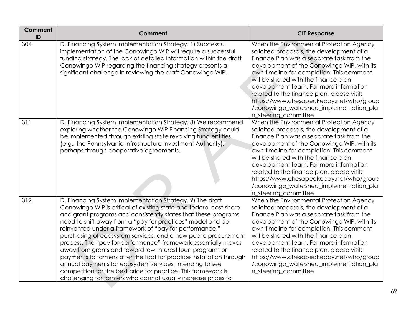| Comment<br>ID | Comment                                                                                                                                                                                                                                                                                                                                                                                                                                                                                                                                                                                                                                                                                                                                                                                           | <b>CIT Response</b>                                                                                                                                                                                                                                                                                                                                                                                                                                                         |
|---------------|---------------------------------------------------------------------------------------------------------------------------------------------------------------------------------------------------------------------------------------------------------------------------------------------------------------------------------------------------------------------------------------------------------------------------------------------------------------------------------------------------------------------------------------------------------------------------------------------------------------------------------------------------------------------------------------------------------------------------------------------------------------------------------------------------|-----------------------------------------------------------------------------------------------------------------------------------------------------------------------------------------------------------------------------------------------------------------------------------------------------------------------------------------------------------------------------------------------------------------------------------------------------------------------------|
| 304           | D. Financing System Implementation Strategy. 1) Successful<br>implementation of the Conowingo WIP will require a successful<br>funding strategy. The lack of detailed information within the draft<br>Conowingo WIP regarding the financing strategy presents a<br>significant challenge in reviewing the draft Conowingo WIP.                                                                                                                                                                                                                                                                                                                                                                                                                                                                    | When the Environmental Protection Agency<br>solicited proposals, the development of a<br>Finance Plan was a separate task from the<br>development of the Conowingo WIP, with its<br>own timeline for completion. This comment<br>will be shared with the finance plan<br>development team. For more information<br>related to the finance plan, please visit:<br>https://www.chesapeakebay.net/who/group<br>/conowingo_watershed_implementation_pla<br>n_steering_committee |
| 311           | D. Financing System Implementation Strategy. 8) We recommend<br>exploring whether the Conowingo WIP Financing Strategy could<br>be implemented through existing state revolving fund entities<br>(e.g., the Pennsylvania Infrastructure Investment Authority),<br>perhaps through cooperative agreements.                                                                                                                                                                                                                                                                                                                                                                                                                                                                                         | When the Environmental Protection Agency<br>solicited proposals, the development of a<br>Finance Plan was a separate task from the<br>development of the Conowingo WIP, with its<br>own timeline for completion. This comment<br>will be shared with the finance plan<br>development team. For more information<br>related to the finance plan, please visit:<br>https://www.chesapeakebay.net/who/group<br>/conowingo_watershed_implementation_pla<br>n_steering_committee |
| 312           | D. Financing System Implementation Strategy. 9) The draft<br>Conowingo WIP is critical of existing state and federal cost-share<br>and grant programs and consistently states that these programs<br>need to shift away from a "pay for practices" model and be<br>reinvented under a framework of "pay for performance,"<br>purchasing of ecosystem services, and a new public procurement<br>process. The "pay for performance" framework essentially moves<br>away from grants and toward low-interest loan programs or<br>payments to farmers after the fact for practice installation through<br>annual payments for ecosystem services, intending to see<br>competition for the best price for practice. This framework is<br>challenging for farmers who cannot usually increase prices to | When the Environmental Protection Agency<br>solicited proposals, the development of a<br>Finance Plan was a separate task from the<br>development of the Conowingo WIP, with its<br>own timeline for completion. This comment<br>will be shared with the finance plan<br>development team. For more information<br>related to the finance plan, please visit:<br>https://www.chesapeakebay.net/who/group<br>/conowingo_watershed_implementation_pla<br>n_steering_committee |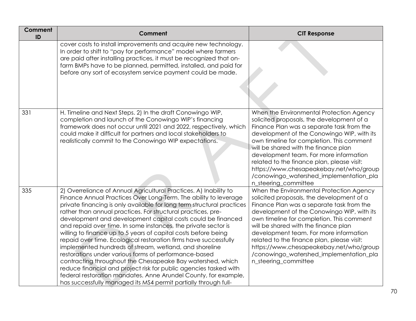| <b>Comment</b><br>ID | Comment                                                                                                                                                                                                                                                                                                                                                                                                                                                                                                                                                                                                                                                                                                                                                                                                                                                                                                                                            | <b>CIT Response</b>                                                                                                                                                                                                                                                                                                                                                                                                                                                         |
|----------------------|----------------------------------------------------------------------------------------------------------------------------------------------------------------------------------------------------------------------------------------------------------------------------------------------------------------------------------------------------------------------------------------------------------------------------------------------------------------------------------------------------------------------------------------------------------------------------------------------------------------------------------------------------------------------------------------------------------------------------------------------------------------------------------------------------------------------------------------------------------------------------------------------------------------------------------------------------|-----------------------------------------------------------------------------------------------------------------------------------------------------------------------------------------------------------------------------------------------------------------------------------------------------------------------------------------------------------------------------------------------------------------------------------------------------------------------------|
|                      | cover costs to install improvements and acquire new technology.<br>In order to shift to "pay for performance" model where farmers<br>are paid after installing practices, it must be recognized that on-<br>farm BMPs have to be planned, permitted, installed, and paid for<br>before any sort of ecosystem service payment could be made.                                                                                                                                                                                                                                                                                                                                                                                                                                                                                                                                                                                                        |                                                                                                                                                                                                                                                                                                                                                                                                                                                                             |
| 331                  | H. Timeline and Next Steps. 2) In the draft Conowingo WIP,<br>completion and launch of the Conowingo WIP's financing<br>framework does not occur until 2021 and 2022, respectively, which<br>could make it difficult for partners and local stakeholders to<br>realistically commit to the Conowingo WIP expectations.                                                                                                                                                                                                                                                                                                                                                                                                                                                                                                                                                                                                                             | When the Environmental Protection Agency<br>solicited proposals, the development of a<br>Finance Plan was a separate task from the<br>development of the Conowingo WIP, with its<br>own timeline for completion. This comment<br>will be shared with the finance plan<br>development team. For more information<br>related to the finance plan, please visit:<br>https://www.chesapeakebay.net/who/group<br>/conowingo_watershed_implementation_pla<br>n_steering_committee |
| 335                  | 2) Overreliance of Annual Agricultural Practices. A) Inability to<br>Finance Annual Practices Over Long-Term. The ability to leverage<br>private financing is only available for long term structural practices<br>rather than annual practices. For structural practices, pre-<br>development and development capital costs could be financed<br>and repaid over time. In some instances, the private sector is<br>willing to finance up to 5 years of capital costs before being<br>repaid over time. Ecological restoration firms have successfully<br>implemented hundreds of stream, wetland, and shoreline<br>restorations under various forms of performance-based<br>contracting throughout the Chesapeake Bay watershed, which<br>reduce financial and project risk for public agencies tasked with<br>federal restoration mandates. Anne Arundel County, for example,<br>has successfully managed its MS4 permit partially through full- | When the Environmental Protection Agency<br>solicited proposals, the development of a<br>Finance Plan was a separate task from the<br>development of the Conowingo WIP, with its<br>own timeline for completion. This comment<br>will be shared with the finance plan<br>development team. For more information<br>related to the finance plan, please visit:<br>https://www.chesapeakebay.net/who/group<br>/conowingo_watershed_implementation_pla<br>n_steering_committee |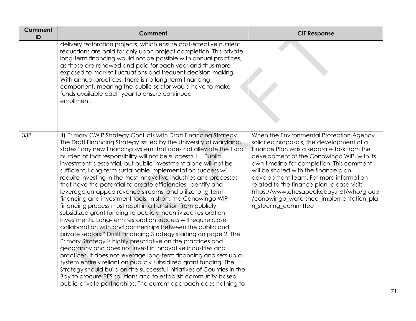| <b>Comment</b><br>ID | <b>Comment</b>                                                                                                                                                                                                                                                                                                                                                                                                                                                                                                                                                                                                                                                                                                                                                                                                                                                                                                                                                                                                                                                                                                                                                                                                                                                                                                                                                                                                                                                                                                  | <b>CIT Response</b>                                                                                                                                                                                                                                                                                                                                                                                                                                                         |
|----------------------|-----------------------------------------------------------------------------------------------------------------------------------------------------------------------------------------------------------------------------------------------------------------------------------------------------------------------------------------------------------------------------------------------------------------------------------------------------------------------------------------------------------------------------------------------------------------------------------------------------------------------------------------------------------------------------------------------------------------------------------------------------------------------------------------------------------------------------------------------------------------------------------------------------------------------------------------------------------------------------------------------------------------------------------------------------------------------------------------------------------------------------------------------------------------------------------------------------------------------------------------------------------------------------------------------------------------------------------------------------------------------------------------------------------------------------------------------------------------------------------------------------------------|-----------------------------------------------------------------------------------------------------------------------------------------------------------------------------------------------------------------------------------------------------------------------------------------------------------------------------------------------------------------------------------------------------------------------------------------------------------------------------|
|                      | delivery restoration projects, which ensure cost-effective nutrient<br>reductions are paid for only upon project completion. This private<br>long-term financing would not be possible with annual practices,<br>as these are renewed and paid for each year and thus more<br>exposed to market fluctuations and frequent decision-making.<br>With annual practices, there is no long-term financing<br>component, meaning the public sector would have to make<br>funds available each year to ensure continued<br>enrollment.                                                                                                                                                                                                                                                                                                                                                                                                                                                                                                                                                                                                                                                                                                                                                                                                                                                                                                                                                                                 |                                                                                                                                                                                                                                                                                                                                                                                                                                                                             |
| 338                  | 4) Primary CWIP Strategy Conflicts with Draft Financing Strategy.<br>The Draft Financing Strategy issued by the University of Maryland,<br>states "any new financing system that does not alleviate the fiscal<br>burden of that responsibility will not be successful Public<br>investment is essential, but public investment alone will not be<br>sufficient. Long-term sustainable implementation success will<br>require investing in the most innovative industries and processes<br>that have the potential to create efficiencies, identify and<br>leverage untapped revenue streams, and utilize long-term<br>financing and investment tools. In short, the Conowingo WIP<br>financing process must result in a transition from publicly<br>subsidized grant funding to publicly incentivized restoration<br>investments. Long-term restoration success will require close<br>collaboration with and partnerships between the public and<br>private sectors." Draft Financing Strategy starting on page 2. The<br>Primary Strategy is highly prescriptive on the practices and<br>geography and does not invest in innovative industries and<br>practices, it does not leverage long-term financing and sets up a<br>system entirely reliant on publicly subsidized grant funding. The<br>Strategy should build on the successful initiatives of Counties in the<br>Bay to procure PES solutions and to establish community-based<br>public-private partnerships. The current approach does nothing to | When the Environmental Protection Agency<br>solicited proposals, the development of a<br>Finance Plan was a separate task from the<br>development of the Conowingo WIP, with its<br>own timeline for completion. This comment<br>will be shared with the finance plan<br>development team. For more information<br>related to the finance plan, please visit:<br>https://www.chesapeakebay.net/who/group<br>/conowingo_watershed_implementation_pla<br>n_steering_committee |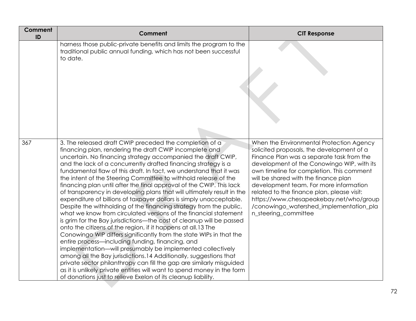| Comment<br>ID | Comment                                                                                                                                                                                                                                                                                                                                                                                                                                                                                                                                                                                                                                                                                                                                                                                                                                                                                                                                                                                                                                                                                                                                                                                                                                                                                                                                                                                    | <b>CIT Response</b>                                                                                                                                                                                                                                                                                                                                                                                                                                                         |
|---------------|--------------------------------------------------------------------------------------------------------------------------------------------------------------------------------------------------------------------------------------------------------------------------------------------------------------------------------------------------------------------------------------------------------------------------------------------------------------------------------------------------------------------------------------------------------------------------------------------------------------------------------------------------------------------------------------------------------------------------------------------------------------------------------------------------------------------------------------------------------------------------------------------------------------------------------------------------------------------------------------------------------------------------------------------------------------------------------------------------------------------------------------------------------------------------------------------------------------------------------------------------------------------------------------------------------------------------------------------------------------------------------------------|-----------------------------------------------------------------------------------------------------------------------------------------------------------------------------------------------------------------------------------------------------------------------------------------------------------------------------------------------------------------------------------------------------------------------------------------------------------------------------|
|               | harness those public-private benefits and limits the program to the<br>traditional public annual funding, which has not been successful<br>to date.                                                                                                                                                                                                                                                                                                                                                                                                                                                                                                                                                                                                                                                                                                                                                                                                                                                                                                                                                                                                                                                                                                                                                                                                                                        |                                                                                                                                                                                                                                                                                                                                                                                                                                                                             |
| 367           | 3. The released draft CWIP preceded the completion of a<br>financing plan, rendering the draft CWIP incomplete and<br>uncertain. No financing strategy accompanied the draft CWIP,<br>and the lack of a concurrently drafted financing strategy is a<br>fundamental flaw of this draft. In fact, we understand that it was<br>the intent of the Steering Committee to withhold release of the<br>financing plan until after the final approval of the CWIP. This lack<br>of transparency in developing plans that will ultimately result in the<br>expenditure of billions of taxpayer dollars is simply unacceptable.<br>Despite the withholding of the financing strategy from the public,<br>what we know from circulated versions of the financial statement<br>is grim for the Bay jurisdictions—the cost of cleanup will be passed<br>onto the citizens of the region, if it happens at all.13 The<br>Conowingo WIP differs significantly from the state WIPs in that the<br>entire process—including funding, financing, and<br>implementation—will presumably be implemented collectively<br>among all the Bay jurisdictions.14 Additionally, suggestions that<br>private sector philanthropy can fill the gap are similarly misguided<br>as it is unlikely private entities will want to spend money in the form<br>of donations just to relieve Exelon of its cleanup liability. | When the Environmental Protection Agency<br>solicited proposals, the development of a<br>Finance Plan was a separate task from the<br>development of the Conowingo WIP, with its<br>own timeline for completion. This comment<br>will be shared with the finance plan<br>development team. For more information<br>related to the finance plan, please visit:<br>https://www.chesapeakebay.net/who/group<br>/conowingo_watershed_implementation_pla<br>n_steering_committee |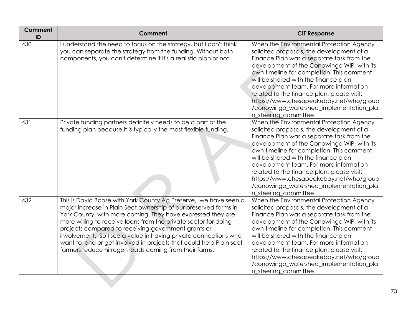| Comment<br>ID | <b>Comment</b>                                                                                                                                                                                                                                                                                                                                                                                                                                                                                                                    | <b>CIT Response</b>                                                                                                                                                                                                                                                                                                                                                                                                                                                         |
|---------------|-----------------------------------------------------------------------------------------------------------------------------------------------------------------------------------------------------------------------------------------------------------------------------------------------------------------------------------------------------------------------------------------------------------------------------------------------------------------------------------------------------------------------------------|-----------------------------------------------------------------------------------------------------------------------------------------------------------------------------------------------------------------------------------------------------------------------------------------------------------------------------------------------------------------------------------------------------------------------------------------------------------------------------|
| 430           | I understand the need to focus on the strategy, but I don't think<br>you can separate the strategy from the funding. Without both<br>components, you can't determine if it's a realistic plan or not.                                                                                                                                                                                                                                                                                                                             | When the Environmental Protection Agency<br>solicited proposals, the development of a<br>Finance Plan was a separate task from the<br>development of the Conowingo WIP, with its<br>own timeline for completion. This comment<br>will be shared with the finance plan<br>development team. For more information<br>related to the finance plan, please visit:<br>https://www.chesapeakebay.net/who/group<br>/conowingo_watershed_implementation_pla<br>n_steering_committee |
| 431           | Private funding partners definitely needs to be a part of the<br>funding plan because it is typically the most flexible funding.                                                                                                                                                                                                                                                                                                                                                                                                  | When the Environmental Protection Agency<br>solicited proposals, the development of a<br>Finance Plan was a separate task from the<br>development of the Conowingo WIP, with its<br>own timeline for completion. This comment<br>will be shared with the finance plan<br>development team. For more information<br>related to the finance plan, please visit:<br>https://www.chesapeakebay.net/who/group<br>/conowingo_watershed_implementation_pla<br>n_steering_committee |
| 432           | This is David Boose with York County Ag Preserve, we have seen a<br>major increase in Plain Sect ownership of our preserved farms in<br>York County, with more coming. They have expressed they are<br>more willing to receive loans from the private sector for doing<br>projects compared to receiving government grants or<br>involvement. So I see a value in having private connections who<br>want to lend or get involved in projects that could help Plain sect<br>farmers reduce nitrogen loads coming from their farms. | When the Environmental Protection Agency<br>solicited proposals, the development of a<br>Finance Plan was a separate task from the<br>development of the Conowingo WIP, with its<br>own timeline for completion. This comment<br>will be shared with the finance plan<br>development team. For more information<br>related to the finance plan, please visit:<br>https://www.chesapeakebay.net/who/group<br>/conowingo_watershed_implementation_pla<br>n_steering_committee |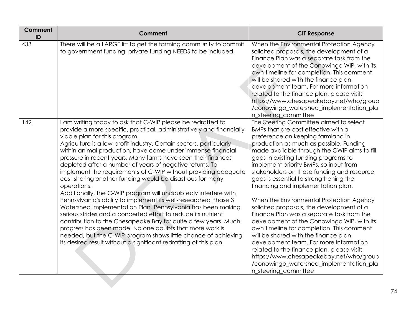| <b>Comment</b><br>ID | Comment                                                                                                                                                                                                                                                                                                                                                                                                                                                                                                                                                                                                                                                                                                                                                                                                                                                                                                                                                                                                                                                                                                                        | <b>CIT Response</b>                                                                                                                                                                                                                                                                                                                                                                                                                                                                                                                                                                                                                                                                                                                                                                                                                                                                                          |
|----------------------|--------------------------------------------------------------------------------------------------------------------------------------------------------------------------------------------------------------------------------------------------------------------------------------------------------------------------------------------------------------------------------------------------------------------------------------------------------------------------------------------------------------------------------------------------------------------------------------------------------------------------------------------------------------------------------------------------------------------------------------------------------------------------------------------------------------------------------------------------------------------------------------------------------------------------------------------------------------------------------------------------------------------------------------------------------------------------------------------------------------------------------|--------------------------------------------------------------------------------------------------------------------------------------------------------------------------------------------------------------------------------------------------------------------------------------------------------------------------------------------------------------------------------------------------------------------------------------------------------------------------------------------------------------------------------------------------------------------------------------------------------------------------------------------------------------------------------------------------------------------------------------------------------------------------------------------------------------------------------------------------------------------------------------------------------------|
| 433                  | There will be a LARGE lift to get the farming community to commit<br>to government funding, private funding NEEDS to be included.                                                                                                                                                                                                                                                                                                                                                                                                                                                                                                                                                                                                                                                                                                                                                                                                                                                                                                                                                                                              | When the Environmental Protection Agency<br>solicited proposals, the development of a<br>Finance Plan was a separate task from the<br>development of the Conowingo WIP, with its<br>own timeline for completion. This comment<br>will be shared with the finance plan<br>development team. For more information<br>related to the finance plan, please visit:<br>https://www.chesapeakebay.net/who/group<br>/conowingo_watershed_implementation_pla<br>n_steering_committee                                                                                                                                                                                                                                                                                                                                                                                                                                  |
| 142                  | am writing today to ask that C-WIP please be redrafted to<br>provide a more specific, practical, administratively and financially<br>viable plan for this program.<br>Agriculture is a low-profit industry. Certain sectors, particularly<br>within animal production, have come under immense financial<br>pressure in recent years. Many farms have seen their finances<br>depleted after a number of years of negative returns. To<br>implement the requirements of C-WIP without providing adequate<br>cost-sharing or other funding would be disastrous for many<br>operations.<br>Additionally, the C-WIP program will undoubtedly interfere with<br>Pennsylvania's ability to implement its well-researched Phase 3<br>Watershed Implementation Plan. Pennsylvania has been making<br>serious strides and a concerted effort to reduce its nutrient<br>contribution to the Chesapeake Bay for quite a few years. Much<br>progress has been made. No one doubts that more work is<br>needed, but the C-WIP program shows little chance of achieving<br>its desired result without a significant redrafting of this plan. | The Steering Committee aimed to select<br>BMPs that are cost effective with a<br>preference on keeping farmland in<br>production as much as possible. Funding<br>made available through the CWIP aims to fill<br>gaps in existing funding programs to<br>implement priority BMPs, so input from<br>stakeholders on these funding and resource<br>gaps is essential to strengthening the<br>financing and implementation plan.<br>When the Environmental Protection Agency<br>solicited proposals, the development of a<br>Finance Plan was a separate task from the<br>development of the Conowingo WIP, with its<br>own timeline for completion. This comment<br>will be shared with the finance plan<br>development team. For more information<br>related to the finance plan, please visit:<br>https://www.chesapeakebay.net/who/group<br>/conowingo_watershed_implementation_pla<br>n_steering_committee |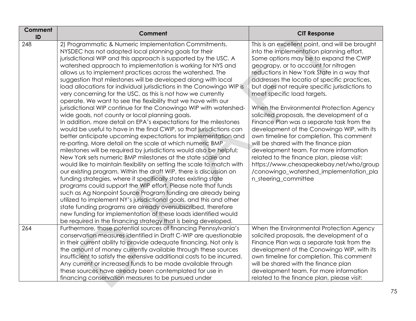| Comment<br>ID | Comment                                                                                                                                                                                                                                                                                                                                                                                                                                                                                                                                                                                                                                                                                                                                                                                                                                                                                                                                                                                                                                                                                                                                                                                                                                                                                                                                                                                                                                                                                                                                                                                                                                                                                                                                                           | <b>CIT Response</b>                                                                                                                                                                                                                                                                                                                                                                                                                                                                                                                                                                                                                                                                                                                                                                                                                         |
|---------------|-------------------------------------------------------------------------------------------------------------------------------------------------------------------------------------------------------------------------------------------------------------------------------------------------------------------------------------------------------------------------------------------------------------------------------------------------------------------------------------------------------------------------------------------------------------------------------------------------------------------------------------------------------------------------------------------------------------------------------------------------------------------------------------------------------------------------------------------------------------------------------------------------------------------------------------------------------------------------------------------------------------------------------------------------------------------------------------------------------------------------------------------------------------------------------------------------------------------------------------------------------------------------------------------------------------------------------------------------------------------------------------------------------------------------------------------------------------------------------------------------------------------------------------------------------------------------------------------------------------------------------------------------------------------------------------------------------------------------------------------------------------------|---------------------------------------------------------------------------------------------------------------------------------------------------------------------------------------------------------------------------------------------------------------------------------------------------------------------------------------------------------------------------------------------------------------------------------------------------------------------------------------------------------------------------------------------------------------------------------------------------------------------------------------------------------------------------------------------------------------------------------------------------------------------------------------------------------------------------------------------|
| 248           | 2) Programmatic & Numeric Implementation Commitments.<br>NYSDEC has not adopted local planning goals for their<br>jurisdictional WIP and this approach is supported by the USC. A<br>watershed approach to implementation is working for NYS and<br>allows us to implement practices across the watershed. The<br>suggestion that milestones will be developed along with local<br>load allocations for individual jurisdictions in the Conowingo WIP is<br>very concerning for the USC, as this is not how we currently<br>operate. We want to see the flexibility that we have with our<br>jurisdictional WIP continue for the Conowingo WIP with watershed-<br>wide goals, not county or local planning goals.<br>In addition, more detail on EPA's expectations for the milestones<br>would be useful to have in the final CWIP, so that jurisdictions can<br>better anticipate upcoming expectations for implementation and<br>re-porting. More detail on the scale at which numeric BMP<br>milestones will be required by jurisdictions would also be helpful;<br>New York sets numeric BMP milestones at the state scale and<br>would like to maintain flexibility on setting the scale to match with<br>our existing program. Within the draft WIP, there is discussion on<br>funding strategies, where it specifically states existing state<br>programs could support the WIP effort. Please note that funds<br>such as Ag Nonpoint Source Program funding are already being<br>utilized to implement NY's jurisdictional goals, and this and other<br>state funding programs are already oversubscribed, therefore<br>new funding for implementation of these loads identified would<br>be required in the financing strategy that is being developed. | This is an excellent point, and will be brought<br>into the implementation planning effort.<br>Some options may be to expand the CWIP<br>geograpy, or to account for nitrogen<br>reductions in New York State in a way that<br>addresses the locatio of specific practices,<br>but does not require specific jurisdictions to<br>meet specific load targets.<br>When the Environmental Protection Agency<br>solicited proposals, the development of a<br>Finance Plan was a separate task from the<br>development of the Conowingo WIP, with its<br>own timeline for completion. This comment<br>will be shared with the finance plan<br>development team. For more information<br>related to the finance plan, please visit:<br>https://www.chesapeakebay.net/who/group<br>/conowingo_watershed_implementation_pla<br>n_steering_committee |
| 264           | Furthermore, those potential sources of financing Pennsylvania's<br>conservation measures identified in Draft C-WIP are questionable<br>in their current ability to provide adequate financing. Not only is<br>the amount of money currently available through these sources<br>insufficient to satisfy the extensive additional costs to be incurred.<br>Any current or increased funds to be made available through<br>these sources have already been contemplated for use in<br>financing conservation measures to be pursued under                                                                                                                                                                                                                                                                                                                                                                                                                                                                                                                                                                                                                                                                                                                                                                                                                                                                                                                                                                                                                                                                                                                                                                                                                           | When the Environmental Protection Agency<br>solicited proposals, the development of a<br>Finance Plan was a separate task from the<br>development of the Conowingo WIP, with its<br>own timeline for completion. This comment<br>will be shared with the finance plan<br>development team. For more information<br>related to the finance plan, please visit:                                                                                                                                                                                                                                                                                                                                                                                                                                                                               |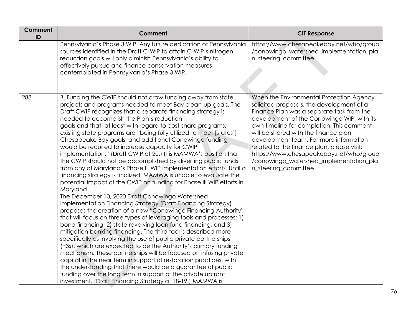| <b>Comment</b><br>ID | <b>Comment</b>                                                                                                                                                                                                                                                                                                                                                                                                                                                                                                                                                                                                                                                                                                                                                                                                                                                                                                                                                                                                                                                                                                                                                                                                                                                                                                                                                                                                                                                                                                                                                                                                                                                                                                                                   | <b>CIT Response</b>                                                                                                                                                                                                                                                                                                                                                                                                                                                         |
|----------------------|--------------------------------------------------------------------------------------------------------------------------------------------------------------------------------------------------------------------------------------------------------------------------------------------------------------------------------------------------------------------------------------------------------------------------------------------------------------------------------------------------------------------------------------------------------------------------------------------------------------------------------------------------------------------------------------------------------------------------------------------------------------------------------------------------------------------------------------------------------------------------------------------------------------------------------------------------------------------------------------------------------------------------------------------------------------------------------------------------------------------------------------------------------------------------------------------------------------------------------------------------------------------------------------------------------------------------------------------------------------------------------------------------------------------------------------------------------------------------------------------------------------------------------------------------------------------------------------------------------------------------------------------------------------------------------------------------------------------------------------------------|-----------------------------------------------------------------------------------------------------------------------------------------------------------------------------------------------------------------------------------------------------------------------------------------------------------------------------------------------------------------------------------------------------------------------------------------------------------------------------|
|                      | Pennsylvania's Phase 3 WIP. Any future dedication of Pennsylvania<br>sources identified in the Draft C-WIP to attain C-WIP's nitrogen<br>reduction goals will only diminish Pennsylvania's ability to<br>effectively pursue and finance conservation measures<br>contemplated in Pennsylvania's Phase 3 WIP.                                                                                                                                                                                                                                                                                                                                                                                                                                                                                                                                                                                                                                                                                                                                                                                                                                                                                                                                                                                                                                                                                                                                                                                                                                                                                                                                                                                                                                     | https://www.chesapeakebay.net/who/group<br>/conowingo_watershed_implementation_pla<br>n_steering_committee                                                                                                                                                                                                                                                                                                                                                                  |
| 288                  | B. Funding the CWIP should not draw funding away from state<br>projects and programs needed to meet Bay clean-up goals. The<br>Draft CWIP recognizes that a separate financing strategy is<br>needed to accomplish the Plan's reduction<br>goals and that, at least with regard to cost-share programs,<br>existing state programs are "being fully utilized to meet [states']<br>Chesapeake Bay goals, and additional Conowingo funding<br>would be required to increase capacity for CWIP<br>implementation." (Draft CWIP at 20.) It is MAMWA's position that<br>the CWIP should not be accomplished by diverting public funds<br>from any of Maryland's Phase III WIP implementation efforts. Until a<br>financing strategy is finalized, MAMWA is unable to evaluate the<br>potential impact of the CWIP on funding for Phase III WIP efforts in<br>Maryland.<br>The December 10, 2020 Draft Conowingo Watershed<br>Implementation Financing Strategy (Draft Financing Strategy)<br>proposes the creation of a new "Conowingo Financing Authority"<br>that will focus on three types of leveraging tools and processes: 1)<br>bond financing, 2) state revolving loan fund financing, and 3)<br>mitigation banking financing. The third tool is described more<br>specifically as involving the use of public-private partnerships<br>(P3s), which are expected to be the Authority's primary funding<br>mechanism. These partnerships will be focused on infusing private<br>capital in the near term in support of restoration practices, with<br>the understanding that there would be a guarantee of public<br>funding over the long term in support of the private upfront<br>investment. (Draft Financing Strategy at 18-19.) MAMWA is | When the Environmental Protection Agency<br>solicited proposals, the development of a<br>Finance Plan was a separate task from the<br>development of the Conowingo WIP, with its<br>own timeline for completion. This comment<br>will be shared with the finance plan<br>development team. For more information<br>related to the finance plan, please visit:<br>https://www.chesapeakebay.net/who/group<br>/conowingo_watershed_implementation_pla<br>n_steering_committee |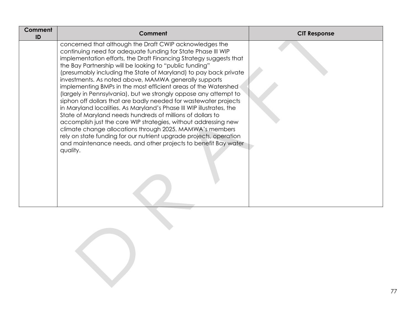| Comment<br>ID | Comment                                                                                                                                                                                                                                                                                                                                                                                                                                                                                                                                                                                                                                                                                                                                                                                                                                                                                                                                                                                                                  | <b>CIT Response</b> |
|---------------|--------------------------------------------------------------------------------------------------------------------------------------------------------------------------------------------------------------------------------------------------------------------------------------------------------------------------------------------------------------------------------------------------------------------------------------------------------------------------------------------------------------------------------------------------------------------------------------------------------------------------------------------------------------------------------------------------------------------------------------------------------------------------------------------------------------------------------------------------------------------------------------------------------------------------------------------------------------------------------------------------------------------------|---------------------|
|               | concerned that although the Draft CWIP acknowledges the<br>continuing need for adequate funding for State Phase III WIP<br>implementation efforts, the Draft Financing Strategy suggests that<br>the Bay Partnership will be looking to "public funding"<br>(presumably including the State of Maryland) to pay back private<br>investments. As noted above, MAMWA generally supports<br>implementing BMPs in the most efficient areas of the Watershed<br>(largely in Pennsylvania), but we strongly oppose any attempt to<br>siphon off dollars that are badly needed for wastewater projects<br>in Maryland localities. As Maryland's Phase III WIP illustrates, the<br>State of Maryland needs hundreds of millions of dollars to<br>accomplish just the core WIP strategies, without addressing new<br>climate change allocations through 2025. MAMWA's members<br>rely on state funding for our nutrient upgrade projects, operation<br>and maintenance needs, and other projects to benefit Bay water<br>quality. |                     |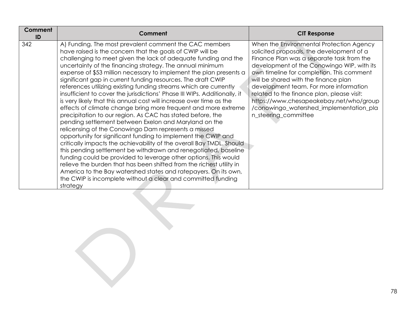| Comment<br>ID | Comment                                                                                                                                                                                                                                                                                                                                                                                                                                                                                                                                                                                                                                                                                                                                                                                                                                                                                                                                                                                                                                                                                                                                                                                                                                                                                                                                                                  | <b>CIT Response</b>                                                                                                                                                                                                                                                                                                                                                                                                                                                         |
|---------------|--------------------------------------------------------------------------------------------------------------------------------------------------------------------------------------------------------------------------------------------------------------------------------------------------------------------------------------------------------------------------------------------------------------------------------------------------------------------------------------------------------------------------------------------------------------------------------------------------------------------------------------------------------------------------------------------------------------------------------------------------------------------------------------------------------------------------------------------------------------------------------------------------------------------------------------------------------------------------------------------------------------------------------------------------------------------------------------------------------------------------------------------------------------------------------------------------------------------------------------------------------------------------------------------------------------------------------------------------------------------------|-----------------------------------------------------------------------------------------------------------------------------------------------------------------------------------------------------------------------------------------------------------------------------------------------------------------------------------------------------------------------------------------------------------------------------------------------------------------------------|
| 342           | A) Funding. The most prevalent comment the CAC members<br>have raised is the concern that the goals of CWIP will be<br>challenging to meet given the lack of adequate funding and the<br>uncertainty of the financing strategy. The annual minimum<br>expense of \$53 million necessary to implement the plan presents a<br>significant gap in current funding resources. The draft CWIP<br>references utilizing existing funding streams which are currently<br>insufficient to cover the jurisdictions' Phase III WIPs. Additionally, it<br>is very likely that this annual cost will increase over time as the<br>effects of climate change bring more frequent and more extreme<br>precipitation to our region. As CAC has stated before, the<br>pending settlement between Exelon and Maryland on the<br>relicensing of the Conowingo Dam represents a missed<br>opportunity for significant funding to implement the CWIP and<br>critically impacts the achievability of the overall Bay TMDL. Should<br>this pending settlement be withdrawn and renegotiated, baseline<br>funding could be provided to leverage other options. This would<br>relieve the burden that has been shifted from the richest utility in<br>America to the Bay watershed states and ratepayers. On its own,<br>the CWIP is incomplete without a clear and committed funding<br>strategy | When the Environmental Protection Agency<br>solicited proposals, the development of a<br>Finance Plan was a separate task from the<br>development of the Conowingo WIP, with its<br>own timeline for completion. This comment<br>will be shared with the finance plan<br>development team. For more information<br>related to the finance plan, please visit:<br>https://www.chesapeakebay.net/who/group<br>/conowingo_watershed_implementation_pla<br>n_steering_committee |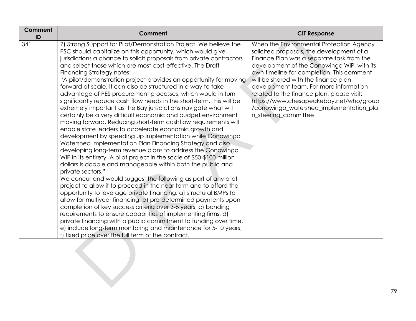| <b>Comment</b><br>ID | Comment                                                                                                                                                                                                                                                                                                                                                                                                                                                                                                                                                                                                                                                                                                                                                                                                                                                                                                                                                                                                                                                                                                                                                                                                                                                                                                                                                                                                                                                                                                                                                                                                                                                                                                                                                                                                            | <b>CIT Response</b>                                                                                                                                                                                                                                                                                                                                                                                                                                                         |
|----------------------|--------------------------------------------------------------------------------------------------------------------------------------------------------------------------------------------------------------------------------------------------------------------------------------------------------------------------------------------------------------------------------------------------------------------------------------------------------------------------------------------------------------------------------------------------------------------------------------------------------------------------------------------------------------------------------------------------------------------------------------------------------------------------------------------------------------------------------------------------------------------------------------------------------------------------------------------------------------------------------------------------------------------------------------------------------------------------------------------------------------------------------------------------------------------------------------------------------------------------------------------------------------------------------------------------------------------------------------------------------------------------------------------------------------------------------------------------------------------------------------------------------------------------------------------------------------------------------------------------------------------------------------------------------------------------------------------------------------------------------------------------------------------------------------------------------------------|-----------------------------------------------------------------------------------------------------------------------------------------------------------------------------------------------------------------------------------------------------------------------------------------------------------------------------------------------------------------------------------------------------------------------------------------------------------------------------|
| 341                  | 7) Strong Support for Pilot/Demonstration Project. We believe the<br>PSC should capitalize on this opportunity, which would give<br>jurisdictions a chance to solicit proposals from private contractors<br>and select those which are most cost-effective. The Draft<br>Financing Strategy notes:<br>"A pilot/demonstration project provides an opportunity for moving<br>forward at scale. It can also be structured in a way to take<br>advantage of PES procurement processes, which would in turn<br>significantly reduce cash flow needs in the short-term. This will be<br>extremely important as the Bay jurisdictions navigate what will<br>certainly be a very difficult economic and budget environment<br>moving forward. Reducing short-term cashflow requirements will<br>enable state leaders to accelerate economic growth and<br>development by speeding up implementation while Conowingo<br>Watershed Implementation Plan Financing Strategy and also<br>developing long-term revenue plans to address the Conowingo<br>WIP in its entirety. A pilot project in the scale of \$50-\$100 million<br>dollars is doable and manageable within both the public and<br>private sectors."<br>We concur and would suggest the following as part of any pilot<br>project to allow it to proceed in the near term and to afford the<br>opportunity to leverage private financing: a) structural BMPs to<br>allow for multiyear financing, b) pre-determined payments upon<br>completion of key success criteria over 3-5 years, c) bonding<br>requirements to ensure capabilities of implementing firms, d)<br>private financing with a public commitment to funding over time,<br>e) include long-term monitoring and maintenance for 5-10 years,<br>f) fixed price over the full term of the contract. | When the Environmental Protection Agency<br>solicited proposals, the development of a<br>Finance Plan was a separate task from the<br>development of the Conowingo WIP, with its<br>own timeline for completion. This comment<br>will be shared with the finance plan<br>development team. For more information<br>related to the finance plan, please visit:<br>https://www.chesapeakebay.net/who/group<br>/conowingo_watershed_implementation_pla<br>n_steering_committee |
|                      |                                                                                                                                                                                                                                                                                                                                                                                                                                                                                                                                                                                                                                                                                                                                                                                                                                                                                                                                                                                                                                                                                                                                                                                                                                                                                                                                                                                                                                                                                                                                                                                                                                                                                                                                                                                                                    |                                                                                                                                                                                                                                                                                                                                                                                                                                                                             |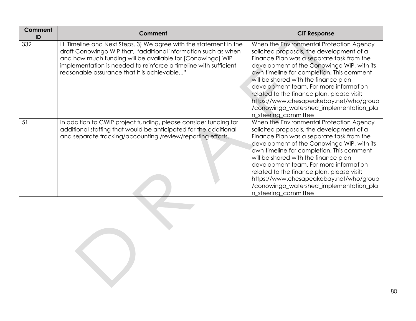| <b>Comment</b><br>ID | Comment                                                                                                                                                                                                                                                                                                              | <b>CIT Response</b>                                                                                                                                                                                                                                                                                                                                                                                                                                                         |
|----------------------|----------------------------------------------------------------------------------------------------------------------------------------------------------------------------------------------------------------------------------------------------------------------------------------------------------------------|-----------------------------------------------------------------------------------------------------------------------------------------------------------------------------------------------------------------------------------------------------------------------------------------------------------------------------------------------------------------------------------------------------------------------------------------------------------------------------|
| 332                  | H. Timeline and Next Steps. 3) We agree with the statement in the<br>draft Conowingo WIP that, "additional information such as when<br>and how much funding will be available for [Conowingo] WIP<br>implementation is needed to reinforce a timeline with sufficient<br>reasonable assurance that it is achievable" | When the Environmental Protection Agency<br>solicited proposals, the development of a<br>Finance Plan was a separate task from the<br>development of the Conowingo WIP, with its<br>own timeline for completion. This comment<br>will be shared with the finance plan<br>development team. For more information<br>related to the finance plan, please visit:<br>https://www.chesapeakebay.net/who/group<br>/conowingo_watershed_implementation_pla<br>n_steering_committee |
| 51                   | In addition to CWIP project funding, please consider funding for<br>additional staffing that would be anticipated for the additional<br>and separate tracking/accounting /review/reporting efforts.                                                                                                                  | When the Environmental Protection Agency<br>solicited proposals, the development of a<br>Finance Plan was a separate task from the<br>development of the Conowingo WIP, with its<br>own timeline for completion. This comment<br>will be shared with the finance plan<br>development team. For more information<br>related to the finance plan, please visit:<br>https://www.chesapeakebay.net/who/group<br>/conowingo_watershed_implementation_pla<br>n_steering_committee |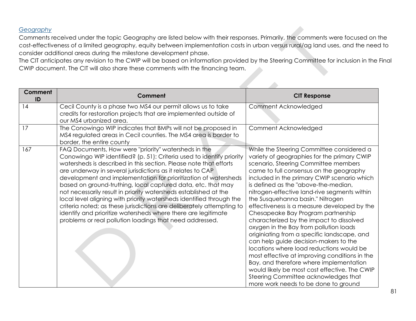## *Geography*

Comments received under the topic Geography are listed below with their responses. Primarily, the comments were focused on the cost-effectiveness of a limited geography, equity between implementation costs in urban versus rural/ag land uses, and the need to consider additional areas during the milestone development phase.

The CIT anticipates any revision to the CWIP will be based on information provided by the Steering Committee for inclusion in the Final CWIP document. The CIT will also share these comments with the financing team.

| <b>Comment</b><br>ID | Comment                                                                                                                                                                                                                                                                                                                                                                                                                                                                                                                                                                                                                                                                                                                                               | <b>CIT Response</b>                                                                                                                                                                                                                                                                                                                                                                                                                                                                                                                                                                                                                                                                                                                                                                                                                                                                                |
|----------------------|-------------------------------------------------------------------------------------------------------------------------------------------------------------------------------------------------------------------------------------------------------------------------------------------------------------------------------------------------------------------------------------------------------------------------------------------------------------------------------------------------------------------------------------------------------------------------------------------------------------------------------------------------------------------------------------------------------------------------------------------------------|----------------------------------------------------------------------------------------------------------------------------------------------------------------------------------------------------------------------------------------------------------------------------------------------------------------------------------------------------------------------------------------------------------------------------------------------------------------------------------------------------------------------------------------------------------------------------------------------------------------------------------------------------------------------------------------------------------------------------------------------------------------------------------------------------------------------------------------------------------------------------------------------------|
| 14                   | Cecil County is a phase two MS4 our permit allows us to take<br>credits for restoration projects that are implemented outside of<br>our MS4 urbanized area.                                                                                                                                                                                                                                                                                                                                                                                                                                                                                                                                                                                           | Comment Acknowledged                                                                                                                                                                                                                                                                                                                                                                                                                                                                                                                                                                                                                                                                                                                                                                                                                                                                               |
| 17                   | The Conowingo WIP indicates that BMPs will not be proposed in<br>MS4 regulated areas in Cecil counties. The MS4 area is border to<br>border, the entire county                                                                                                                                                                                                                                                                                                                                                                                                                                                                                                                                                                                        | Comment Acknowledged                                                                                                                                                                                                                                                                                                                                                                                                                                                                                                                                                                                                                                                                                                                                                                                                                                                                               |
| 167                  | FAQ Documents, How were "priority" watersheds in the<br>Conowingo WIP identified? (p. 51): Criteria used to identify priority<br>watersheds is described in this section. Please note that efforts<br>are underway in several jurisdictions as it relates to CAP<br>development and implementation for prioritization of watersheds<br>based on ground-truthing, local captured data, etc. that may<br>not necessarily result in priority watersheds established at the<br>local level aligning with priority watersheds identified through the<br>criteria noted; as these jurisdictions are deliberately attempting to<br>identify and prioritize watersheds where there are legitimate<br>problems or real pollution loadings that need addressed. | While the Steering Committee considered a<br>variety of geographies for the primary CWIP<br>scenario, Steering Committee members<br>came to full consensus on the geography<br>included in the primary CWIP scenario which<br>is defined as the "above-the-median,<br>nitrogen-effective land-rive segments within<br>the Susquehanna basin." Nitrogen<br>effectiveness is a measure developed by the<br>Chesapeake Bay Program partnership<br>characterized by the impact to dissolved<br>oxygen in the Bay from pollution loads<br>originiating from a specific landscape, and<br>can help guide decision-makers to the<br>locations where load reductions would be<br>most effective at improving conditions in the<br>Bay, and therefore where implementation<br>would likely be most cost effective. The CWIP<br>Steering Committee acknowledges that<br>more work needs to be done to ground |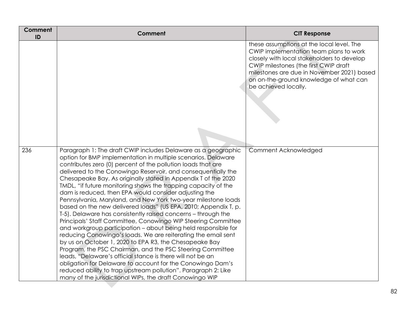| Comment<br>ID | <b>Comment</b>                                                                                                                                                                                                                                                                                                                                                                                                                                                                                                                                                                                                                                                                                                                                                                                                                                                                                                                                                                                                                                                                                                                                                                                                                                         | <b>CIT Response</b>                                                                                                                                                                                                                                                                        |
|---------------|--------------------------------------------------------------------------------------------------------------------------------------------------------------------------------------------------------------------------------------------------------------------------------------------------------------------------------------------------------------------------------------------------------------------------------------------------------------------------------------------------------------------------------------------------------------------------------------------------------------------------------------------------------------------------------------------------------------------------------------------------------------------------------------------------------------------------------------------------------------------------------------------------------------------------------------------------------------------------------------------------------------------------------------------------------------------------------------------------------------------------------------------------------------------------------------------------------------------------------------------------------|--------------------------------------------------------------------------------------------------------------------------------------------------------------------------------------------------------------------------------------------------------------------------------------------|
|               |                                                                                                                                                                                                                                                                                                                                                                                                                                                                                                                                                                                                                                                                                                                                                                                                                                                                                                                                                                                                                                                                                                                                                                                                                                                        | these assumptions at the local level. The<br>CWIP implementation team plans to work<br>closely with local stakeholders to develop<br>CWIP milestones (the first CWIP draft<br>milestones are due in November 2021) based<br>on on-the-ground knowledge of what can<br>be achieved locally. |
| 236           | Paragraph 1: The draft CWIP includes Delaware as a geographic<br>option for BMP implementation in multiple scenarios. Delaware<br>contributes zero (0) percent of the pollution loads that are<br>delivered to the Conowingo Reservoir, and consequentially the<br>Chesapeake Bay. As originally stated in Appendix T of the 2020<br>TMDL, "if future monitoring shows the trapping capacity of the<br>dam is reduced, then EPA would consider adjusting the<br>Pennsylvania, Maryland, and New York two-year milestone loads<br>based on the new delivered loads" (US EPA, 2010; Appendix T, p.<br>T-5). Delaware has consistently raised concerns - through the<br>Principals' Staff Committee, Conowingo WIP Steering Committee<br>and workgroup participation - about being held responsible for<br>reducing Conowingo's loads. We are reiterating the email sent<br>by us on October 1, 2020 to EPA R3, the Chesapeake Bay<br>Program, the PSC Chairman, and the PSC Steering Committee<br>leads, "Delaware's official stance is there will not be an<br>obligation for Delaware to account for the Conowingo Dam's<br>reduced ability to trap upstream pollution". Paragraph 2: Like<br>many of the jurisdictional WIPs, the draft Conowingo WIP | Comment Acknowledged                                                                                                                                                                                                                                                                       |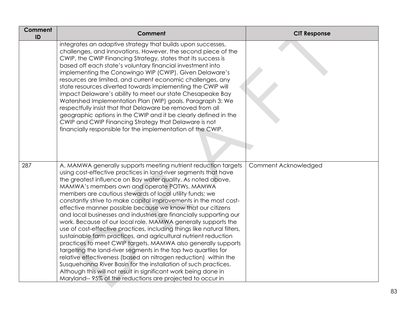| <b>Comment</b><br>ID | Comment                                                                                                                                                                                                                                                                                                                                                                                                                                                                                                                                                                                                                                                                                                                                                                                                                                                                                                                                                                                                                                                                                                                                        | <b>CIT Response</b>  |
|----------------------|------------------------------------------------------------------------------------------------------------------------------------------------------------------------------------------------------------------------------------------------------------------------------------------------------------------------------------------------------------------------------------------------------------------------------------------------------------------------------------------------------------------------------------------------------------------------------------------------------------------------------------------------------------------------------------------------------------------------------------------------------------------------------------------------------------------------------------------------------------------------------------------------------------------------------------------------------------------------------------------------------------------------------------------------------------------------------------------------------------------------------------------------|----------------------|
|                      | integrates an adaptive strategy that builds upon successes,<br>challenges, and innovations. However, the second piece of the<br>CWIP, the CWIP Financing Strategy, states that its success is<br>based off each state's voluntary financial investment into<br>implementing the Conowingo WIP (CWIP). Given Delaware's<br>resources are limited, and current economic challenges, any<br>state resources diverted towards implementing the CWIP will<br>impact Delaware's ability to meet our state Chesapeake Bay<br>Watershed Implementation Plan (WIP) goals. Paragraph 3: We<br>respectfully insist that that Delaware be removed from all<br>geographic options in the CWIP and it be clearly defined in the<br>CWIP and CWIP Financing Strategy that Delaware is not<br>financially responsible for the implementation of the CWIP.                                                                                                                                                                                                                                                                                                      |                      |
| 287                  | A. MAMWA generally supports meeting nutrient reduction targets<br>using cost-effective practices in land-river segments that have<br>the greatest influence on Bay water quality. As noted above,<br>MAMWA's members own and operate POTWs. MAMWA<br>members are cautious stewards of local utility funds; we<br>constantly strive to make capital improvements in the most cost-<br>effective manner possible because we know that our citizens<br>and local businesses and industries are financially supporting our<br>work. Because of our local role, MAMWA generally supports the<br>use of cost-effective practices, including things like natural filters,<br>sustainable farm practices, and agricultural nutrient reduction<br>practices to meet CWIP targets. MAMWA also generally supports<br>targeting the land-river segments in the top two quartiles for<br>relative effectiveness (based on nitrogen reduction) within the<br>Susquehanna River Basin for the installation of such practices.<br>Although this will not result in significant work being done in<br>Maryland--95% of the reductions are projected to occur in | Comment Acknowledged |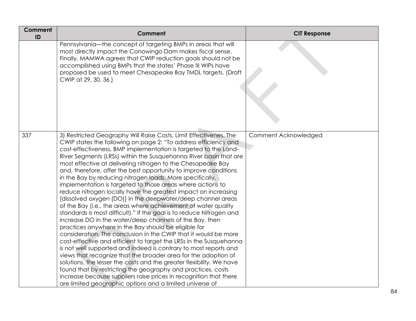| Comment<br>ID | Comment                                                                                                                                                                                                                                                                                                                                                                                                                                                                                                                                                                                                                                                                                                                                                                                                                                                                                                                                                                                                                                                                                                                                                                                                                                                                                                                                                                                                                                                                                          | <b>CIT Response</b>  |
|---------------|--------------------------------------------------------------------------------------------------------------------------------------------------------------------------------------------------------------------------------------------------------------------------------------------------------------------------------------------------------------------------------------------------------------------------------------------------------------------------------------------------------------------------------------------------------------------------------------------------------------------------------------------------------------------------------------------------------------------------------------------------------------------------------------------------------------------------------------------------------------------------------------------------------------------------------------------------------------------------------------------------------------------------------------------------------------------------------------------------------------------------------------------------------------------------------------------------------------------------------------------------------------------------------------------------------------------------------------------------------------------------------------------------------------------------------------------------------------------------------------------------|----------------------|
|               | Pennsylvania-the concept of targeting BMPs in areas that will<br>most directly impact the Conowingo Dam makes fiscal sense.<br>Finally, MAMWA agrees that CWIP reduction goals should not be<br>accomplished using BMPs that the states' Phase III WIPs have<br>proposed be used to meet Chesapeake Bay TMDL targets. (Draft<br>CWIP at 29, 30, 36.)                                                                                                                                                                                                                                                                                                                                                                                                                                                                                                                                                                                                                                                                                                                                                                                                                                                                                                                                                                                                                                                                                                                                             |                      |
| 337           | 3) Restricted Geography Will Raise Costs, Limit Effectivenes. The<br>CWIP states the following on page 2: "To address efficiency and<br>cost-effectiveness, BMP implementation is targeted to the Land-<br>River Segments (LRSs) within the Susquehanna River basin that are<br>most effective at delivering nitrogen to the Chesapeake Bay<br>and, therefore, offer the best opportunity to improve conditions<br>in the Bay by reducing nitrogen loads. More specifically,<br>implementation is targeted to those areas where actions to<br>reduce nitrogen locally have the greatest impact on increasing<br>[dissolved oxygen (DO)] in the deepwater/deep channel areas<br>of the Bay (i.e., the areas where achievement of water quality<br>standards is most difficult)." If the goal is to reduce Nitrogen and<br>increase DO in the water/deep channels of the Bay, then<br>practices anywhere in the Bay should be eligible for<br>consideration. The conclusion in the CWIP that it would be more<br>cost-effective and efficient to target the LRSs in the Susquehanna<br>is not well supported and indeed is contrary to most reports and<br>views that recognize that the broader area for the adoption of<br>solutions, the lesser the costs and the greater flexibility. We have<br>found that by restricting the geography and practices, costs<br>increase because suppliers raise prices in recognition that there<br>are limited geographic options and a limited universe of | Comment Acknowledged |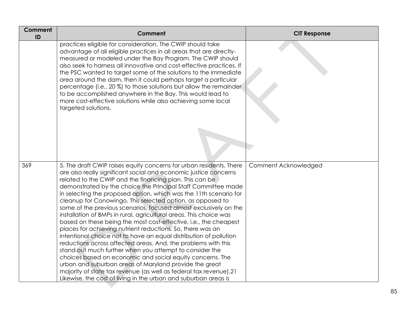| Comment<br>ID | <b>Comment</b>                                                                                                                                                                                                                                                                                                                                                                                                                                                                                                                                                                                                                                                                                                                                                                                                                                                                                                                                                                                                                                                                                                                                      | <b>CIT Response</b>  |
|---------------|-----------------------------------------------------------------------------------------------------------------------------------------------------------------------------------------------------------------------------------------------------------------------------------------------------------------------------------------------------------------------------------------------------------------------------------------------------------------------------------------------------------------------------------------------------------------------------------------------------------------------------------------------------------------------------------------------------------------------------------------------------------------------------------------------------------------------------------------------------------------------------------------------------------------------------------------------------------------------------------------------------------------------------------------------------------------------------------------------------------------------------------------------------|----------------------|
|               | practices eligible for consideration. The CWIP should take<br>advantage of all eligible practices in all areas that are directly-<br>measured or modeled under the Bay Program. The CWIP should<br>also seek to harness all innovative and cost-effective practices. If<br>the PSC wanted to target some of the solutions to the immediate<br>area around the dam, then it could perhaps target a particular<br>percentage (i.e., 20%) to those solutions but allow the remainder<br>to be accomplished anywhere in the Bay. This would lead to<br>more cost-effective solutions while also achieving some local<br>targeted solutions.                                                                                                                                                                                                                                                                                                                                                                                                                                                                                                             |                      |
| 369           | 5. The draft CWIP raises equity concerns for urban residents. There<br>are also really significant social and economic justice concerns<br>related to the CWIP and the financing plan. This can be<br>demonstrated by the choice the Principal Staff Committee made<br>in selecting the proposed option, which was the 11th scenario for<br>cleanup for Conowingo. This selected option, as opposed to<br>some of the previous scenarios, focused almost exclusively on the<br>installation of BMPs in rural, agricultural areas. This choice was<br>based on these being the most cost-effective, i.e., the cheapest<br>places for achieving nutrient reductions. So, there was an<br>intentional choice not to have an equal distribution of pollution<br>reductions across affected areas. And, the problems with this<br>stand out much further when you attempt to consider the<br>choices based on economic and social equity concerns. The<br>urban and suburban areas of Maryland provide the great<br>majority of state tax revenue (as well as federal tax revenue).21<br>Likewise, the cost of living in the urban and suburban areas is | Comment Acknowledged |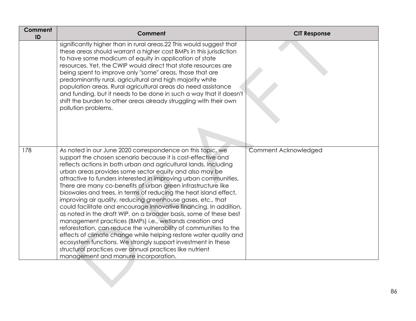| <b>Comment</b><br>ID | <b>Comment</b>                                                                                                                                                                                                                                                                                                                                                                                                                                                                                                                                                                                                                                                                                                                                                                                                                                                                                                                                                                                                                                         | <b>CIT Response</b>  |
|----------------------|--------------------------------------------------------------------------------------------------------------------------------------------------------------------------------------------------------------------------------------------------------------------------------------------------------------------------------------------------------------------------------------------------------------------------------------------------------------------------------------------------------------------------------------------------------------------------------------------------------------------------------------------------------------------------------------------------------------------------------------------------------------------------------------------------------------------------------------------------------------------------------------------------------------------------------------------------------------------------------------------------------------------------------------------------------|----------------------|
|                      | significantly higher than in rural areas.22 This would suggest that<br>these areas should warrant a higher cost BMPs in this jurisdiction<br>to have some modicum of equity in application of state<br>resources. Yet, the CWIP would direct that state resources are<br>being spent to improve only "some" areas, those that are<br>predominantly rural, agricultural and high majority white<br>population areas. Rural agricultural areas do need assistance<br>and funding, but it needs to be done in such a way that it doesn't<br>shift the burden to other areas already struggling with their own<br>pollution problems.                                                                                                                                                                                                                                                                                                                                                                                                                      |                      |
| 178                  | As noted in our June 2020 correspondence on this topic, we<br>support the chosen scenario because it is cost-effective and<br>reflects actions in both urban and agricultural lands. Including<br>urban areas provides some sector equity and also may be<br>attractive to funders interested in improving urban communities.<br>There are many co-benefits of urban green infrastructure like<br>bioswales and trees, in terms of reducing the heat island effect,<br>improving air quality, reducing greenhouse gases, etc., that<br>could facilitate and encourage innovative financing. In addition,<br>as noted in the draft WIP, on a broader basis, some of these best<br>management practices (BMPs) i.e., wetlands creation and<br>reforestation, can reduce the vulnerability of communities to the<br>effects of climate change while helping restore water quality and<br>ecosystem functions. We strongly support investment in these<br>structural practices over annual practices like nutrient<br>management and manure incorporation. | Comment Acknowledged |
|                      |                                                                                                                                                                                                                                                                                                                                                                                                                                                                                                                                                                                                                                                                                                                                                                                                                                                                                                                                                                                                                                                        |                      |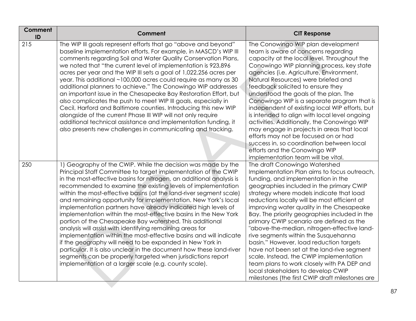| <b>Comment</b><br>ID | Comment                                                                                                                                                                                                                                                                                                                                                                                                                                                                                                                                                                                                                                                                                                                                                                                                                                                                                                                                                                                                     | <b>CIT Response</b>                                                                                                                                                                                                                                                                                                                                                                                                                                                                                                                                                                                                                                                                                                                                                    |
|----------------------|-------------------------------------------------------------------------------------------------------------------------------------------------------------------------------------------------------------------------------------------------------------------------------------------------------------------------------------------------------------------------------------------------------------------------------------------------------------------------------------------------------------------------------------------------------------------------------------------------------------------------------------------------------------------------------------------------------------------------------------------------------------------------------------------------------------------------------------------------------------------------------------------------------------------------------------------------------------------------------------------------------------|------------------------------------------------------------------------------------------------------------------------------------------------------------------------------------------------------------------------------------------------------------------------------------------------------------------------------------------------------------------------------------------------------------------------------------------------------------------------------------------------------------------------------------------------------------------------------------------------------------------------------------------------------------------------------------------------------------------------------------------------------------------------|
| 215                  | The WIP III goals represent efforts that go "above and beyond"<br>baseline implementation efforts. For example, in MASCD's WIP III<br>comments regarding Soil and Water Quality Conservation Plans,<br>we noted that "the current level of implementation is 923,896<br>acres per year and the WIP III sets a goal of 1,022,256 acres per<br>year. This additional ~100,000 acres could require as many as 30<br>additional planners to achieve." The Conowingo WIP addresses<br>an important issue in the Chesapeake Bay Restoration Effort, but<br>also complicates the push to meet WIP III goals, especially in<br>Cecil, Harford and Baltimore counties. Introducing this new WIP<br>alongside of the current Phase III WIP will not only require<br>additional technical assistance and implementation funding, it<br>also presents new challenges in communicating and tracking.                                                                                                                     | The Conowingo WIP plan development<br>team is aware of concerns regarding<br>capacity at the local level. Throughout the<br>Conowingo WIP planning process, key state<br>agencies (i.e. Agriculture, Environment,<br>Natural Resources) were briefed and<br>feedback solicited to ensure they<br>understood the goals of the plan. The<br>Conowingo WIP is a separate program that is<br>independent of existing local WIP efforts, but<br>is intended to align with local level ongoing<br>activities. Additionally, the Conowingo WIP<br>may engage in projects in areas that local<br>efforts may not be focused on or had<br>success in, so coordination between local<br>efforts and the Conowingo WIP<br>implementation team will be vital.                      |
| 250                  | 1) Geography of the CWIP. While the decision was made by the<br>Principal Staff Committee to target implementation of the CWIP<br>in the most-effective basins for nitrogen, an additional analysis is<br>recommended to examine the existing levels of implementation<br>within the most-effective basins (at the land-river segment scale)<br>and remaining opportunity for implementation. New York's local<br>implementation partners have already indicated high levels of<br>implementation within the most-effective basins in the New York<br>portion of the Chesapeake Bay watershed. This additional<br>analysis will assist with identifying remaining areas for<br>implementation within the most-effective basins and will indicate<br>if the geography will need to be expanded in New York in<br>particular. It is also unclear in the document how these land-river<br>segments can be properly targeted when jurisdictions report<br>implementation at a larger scale (e.g. county scale). | The draft Conowingo Watershed<br>Implementation Plan aims to focus outreach,<br>funding, and implementation in the<br>geographies included in the primary CWIP<br>strategy where models indicate that load<br>reductions locally will be most efficient at<br>improving water quality in the Chesapeake<br>Bay. The priority geographies included in the<br>primary CWIP scenario are defined as the<br>"above-the-median, nitrogen-effective land-<br>rive segments within the Susquehanna<br>basin." However, load reduction targets<br>have not been set at the land-rive segment<br>scale. Instead, the CWIP implementation<br>team plans to work closely with PA DEP and<br>local stakeholders to develop CWIP<br>milestones (the first CWIP draft milestones are |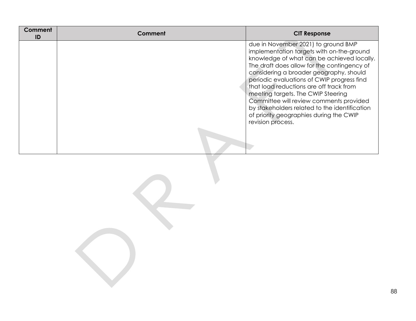| Comment<br>ID | Comment | <b>CIT Response</b>                                                                                                                                                                                                                                                                                                                                                                                                                                                                                                 |
|---------------|---------|---------------------------------------------------------------------------------------------------------------------------------------------------------------------------------------------------------------------------------------------------------------------------------------------------------------------------------------------------------------------------------------------------------------------------------------------------------------------------------------------------------------------|
|               |         | due in November 2021) to ground BMP<br>implementation targets with on-the-ground<br>knowledge of what can be achieved locally.<br>The draft does allow for the contingency of<br>considering a broader geography, should<br>periodic evaluations of CWIP progress find<br>that load reductions are off track from<br>meeting targets. The CWIP Steering<br>Committee will review comments provided<br>by stakeholders related to the identification<br>of priority geographies during the CWIP<br>revision process. |
|               |         |                                                                                                                                                                                                                                                                                                                                                                                                                                                                                                                     |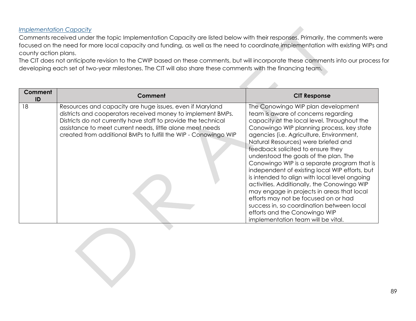## *Implementation Capacity*

Comments received under the topic Implementation Capacity are listed below with their responses. Primarily, the comments were focused on the need for more local capacity and funding, as well as the need to coordinate implementation with existing WIPs and county action plans.

The CIT does not anticipate revision to the CWIP based on these comments, but will incorporate these comments into our process for developing each set of two-year milestones. The CIT will also share these comments with the financing team.

| Comment<br>ID | Comment                                                                                                                                                                                                                                                                                                                   | <b>CIT Response</b>                                                                                                                                                                                                                                                                                                                                                                                                                                                                                                                                                                                                                                                                                                                               |
|---------------|---------------------------------------------------------------------------------------------------------------------------------------------------------------------------------------------------------------------------------------------------------------------------------------------------------------------------|---------------------------------------------------------------------------------------------------------------------------------------------------------------------------------------------------------------------------------------------------------------------------------------------------------------------------------------------------------------------------------------------------------------------------------------------------------------------------------------------------------------------------------------------------------------------------------------------------------------------------------------------------------------------------------------------------------------------------------------------------|
| 18            | Resources and capacity are huge issues, even if Maryland<br>districts and cooperators received money to implement BMPs.<br>Districts do not currently have staff to provide the technical<br>assistance to meet current needs, little alone meet needs<br>created from additional BMPs to fulfill the WIP - Conowingo WIP | The Conowingo WIP plan development<br>team is aware of concerns regarding<br>capacity at the local level. Throughout the<br>Conowingo WIP planning process, key state<br>agencies (i.e. Agriculture, Environment,<br>Natural Resources) were briefed and<br>feedback solicited to ensure they<br>understood the goals of the plan. The<br>Conowingo WIP is a separate program that is<br>independent of existing local WIP efforts, but<br>is intended to align with local level ongoing<br>activities. Additionally, the Conowingo WIP<br>may engage in projects in areas that local<br>efforts may not be focused on or had<br>success in, so coordination between local<br>efforts and the Conowingo WIP<br>implementation team will be vital. |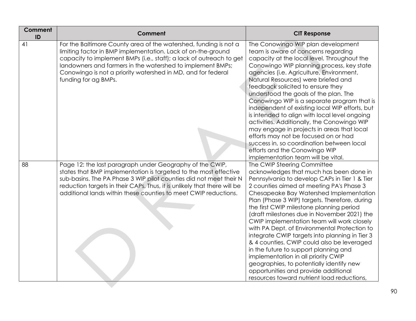| Comment<br>ID | <b>Comment</b>                                                                                                                                                                                                                                                                                                                                                | <b>CIT Response</b>                                                                                                                                                                                                                                                                                                                                                                                                                                                                                                                                                                                                                                                                                                                                                        |
|---------------|---------------------------------------------------------------------------------------------------------------------------------------------------------------------------------------------------------------------------------------------------------------------------------------------------------------------------------------------------------------|----------------------------------------------------------------------------------------------------------------------------------------------------------------------------------------------------------------------------------------------------------------------------------------------------------------------------------------------------------------------------------------------------------------------------------------------------------------------------------------------------------------------------------------------------------------------------------------------------------------------------------------------------------------------------------------------------------------------------------------------------------------------------|
| 41            | For the Baltimore County area of the watershed, funding is not a<br>limiting factor in BMP implementation. Lack of on-the-ground<br>capacity to implement BMPs (i.e., staff); a lack of outreach to get<br>landowners and farmers in the watershed to implement BMPs;<br>Conowingo is not a priority watershed in MD, and for federal<br>funding for ag BMPs. | The Conowingo WIP plan development<br>team is aware of concerns regarding<br>capacity at the local level. Throughout the<br>Conowingo WIP planning process, key state<br>agencies (i.e. Agriculture, Environment,<br>Natural Resources) were briefed and<br>feedback solicited to ensure they<br>understood the goals of the plan. The<br>Conowingo WIP is a separate program that is<br>independent of existing local WIP efforts, but<br>is intended to align with local level ongoing<br>activities. Additionally, the Conowingo WIP<br>may engage in projects in areas that local<br>efforts may not be focused on or had<br>success in, so coordination between local<br>efforts and the Conowingo WIP<br>implementation team will be vital.                          |
| 88            | Page 12: the last paragraph under Geography of the CWIP,<br>states that BMP implementation is targeted to the most effective<br>sub-basins. The PA Phase 3 WIP pilot counties did not meet their N<br>reduction targets in their CAPs. Thus, it is unlikely that there will be<br>additional lands within these counties to meet CWIP reductions.             | The CWIP Steering Committee<br>acknowledges that much has been done in<br>Pennsylvania to develop CAPs in Tier 1 & Tier<br>2 counties aimed at meeting PA's Phase 3<br>Chesapeake Bay Watershed Implementation<br>Plan (Phase 3 WIP) targets. Therefore, during<br>the first CWIP milestone planning period<br>(draft milestones due in November 2021) the<br>CWIP implementation team will work closely<br>with PA Dept. of Environmental Protection to<br>integrate CWIP targets into planning in Tier 3<br>& 4 counties. CWIP could also be leveraged<br>in the future to support planning and<br>implementation in all priority CWIP<br>geographies, to potentially identify new<br>opportunities and provide additional<br>resources toward nutrient load reductions, |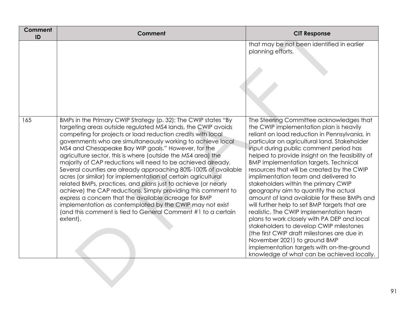| <b>Comment</b><br>ID | Comment                                                                                                                                                                                                                                                                                                                                                                                                                                                                                                                                                                                                                                                                                                                                                                                                                                                                                                                  | <b>CIT Response</b>                                                                                                                                                                                                                                                                                                                                                                                                                                                                                                                                                                                                                                                                                                                                                                                                                                                                                                    |
|----------------------|--------------------------------------------------------------------------------------------------------------------------------------------------------------------------------------------------------------------------------------------------------------------------------------------------------------------------------------------------------------------------------------------------------------------------------------------------------------------------------------------------------------------------------------------------------------------------------------------------------------------------------------------------------------------------------------------------------------------------------------------------------------------------------------------------------------------------------------------------------------------------------------------------------------------------|------------------------------------------------------------------------------------------------------------------------------------------------------------------------------------------------------------------------------------------------------------------------------------------------------------------------------------------------------------------------------------------------------------------------------------------------------------------------------------------------------------------------------------------------------------------------------------------------------------------------------------------------------------------------------------------------------------------------------------------------------------------------------------------------------------------------------------------------------------------------------------------------------------------------|
|                      |                                                                                                                                                                                                                                                                                                                                                                                                                                                                                                                                                                                                                                                                                                                                                                                                                                                                                                                          | that may be not been identified in earlier<br>planning efforts.                                                                                                                                                                                                                                                                                                                                                                                                                                                                                                                                                                                                                                                                                                                                                                                                                                                        |
| 165                  | BMPs in the Primary CWIP Strategy (p. 32): The CWIP states "By<br>targeting areas outside regulated MS4 lands, the CWIP avoids<br>competing for projects or load reduction credits with local<br>governments who are simultaneously working to achieve local<br>MS4 and Chesapeake Bay WIP goals." However, for the<br>agriculture sector, this is where (outside the MS4 area) the<br>majority of CAP reductions will need to be achieved already.<br>Several counties are already approaching 80%-100% of available<br>acres (or similar) for implementation of certain agricultural<br>related BMPs, practices, and plans just to achieve (or nearly<br>achieve) the CAP reductions. Simply providing this comment to<br>express a concern that the available acreage for BMP<br>implementation as contemplated by the CWIP may not exist<br>(and this comment is tied to General Comment #1 to a certain<br>extent). | The Steering Committee acknowledges that<br>the CWIP implementation plan is heavily<br>reliant on load reduction in Pennsylvania, in<br>particular on agricultural land. Stakeholder<br>input during public comment period has<br>helped to provide insight on the feasibility of<br><b>BMP</b> implementation targets. Technical<br>resources that will be created by the CWIP<br>implimentation team and delivered to<br>stakeholders within the primary CWIP<br>geography aim to quantify the actual<br>amount of land available for these BMPs and<br>will further help to set BMP targets that are<br>realistic. The CWIP implementation team<br>plans to work closely with PA DEP and local<br>stakeholders to develop CWIP milestones<br>(the first CWIP draft milestones are due in<br>November 2021) to ground BMP<br>implementation targets with on-the-ground<br>knowledge of what can be achieved locally. |
|                      |                                                                                                                                                                                                                                                                                                                                                                                                                                                                                                                                                                                                                                                                                                                                                                                                                                                                                                                          |                                                                                                                                                                                                                                                                                                                                                                                                                                                                                                                                                                                                                                                                                                                                                                                                                                                                                                                        |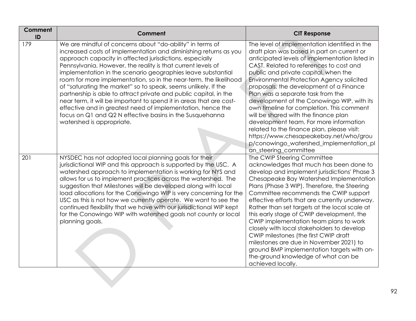| Comment<br>ID | Comment                                                                                                                                                                                                                                                                                                                                                                                                                                                                                                                                                                                                                                                                                                                                                             | <b>CIT Response</b>                                                                                                                                                                                                                                                                                                                                                                                                                                                                                                                                                                                                                                                                                           |
|---------------|---------------------------------------------------------------------------------------------------------------------------------------------------------------------------------------------------------------------------------------------------------------------------------------------------------------------------------------------------------------------------------------------------------------------------------------------------------------------------------------------------------------------------------------------------------------------------------------------------------------------------------------------------------------------------------------------------------------------------------------------------------------------|---------------------------------------------------------------------------------------------------------------------------------------------------------------------------------------------------------------------------------------------------------------------------------------------------------------------------------------------------------------------------------------------------------------------------------------------------------------------------------------------------------------------------------------------------------------------------------------------------------------------------------------------------------------------------------------------------------------|
| 179           | We are mindful of concerns about "do-ability" in terms of<br>increased costs of implementation and diminishing returns as you<br>approach capacity in affected jurisdictions, especially<br>Pennsylvania. However, the reality is that current levels of<br>implementation in the scenario geographies leave substantial<br>room for more implementation, so in the near-term, the likelihood<br>of "saturating the market" so to speak, seems unlikely. If the<br>partnership is able to attract private and public capital, in the<br>near term, it will be important to spend it in areas that are cost-<br>effective and in greatest need of implementation, hence the<br>focus on Q1 and Q2 N effective basins in the Susquehanna<br>watershed is appropriate. | The level of implementation identified in the<br>draft plan was based in part on current or<br>anticipated levels of implementation listed in<br>CAST. Related to references to cost and<br>public and private capital, when the<br><b>Environmental Protection Agency solicited</b><br>proposals, the development of a Finance<br>Plan was a separate task from the<br>development of the Conowingo WIP, with its<br>own timeline for completion. This comment<br>will be shared with the finance plan<br>development team. For more information<br>related to the finance plan, please visit:<br>https://www.chesapeakebay.net/who/grou<br>p/conowingo_watershed_implementation_pl<br>an_steering_committee |
| 201           | NYSDEC has not adopted local planning goals for their<br>jurisdictional WIP and this approach is supported by the USC. A<br>watershed approach to implementation is working for NYS and<br>allows for us to implement practices across the watershed. The<br>suggestion that Milestones will be developed along with local<br>load allocations for the Conowingo WIP is very concerning for the<br>USC as this is not how we currently operate. We want to see the<br>continued flexibility that we have with our jurisdictional WIP kept<br>for the Conowingo WIP with watershed goals not county or local<br>planning goals.                                                                                                                                      | The CWIP Steering Committee<br>acknowledges that much has been done to<br>develop and implement jurisdictions' Phase 3<br>Chesapeake Bay Watershed Implementation<br>Plans (Phase 3 WIP). Therefore, the Steering<br>Committee recommends the CWIP support<br>effective efforts that are currently underway.<br>Rather than set targets at the local scale at<br>this early stage of CWIP development, the<br>CWIP implementation team plans to work<br>closely with local stakeholders to develop<br>CWIP milestones (the first CWIP draft<br>milestones are due in November 2021) to<br>ground BMP implementation targets with on-<br>the-ground knowledge of what can be<br>achieved locally.              |
|               |                                                                                                                                                                                                                                                                                                                                                                                                                                                                                                                                                                                                                                                                                                                                                                     |                                                                                                                                                                                                                                                                                                                                                                                                                                                                                                                                                                                                                                                                                                               |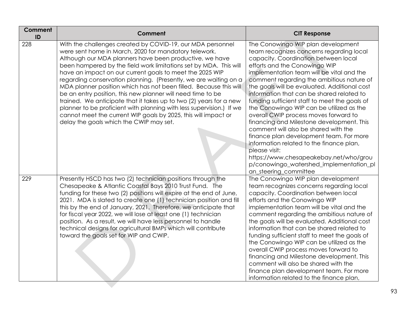| <b>Comment</b><br>ID | Comment                                                                                                                                                                                                                                                                                                                                                                                                                                                                                                                                                                                                                                                                                                                                                                            | <b>CIT Response</b>                                                                                                                                                                                                                                                                                                                                                                                                                                                                                                                                                                                                                                                                                                                                                                             |
|----------------------|------------------------------------------------------------------------------------------------------------------------------------------------------------------------------------------------------------------------------------------------------------------------------------------------------------------------------------------------------------------------------------------------------------------------------------------------------------------------------------------------------------------------------------------------------------------------------------------------------------------------------------------------------------------------------------------------------------------------------------------------------------------------------------|-------------------------------------------------------------------------------------------------------------------------------------------------------------------------------------------------------------------------------------------------------------------------------------------------------------------------------------------------------------------------------------------------------------------------------------------------------------------------------------------------------------------------------------------------------------------------------------------------------------------------------------------------------------------------------------------------------------------------------------------------------------------------------------------------|
| 228                  | With the challenges created by COVID-19, our MDA personnel<br>were sent home in March, 2020 for mandatory telework.<br>Although our MDA planners have been productive, we have<br>been hampered by the field work limitations set by MDA. This will<br>have an impact on our current goals to meet the 2025 WIP<br>regarding conservation planning. (Presently, we are waiting on a<br>MDA planner position which has not been filled. Because this will<br>be an entry position, this new planner will need time to be<br>trained. We anticipate that it takes up to two (2) years for a new<br>planner to be proficient with planning with less supervision.) If we<br>cannot meet the current WIP goals by 2025, this will impact or<br>delay the goals which the CWIP may set. | The Conowingo WIP plan development<br>team recognizes concerns regarding local<br>capacity. Coordination between local<br>efforts and the Conowingo WIP<br>implementation team will be vital and the<br>comment regarding the ambitious nature of<br>the goals will be evaluated. Additional cost<br>information that can be shared related to<br>funding sufficient staff to meet the goals of<br>the Conowingo WIP can be utilized as the<br>overall CWIP process moves forward to<br>financing and Milestone development. This<br>comment will also be shared with the<br>finance plan development team. For more<br>information related to the finance plan,<br>please visit:<br>https://www.chesapeakebay.net/who/grou<br>p/conowingo_watershed_implementation_pl<br>an_steering_committee |
| 229                  | Presently HSCD has two (2) technician positions through the<br>Chesapeake & Atlantic Coastal Bays 2010 Trust Fund. The<br>funding for these two (2) positions will expire at the end of June,<br>2021. MDA is slated to create one (1) technician position and fill<br>this by the end of January, 2021. Therefore, we anticipate that<br>for fiscal year 2022, we will lose at least one (1) technician<br>position. As a result, we will have less personnel to handle<br>technical designs for agricultural BMPs which will contribute<br>toward the goals set for WIP and CWIP.                                                                                                                                                                                                | The Conowingo WIP plan development<br>team recognizes concerns regarding local<br>capacity. Coordination between local<br>efforts and the Conowingo WIP<br>implementation team will be vital and the<br>comment regarding the ambitious nature of<br>the goals will be evaluated. Additional cost<br>information that can be shared related to<br>funding sufficient staff to meet the goals of<br>the Conowingo WIP can be utilized as the<br>overall CWIP process moves forward to<br>financing and Milestone development. This<br>comment will also be shared with the<br>finance plan development team. For more<br>information related to the finance plan,                                                                                                                                |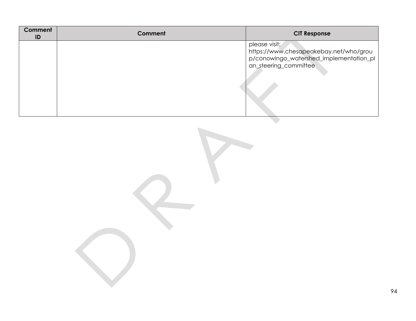| Comment<br>ID | <b>Comment</b> | <b>CIT Response</b>                                                                                                         |
|---------------|----------------|-----------------------------------------------------------------------------------------------------------------------------|
|               |                | please visit:<br>https://www.chesapeakebay.net/who/grou<br>p/conowingo_watershed_implementation_pl<br>an_steering_committee |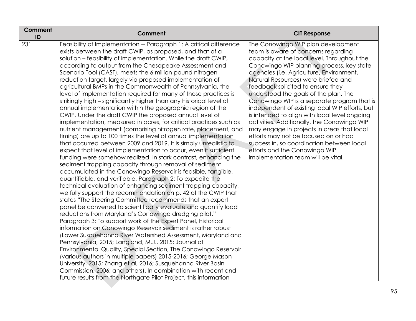| Comment<br>ID | Comment                                                                                                                                                                                                                                                                                                                                                                                                                                                                                                                                                                                                                                                                                                                                                                                                                                                                                                                                                                                                                                                                                                                                                                                                                                                                                                                                                                                                                                                                                                                                                                                                                                                                                                                                                                                                                                                                                                                                                                                                                                                                                                                                                                                                                                                    | <b>CIT Response</b>                                                                                                                                                                                                                                                                                                                                                                                                                                                                                                                                                                                                                                                                                                                               |
|---------------|------------------------------------------------------------------------------------------------------------------------------------------------------------------------------------------------------------------------------------------------------------------------------------------------------------------------------------------------------------------------------------------------------------------------------------------------------------------------------------------------------------------------------------------------------------------------------------------------------------------------------------------------------------------------------------------------------------------------------------------------------------------------------------------------------------------------------------------------------------------------------------------------------------------------------------------------------------------------------------------------------------------------------------------------------------------------------------------------------------------------------------------------------------------------------------------------------------------------------------------------------------------------------------------------------------------------------------------------------------------------------------------------------------------------------------------------------------------------------------------------------------------------------------------------------------------------------------------------------------------------------------------------------------------------------------------------------------------------------------------------------------------------------------------------------------------------------------------------------------------------------------------------------------------------------------------------------------------------------------------------------------------------------------------------------------------------------------------------------------------------------------------------------------------------------------------------------------------------------------------------------------|---------------------------------------------------------------------------------------------------------------------------------------------------------------------------------------------------------------------------------------------------------------------------------------------------------------------------------------------------------------------------------------------------------------------------------------------------------------------------------------------------------------------------------------------------------------------------------------------------------------------------------------------------------------------------------------------------------------------------------------------------|
| 231           | Feasibility of Implementation -- Paragraph 1: A critical difference<br>exists between the draft CWIP, as proposed, and that of a<br>solution - feasibility of implementation. While the draft CWIP,<br>according to output from the Chesapeake Assessment and<br>Scenario Tool (CAST), meets the 6 million pound nitrogen<br>reduction target, largely via proposed implementation of<br>agricultural BMPs in the Commonwealth of Pennsylvania, the<br>level of implementation required for many of those practices is<br>strikingly high – significantly higher than any historical level of<br>annual implementation within the geographic region of the<br>CWIP. Under the draft CWIP the proposed annual level of<br>implementation, measured in acres, for critical practices such as<br>nutrient management (comprising nitrogen rate, placement, and<br>timing) are up to 100 times the level of annual implementation<br>that occurred between 2009 and 2019. It is simply unrealistic to<br>expect that level of implementation to occur, even if sufficient<br>funding were somehow realized. In stark contrast, enhancing the<br>sediment trapping capacity through removal of sediment<br>accumulated in the Conowingo Reservoir is feasible, tangible,<br>quantifiable, and verifiable. Paragraph 2: To expedite the<br>technical evaluation of enhancing sediment trapping capacity,<br>we fully support the recommendation on p. 42 of the CWIP that<br>states "The Steering Committee recommends that an expert<br>panel be convened to scientifically evaluate and quantify load<br>reductions from Maryland's Conowingo dredging pilot."<br>Paragraph 3: To support work of the Expert Panel, historical<br>information on Conowingo Reservoir sediment is rather robust<br>(Lower Susquehanna River Watershed Assessment, Maryland and<br>Pennsylvania, 2015; Langland, M.J., 2015; Journal of<br>Environmental Quality, Special Section, The Conowingo Reservoir<br>(various authors in multiple papers) 2015-2016; George Mason<br>University, 2015; Zhang et al, 2016; Susquehanna River Basin<br>Commission, 2006; and others). In combination with recent and<br>future results from the Northgate Pilot Project, this information | The Conowingo WIP plan development<br>team is aware of concerns regarding<br>capacity at the local level. Throughout the<br>Conowingo WIP planning process, key state<br>agencies (i.e. Agriculture, Environment,<br>Natural Resources) were briefed and<br>feedback solicited to ensure they<br>understood the goals of the plan. The<br>Conowingo WIP is a separate program that is<br>independent of existing local WIP efforts, but<br>is intended to align with local level ongoing<br>activities. Additionally, the Conowingo WIP<br>may engage in projects in areas that local<br>efforts may not be focused on or had<br>success in, so coordination between local<br>efforts and the Conowingo WIP<br>implementation team will be vital. |
|               |                                                                                                                                                                                                                                                                                                                                                                                                                                                                                                                                                                                                                                                                                                                                                                                                                                                                                                                                                                                                                                                                                                                                                                                                                                                                                                                                                                                                                                                                                                                                                                                                                                                                                                                                                                                                                                                                                                                                                                                                                                                                                                                                                                                                                                                            |                                                                                                                                                                                                                                                                                                                                                                                                                                                                                                                                                                                                                                                                                                                                                   |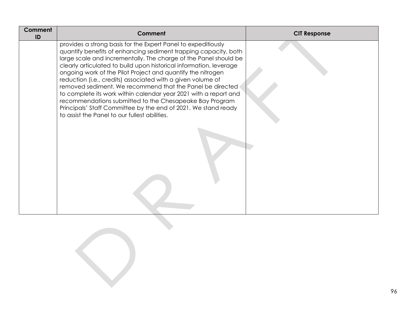| Comment<br>ID | Comment                                                                                                                                                                                                                                                                                                                                                                                                                                                                                                                                                                                                                                                                                                                 | <b>CIT Response</b> |
|---------------|-------------------------------------------------------------------------------------------------------------------------------------------------------------------------------------------------------------------------------------------------------------------------------------------------------------------------------------------------------------------------------------------------------------------------------------------------------------------------------------------------------------------------------------------------------------------------------------------------------------------------------------------------------------------------------------------------------------------------|---------------------|
|               | provides a strong basis for the Expert Panel to expeditiously<br>quantify benefits of enhancing sediment trapping capacity, both<br>large scale and incrementally. The charge of the Panel should be<br>clearly articulated to build upon historical information, leverage<br>ongoing work of the Pilot Project and quantify the nitrogen<br>reduction (i.e., credits) associated with a given volume of<br>removed sediment. We recommend that the Panel be directed<br>to complete its work within calendar year 2021 with a report and<br>recommendations submitted to the Chesapeake Bay Program<br>Principals' Staff Committee by the end of 2021. We stand ready<br>to assist the Panel to our fullest abilities. |                     |
|               |                                                                                                                                                                                                                                                                                                                                                                                                                                                                                                                                                                                                                                                                                                                         |                     |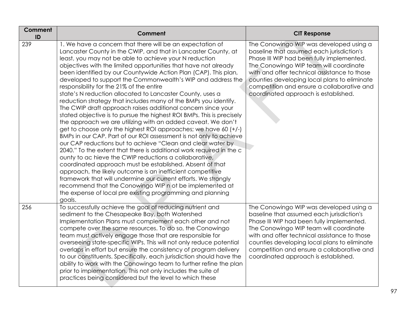| Comment<br>ID | Comment                                                                                                                                                                                                                                                                                                                                                                                                                                                                                                                                                                                                                                                                                                                                                                                                                                                                                                                                                                                                                                                                                                                                                                                                                                                                                                                                                                                                                                                  | <b>CIT Response</b>                                                                                                                                                                                                                                                                                                                                               |
|---------------|----------------------------------------------------------------------------------------------------------------------------------------------------------------------------------------------------------------------------------------------------------------------------------------------------------------------------------------------------------------------------------------------------------------------------------------------------------------------------------------------------------------------------------------------------------------------------------------------------------------------------------------------------------------------------------------------------------------------------------------------------------------------------------------------------------------------------------------------------------------------------------------------------------------------------------------------------------------------------------------------------------------------------------------------------------------------------------------------------------------------------------------------------------------------------------------------------------------------------------------------------------------------------------------------------------------------------------------------------------------------------------------------------------------------------------------------------------|-------------------------------------------------------------------------------------------------------------------------------------------------------------------------------------------------------------------------------------------------------------------------------------------------------------------------------------------------------------------|
| 239           | 1. We have a concern that there will be an expectation of<br>Lancaster County in the CWIP, and that in Lancaster County, at<br>least, you may not be able to achieve your N reduction<br>objectives with the limited opportunities that have not already<br>been identified by our Countywide Action Plan (CAP). This plan,<br>developed to support the Commonwealth's WIP and address the<br>responsibility for the 21% of the entire<br>state's N reduction allocated to Lancaster County, uses a<br>reduction strategy that includes many of the BMPs you identify.<br>The CWIP draft approach raises additional concern since your<br>stated objective is to pursue the highest ROI BMPs. This is precisely<br>the approach we are utilizing with an added caveat. We don't<br>get to choose only the highest ROI approaches; we have 60 (+/-)<br>BMPs in our CAP. Part of our ROI assessment is not only to achieve<br>our CAP reductions but to achieve "Clean and clear water by<br>2040." To the extent that there is additional work required in the c<br>ounty to ac hieve the CWIP reductions a collaborative,<br>coordinated approach must be established. Absent of that<br>approach, the likely outcome is an inefficient competitive<br>framework that will undermine our current efforts. We strongly<br>recommend that the Conowingo WIP n ot be implemented at<br>the expense of local pre existing programming and planning<br>goals. | The Conowingo WIP was developed using a<br>baseline that assumed each jurisdiction's<br>Phase III WIP had been fully implemented.<br>The Conowingo WIP team will coordinate<br>with and offer technical assistance to those<br>counties developing local plans to eliminate<br>competition and ensure a collaborative and<br>coordinated approach is established. |
| 256           | To successfully achieve the goal of reducing nutrient and<br>sediment to the Chesapeake Bay, both Watershed<br>Implementation Plans must complement each other and not<br>compete over the same resources. To do so, the Conowingo<br>team must actively engage those that are responsible for<br>overseeing state-specific WIPs. This will not only reduce potential<br>overlaps in effort but ensure the consistency of program delivery<br>to our constituents. Specifically, each jurisdiction should have the<br>ability to work with the Conowingo team to further refine the plan<br>prior to implementation. This not only includes the suite of<br>practices being considered but the level to which these                                                                                                                                                                                                                                                                                                                                                                                                                                                                                                                                                                                                                                                                                                                                      | The Conowingo WIP was developed using a<br>baseline that assumed each jurisdiction's<br>Phase III WIP had been fully implemented.<br>The Conowingo WIP team will coordinate<br>with and offer technical assistance to those<br>counties developing local plans to eliminate<br>competition and ensure a collaborative and<br>coordinated approach is established. |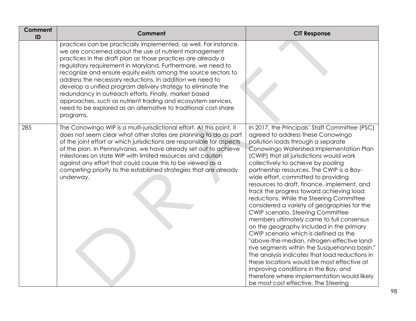| Comment<br>ID | Comment                                                                                                                                                                                                                                                                                                                                                                                                                                                                                                                                                                                                                                                         | <b>CIT Response</b>                                                                                                                                                                                                                                                                                                                                                                                                                                                                                                                                                                                                                                                                                                                                                                                                                                                                                                                                                                                                                          |
|---------------|-----------------------------------------------------------------------------------------------------------------------------------------------------------------------------------------------------------------------------------------------------------------------------------------------------------------------------------------------------------------------------------------------------------------------------------------------------------------------------------------------------------------------------------------------------------------------------------------------------------------------------------------------------------------|----------------------------------------------------------------------------------------------------------------------------------------------------------------------------------------------------------------------------------------------------------------------------------------------------------------------------------------------------------------------------------------------------------------------------------------------------------------------------------------------------------------------------------------------------------------------------------------------------------------------------------------------------------------------------------------------------------------------------------------------------------------------------------------------------------------------------------------------------------------------------------------------------------------------------------------------------------------------------------------------------------------------------------------------|
|               | practices can be practically implemented, as well. For instance,<br>we are concerned about the use of nutrient management<br>practices in the draft plan as those practices are already a<br>regulatory requirement in Maryland. Furthermore, we need to<br>recognize and ensure equity exists among the source sectors to<br>address the necessary reductions. In addition we need to<br>develop a unified program delivery strategy to eliminate the<br>redundancy in outreach efforts. Finally, market based<br>approaches, such as nutrient trading and ecosystem services,<br>need to be explored as an alternative to traditional cost-share<br>programs. |                                                                                                                                                                                                                                                                                                                                                                                                                                                                                                                                                                                                                                                                                                                                                                                                                                                                                                                                                                                                                                              |
| 285           | The Conowingo WIP is a multi-jurisdictional effort. At this point, it<br>does not seem clear what other states are planning to do as part<br>of the joint effort or which jurisdictions are responsible for aspects<br>of the plan. In Pennsylvania, we have already set out to achieve<br>milestones on state WIP with limited resources and caution<br>against any effort that could cause this to be viewed as a<br>competing priority to the established strategies that are already<br>underway.                                                                                                                                                           | In 2017, the Principals' Staff Committee (PSC)<br>agreed to address these Conowingo<br>pollution loads through a separate<br>Conowingo Watershed Implementation Plan<br>(CWIP) that all jurisdictions would work<br>collectively to achieve by pooling<br>partnership resources. The CWIP is a Bay-<br>wide effort, committed to providing<br>resources to draft, finance, implement, and<br>track the progress toward achieving load<br>reductions. While the Steering Committee<br>considered a variety of geographies for the<br><b>CWIP scenario, Steering Committee</b><br>members ultimately came to full consensus<br>on the geography included in the primary<br>CWIP scenario which is defined as the<br>"above-the-median, nitrogen-effective land-<br>rive segments within the Susquehanna basin."<br>The analysis indicates that load reductions in<br>these locations would be most effective at<br>improving conditions in the Bay, and<br>therefore where implementation would likely<br>be most cost effective. The Steering |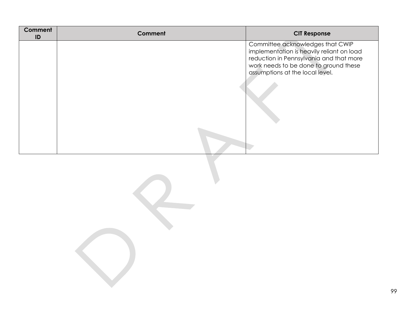| <b>Comment</b><br>ID | <b>Comment</b> | <b>CIT Response</b>                                                                                                                                                                                  |
|----------------------|----------------|------------------------------------------------------------------------------------------------------------------------------------------------------------------------------------------------------|
|                      |                | Committee acknowledges that CWIP<br>implementation is heavily reliant on load<br>reduction in Pennsylvania and that more<br>work needs to be done to ground these<br>assumptions at the local level. |
|                      |                |                                                                                                                                                                                                      |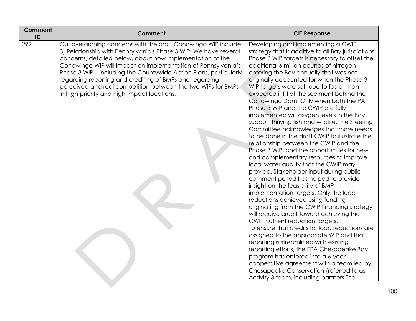| Comment<br>ID | <b>Comment</b>                                                                                                                                                                                                                                                                                                                                                                                                                                                                                                  | <b>CIT Response</b>                                                                                                                                                                                                                                                                                                                                                                                                                                                                                                                                                                                                                                                                                                                                                                                                                                                                                                                                                                                                                                                                                                                                                                                                                                                                                                                                                                                                                                                                                                              |
|---------------|-----------------------------------------------------------------------------------------------------------------------------------------------------------------------------------------------------------------------------------------------------------------------------------------------------------------------------------------------------------------------------------------------------------------------------------------------------------------------------------------------------------------|----------------------------------------------------------------------------------------------------------------------------------------------------------------------------------------------------------------------------------------------------------------------------------------------------------------------------------------------------------------------------------------------------------------------------------------------------------------------------------------------------------------------------------------------------------------------------------------------------------------------------------------------------------------------------------------------------------------------------------------------------------------------------------------------------------------------------------------------------------------------------------------------------------------------------------------------------------------------------------------------------------------------------------------------------------------------------------------------------------------------------------------------------------------------------------------------------------------------------------------------------------------------------------------------------------------------------------------------------------------------------------------------------------------------------------------------------------------------------------------------------------------------------------|
| 292           | Our overarching concerns with the draft Conowingo WIP include:<br>3) Relationship with Pennsylvania's Phase 3 WIP: We have several<br>concerns, detailed below, about how implementation of the<br>Conowingo WIP will impact on implementation of Pennsylvania's<br>Phase 3 WIP - including the Countywide Action Plans, particularly<br>regarding reporting and crediting of BMPs and regarding<br>perceived and real competition between the two WIPs for BMPs<br>in high-priority and high-impact locations. | Developing and implementing a CWIP<br>strategy that is additive to all Bay jurisdictions'<br>Phase 3 WIP targets is necessary to offset the<br>additional 6 million pounds of nitrogen<br>entering the Bay annually that was not<br>originally accounted for when the Phase 3<br>WIP targets were set, due to faster-than-<br>expected infill of the sediment behind the<br>Conowingo Dam. Only when both the PA<br>Phase 3 WIP and the CWIP are fully<br>implemented will oxygen levels in the Bay<br>support thriving fish and wildlife. The Steering<br>Committee acknowledges that more needs<br>to be done in the draft CWIP to illustrate the<br>relationship between the CWIP and the<br>Phase 3 WIP, and the opportunities for new<br>and complementary resources to improve<br>local water quality that the CWIP may<br>provide. Stakeholder input during public<br>comment period has helped to provide<br>insight on the feasibility of BMP<br>implementation targets. Only the load<br>reductions achieved using funding<br>originating from the CWIP financing strategy<br>will receive credit toward achieving the<br>CWIP nutrient reduction targets.<br>To ensure that credits for load reductions are<br>assigned to the appropriate WIP and that<br>reporting is streamlined with existing<br>reporting efforts, the EPA Chesapeake Bay<br>program has entered into a 6-year<br>cooperative agreement with a team led by<br>Chesapeake Conservation (referred to as<br>Activity 3 team, including partners The |
|               |                                                                                                                                                                                                                                                                                                                                                                                                                                                                                                                 |                                                                                                                                                                                                                                                                                                                                                                                                                                                                                                                                                                                                                                                                                                                                                                                                                                                                                                                                                                                                                                                                                                                                                                                                                                                                                                                                                                                                                                                                                                                                  |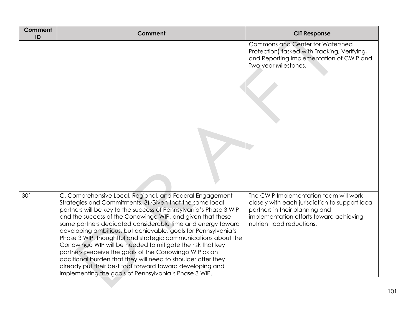| <b>Comment</b><br>ID | Comment                                                                                                                                                                                                                                                                                                                                                                                                                                                                                                                                                                                                                                                                                                                                                                  | <b>CIT Response</b>                                                                                                                                                                                 |
|----------------------|--------------------------------------------------------------------------------------------------------------------------------------------------------------------------------------------------------------------------------------------------------------------------------------------------------------------------------------------------------------------------------------------------------------------------------------------------------------------------------------------------------------------------------------------------------------------------------------------------------------------------------------------------------------------------------------------------------------------------------------------------------------------------|-----------------------------------------------------------------------------------------------------------------------------------------------------------------------------------------------------|
|                      |                                                                                                                                                                                                                                                                                                                                                                                                                                                                                                                                                                                                                                                                                                                                                                          | <b>Commons and Center for Watershed</b><br>Protection) tasked with Tracking, Verifying,<br>and Reporting Implementation of CWIP and<br>Two-year Milestones.                                         |
| 301                  | C. Comprehensive Local, Regional, and Federal Engagement<br>Strategies and Commitments. 3) Given that the same local<br>partners will be key to the success of Pennsylvania's Phase 3 WIP<br>and the success of the Conowingo WIP, and given that these<br>same partners dedicated considerable time and energy toward<br>developing ambitious, but achievable, goals for Pennsylvania's<br>Phase 3 WIP, thoughtful and strategic communications about the<br>Conowingo WIP will be needed to mitigate the risk that key<br>partners perceive the goals of the Conowingo WIP as an<br>additional burden that they will need to shoulder after they<br>already put their best foot forward toward developing and<br>implementing the goals of Pennsylvania's Phase 3 WIP. | The CWIP Implementation team will work<br>closely with each jurisdiction to support local<br>partners in their planning and<br>implementation efforts toward achieving<br>nutrient load reductions. |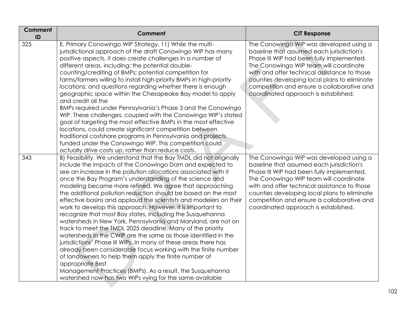| Comment<br>ID | Comment                                                                                                                                                                                                                                                                                                                                                                                                                                                                                                                                                                                                                                                                                                                                                                                                                                                                                                                                                                                                                                                                                                                              | <b>CIT Response</b>                                                                                                                                                                                                                                                                                                                                               |
|---------------|--------------------------------------------------------------------------------------------------------------------------------------------------------------------------------------------------------------------------------------------------------------------------------------------------------------------------------------------------------------------------------------------------------------------------------------------------------------------------------------------------------------------------------------------------------------------------------------------------------------------------------------------------------------------------------------------------------------------------------------------------------------------------------------------------------------------------------------------------------------------------------------------------------------------------------------------------------------------------------------------------------------------------------------------------------------------------------------------------------------------------------------|-------------------------------------------------------------------------------------------------------------------------------------------------------------------------------------------------------------------------------------------------------------------------------------------------------------------------------------------------------------------|
| 325           | E. Primary Conowingo WIP Strategy. 11) While the multi-<br>jurisdictional approach of the draft Conowingo WIP has many<br>positive aspects, it does create challenges in a number of<br>different areas, including: the potential double-<br>counting/crediting of BMPs; potential competition for<br>farms/farmers willing to install high-priority BMPs in high-priority<br>locations; and questions regarding whether there is enough<br>geographic space within the Chesapeake Bay model to apply<br>and credit all the<br>BMPs required under Pennsylvania's Phase 3 and the Conowingo<br>WIP. These challenges, coupled with the Conowingo WIP's stated<br>goal of targeting the most effective BMPs in the most effective<br>locations, could create significant competition between<br>traditional costshare programs in Pennsylvania and projects<br>funded under the Conowingo WIP. This competition could<br>actually drive costs up, rather than reduce costs.                                                                                                                                                           | The Conowingo WIP was developed using a<br>baseline that assumed each jurisdiction's<br>Phase III WIP had been fully implemented.<br>The Conowingo WIP team will coordinate<br>with and offer technical assistance to those<br>counties developing local plans to eliminate<br>competition and ensure a collaborative and<br>coordinated approach is established. |
| 343           | B) Feasibility. We understand that the Bay TMDL did not originally<br>include the impacts of the Conowingo Dam and expected to<br>see an increase in the pollution allocations associated with it<br>once the Bay Program's understanding of the science and<br>modeling became more refined. We agree that approaching<br>the additional pollution reduction should be based on the most<br>effective basins and applaud the scientists and modelers on their<br>work to develop this approach. However, it is important to<br>recognize that most Bay states, including the Susquehanna<br>watersheds in New York, Pennsylvania and Maryland, are not on<br>track to meet the TMDL 2025 deadline. Many of the priority<br>watersheds in the CWIP are the same as those identified in the<br>jurisdictions' Phase III WIPs. In many of these areas there has<br>already been considerable focus working with the finite number<br>of landowners to help them apply the finite number of<br>appropriate Best<br>Management Practices (BMPs). As a result, the Susquehanna<br>watershed now has two WIPs vying for the same available | The Conowingo WIP was developed using a<br>baseline that assumed each jurisdiction's<br>Phase III WIP had been fully implemented.<br>The Conowingo WIP team will coordinate<br>with and offer technical assistance to those<br>counties developing local plans to eliminate<br>competition and ensure a collaborative and<br>coordinated approach is established. |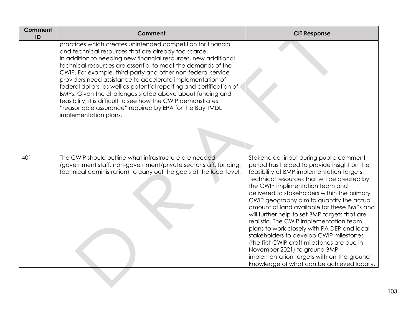| <b>Comment</b><br>ID | Comment                                                                                                                                                                                                                                                                                                                                                                                                                                                                                                                                                                                                                                                                       | <b>CIT Response</b>                                                                                                                                                                                                                                                                                                                                                                                                                                                                                                                                                                                                                                                                                                                 |
|----------------------|-------------------------------------------------------------------------------------------------------------------------------------------------------------------------------------------------------------------------------------------------------------------------------------------------------------------------------------------------------------------------------------------------------------------------------------------------------------------------------------------------------------------------------------------------------------------------------------------------------------------------------------------------------------------------------|-------------------------------------------------------------------------------------------------------------------------------------------------------------------------------------------------------------------------------------------------------------------------------------------------------------------------------------------------------------------------------------------------------------------------------------------------------------------------------------------------------------------------------------------------------------------------------------------------------------------------------------------------------------------------------------------------------------------------------------|
|                      | practices which creates unintended competition for financial<br>and technical resources that are already too scarce.<br>In addition to needing new financial resources, new additional<br>technical resources are essential to meet the demands of the<br>CWIP. For example, third-party and other non-federal service<br>providers need assistance to accelerate implementation of<br>federal dollars, as well as potential reporting and certification of<br>BMPs. Given the challenges stated above about funding and<br>feasibility, it is difficult to see how the CWIP demonstrates<br>"reasonable assurance" required by EPA for the Bay TMDL<br>implementation plans. |                                                                                                                                                                                                                                                                                                                                                                                                                                                                                                                                                                                                                                                                                                                                     |
| 401                  | The CWIP should outline what infrastructure are needed<br>(government staff, non-government/private sector staff, funding,<br>technical administration) to carry out the goals at the local level.                                                                                                                                                                                                                                                                                                                                                                                                                                                                            | Stakeholder input during public comment<br>period has helped to provide insight on the<br>feasibility of BMP implementation targets.<br>Technical resources that will be created by<br>the CWIP implimentation team and<br>delivered to stakeholders within the primary<br>CWIP geography aim to quantify the actual<br>amount of land available for these BMPs and<br>will further help to set BMP targets that are<br>realistic. The CWIP implementation team<br>plans to work closely with PA DEP and local<br>stakeholders to develop CWIP milestones<br>(the first CWIP draft milestones are due in<br>November 2021) to ground BMP<br>implementation targets with on-the-ground<br>knowledge of what can be achieved locally. |
|                      |                                                                                                                                                                                                                                                                                                                                                                                                                                                                                                                                                                                                                                                                               |                                                                                                                                                                                                                                                                                                                                                                                                                                                                                                                                                                                                                                                                                                                                     |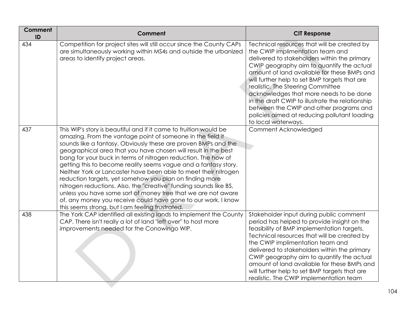| <b>Comment</b><br>ID | Comment                                                                                                                                                                                                                                                                                                                                                                                                                                                                                                                                                                                                                                                                                                                                                                                         | <b>CIT Response</b>                                                                                                                                                                                                                                                                                                                                                                                                                                                                                                                |
|----------------------|-------------------------------------------------------------------------------------------------------------------------------------------------------------------------------------------------------------------------------------------------------------------------------------------------------------------------------------------------------------------------------------------------------------------------------------------------------------------------------------------------------------------------------------------------------------------------------------------------------------------------------------------------------------------------------------------------------------------------------------------------------------------------------------------------|------------------------------------------------------------------------------------------------------------------------------------------------------------------------------------------------------------------------------------------------------------------------------------------------------------------------------------------------------------------------------------------------------------------------------------------------------------------------------------------------------------------------------------|
| 434                  | Competition for project sites will still occur since the County CAPs<br>are simultaneously working within MS4s and outside the urbanized<br>areas to identify project areas.                                                                                                                                                                                                                                                                                                                                                                                                                                                                                                                                                                                                                    | Technical resources that will be created by<br>the CWIP implimentation team and<br>delivered to stakeholders within the primary<br>CWIP geography aim to quantify the actual<br>amount of land available for these BMPs and<br>will further help to set BMP targets that are<br>realistic. The Steering Committee<br>acknowledges that more needs to be done<br>in the draft CWIP to illustrate the relationship<br>between the CWIP and other programs and<br>policies aimed at reducing pollutant loading<br>to local waterways. |
| 437                  | This WIP's story is beautiful and if it came to fruition would be<br>amazing. From the vantage point of someone in the field it<br>sounds like a fantasy. Obviously these are proven BMPs and the<br>geographical area that you have chosen will result in the best<br>bang for your buck in terms of nitrogen reduction. The how of<br>getting this to become reality seems vague and a fantasy story.<br>Neither York or Lancaster have been able to meet their nitrogen<br>reduction targets, yet somehow you plan on finding more<br>nitrogen reductions. Also, the "creative" funding sounds like BS,<br>unless you have some sort of money tree that we are not aware<br>of, any money you receive could have gone to our work. I know<br>this seems strong, but I am feeling frustrated. | Comment Acknowledged                                                                                                                                                                                                                                                                                                                                                                                                                                                                                                               |
| 438                  | The York CAP identified all existing lands to implement the County<br>CAP. There isn't really a lot of land "left over" to host more<br>improvements needed for the Conowingo WIP.                                                                                                                                                                                                                                                                                                                                                                                                                                                                                                                                                                                                              | Stakeholder input during public comment<br>period has helped to provide insight on the<br>feasibility of BMP implementation targets.<br>Technical resources that will be created by<br>the CWIP implimentation team and<br>delivered to stakeholders within the primary<br>CWIP geography aim to quantify the actual<br>amount of land available for these BMPs and<br>will further help to set BMP targets that are<br>realistic. The CWIP implementation team                                                                    |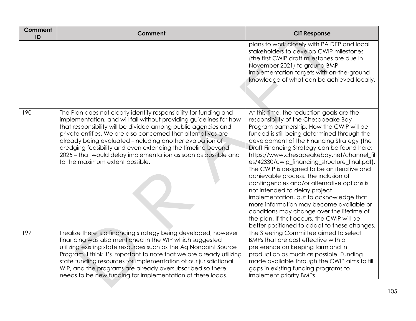| Comment<br>ID | Comment                                                                                                                                                                                                                                                                                                                                                                                                                                                                                                   | <b>CIT Response</b>                                                                                                                                                                                                                                                                                                                                                                                                                                                                                                                                                                                                                                                                                                                                                                 |
|---------------|-----------------------------------------------------------------------------------------------------------------------------------------------------------------------------------------------------------------------------------------------------------------------------------------------------------------------------------------------------------------------------------------------------------------------------------------------------------------------------------------------------------|-------------------------------------------------------------------------------------------------------------------------------------------------------------------------------------------------------------------------------------------------------------------------------------------------------------------------------------------------------------------------------------------------------------------------------------------------------------------------------------------------------------------------------------------------------------------------------------------------------------------------------------------------------------------------------------------------------------------------------------------------------------------------------------|
|               |                                                                                                                                                                                                                                                                                                                                                                                                                                                                                                           | plans to work closely with PA DEP and local<br>stakeholders to develop CWIP milestones<br>(the first CWIP draft milestones are due in<br>November 2021) to ground BMP<br>implementation targets with on-the-ground<br>knowledge of what can be achieved locally.                                                                                                                                                                                                                                                                                                                                                                                                                                                                                                                    |
| 190           | The Plan does not clearly identify responsibility for funding and<br>implementation, and will fail without providing guidelines for how<br>that responsibility will be divided among public agencies and<br>private entities. We are also concerned that alternatives are<br>already being evaluated -including another evaluation of<br>dredging feasibility and even extending the timeline beyond<br>2025 - that would delay implementation as soon as possible and<br>to the maximum extent possible. | At this time, the reduction goals are the<br>responsibility of the Chesapeake Bay<br>Program partnership. How the CWIP will be<br>funded is still being determined through the<br>development of the Financing Strategy (the<br>Draft Financing Strategy can be found here:<br>https://www.chesapeakebay.net/channel_fil<br>es/42330/cwip_financing_structure_final.pdf).<br>The CWIP is designed to be an iterative and<br>achievable process. The inclusion of<br>contingencies and/or alternative options is<br>not intended to delay project<br>implementation, but to acknowledge that<br>more information may become available or<br>conditions may change over the lifetime of<br>the plan. If that occurs, the CWIP will be<br>better positioned to adapt to these changes. |
| 197           | I realize there is a financing strategy being developed, however<br>financing was also mentioned in the WIP which suggested<br>utilizing existing state resources such as the Ag Nonpoint Source                                                                                                                                                                                                                                                                                                          | The Steering Committee aimed to select<br>BMPs that are cost effective with a<br>preference on keeping farmland in                                                                                                                                                                                                                                                                                                                                                                                                                                                                                                                                                                                                                                                                  |
|               | Program. I think it's important to note that we are already utilizing                                                                                                                                                                                                                                                                                                                                                                                                                                     | production as much as possible. Funding                                                                                                                                                                                                                                                                                                                                                                                                                                                                                                                                                                                                                                                                                                                                             |
|               | state funding resources for implementation of our jurisdictional                                                                                                                                                                                                                                                                                                                                                                                                                                          | made available through the CWIP aims to fill                                                                                                                                                                                                                                                                                                                                                                                                                                                                                                                                                                                                                                                                                                                                        |
|               | WIP, and the programs are already oversubscribed so there                                                                                                                                                                                                                                                                                                                                                                                                                                                 | gaps in existing funding programs to                                                                                                                                                                                                                                                                                                                                                                                                                                                                                                                                                                                                                                                                                                                                                |
|               | needs to be new funding for implementation of these loads.                                                                                                                                                                                                                                                                                                                                                                                                                                                | implement priority BMPs.                                                                                                                                                                                                                                                                                                                                                                                                                                                                                                                                                                                                                                                                                                                                                            |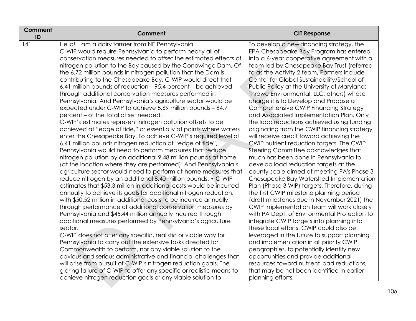| Comment<br>ID | <b>Comment</b>                                                                                                            | <b>CIT Response</b>                                                                       |
|---------------|---------------------------------------------------------------------------------------------------------------------------|-------------------------------------------------------------------------------------------|
| 141           | Hello! I am a dairy farmer from NE Pennsylvania.                                                                          | To develop a new financing strategy, the                                                  |
|               | C-WIP would require Pennsylvania to perform nearly all of                                                                 | EPA Chesapeake Bay Program has entered                                                    |
|               | conservation measures needed to offset the estimated effects of                                                           | into a 6-year cooperative agreement with a                                                |
|               | nitrogen pollution to the Bay caused by the Conowingo Dam. Of                                                             | team led by Chesapeake Bay Trust (referred                                                |
|               | the 6.72 million pounds in nitrogen pollution that the Dam is                                                             | to as the Activity 2 team, Partners include                                               |
|               | contributing to the Chesapeake Bay, C-WIP would direct that                                                               | Center for Global Sustainability/School of                                                |
|               | 6.41 million pounds of reduction – 95.4 percent – be achieved                                                             | Public Policy at the University of Maryland;                                              |
|               | through additional conservation measures performed in<br>Pennsylvania. And Pennsylvania's agriculture sector would be     | Throwe Environmental, LLC; others) whose<br>charge it is to Develop and Propose a         |
|               | expected under C-WIP to achieve 5.69 million pounds - 84.7                                                                | Comprehensive CWIP Financing Strategy                                                     |
|               | percent – of the total offset needed.                                                                                     | and Associated Implementation Plan. Only                                                  |
|               | C-WIP's estimates represent nitrogen pollution offsets to be                                                              | the load reductions achieved using funding                                                |
|               | achieved at "edge of tide," or essentially at points where waters                                                         | originating from the CWIP financing strategy                                              |
|               | enter the Chesapeake Bay. To achieve C-WIP's required level of                                                            | will receive credit toward achieving the                                                  |
|               | 6.41 million pounds nitrogen reduction at "edge of tide",                                                                 | CWIP nutrient reduction targets. The CWIP                                                 |
|               | Pennsylvania would need to perform measures that reduce                                                                   | Steering Committee acknowledges that                                                      |
|               | nitrogen pollution by an additional 9.48 million pounds at home                                                           | much has been done in Pennsylvania to                                                     |
|               | (at the location where they are performed). And Pennsylvania's                                                            | develop load reduction targets at the                                                     |
|               | agriculture sector would need to perform at-home measures that                                                            | county-scale aimed at meeting PA's Phase 3                                                |
|               | reduce nitrogen by an additional 8.40 million pounds. • C-WIP                                                             | Chesapeake Bay Watershed Implementation                                                   |
|               | estimates that \$53.3 million in additional costs would be incurred                                                       | Plan (Phase 3 WIP) targets. Therefore, during                                             |
|               | annually to achieve its goals for additional nitrogen reduction,                                                          | the first CWIP milestone planning period                                                  |
|               | with \$50.52 million in additional costs to be incurred annually                                                          | (draft milestones due in November 2021) the                                               |
|               | through performance of additional conservation measures by                                                                | CWIP implementation team will work closely                                                |
|               | Pennsylvania and \$45.44 million annually incurred through<br>additional measures performed by Pennsylvania's agriculture | with PA Dept. of Environmental Protection to<br>integrate CWIP targets into planning into |
|               | sector.                                                                                                                   | these local efforts. CWIP could also be                                                   |
|               | C-WIP does not offer any specific, realistic or viable way for                                                            | leveraged in the future to support planning                                               |
|               | Pennsylvania to carry out the extensive tasks directed for                                                                | and implementation in all priority CWIP                                                   |
|               | Commonwealth to perform, nor any viable solution to the                                                                   | geographies, to potentially identify new                                                  |
|               | obvious and serious administrative and financial challenges that                                                          | opportunities and provide additional                                                      |
|               | will arise from pursuit of C-WIP's nitrogen reduction goals. The                                                          | resources toward nutrient load reductions,                                                |
|               | glaring failure of C-WIP to offer any specific or realistic means to                                                      | that may be not been identified in earlier                                                |
|               | achieve nitrogen reduction goals or any viable solution to                                                                | planning efforts.                                                                         |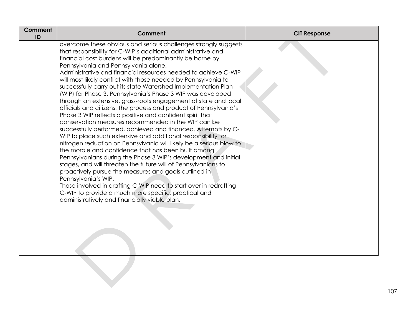| Comment<br>ID | Comment                                                                                                                                                                                                                                                                                                                                                                                                                                                                                                                                                                                                                                                                                                                                                                                                                                                                                                                                                                                                                                                                                                                                                                                                                                                                                                                                                                                                                                  | <b>CIT Response</b> |
|---------------|------------------------------------------------------------------------------------------------------------------------------------------------------------------------------------------------------------------------------------------------------------------------------------------------------------------------------------------------------------------------------------------------------------------------------------------------------------------------------------------------------------------------------------------------------------------------------------------------------------------------------------------------------------------------------------------------------------------------------------------------------------------------------------------------------------------------------------------------------------------------------------------------------------------------------------------------------------------------------------------------------------------------------------------------------------------------------------------------------------------------------------------------------------------------------------------------------------------------------------------------------------------------------------------------------------------------------------------------------------------------------------------------------------------------------------------|---------------------|
|               | overcome these obvious and serious challenges strongly suggests<br>that responsibility for C-WIP's additional administrative and<br>financial cost burdens will be predominantly be borne by<br>Pennsylvania and Pennsylvania alone.<br>Administrative and financial resources needed to achieve C-WIP<br>will most likely conflict with those needed by Pennsylvania to<br>successfully carry out its state Watershed Implementation Plan<br>(WIP) for Phase 3. Pennsylvania's Phase 3 WIP was developed<br>through an extensive, grass-roots engagement of state and local<br>officials and citizens. The process and product of Pennsylvania's<br>Phase 3 WIP reflects a positive and confident spirit that<br>conservation measures recommended in the WIP can be<br>successfully performed, achieved and financed. Attempts by C-<br>WIP to place such extensive and additional responsibility for<br>nitrogen reduction on Pennsylvania will likely be a serious blow to<br>the morale and confidence that has been built among<br>Pennsylvanians during the Phase 3 WIP's development and initial<br>stages, and will threaten the future will of Pennsylvanians to<br>proactively pursue the measures and goals outlined in<br>Pennsylvania's WIP.<br>Those involved in drafting C-WIP need to start over in redrafting<br>C-WIP to provide a much more specific, practical and<br>administratively and financially viable plan. |                     |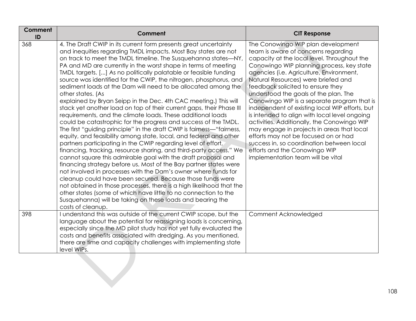| Comment<br>ID | <b>Comment</b>                                                                                                                                                                                                                                                                                                                                                                                                                                                                                                                                                                                                                                                                                                                                                                                                                                                                                                                                                                                                                                                                                                                                                                                                                                                                                                                                                                                                                                                                                                                                                               | <b>CIT Response</b>                                                                                                                                                                                                                                                                                                                                                                                                                                                                                                                                                                                                                                                                                                                              |
|---------------|------------------------------------------------------------------------------------------------------------------------------------------------------------------------------------------------------------------------------------------------------------------------------------------------------------------------------------------------------------------------------------------------------------------------------------------------------------------------------------------------------------------------------------------------------------------------------------------------------------------------------------------------------------------------------------------------------------------------------------------------------------------------------------------------------------------------------------------------------------------------------------------------------------------------------------------------------------------------------------------------------------------------------------------------------------------------------------------------------------------------------------------------------------------------------------------------------------------------------------------------------------------------------------------------------------------------------------------------------------------------------------------------------------------------------------------------------------------------------------------------------------------------------------------------------------------------------|--------------------------------------------------------------------------------------------------------------------------------------------------------------------------------------------------------------------------------------------------------------------------------------------------------------------------------------------------------------------------------------------------------------------------------------------------------------------------------------------------------------------------------------------------------------------------------------------------------------------------------------------------------------------------------------------------------------------------------------------------|
| 368           | 4. The Draft CWIP in its current form presents great uncertainty<br>and inequities regarding TMDL impacts. Most Bay states are not<br>on track to meet the TMDL timeline. The Susquehanna states—NY,<br>PA and MD are currently in the worst shape in terms of meeting<br>TMDL targets. [] As no politically palatable or feasible funding<br>source was identified for the CWIP, the nitrogen, phosphorus, and<br>sediment loads at the Dam will need to be allocated among the<br>other states. (As<br>explained by Bryan Seipp in the Dec. 4th CAC meeting.) This will<br>stack yet another load on top of their current gaps, their Phase III<br>requirements, and the climate loads. These additional loads<br>could be catastrophic for the progress and success of the TMDL.<br>The first "guiding principle" in the draft CWIP is fairness—"fairness,<br>equity, and feasibility among state, local, and federal and other<br>partners participating in the CWIP regarding level of effort,<br>financing, tracking, resource sharing, and third-party access." We<br>cannot square this admirable goal with the draft proposal and<br>financing strategy before us. Most of the Bay partner states were<br>not involved in processes with the Dam's owner where funds for<br>cleanup could have been secured. Because those funds were<br>not obtained in those processes, there is a high likelihood that the<br>other states (some of which have little to no connection to the<br>Susquehanna) will be taking on these loads and bearing the<br>costs of cleanup. | The Conowingo WIP plan development<br>team is aware of concerns regarding<br>capacity at the local level. Throughout the<br>Conowingo WIP planning process, key state<br>agencies (i.e. Agriculture, Environment,<br>Natural Resources) were briefed and<br>feedback solicited to ensure they<br>understood the goals of the plan. The<br>Conowingo WIP is a separate program that is<br>independent of existing local WIP efforts, but<br>is intended to align with local level ongoing<br>activities. Additionally, the Conowingo WIP<br>may engage in projects in areas that local<br>efforts may not be focused on or had<br>success in, so coordination between local<br>efforts and the Conowingo WIP<br>implementation team will be vital |
| 398           | I understand this was outside of the current CWIP scope, but the<br>language about the potential for reassigning loads is concerning,<br>especially since the MD pilot study has not yet fully evaluated the<br>costs and benefits associated with dredging. As you mentioned,<br>there are time and capacity challenges with implementing state<br>level WIPs.                                                                                                                                                                                                                                                                                                                                                                                                                                                                                                                                                                                                                                                                                                                                                                                                                                                                                                                                                                                                                                                                                                                                                                                                              | Comment Acknowledged                                                                                                                                                                                                                                                                                                                                                                                                                                                                                                                                                                                                                                                                                                                             |
|               |                                                                                                                                                                                                                                                                                                                                                                                                                                                                                                                                                                                                                                                                                                                                                                                                                                                                                                                                                                                                                                                                                                                                                                                                                                                                                                                                                                                                                                                                                                                                                                              |                                                                                                                                                                                                                                                                                                                                                                                                                                                                                                                                                                                                                                                                                                                                                  |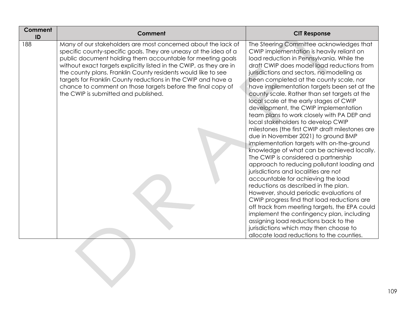| Comment                                                                                                                                                                                                                                                                                                                                                                                                                                                                                                         | <b>CIT Response</b>                                                                                                                                                                                                                                                                                                                                                                                                                                                                                                                                                                                                                                                                                                                                                                                                                                                                                                                                                                                                                                                                                                                                                                                                                                                      |
|-----------------------------------------------------------------------------------------------------------------------------------------------------------------------------------------------------------------------------------------------------------------------------------------------------------------------------------------------------------------------------------------------------------------------------------------------------------------------------------------------------------------|--------------------------------------------------------------------------------------------------------------------------------------------------------------------------------------------------------------------------------------------------------------------------------------------------------------------------------------------------------------------------------------------------------------------------------------------------------------------------------------------------------------------------------------------------------------------------------------------------------------------------------------------------------------------------------------------------------------------------------------------------------------------------------------------------------------------------------------------------------------------------------------------------------------------------------------------------------------------------------------------------------------------------------------------------------------------------------------------------------------------------------------------------------------------------------------------------------------------------------------------------------------------------|
| Many of our stakeholders are most concerned about the lack of<br>specific county-specific goals. They are uneasy at the idea of a<br>public document holding them accountable for meeting goals<br>without exact targets explicitly listed in the CWIP, as they are in<br>the county plans. Franklin County residents would like to see<br>targets for Franklin County reductions in the CWIP and have a<br>chance to comment on those targets before the final copy of<br>the CWIP is submitted and published. | The Steering Committee acknowledges that<br>CWIP implementation is heavily reliant on<br>load reduction in Pennsylvania. While the<br>draft CWIP does model load reductions from<br>jurisdictions and sectors, no modelling as<br>been completed at the county scale, nor<br>have implementation targets been set at the<br>county scale. Rather than set targets at the<br>local scale at the early stages of CWIP<br>development, the CWIP implementation<br>team plans to work closely with PA DEP and<br>local stakeholders to develop CWIP<br>milestones (the first CWIP draft milestones are<br>due in November 2021) to ground BMP<br>implementation targets with on-the-ground<br>knowledge of what can be achieved locally.<br>The CWIP is considered a partnership<br>approach to reducing pollutant loading and<br>jurisdictions and localities are not<br>accountable for achieving the load<br>reductions as described in the plan.<br>However, should periodic evaluations of<br>CWIP progress find that load reductions are<br>off track from meeting targets, the EPA could<br>implement the contingency plan, including<br>assigning load reductions back to the<br>jurisdictions which may then choose to<br>allocate load reductions to the counties. |
|                                                                                                                                                                                                                                                                                                                                                                                                                                                                                                                 |                                                                                                                                                                                                                                                                                                                                                                                                                                                                                                                                                                                                                                                                                                                                                                                                                                                                                                                                                                                                                                                                                                                                                                                                                                                                          |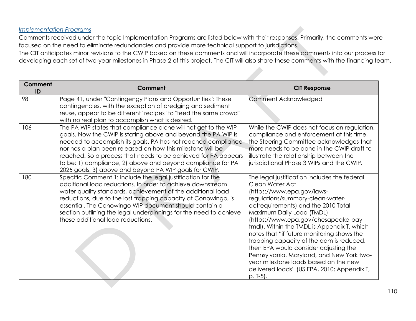#### *Implementation Programs*

Comments received under the topic Implementation Programs are listed below with their responses. Primarily, the comments were focused on the need to eliminate redundancies and provide more technical support to jurisdictions.

The CIT anticipates minor revisions to the CWIP based on these comments and will incorporate these comments into our process for developing each set of two-year milestones in Phase 2 of this project. The CIT will also share these comments with the financing team.

| <b>Comment</b><br>ID | Comment                                                                                                                                                                                                                                                                                                                                                                                                                                                    | <b>CIT Response</b>                                                                                                                                                                                                                                                                                                                                                                                                                                                                                                                                                                 |
|----------------------|------------------------------------------------------------------------------------------------------------------------------------------------------------------------------------------------------------------------------------------------------------------------------------------------------------------------------------------------------------------------------------------------------------------------------------------------------------|-------------------------------------------------------------------------------------------------------------------------------------------------------------------------------------------------------------------------------------------------------------------------------------------------------------------------------------------------------------------------------------------------------------------------------------------------------------------------------------------------------------------------------------------------------------------------------------|
| 98                   | Page 41, under "Contingengy Plans and Opportunities": These<br>contingencies, with the exception of dredging and sediment<br>reuse, appear to be different "recipes" to "feed the same crowd"<br>with no real plan to accomplish what is desired.                                                                                                                                                                                                          | Comment Acknowledged                                                                                                                                                                                                                                                                                                                                                                                                                                                                                                                                                                |
| 106                  | The PA WIP states that compliance alone will not get to the WIP<br>goals. Now the CWIP is stating above and beyond the PA WIP is<br>needed to accomplish its goals. PA has not reached compliance<br>nor has a plan been released on how this milestone will be<br>reached. So a process that needs to be achieved for PA appears<br>to be: 1) compliance, 2) above and beyond compliance for PA<br>2025 goals, 3) above and beyond PA WIP goals for CWIP. | While the CWIP does not focus on regulation,<br>compliance and enforcement at this time,<br>the Steering Committee acknowledges that<br>more needs to be done in the CWIP draft to<br>illustrate the relationship between the<br>jurisdictional Phase 3 WIPs and the CWIP.                                                                                                                                                                                                                                                                                                          |
| 180                  | Specific Comment 1: Include the legal justification for the<br>additional load reductions. In order to achieve downstream<br>water quality standards, achievement of the additional load<br>reductions, due to the lost trapping capacity at Conowingo, is<br>essential. The Conowingo WIP document should contain a<br>section outlining the legal underpinnings for the need to achieve<br>these additional load reductions.                             | The legal justification includes the federal<br>Clean Water Act<br>(https://www.epa.gov/laws-<br>regulations/summary-clean-water-<br>actrequirements) and the 2010 Total<br>Maximum Daily Load (TMDL)<br>(https://www.epa.gov/chesapeake-bay-<br>tmdl). Within the TMDL is Appendix T, which<br>notes that "if future monitoring shows the<br>trapping capacity of the dam is reduced,<br>then EPA would consider adjusting the<br>Pennsylvania, Maryland, and New York two-<br>year milestone loads based on the new<br>delivered loads" (US EPA, 2010; Appendix T,<br>$p. T-5$ ). |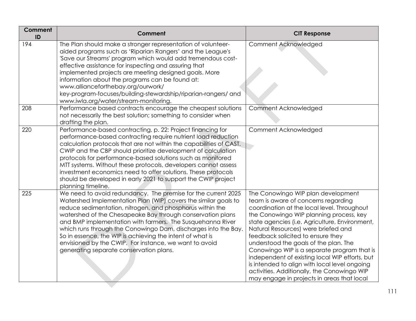| Comment<br>ID | <b>Comment</b>                                                                                                                                                                                                                                                                                                                                                                                                                                                                                                                                                | <b>CIT Response</b>                                                                                                                                                                                                                                                                                                                                                                                                                                                                                                                                                                       |
|---------------|---------------------------------------------------------------------------------------------------------------------------------------------------------------------------------------------------------------------------------------------------------------------------------------------------------------------------------------------------------------------------------------------------------------------------------------------------------------------------------------------------------------------------------------------------------------|-------------------------------------------------------------------------------------------------------------------------------------------------------------------------------------------------------------------------------------------------------------------------------------------------------------------------------------------------------------------------------------------------------------------------------------------------------------------------------------------------------------------------------------------------------------------------------------------|
| 194           | The Plan should make a stronger representation of volunteer-<br>aided programs such as 'Riparian Rangers' and the League's<br>'Save our Streams' program which would add tremendous cost-<br>effective assistance for inspecting and assuring that<br>implemented projects are meeting designed goals. More<br>information about the programs can be found at:<br>www.allianceforthebay.org/ourwork/<br>key-program-focuses/building-stewardship/riparian-rangers/ and<br>www.iwla.org/water/stream-monitoring.                                               | Comment Acknowledged                                                                                                                                                                                                                                                                                                                                                                                                                                                                                                                                                                      |
| 208           | Performance based contracts encourage the cheapest solutions<br>not necessarily the best solution; something to consider when<br>drafting the plan.                                                                                                                                                                                                                                                                                                                                                                                                           | Comment Acknowledged                                                                                                                                                                                                                                                                                                                                                                                                                                                                                                                                                                      |
| 220           | Performance-based contracting, p. 22: Project financing for<br>performance-based contracting require nutrient load reduction<br>calculation protocols that are not within the capabilities of CAST.<br>CWIP and the CBP should prioritize development of calculation<br>protocols for performance-based solutions such as monitored<br>MTT systems. Without these protocols, developers cannot assess<br>investment economics need to offer solutions. These protocols<br>should be developed in early 2021 to support the CWIP project<br>planning timeline. | Comment Acknowledged                                                                                                                                                                                                                                                                                                                                                                                                                                                                                                                                                                      |
| 225           | We need to avoid redundancy. The premise for the current 2025<br>Watershed Implementation Plan (WIP) covers the similar goals to<br>reduce sedimentation, nitrogen, and phosphorus within the<br>watershed of the Chesapeake Bay through conservation plans<br>and BMP implementation with farmers. The Susquehanna River<br>which runs through the Conowingo Dam, discharges into the Bay.<br>So in essence, the WIP is achieving the intent of what is<br>envisioned by the CWIP. For instance, we want to avoid<br>generating separate conservation plans. | The Conowingo WIP plan development<br>team is aware of concerns regarding<br>coordination at the local level. Throughout<br>the Conowingo WIP planning process, key<br>state agencies (i.e. Agriculture, Environment,<br>Natural Resources) were briefed and<br>feedback solicited to ensure they<br>understood the goals of the plan. The<br>Conowingo WIP is a separate program that is<br>independent of existing local WIP efforts, but<br>is intended to align with local level ongoing<br>activities. Additionally, the Conowingo WIP<br>may engage in projects in areas that local |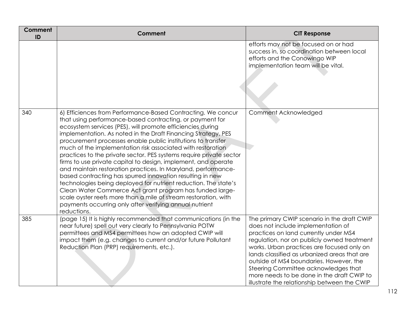| <b>Comment</b><br>ID | Comment                                                                                                                                                                                                                                                                                                                                                                                                                                                                                                                                                                                                                                                                                                                                                                                                                                                                                                                                   | <b>CIT Response</b>                                                                                                                                                                                                                                                                                                                                                                                                                                      |
|----------------------|-------------------------------------------------------------------------------------------------------------------------------------------------------------------------------------------------------------------------------------------------------------------------------------------------------------------------------------------------------------------------------------------------------------------------------------------------------------------------------------------------------------------------------------------------------------------------------------------------------------------------------------------------------------------------------------------------------------------------------------------------------------------------------------------------------------------------------------------------------------------------------------------------------------------------------------------|----------------------------------------------------------------------------------------------------------------------------------------------------------------------------------------------------------------------------------------------------------------------------------------------------------------------------------------------------------------------------------------------------------------------------------------------------------|
|                      |                                                                                                                                                                                                                                                                                                                                                                                                                                                                                                                                                                                                                                                                                                                                                                                                                                                                                                                                           | efforts may not be focused on or had<br>success in, so coordination between local<br>efforts and the Conowingo WIP<br>implementation team will be vital.                                                                                                                                                                                                                                                                                                 |
| 340                  | 6) Efficiences from Performance-Based Contracting. We concur<br>that using performance-based contracting, or payment for<br>ecosystem services (PES), will promote efficiencies during<br>implementation. As noted in the Draft Financing Strategy, PES<br>procurement processes enable public institutions to transfer<br>much of the implementation risk associated with restoration<br>practices to the private sector. PES systems require private sector<br>firms to use private capital to design, implement, and operate<br>and maintain restoration practices. In Maryland, performance-<br>based contracting has spurred innovation resulting in new<br>technologies being deployed for nutrient reduction. The state's<br>Clean Water Commerce Act grant program has funded large-<br>scale oyster reefs more than a mile of stream restoration, with<br>payments occurring only after verifying annual nutrient<br>reductions. | Comment Acknowledged                                                                                                                                                                                                                                                                                                                                                                                                                                     |
| 385                  | (page 15) It is highly recommended that communications (in the<br>near future) spell out very clearly to Pennsylvania POTW<br>permittees and MS4 permittees how an adopted CWIP will<br>impact them (e.g. changes to current and/or future Pollutant<br>Reduction Plan (PRP) requirements, etc.).                                                                                                                                                                                                                                                                                                                                                                                                                                                                                                                                                                                                                                         | The primary CWIP scenario in the draft CWIP<br>does not include implementation of<br>practices on land currently under MS4<br>regulation, nor on publicly owned treatment<br>works. Urban practices are focused only on<br>lands classified as urbanized areas that are<br>outside of MS4 boundaries. However, the<br>Steering Committee acknowledges that<br>more needs to be done in the draft CWIP to<br>illustrate the relationship between the CWIP |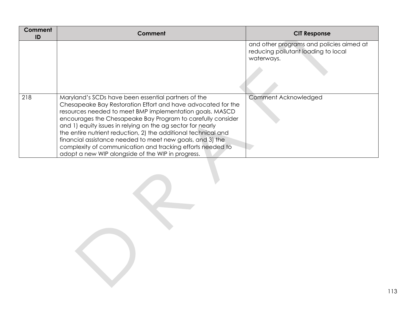| Comment<br>ID | Comment                                                                                                                                                                                                                                                                                                                                                                                                                                                                                                                                                         | <b>CIT Response</b>                                                                           |
|---------------|-----------------------------------------------------------------------------------------------------------------------------------------------------------------------------------------------------------------------------------------------------------------------------------------------------------------------------------------------------------------------------------------------------------------------------------------------------------------------------------------------------------------------------------------------------------------|-----------------------------------------------------------------------------------------------|
|               |                                                                                                                                                                                                                                                                                                                                                                                                                                                                                                                                                                 | and other programs and policies aimed at<br>reducing pollutant loading to local<br>waterways. |
| 218           | Maryland's SCDs have been essential partners of the<br>Chesapeake Bay Restoration Effort and have advocated for the<br>resources needed to meet BMP implementation goals. MASCD<br>encourages the Chesapeake Bay Program to carefully consider<br>and 1) equity issues in relying on the ag sector for nearly<br>the entire nutrient reduction, 2) the additional technical and<br>financial assistance needed to meet new goals, and 3) the<br>complexity of communication and tracking efforts needed to<br>adopt a new WIP alongside of the WIP in progress. | Comment Acknowledged                                                                          |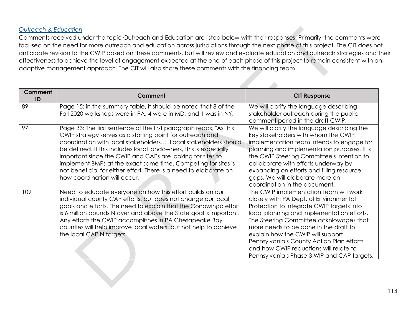## *Outreach & Education*

Comments received under the topic Outreach and Education are listed below with their responses. Primarily, the comments were focused on the need for more outreach and education across jurisdictions through the next phase of this project. The CIT does not anticipate revision to the CWIP based on these comments, but will review and evaluate education and outreach strategies and their effectiveness to achieve the level of engagement expected at the end of each phase of this project to remain consistent with an adaptive management approach. The CIT will also share these comments with the financing team.

| Comment<br>ID | Comment                                                                                                                                                                                                                                                                                                                                                                                                                                                                                                     | <b>CIT Response</b>                                                                                                                                                                                                                                                                                                                                                                                                                        |
|---------------|-------------------------------------------------------------------------------------------------------------------------------------------------------------------------------------------------------------------------------------------------------------------------------------------------------------------------------------------------------------------------------------------------------------------------------------------------------------------------------------------------------------|--------------------------------------------------------------------------------------------------------------------------------------------------------------------------------------------------------------------------------------------------------------------------------------------------------------------------------------------------------------------------------------------------------------------------------------------|
| 89            | Page 15: in the summary table, it should be noted that 8 of the<br>Fall 2020 workshops were in PA, 4 were in MD, and 1 was in NY.                                                                                                                                                                                                                                                                                                                                                                           | We will clarify the language describing<br>stakeholder outreach during the public<br>comment period in the draft CWIP.                                                                                                                                                                                                                                                                                                                     |
| 97            | Page 33: The first sentence of the first paragraph reads, "As this<br>CWIP strategy serves as a starting point for outreach and<br>coordination with local stakeholders" Local stakeholders should<br>be defined. If this includes local landowners, this is especially<br>important since the CWIP and CAPs are looking for sites to<br>implement BMPs at the exact same time. Competing for sites is<br>not beneficial for either effort. There is a need to elaborate on<br>how coordination will occur. | We will clarify the language describing the<br>key stakeholders with whom the CWIP<br>implementation team intends to engage for<br>planning and implementation purposes. It is<br>the CWIP Steering Committee's intention to<br>collaborate with efforts underway by<br>expanding on efforts and filling resource<br>gaps. We will elaborate more on<br>coordination in the document.                                                      |
| 109           | Need to educate everyone on how this effort builds on our<br>individual county CAP efforts, but does not change our local<br>goals and efforts. The need to explain that the Conowingo effort<br>is 6 million pounds N over and above the State goal is important.<br>Any efforts the CWIP accomplishes in PA Chesapeake Bay<br>counties will help improve local waters, but not help to achieve<br>the local CAP N targets.                                                                                | The CWIP implementation team will work<br>closely with PA Dept. of Environmental<br>Protection to integrate CWIP targets into<br>local planning and implementation efforts.<br>The Steering Committee acknlowdges that<br>more needs to be done in the draft to<br>explain how the CWIP will support<br>Pennsylvania's County Action Plan efforts<br>and how CWIP reductions will relate to<br>Pennsylvania's Phase 3 WIP and CAP targets. |
|               |                                                                                                                                                                                                                                                                                                                                                                                                                                                                                                             |                                                                                                                                                                                                                                                                                                                                                                                                                                            |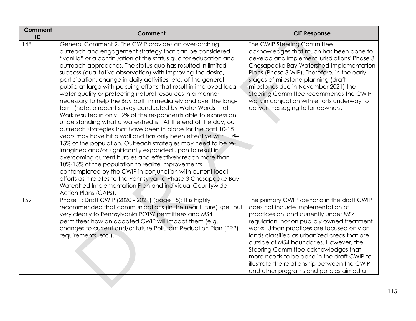| <b>Comment</b><br>ID | Comment                                                                                                                                                                                                                                                                                                                                                                                                                                                                                                                                                                                                                                                                                                                                                                                                                                                                                                                                                                                                                                                                                                                                                                                                                                                                                                                                                                                              | <b>CIT Response</b>                                                                                                                                                                                                                                                                                                                                                                                                                                                                                  |
|----------------------|------------------------------------------------------------------------------------------------------------------------------------------------------------------------------------------------------------------------------------------------------------------------------------------------------------------------------------------------------------------------------------------------------------------------------------------------------------------------------------------------------------------------------------------------------------------------------------------------------------------------------------------------------------------------------------------------------------------------------------------------------------------------------------------------------------------------------------------------------------------------------------------------------------------------------------------------------------------------------------------------------------------------------------------------------------------------------------------------------------------------------------------------------------------------------------------------------------------------------------------------------------------------------------------------------------------------------------------------------------------------------------------------------|------------------------------------------------------------------------------------------------------------------------------------------------------------------------------------------------------------------------------------------------------------------------------------------------------------------------------------------------------------------------------------------------------------------------------------------------------------------------------------------------------|
| 148                  | General Comment 2. The CWIP provides an over-arching<br>outreach and engagement strategy that can be considered<br>"vanilla" or a continuation of the status quo for education and<br>outreach approaches. The status quo has resulted in limited<br>success (qualitative observation) with improving the desire,<br>participation, change in daily activities, etc. of the general<br>public-at-large with pursuing efforts that result in improved local<br>water quality or protecting natural resources in a manner<br>necessary to help the Bay both immediately and over the long-<br>term (note: a recent survey conducted by Water Words That<br>Work resulted in only 12% of the respondents able to express an<br>understanding what a watershed is). At the end of the day, our<br>outreach strategies that have been in place for the past 10-15<br>years may have hit a wall and has only been effective with 10%-<br>15% of the population. Outreach strategies may need to be re-<br>imagined and/or significantly expanded upon to result in<br>overcoming current hurdles and effectively reach more than<br>10%-15% of the population to realize improvements<br>contemplated by the CWIP in conjunction with current local<br>efforts as it relates to the Pennsylvania Phase 3 Chesapeake Bay<br>Watershed Implementation Plan and individual Countywide<br>Action Plans (CAPs). | The CWIP Steering Committee<br>acknowledges that much has been done to<br>develop and implement jurisdictions' Phase 3<br>Chesapeake Bay Watershed Implementation<br>Plans (Phase 3 WIP). Therefore, in the early<br>stages of milestone planning (draft<br>milestones due in November 2021) the<br>Steering Committee recommends the CWIP<br>work in conjuction with efforts underway to<br>deliver messaging to landowners.                                                                        |
| 159                  | Phase 1: Draft CWIP (2020 - 2021) (page 15): It is highly<br>recommended that communications (in the near future) spell out<br>very clearly to Pennsylvania POTW permittees and MS4<br>permittees how an adopted CWIP will impact them (e.g.<br>changes to current and/or future Pollutant Reduction Plan (PRP)<br>requirements, etc.).                                                                                                                                                                                                                                                                                                                                                                                                                                                                                                                                                                                                                                                                                                                                                                                                                                                                                                                                                                                                                                                              | The primary CWIP scenario in the draft CWIP<br>does not include implementation of<br>practices on land currently under MS4<br>regulation, nor on publicly owned treatment<br>works. Urban practices are focused only on<br>lands classified as urbanized areas that are<br>outside of MS4 boundaries. However, the<br>Steering Committee acknowledges that<br>more needs to be done in the draft CWIP to<br>illustrate the relationship between the CWIP<br>and other programs and policies aimed at |
|                      |                                                                                                                                                                                                                                                                                                                                                                                                                                                                                                                                                                                                                                                                                                                                                                                                                                                                                                                                                                                                                                                                                                                                                                                                                                                                                                                                                                                                      |                                                                                                                                                                                                                                                                                                                                                                                                                                                                                                      |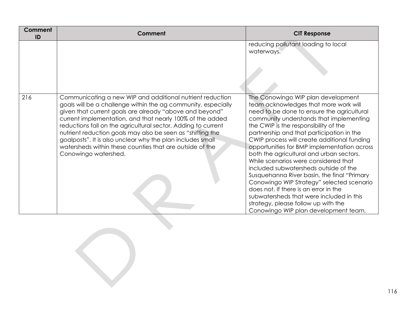| Comment<br>ID | Comment                                                                                                                                                                                                                                                                                                                                                                                                                                                                                                                             | <b>CIT Response</b>                                                                                                                                                                                                                                                                                                                                                                                                                                                                                                                                                                                                                                                                                                                                    |
|---------------|-------------------------------------------------------------------------------------------------------------------------------------------------------------------------------------------------------------------------------------------------------------------------------------------------------------------------------------------------------------------------------------------------------------------------------------------------------------------------------------------------------------------------------------|--------------------------------------------------------------------------------------------------------------------------------------------------------------------------------------------------------------------------------------------------------------------------------------------------------------------------------------------------------------------------------------------------------------------------------------------------------------------------------------------------------------------------------------------------------------------------------------------------------------------------------------------------------------------------------------------------------------------------------------------------------|
|               |                                                                                                                                                                                                                                                                                                                                                                                                                                                                                                                                     | reducing pollutant loading to local<br>waterways.                                                                                                                                                                                                                                                                                                                                                                                                                                                                                                                                                                                                                                                                                                      |
| 216           | Communicating a new WIP and additional nutrient reduction<br>goals will be a challenge within the ag community, especially<br>given that current goals are already "above and beyond"<br>current implementation, and that nearly 100% of the added<br>reductions fall on the agricultural sector. Adding to current<br>nutrient reduction goals may also be seen as "shifting the<br>goalposts". It is also unclear why the plan includes small<br>watersheds within these counties that are outside of the<br>Conowingo watershed. | The Conowingo WIP plan development<br>team acknowledges that more work will<br>need to be done to ensure the agricultural<br>community understands that implementing<br>the CWIP is the responsibility of the<br>partnership and that participation in the<br>CWIP process will create additional funding<br>opportunities for BMP implementation across<br>both the agricultural and urban sectors.<br>While scenarios were considered that<br>included subwatersheds outside of the<br>Susquehanna River basin, the final "Primary"<br>Conowingo WIP Strategy" selected scenario<br>does not. If there is an error in the<br>subwatersheds that were included in this<br>strategy, please follow up with the<br>Conowingo WIP plan development team. |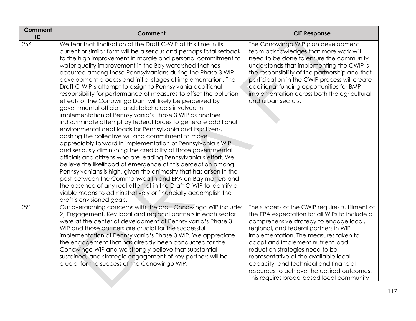| Comment<br>ID | Comment                                                                                                                                                                                                                                                                                                                                                                                                                                                                                                                                                                                                                                                                                                                                                                                                                                                                                                                                                                                                                                                                                                                                                                                                                                                                                                                                                                                                                                                                                | <b>CIT Response</b>                                                                                                                                                                                                                                                                                                                                                                                                                                                                |
|---------------|----------------------------------------------------------------------------------------------------------------------------------------------------------------------------------------------------------------------------------------------------------------------------------------------------------------------------------------------------------------------------------------------------------------------------------------------------------------------------------------------------------------------------------------------------------------------------------------------------------------------------------------------------------------------------------------------------------------------------------------------------------------------------------------------------------------------------------------------------------------------------------------------------------------------------------------------------------------------------------------------------------------------------------------------------------------------------------------------------------------------------------------------------------------------------------------------------------------------------------------------------------------------------------------------------------------------------------------------------------------------------------------------------------------------------------------------------------------------------------------|------------------------------------------------------------------------------------------------------------------------------------------------------------------------------------------------------------------------------------------------------------------------------------------------------------------------------------------------------------------------------------------------------------------------------------------------------------------------------------|
| 266           | We fear that finalization of the Draft C-WIP at this time in its<br>current or similar form will be a serious and perhaps fatal setback<br>to the high improvement in morale and personal commitment to<br>water quality improvement in the Bay watershed that has<br>occurred among those Pennsylvanians during the Phase 3 WIP<br>development process and initial stages of implementation. The<br>Draft C-WIP's attempt to assign to Pennsylvania additional<br>responsibility for performance of measures to offset the pollution<br>effects of the Conowingo Dam will likely be perceived by<br>governmental officials and stakeholders involved in<br>implementation of Pennsylvania's Phase 3 WIP as another<br>indiscriminate attempt by federal forces to generate additional<br>environmental debt loads for Pennsylvania and its citizens,<br>dashing the collective will and commitment to move<br>appreciably forward in implementation of Pennsylvania's WIP<br>and seriously diminishing the credibility of those governmental<br>officials and citizens who are leading Pennsylvania's effort. We<br>believe the likelihood of emergence of this perception among<br>Pennsylvanians is high, given the animosity that has arisen in the<br>past between the Commonwealth and EPA on Bay matters and<br>the absence of any real attempt in the Draft C-WIP to identify a<br>viable means to administratively or financially accomplish the<br>draft's envisioned goals. | The Conowingo WIP plan development<br>team acknowledges that more work will<br>need to be done to ensure the community<br>understands that implementing the CWIP is<br>the responsibility of the partnership and that<br>participation in the CWIP process will create<br>additional funding opportunities for BMP<br>implementation across both the agricultural<br>and urban sectors.                                                                                            |
| 291           | Our overarching concerns with the draft Conowingo WIP include:<br>2) Engagement. Key local and regional partners in each sector<br>were at the center of development of Pennsylvania's Phase 3<br>WIP and those partners are crucial for the successful<br>implementation of Pennsylvania's Phase 3 WIP. We appreciate<br>the engagement that has already been conducted for the<br>Conowingo WIP and we strongly believe that substantial,<br>sustained, and strategic engagement of key partners will be<br>crucial for the success of the Conowingo WIP.                                                                                                                                                                                                                                                                                                                                                                                                                                                                                                                                                                                                                                                                                                                                                                                                                                                                                                                            | The success of the CWIP requires fulfillment of<br>the EPA expectation for all WIPs to include a<br>comprehensive strategy to engage local,<br>regional, and federal partners in WIP<br>implementation. The measures taken to<br>adopt and implement nutrient load<br>reduction strategies need to be<br>representative of the available local<br>capacity, and technical and financial<br>resources to achieve the desired outcomes.<br>This requires broad-based local community |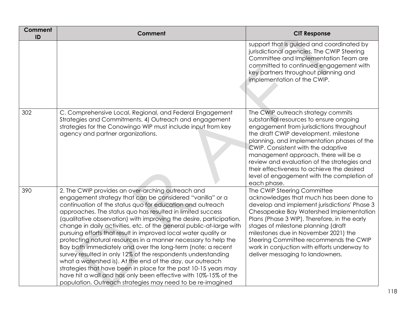| <b>Comment</b><br>ID | <b>Comment</b>                                                                                                                                                                                                                                                                                                                                                                                                                                                                                                                                                                                                                                                                                                                                                                                                                                                                                                                | <b>CIT Response</b>                                                                                                                                                                                                                                                                                                                                                                                                                                      |
|----------------------|-------------------------------------------------------------------------------------------------------------------------------------------------------------------------------------------------------------------------------------------------------------------------------------------------------------------------------------------------------------------------------------------------------------------------------------------------------------------------------------------------------------------------------------------------------------------------------------------------------------------------------------------------------------------------------------------------------------------------------------------------------------------------------------------------------------------------------------------------------------------------------------------------------------------------------|----------------------------------------------------------------------------------------------------------------------------------------------------------------------------------------------------------------------------------------------------------------------------------------------------------------------------------------------------------------------------------------------------------------------------------------------------------|
|                      |                                                                                                                                                                                                                                                                                                                                                                                                                                                                                                                                                                                                                                                                                                                                                                                                                                                                                                                               | support that is guided and coordinated by<br>jurisdictional agencies. The CWIP Steering<br>Committee and Implementation Team are<br>committed to continued engagement with<br>key partners throughout planning and<br>implementation of the CWIP.                                                                                                                                                                                                        |
| 302                  | C. Comprehensive Local, Regional, and Federal Engagement<br>Strategies and Commitments. 4) Outreach and engagement<br>strategies for the Conowingo WIP must include input from key<br>agency and partner organizations.                                                                                                                                                                                                                                                                                                                                                                                                                                                                                                                                                                                                                                                                                                       | The CWIP outreach strategy commits<br>substantial resources to ensure ongoing<br>engagement from jurisdictions throughout<br>the draft CWIP development, milestone<br>planning, and implementation phases of the<br>CWIP. Consistent with the adaptive<br>management approach, there will be a<br>review and evaluation of the strategies and<br>their effectiveness to achieve the desired<br>level of engagement with the completion of<br>each phase. |
| 390                  | 2. The CWIP provides an over-arching outreach and<br>engagement strategy that can be considered "vanilla" or a<br>continuation of the status quo for education and outreach<br>approaches. The status quo has resulted in limited success<br>(qualitative observation) with improving the desire, participation,<br>change in daily activities, etc. of the general public-at-large with<br>pursuing efforts that result in improved local water quality or<br>protecting natural resources in a manner necessary to help the<br>Bay both immediately and over the long-term (note: a recent<br>survey resulted in only 12% of the respondents understanding<br>what a watershed is). At the end of the day, our outreach<br>strategies that have been in place for the past 10-15 years may<br>have hit a wall and has only been effective with 10%-15% of the<br>population. Outreach strategies may need to be re-imagined | The CWIP Steering Committee<br>acknowledges that much has been done to<br>develop and implement jurisdictions' Phase 3<br>Chesapeake Bay Watershed Implementation<br>Plans (Phase 3 WIP). Therefore, in the early<br>stages of milestone planning (draft<br>milestones due in November 2021) the<br>Steering Committee recommends the CWIP<br>work in conjuction with efforts underway to<br>deliver messaging to landowners.                            |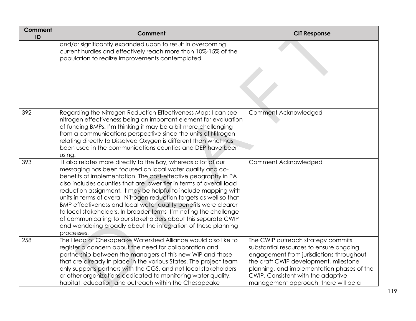| <b>Comment</b><br>ID | <b>Comment</b>                                                                                                                                                                                                                                                                                                                                                                                                                                                                                                                                                                                                                                                                                         | <b>CIT Response</b>                                                                                                                                                                                                                                                                            |
|----------------------|--------------------------------------------------------------------------------------------------------------------------------------------------------------------------------------------------------------------------------------------------------------------------------------------------------------------------------------------------------------------------------------------------------------------------------------------------------------------------------------------------------------------------------------------------------------------------------------------------------------------------------------------------------------------------------------------------------|------------------------------------------------------------------------------------------------------------------------------------------------------------------------------------------------------------------------------------------------------------------------------------------------|
|                      | and/or significantly expanded upon to result in overcoming<br>current hurdles and effectively reach more than 10%-15% of the<br>population to realize improvements contemplated                                                                                                                                                                                                                                                                                                                                                                                                                                                                                                                        |                                                                                                                                                                                                                                                                                                |
| 392                  | Regarding the Nitrogen Reduction Effectiveness Map: I can see<br>nitrogen effectiveness being an important element for evaluation<br>of funding BMPs. I'm thinking it may be a bit more challenging<br>from a communications perspective since the units of Nitrogen<br>relating directly to Dissolved Oxygen is different than what has<br>been used in the communications counties and DEP have been<br>using.                                                                                                                                                                                                                                                                                       | Comment Acknowledged                                                                                                                                                                                                                                                                           |
| 393                  | It also relates more directly to the Bay, whereas a lot of our<br>messaging has been focused on local water quality and co-<br>benefits of implementation. The cost-effective geography in PA<br>also includes counties that are lower tier in terms of overall load<br>reduction assignment. It may be helpful to include mapping with<br>units in terms of overall Nitrogen reduction targets as well so that<br>BMP effectiveness and local water quality benefits were clearer<br>to local stakeholders. In broader terms I'm noting the challenge<br>of communicating to our stakeholders about this separate CWIP<br>and wondering broadly about the integration of these planning<br>processes. | Comment Acknowledged                                                                                                                                                                                                                                                                           |
| 258                  | The Head of Chesapeake Watershed Alliance would also like to<br>register a concern about the need for collaboration and<br>partnership between the managers of this new WIP and those<br>that are already in place in the various States. The project team<br>only supports partners with the CGS, and not local stakeholders<br>or other organizations dedicated to monitoring water quality,<br>habitat, education and outreach within the Chesapeake                                                                                                                                                                                                                                                | The CWIP outreach strategy commits<br>substantial resources to ensure ongoing<br>engagement from jurisdictions throughout<br>the draft CWIP development, milestone<br>planning, and implementation phases of the<br>CWIP. Consistent with the adaptive<br>management approach, there will be a |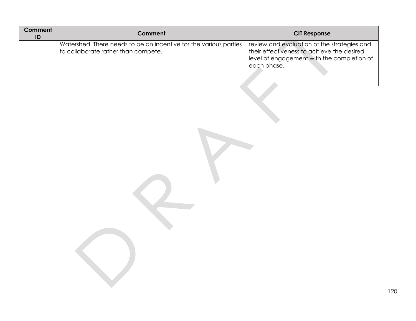| Comment<br>ID | Comment                                                                                                  | <b>CIT Response</b>                                                                                                                                    |
|---------------|----------------------------------------------------------------------------------------------------------|--------------------------------------------------------------------------------------------------------------------------------------------------------|
|               | Watershed. There needs to be an incentive for the various parties<br>to collaborate rather than compete. | review and evaluation of the strategies and<br>their effectiveness to achieve the desired<br>level of engagement with the completion of<br>each phase. |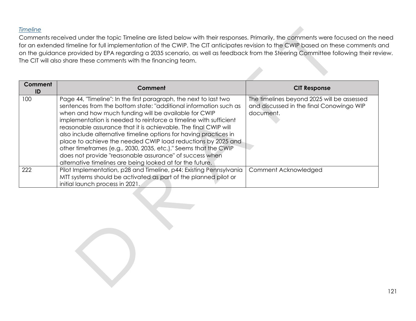### *Timeline*

Comments received under the topic Timeline are listed below with their responses. Primarily, the comments were focused on the need for an extended timeline for full implementation of the CWIP. The CIT anticipates revision to the CWIP based on these comments and on the guidance provided by EPA regarding a 2035 scenario, as well as feedback from the Steering Committee following their review. The CIT will also share these comments with the financing team.

| Comment<br>ID | Comment                                                                                                                  | <b>CIT Response</b>                        |
|---------------|--------------------------------------------------------------------------------------------------------------------------|--------------------------------------------|
| 100           | Page 44, "Timeline": In the first paragraph, the next to last two                                                        | The timelines beyond 2025 will be assessed |
|               | sentences from the bottom state: "additional information such as                                                         | and discussed in the final Conowingo WIP   |
|               | when and how much funding will be available for CWIP<br>implementation is needed to reinforce a timeline with sufficient | document.                                  |
|               | reasonable assurance that it is achievable. The final CWIP will                                                          |                                            |
|               | also include alternative timeline options for having practices in                                                        |                                            |
|               | place to achieve the needed CWIP load reductions by 2025 and                                                             |                                            |
|               | other timeframes (e.g., 2030, 2035, etc.)." Seems that the CWIP                                                          |                                            |
|               | does not provide "reasonable assurance" of success when                                                                  |                                            |
|               | alternative timelines are being looked at for the future.                                                                |                                            |
| 222           | Pilot Implementation, p28 and Timeline, p44: Existing Pennsylvania                                                       | Comment Acknowledged                       |
|               | MTT systems should be activated as part of the planned pilot or                                                          |                                            |
|               | initial launch process in 2021.                                                                                          |                                            |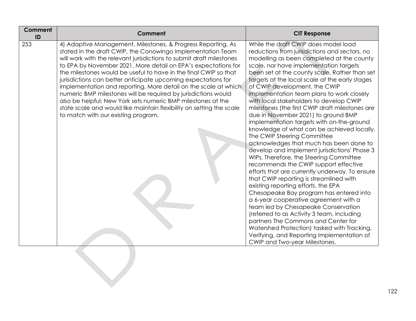| Comment<br>ID | Comment                                                                                                                                                                                                                                                                                                                                                                                                                                                                                                                                                                                                                                                                                                                        | <b>CIT Response</b>                                                                                                                                                                                                                                                                                                                                                                                                                                                                                                                                                                                                                                                                                                                                                                                                                                                                                                                                                                                                                                                                                                                                                                                                                                                                           |
|---------------|--------------------------------------------------------------------------------------------------------------------------------------------------------------------------------------------------------------------------------------------------------------------------------------------------------------------------------------------------------------------------------------------------------------------------------------------------------------------------------------------------------------------------------------------------------------------------------------------------------------------------------------------------------------------------------------------------------------------------------|-----------------------------------------------------------------------------------------------------------------------------------------------------------------------------------------------------------------------------------------------------------------------------------------------------------------------------------------------------------------------------------------------------------------------------------------------------------------------------------------------------------------------------------------------------------------------------------------------------------------------------------------------------------------------------------------------------------------------------------------------------------------------------------------------------------------------------------------------------------------------------------------------------------------------------------------------------------------------------------------------------------------------------------------------------------------------------------------------------------------------------------------------------------------------------------------------------------------------------------------------------------------------------------------------|
| 253           | 4) Adaptive Management, Milestones, & Progress Reporting. As<br>stated in the draft CWIP, the Conowingo Implementation Team<br>will work with the relevant jurisdictions to submit draft milestones<br>to EPA by November 2021. More detail on EPA's expectations for<br>the milestones would be useful to have in the final CWIP so that<br>jurisdictions can better anticipate upcoming expectations for<br>implementation and reporting. More detail on the scale at which<br>numeric BMP milestones will be required by jurisdictions would<br>also be helpful; New York sets numeric BMP milestones at the<br>state scale and would like maintain flexibility on setting the scale<br>to match with our existing program. | While the draft CWIP does model load<br>reductions from jurisdictions and sectors, no<br>modelling as been completed at the county<br>scale, nor have implementation targets<br>been set at the county scale. Rather than set<br>targets at the local scale at the early stages<br>of CWIP development, the CWIP<br>implementation team plans to work closely<br>with local stakeholders to develop CWIP<br>milestones (the first CWIP draft milestones are<br>due in November 2021) to ground BMP<br>implementation targets with on-the-ground<br>knowledge of what can be achieved locally.<br>The CWIP Steering Committee<br>acknowledges that much has been done to<br>develop and implement jurisdictions' Phase 3<br>WIPs. Therefore, the Steering Committee<br>recommends the CWIP support effective<br>efforts that are currently underway. To ensure<br>that CWIP reporting is streamlined with<br>existing reporting efforts, the EPA<br>Chesapeake Bay program has entered into<br>a 6-year cooperative agreement with a<br>team led by Chesapeake Conservation<br>(referred to as Activity 3 team, including<br>partners The Commons and Center for<br>Watershed Protection) tasked with Tracking,<br>Verifying, and Reporting Implementation of<br>CWIP and Two-year Milestones. |
|               |                                                                                                                                                                                                                                                                                                                                                                                                                                                                                                                                                                                                                                                                                                                                |                                                                                                                                                                                                                                                                                                                                                                                                                                                                                                                                                                                                                                                                                                                                                                                                                                                                                                                                                                                                                                                                                                                                                                                                                                                                                               |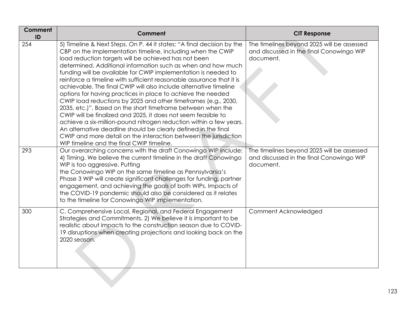| Comment<br>ID | Comment                                                                                                                                                                                                                                                                                                                                                                                                                                                                                                                                                                                                                                                                                                                                                                                                                                                                                                                                                                                                | <b>CIT Response</b>                                                                                 |
|---------------|--------------------------------------------------------------------------------------------------------------------------------------------------------------------------------------------------------------------------------------------------------------------------------------------------------------------------------------------------------------------------------------------------------------------------------------------------------------------------------------------------------------------------------------------------------------------------------------------------------------------------------------------------------------------------------------------------------------------------------------------------------------------------------------------------------------------------------------------------------------------------------------------------------------------------------------------------------------------------------------------------------|-----------------------------------------------------------------------------------------------------|
| 254           | 5) Timeline & Next Steps. On P. 44 it states: "A final decision by the<br>CBP on the implementation timeline, including when the CWIP<br>load reduction targets will be achieved has not been<br>determined. Additional information such as when and how much<br>funding will be available for CWIP implementation is needed to<br>reinforce a timeline with sufficient reasonable assurance that it is<br>achievable. The final CWIP will also include alternative timeline<br>options for having practices in place to achieve the needed<br>CWIP load reductions by 2025 and other timeframes (e.g., 2030,<br>2035, etc.)". Based on the short timeframe between when the<br>CWIP will be finalized and 2025, it does not seem feasible to<br>achieve a six-million-pound nitrogen reduction within a few years.<br>An alternative deadline should be clearly defined in the final<br>CWIP and more detail on the interaction between the jurisdiction<br>WIP timeline and the final CWIP timeline. | The timelines beyond 2025 will be assessed<br>and discussed in the final Conowingo WIP<br>document. |
| 293           | Our overarching concerns with the draft Conowingo WIP include:<br>4) Timing. We believe the current timeline in the draft Conowingo<br>WIP is too aggressive. Putting<br>the Conowingo WIP on the same timeline as Pennsylvania's<br>Phase 3 WIP will create significant challenges for funding, partner<br>engagement, and achieving the goals of both WIPs. Impacts of<br>the COVID-19 pandemic should also be considered as it relates<br>to the timeline for Conowingo WIP implementation.                                                                                                                                                                                                                                                                                                                                                                                                                                                                                                         | The timelines beyond 2025 will be assessed<br>and discussed in the final Conowingo WIP<br>document. |
| 300           | C. Comprehensive Local, Regional, and Federal Engagement<br>Strategies and Commitments. 2) We believe it is important to be<br>realistic about impacts to the construction season due to COVID-<br>19 disruptions when creating projections and looking back on the<br>2020 season.                                                                                                                                                                                                                                                                                                                                                                                                                                                                                                                                                                                                                                                                                                                    | Comment Acknowledged                                                                                |
|               |                                                                                                                                                                                                                                                                                                                                                                                                                                                                                                                                                                                                                                                                                                                                                                                                                                                                                                                                                                                                        |                                                                                                     |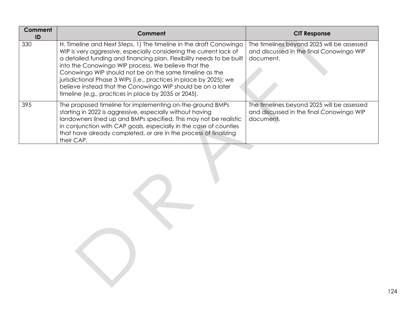| Comment<br>ID | Comment                                                                                                                                                                                                                                                                                                                                                                                                                                                                                                                         | <b>CIT Response</b>                                                                                 |
|---------------|---------------------------------------------------------------------------------------------------------------------------------------------------------------------------------------------------------------------------------------------------------------------------------------------------------------------------------------------------------------------------------------------------------------------------------------------------------------------------------------------------------------------------------|-----------------------------------------------------------------------------------------------------|
| 330           | H. Timeline and Next Steps. 1) The timeline in the draft Conowingo<br>WIP is very aggressive, especially considering the current lack of<br>a detailed funding and financing plan. Flexibility needs to be built<br>into the Conowingo WIP process. We believe that the<br>Conowingo WIP should not be on the same timeline as the<br>jurisdictional Phase 3 WIPs (i.e., practices in place by 2025); we<br>believe instead that the Conowingo WIP should be on a later<br>timeline (e.g., practices in place by 2035 or 2045). | The timelines beyond 2025 will be assessed<br>and discussed in the final Conowingo WIP<br>document. |
| 395           | The proposed timeline for implementing on-the-ground BMPs<br>starting in 2022 is aggressive, especially without having<br>landowners lined up and BMPs specified. This may not be realistic<br>in conjunction with CAP goals, especially in the case of counties<br>that have already completed, or are in the process of finalizing<br>their CAP.                                                                                                                                                                              | The timelines beyond 2025 will be assessed<br>and discussed in the final Conowingo WIP<br>document. |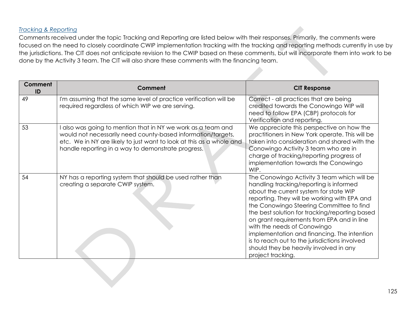## *Tracking & Reporting*

Comments received under the topic Tracking and Reporting are listed below with their responses. Primarily, the comments were focused on the need to closely coordinate CWIP implementation tracking with the tracking and reporting methods currently in use by the jurisdictions. The CIT does not anticipate revision to the CWIP based on these comments, but will incorporate them into work to be done by the Activity 3 team. The CIT will also share these comments with the financing team.

| <b>Comment</b><br>ID | Comment                                                                                                                                                                                                                                                  | <b>CIT Response</b>                                                                                                                                                                                                                                                                                                                                                                                                                                                                                                        |
|----------------------|----------------------------------------------------------------------------------------------------------------------------------------------------------------------------------------------------------------------------------------------------------|----------------------------------------------------------------------------------------------------------------------------------------------------------------------------------------------------------------------------------------------------------------------------------------------------------------------------------------------------------------------------------------------------------------------------------------------------------------------------------------------------------------------------|
| 49                   | I'm assuming that the same level of practice verification will be<br>required regardless of which WIP we are serving.                                                                                                                                    | Correct - all practices that are being<br>credited towards the Conowingo WIP will<br>need to follow EPA (CBP) protocols for<br>Verification and reporting.                                                                                                                                                                                                                                                                                                                                                                 |
| 53                   | also was going to mention that in NY we work as a team and<br>would not necessarily need county-based information/targets,<br>etc. We in NY are likely to just want to look at this as a whole and<br>handle reporting in a way to demonstrate progress. | We appreciate this perspective on how the<br>practitioners in New York operate. This will be<br>taken into consideration and shared with the<br>Conowingo Activity 3 team who are in<br>charge of tracking/reporting progress of<br>implementation towards the Conowingo<br>WIP.                                                                                                                                                                                                                                           |
| 54                   | NY has a reporting system that should be used rather than<br>creating a separate CWIP system.                                                                                                                                                            | The Conowingo Activity 3 team which will be<br>handling tracking/reporting is informed<br>about the current system for state WIP<br>reporting. They will be working with EPA and<br>the Conowingo Steering Committee to find<br>the best solution for tracking/reporting based<br>on grant requirements from EPA and in line<br>with the needs of Conowingo<br>implementation and financing. The intention<br>is to reach out to the jurisdictions involved<br>should they be heavily involved in any<br>project tracking. |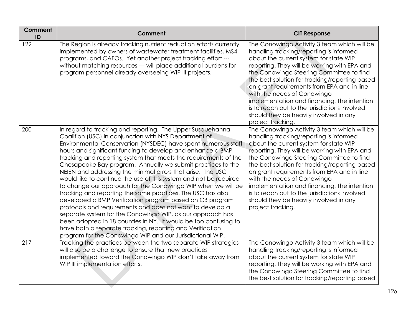| <b>Comment</b><br>ID | Comment                                                                                                                                                                                                                                                                                                                                                                                                                                                                                                                                                                                                                                                                                                                                                                                                                                                                                                                                                                                                                                      | <b>CIT Response</b>                                                                                                                                                                                                                                                                                                                                                                                                                                                                                                        |
|----------------------|----------------------------------------------------------------------------------------------------------------------------------------------------------------------------------------------------------------------------------------------------------------------------------------------------------------------------------------------------------------------------------------------------------------------------------------------------------------------------------------------------------------------------------------------------------------------------------------------------------------------------------------------------------------------------------------------------------------------------------------------------------------------------------------------------------------------------------------------------------------------------------------------------------------------------------------------------------------------------------------------------------------------------------------------|----------------------------------------------------------------------------------------------------------------------------------------------------------------------------------------------------------------------------------------------------------------------------------------------------------------------------------------------------------------------------------------------------------------------------------------------------------------------------------------------------------------------------|
| 122                  | The Region is already tracking nutrient reduction efforts currently<br>implemented by owners of wastewater treatment facilities, MS4<br>programs, and CAFOs. Yet another project tracking effort ---<br>without matching resources --- will place additional burdens for<br>program personnel already overseeing WIP III projects.                                                                                                                                                                                                                                                                                                                                                                                                                                                                                                                                                                                                                                                                                                           | The Conowingo Activity 3 team which will be<br>handling tracking/reporting is informed<br>about the current system for state WIP<br>reporting. They will be working with EPA and<br>the Conowingo Steering Committee to find<br>the best solution for tracking/reporting based<br>on grant requirements from EPA and in line<br>with the needs of Conowingo<br>implementation and financing. The intention<br>is to reach out to the jurisdictions involved<br>should they be heavily involved in any<br>project tracking. |
| 200                  | In regard to tracking and reporting. The Upper Susquehanna<br>Coalition (USC) in conjunction with NYS Department of<br>Environmental Conservation (NYSDEC) have spent numerous staff<br>hours and significant funding to develop and enhance a BMP<br>tracking and reporting system that meets the requirements of the<br>Chesapeake Bay program. Annually we submit practices to the<br>NEIEN and addressing the minimal errors that arise. The USC<br>would like to continue the use of this system and not be required<br>to change our approach for the Conowingo WIP when we will be<br>tracking and reporting the same practices. The USC has also<br>developed a BMP Verification program based on CB program<br>protocols and requirements and does not want to develop a<br>separate system for the Conowingo WIP, as our approach has<br>been adopted in 18 counties in NY. It would be too confusing to<br>have both a separate tracking, reporting and Verification<br>program for the Conowingo WIP and our Jurisdictional WIP. | The Conowingo Activity 3 team which will be<br>handling tracking/reporting is informed<br>about the current system for state WIP<br>reporting. They will be working with EPA and<br>the Conowingo Steering Committee to find<br>the best solution for tracking/reporting based<br>on grant requirements from EPA and in line<br>with the needs of Conowingo<br>implementation and financing. The intention<br>is to reach out to the jurisdictions involved<br>should they be heavily involved in any<br>project tracking. |
| 217                  | Tracking the practices between the two separate WIP strategies<br>will also be a challenge to ensure that new practices<br>implemented toward the Conowingo WIP don't take away from<br>WIP III implementation efforts.                                                                                                                                                                                                                                                                                                                                                                                                                                                                                                                                                                                                                                                                                                                                                                                                                      | The Conowingo Activity 3 team which will be<br>handling tracking/reporting is informed<br>about the current system for state WIP<br>reporting. They will be working with EPA and<br>the Conowingo Steering Committee to find<br>the best solution for tracking/reporting based                                                                                                                                                                                                                                             |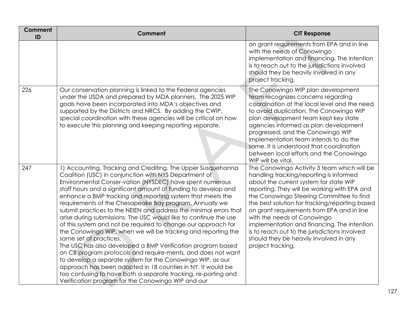| <b>Comment</b><br>ID | <b>Comment</b>                                                                                                                                                                                                                                                                                                                                                                                                                                                                                                                                                                                                                                                                                                                                                                                                                                                                                                                                                                                                                                                        | <b>CIT Response</b>                                                                                                                                                                                                                                                                                                                                                                                                                                                                                                        |
|----------------------|-----------------------------------------------------------------------------------------------------------------------------------------------------------------------------------------------------------------------------------------------------------------------------------------------------------------------------------------------------------------------------------------------------------------------------------------------------------------------------------------------------------------------------------------------------------------------------------------------------------------------------------------------------------------------------------------------------------------------------------------------------------------------------------------------------------------------------------------------------------------------------------------------------------------------------------------------------------------------------------------------------------------------------------------------------------------------|----------------------------------------------------------------------------------------------------------------------------------------------------------------------------------------------------------------------------------------------------------------------------------------------------------------------------------------------------------------------------------------------------------------------------------------------------------------------------------------------------------------------------|
|                      |                                                                                                                                                                                                                                                                                                                                                                                                                                                                                                                                                                                                                                                                                                                                                                                                                                                                                                                                                                                                                                                                       | on grant requirements from EPA and in line<br>with the needs of Conowingo<br>implementation and financing. The intention<br>is to reach out to the jurisdictions involved<br>should they be heavily involved in any<br>project tracking.                                                                                                                                                                                                                                                                                   |
| 226                  | Our conservation planning is linked to the Federal agencies<br>under the USDA and prepared by MDA planners. The 2025 WIP<br>goals have been incorporated into MDA's objectives and<br>supported by the Districts and NRCS. By adding the CWIP,<br>special coordination with these agencies will be critical on how<br>to execute this planning and keeping reporting separate.                                                                                                                                                                                                                                                                                                                                                                                                                                                                                                                                                                                                                                                                                        | The Conowingo WIP plan development<br>team recognizes concerns regarding<br>coordination at the local level and the need<br>to avoid duplication. The Conowingo WIP<br>plan development team kept key state<br>agencies informed as plan development<br>progressed, and the Conowingo WIP<br>implementation team intends to do the<br>same. It is understood that coordination<br>between local efforts and the Conowingo<br>WIP will be vital.                                                                            |
| 247                  | 1) Accounting, Tracking and Crediting. The Upper Susquehanna<br>Coalition (USC) in conjunction with NYS Department of<br>Environmental Conser-vation (NYSDEC) have spent numerous<br>staff hours and a significant amount of funding to develop and<br>enhance a BMP tracking and reporting system that meets the<br>requirements of the Chesapeake Bay program. Annually we<br>submit practices to the NEIEN and address the minimal errors that<br>arise during submissions. The USC would like to continue the use<br>of this system and not be required to change our approach for<br>the Conowingo WIP, when we will be tracking and reporting the<br>same set of practices.<br>The USC has also developed a BMP Verification program based<br>on CB program protocols and require-ments, and does not want<br>to develop a separate system for the Conowingo WIP, as our<br>approach has been adopted in 18 counties in NY. It would be<br>too confusing to have both a separate tracking, re-porting and<br>Verification program for the Conowingo WIP and our | The Conowingo Activity 3 team which will be<br>handling tracking/reporting is informed<br>about the current system for state WIP<br>reporting. They will be working with EPA and<br>the Conowingo Steering Committee to find<br>the best solution for tracking/reporting based<br>on grant requirements from EPA and in line<br>with the needs of Conowingo<br>implementation and financing. The intention<br>is to reach out to the jurisdictions involved<br>should they be heavily involved in any<br>project tracking. |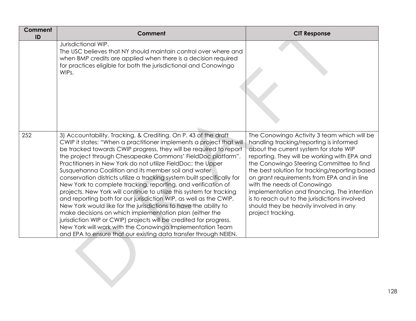| Comment<br>ID | Comment                                                                                                                                                                                                                                                                                                                                                                                                                                                                                                                                                                                                                                                                                                                                                                                                                                                                                                                                                                                                                         | <b>CIT Response</b>                                                                                                                                                                                                                                                                                                                                                                                                                                                                                                        |
|---------------|---------------------------------------------------------------------------------------------------------------------------------------------------------------------------------------------------------------------------------------------------------------------------------------------------------------------------------------------------------------------------------------------------------------------------------------------------------------------------------------------------------------------------------------------------------------------------------------------------------------------------------------------------------------------------------------------------------------------------------------------------------------------------------------------------------------------------------------------------------------------------------------------------------------------------------------------------------------------------------------------------------------------------------|----------------------------------------------------------------------------------------------------------------------------------------------------------------------------------------------------------------------------------------------------------------------------------------------------------------------------------------------------------------------------------------------------------------------------------------------------------------------------------------------------------------------------|
|               | Jurisdictional WIP.<br>The USC believes that NY should maintain control over where and<br>when BMP credits are applied when there is a decision required<br>for practices eligible for both the jurisdictional and Conowingo<br>WIPs.                                                                                                                                                                                                                                                                                                                                                                                                                                                                                                                                                                                                                                                                                                                                                                                           |                                                                                                                                                                                                                                                                                                                                                                                                                                                                                                                            |
| 252           | 3) Accountability, Tracking, & Crediting. On P. 43 of the draft<br>CWIP it states: "When a practitioner implements a project that will<br>be tracked towards CWIP progress, they will be required to report<br>the project through Chesapeake Commons' FieldDoc platform".<br>Practitioners in New York do not utilize FieldDoc; the Upper<br>Susquehanna Coalition and its member soil and water<br>conservation districts utilize a tracking system built specifically for<br>New York to complete tracking, reporting, and verification of<br>projects. New York will continue to utilize this system for tracking<br>and reporting both for our jurisdiction WIP, as well as the CWIP.<br>New York would like for the jurisdictions to have the ability to<br>make decisions on which implementation plan (either the<br>jurisdiction WIP or CWIP) projects will be credited for progress.<br>New York will work with the Conowingo Implementation Team<br>and EPA to ensure that our existing data transfer through NEIEN. | The Conowingo Activity 3 team which will be<br>handling tracking/reporting is informed<br>about the current system for state WIP<br>reporting. They will be working with EPA and<br>the Conowingo Steering Committee to find<br>the best solution for tracking/reporting based<br>on grant requirements from EPA and in line<br>with the needs of Conowingo<br>implementation and financing. The intention<br>is to reach out to the jurisdictions involved<br>should they be heavily involved in any<br>project tracking. |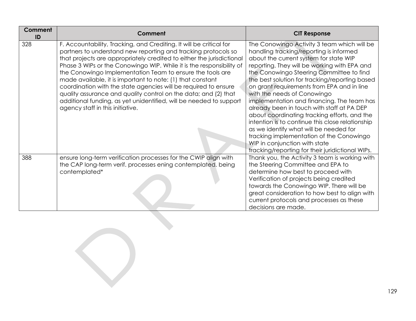| <b>Comment</b><br>ID | Comment                                                                                                                                                                                                                                                                                                                                                                                                                                                                                                                                                                                                                                                           | <b>CIT Response</b>                                                                                                                                                                                                                                                                                                                                                                                                                                                                                                                                                                                                                                                                                                                    |
|----------------------|-------------------------------------------------------------------------------------------------------------------------------------------------------------------------------------------------------------------------------------------------------------------------------------------------------------------------------------------------------------------------------------------------------------------------------------------------------------------------------------------------------------------------------------------------------------------------------------------------------------------------------------------------------------------|----------------------------------------------------------------------------------------------------------------------------------------------------------------------------------------------------------------------------------------------------------------------------------------------------------------------------------------------------------------------------------------------------------------------------------------------------------------------------------------------------------------------------------------------------------------------------------------------------------------------------------------------------------------------------------------------------------------------------------------|
| 328                  | F. Accountability, Tracking, and Crediting. It will be critical for<br>partners to understand new reporting and tracking protocols so<br>that projects are appropriately credited to either the jurisdictional<br>Phase 3 WIPs or the Conowingo WIP. While it is the responsibility of<br>the Conowingo Implementation Team to ensure the tools are<br>made available, it is important to note: (1) that constant<br>coordination with the state agencies will be required to ensure<br>quality assurance and quality control on the data; and (2) that<br>additional funding, as yet unidentified, will be needed to support<br>agency staff in this initiative. | The Conowingo Activity 3 team which will be<br>handling tracking/reporting is informed<br>about the current system for state WIP<br>reporting. They will be working with EPA and<br>the Conowingo Steering Committee to find<br>the best solution for tracking/reporting based<br>on grant requirements from EPA and in line<br>with the needs of Conowingo<br>implementation and financing. The team has<br>already been in touch with staff at PA DEP<br>about coordinating tracking efforts, and the<br>intention is to continue this close relationship<br>as we identify what will be needed for<br>tracking implementation of the Conowingo<br>WIP in conjunction with state<br>tracking/reporting for their juridictional WIPs. |
| 388                  | ensure long-term verification processes for the CWIP align with<br>the CAP long-term verif. processes ening contemplated. being<br>contemplated*                                                                                                                                                                                                                                                                                                                                                                                                                                                                                                                  | Thank you, the Activity 3 team is working with<br>the Steering Committee and EPA to<br>determine how best to proceed with<br>Verification of projects being credited<br>towards the Conowingo WIP. There will be<br>great consideration to how best to align with<br>current protocols and processes as these<br>decisions are made.                                                                                                                                                                                                                                                                                                                                                                                                   |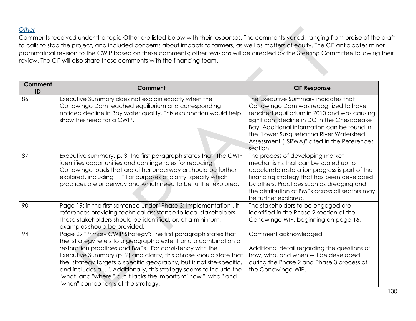# *Other*

Comments received under the topic Other are listed below with their responses. The comments varied, ranging from praise of the draft to calls to stop the project, and included concerns about impacts to farmers, as well as matters of equity. The CIT anticipates minor grammatical revision to the CWIP based on these comments; other revisions will be directed by the Steering Committee following their review. The CIT will also share these comments with the financing team.

| <b>Comment</b><br>ID | Comment                                                                                                                                                                                                                                                                                                                                                                                                                                                                                                                           | <b>CIT Response</b>                                                                                                                                                                                                                                                                                                            |
|----------------------|-----------------------------------------------------------------------------------------------------------------------------------------------------------------------------------------------------------------------------------------------------------------------------------------------------------------------------------------------------------------------------------------------------------------------------------------------------------------------------------------------------------------------------------|--------------------------------------------------------------------------------------------------------------------------------------------------------------------------------------------------------------------------------------------------------------------------------------------------------------------------------|
| 86                   | Executive Summary does not explain exactly when the<br>Conowingo Dam reached equilibrium or a corresponding<br>noticed decline in Bay water quality. This explanation would help<br>show the need for a CWIP.                                                                                                                                                                                                                                                                                                                     | The Executive Summary indicates that<br>Conowingo Dam was recognized to have<br>reached equilibrium in 2010 and was causing<br>significant decline in DO in the Chesapeake<br>Bay. Additional information can be found in<br>the "Lower Susquehanna River Watershed<br>Assessment (LSRWA)" cited in the References<br>section. |
| 87                   | Executive summary, p. 3: the first paragraph states that "The CWIP<br>identifies opportunities and contingencies for reducing<br>Conowingo loads that are either underway or should be further<br>explored, including  " For purposes of clarity, specify which<br>practices are underway and which need to be further explored.                                                                                                                                                                                                  | The process of developing market<br>mechanisms that can be scaled up to<br>accelerate restoration progress is part of the<br>financing strategy that has been developed<br>by others. Practices such as dredging and<br>the distribution of BMPs across all sectors may<br>be further explored.                                |
| 90                   | Page 19: in the first sentence under "Phase 3: Implementation", it<br>references providing technical assistance to local stakeholders.<br>These stakeholders should be identified, or, at a minimum,<br>examples should be provided.                                                                                                                                                                                                                                                                                              | The stakeholders to be engaged are<br>identified in the Phase 2 section of the<br>Conowingo WIP, beginning on page 16.                                                                                                                                                                                                         |
| 94                   | Page 29 "Primary CWIP Strategy": The first paragraph states that<br>the "strategy refers to a geographic extent and a combination of<br>restoration practices and BMPs." For consistency with the<br>Executive Summary (p. 2) and clarity, this phrase should state that<br>the "strategy targets a specific geography, but is not site-specific,<br>and includes a ". Additionally, this strategy seems to include the<br>"what" and "where," but it lacks the important "how," "who," and<br>"when" components of the strategy. | Comment acknowledged.<br>Additional detail regarding the questions of<br>how, who, and when will be developed<br>during the Phase 2 and Phase 3 process of<br>the Conowingo WIP.                                                                                                                                               |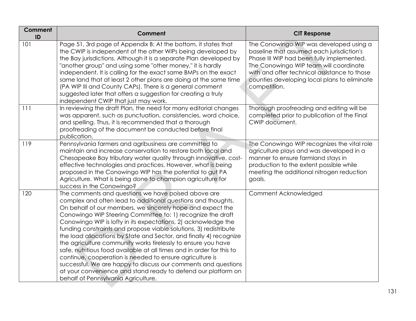| <b>Comment</b><br>ID | Comment                                                                                                                                                                                                                                                                                                                                                                                                                                                                                                                                                                                                                                                                                                                                                                                                                                       | <b>CIT Response</b>                                                                                                                                                                                                                                                                         |
|----------------------|-----------------------------------------------------------------------------------------------------------------------------------------------------------------------------------------------------------------------------------------------------------------------------------------------------------------------------------------------------------------------------------------------------------------------------------------------------------------------------------------------------------------------------------------------------------------------------------------------------------------------------------------------------------------------------------------------------------------------------------------------------------------------------------------------------------------------------------------------|---------------------------------------------------------------------------------------------------------------------------------------------------------------------------------------------------------------------------------------------------------------------------------------------|
| 101                  | Page 51, 3rd page of Appendix B: At the bottom, it states that<br>the CWIP is independent of the other WIPs being developed by<br>the Bay jurisdictions. Although it is a separate Plan developed by<br>"another group" and using some "other money," it is hardly<br>independent. It is calling for the exact same BMPs on the exact<br>same land that at least 2 other plans are doing at the same time<br>(PA WIP III and County CAPs). There is a general comment<br>suggested later that offers a suggestion for creating a truly<br>independent CWIP that just may work.                                                                                                                                                                                                                                                                | The Conowingo WIP was developed using a<br>baseline that assumed each jurisdiction's<br>Phase III WIP had been fully implemented.<br>The Conowingo WIP team will coordinate<br>with and offer technical assistance to those<br>counties developing local plans to eliminate<br>competition. |
| 111                  | In reviewing the draft Plan, the need for many editorial changes<br>was apparent, such as punctuation, consistencies, word choice,<br>and spelling. Thus, it is recommended that a thorough<br>proofreading of the document be conducted before final<br>publication.                                                                                                                                                                                                                                                                                                                                                                                                                                                                                                                                                                         | Thorough proofreading and editing will be<br>completed prior to publication of the Final<br>CWIP document.                                                                                                                                                                                  |
| 119                  | Pennsylvania farmers and agribusiness are committed to<br>maintain and increase conservation to restore both local and<br>Chesapeake Bay tributary water quality through innovative, cost-<br>effective technologies and practices. However, what is being<br>proposed in the Conowingo WIP has the potential to gut PA<br>Agriculture. What is being done to champion agriculture for<br>success in the Conowingo?                                                                                                                                                                                                                                                                                                                                                                                                                           | The Conowingo WIP recognizes the vital role<br>agriculture plays and was developed in a<br>manner to ensure farmland stays in<br>production to the extent possible while<br>meeting the additional nitrogen reduction<br>goals.                                                             |
| 120                  | The comments and questions we have poised above are<br>complex and often lead to additional questions and thoughts.<br>On behalf of our members, we sincerely hope and expect the<br>Conowingo WIP Steering Committee to: 1) recognize the draft<br>Conowingo WIP is lofty in its expectations, 2) acknowledge the<br>funding constraints and propose viable solutions, 3) redistribute<br>the load allocations by State and Sector, and finally 4) recognize<br>the agriculture community works tirelessly to ensure you have<br>safe, nutritious food available at all times and in order for this to<br>continue, cooperation is needed to ensure agriculture is<br>successful. We are happy to discuss our comments and questions<br>at your convenience and stand ready to defend our platform on<br>behalf of Pennsylvania Agriculture. | Comment Acknowledged                                                                                                                                                                                                                                                                        |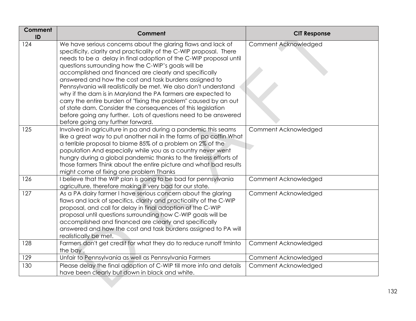| <b>Comment</b><br>ID | <b>Comment</b>                                                                                                                                                                                                                                                                                                                                                                                                                                                                                                                                                                                                                                                                                                                                                    | <b>CIT Response</b>  |
|----------------------|-------------------------------------------------------------------------------------------------------------------------------------------------------------------------------------------------------------------------------------------------------------------------------------------------------------------------------------------------------------------------------------------------------------------------------------------------------------------------------------------------------------------------------------------------------------------------------------------------------------------------------------------------------------------------------------------------------------------------------------------------------------------|----------------------|
| 124                  | We have serious concerns about the glaring flaws and lack of<br>specificity, clarity and practicality of the C-WIP proposal. There<br>needs to be a delay in final adoption of the C-WIP proposal until<br>questions surrounding how the C-WIP's goals will be<br>accomplished and financed are clearly and specifically<br>answered and how the cost and task burdens assigned to<br>Pennsylvania will realistically be met. We also don't understand<br>why if the dam is in Maryland the PA farmers are expected to<br>carry the entire burden of "fixing the problem" caused by an out<br>of state dam. Consider the consequences of this legislation<br>before going any further. Lots of questions need to be answered<br>before going any further forward. | Comment Acknowledged |
| 125                  | Involved in agriculture in pa and during a pandemic this seams<br>like a great way to put another nail in the farms of pa coffin What<br>a terrible proposal to blame 85% of a problem on 2% of the<br>population And especially while you as a country never went<br>hungry during a global pandemic thanks to the tireless efforts of<br>those farmers Think about the entire picture and what bad results<br>might come of fixing one problem Thanks                                                                                                                                                                                                                                                                                                           | Comment Acknowledged |
| 126                  | believe that the WIP plan is going to be bad for pennsylvania<br>agriculture, therefore making it very bad for our state.                                                                                                                                                                                                                                                                                                                                                                                                                                                                                                                                                                                                                                         | Comment Acknowledged |
| 127                  | As a PA dairy farmer I have serious concern about the glaring<br>flaws and lack of specifics, clarity and practicality of the C-WIP<br>proposal, and call for delay in final adoption of the C-WIP<br>proposal until questions surrounding how C-WIP goals will be<br>accomplished and financed are clearly and specifically<br>answered and how the cost and task burdens assigned to PA will<br>realistically be met.                                                                                                                                                                                                                                                                                                                                           | Comment Acknowledged |
| 128                  | Farmers don't get credit for what they do to reduce runoff tminto<br>the bay.                                                                                                                                                                                                                                                                                                                                                                                                                                                                                                                                                                                                                                                                                     | Comment Acknowledged |
| 129                  | Unfair to Pennsylvania as well as Pennsylvania Farmers                                                                                                                                                                                                                                                                                                                                                                                                                                                                                                                                                                                                                                                                                                            | Comment Acknowledged |
| 130                  | Please delay the final adoption of C-WIP till more info and details<br>have been clearly but down in black and white.                                                                                                                                                                                                                                                                                                                                                                                                                                                                                                                                                                                                                                             | Comment Acknowledged |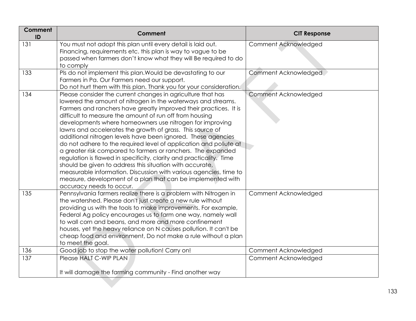| Comment<br>ID | Comment                                                                                                                                                                                                                                                                                                                                                                                                                                                                                                                                                                                                                                                                                                                                                                                                                                                                                      | <b>CIT Response</b>  |
|---------------|----------------------------------------------------------------------------------------------------------------------------------------------------------------------------------------------------------------------------------------------------------------------------------------------------------------------------------------------------------------------------------------------------------------------------------------------------------------------------------------------------------------------------------------------------------------------------------------------------------------------------------------------------------------------------------------------------------------------------------------------------------------------------------------------------------------------------------------------------------------------------------------------|----------------------|
| 131           | You must not adopt this plan until every detail is laid out.<br>Financing, requirements etc. this plan is way to vague to be<br>passed when farmers don't know what they will Be required to do<br>to comply                                                                                                                                                                                                                                                                                                                                                                                                                                                                                                                                                                                                                                                                                 | Comment Acknowledged |
| 133           | Pls do not implement this plan. Would be devastating to our<br>Farmers in Pa. Our Farmers need our support.<br>Do not hurt them with this plan. Thank you for your consideration.                                                                                                                                                                                                                                                                                                                                                                                                                                                                                                                                                                                                                                                                                                            | Comment Acknowledged |
| 134           | Please consider the current changes in agriculture that has<br>lowered the amount of nitrogen in the waterways and streams.<br>Farmers and ranchers have greatly improved their practices. It is<br>difficult to measure the amount of run off from housing<br>developments where homeowners use nitrogen for improving<br>lawns and accelerates the growth of grass. This source of<br>additional nitrogen levels have been ignored. These agencies<br>do not adhere to the required level of application and pollute at<br>a greater risk compared to farmers or ranchers. The expanded<br>regulation is flawed in specificity, clarity and practicality. Time<br>should be given to address this situation with accurate,<br>measurable information. Discussion with various agencies, time to<br>measure, development of a plan that can be implemented with<br>accuracy needs to occur. | Comment Acknowledged |
| 135           | Pennsylvania farmers realize there is a problem with Nitrogen in<br>the watershed. Please don't just create a new rule without<br>providing us with the tools to make improvements. For example,<br>Federal Ag policy encourages us to farm one way, namely wall<br>to wall corn and beans, and more and more confinement<br>houses, yet the heavy reliance on N causes pollution. It can't be<br>cheap food and environment, Do not make a rule without a plan<br>to meet the goal.                                                                                                                                                                                                                                                                                                                                                                                                         | Comment Acknowledged |
| 136           | Good job to stop the water pollution! Carry on!                                                                                                                                                                                                                                                                                                                                                                                                                                                                                                                                                                                                                                                                                                                                                                                                                                              | Comment Acknowledged |
| 137           | Please HALT C-WIP PLAN<br>It will damage the farming community - Find another way                                                                                                                                                                                                                                                                                                                                                                                                                                                                                                                                                                                                                                                                                                                                                                                                            | Comment Acknowledged |
|               |                                                                                                                                                                                                                                                                                                                                                                                                                                                                                                                                                                                                                                                                                                                                                                                                                                                                                              |                      |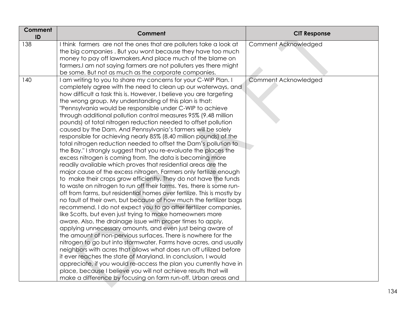| Comment<br>ID | Comment                                                                                                                  | <b>CIT Response</b>  |
|---------------|--------------------------------------------------------------------------------------------------------------------------|----------------------|
| 138           | I think farmers are not the ones that are polluters take a look at                                                       | Comment Acknowledged |
|               | the big companies. But you wont because they have too much                                                               |                      |
|               | money to pay off lawmakers. And place much of the blame on                                                               |                      |
|               | farmers.I am not saying farmers are not polluters yes there might                                                        |                      |
| 140           | be some. But not as much as the corporate companies.<br>I am writing to you to share my concerns for your C-WIP Plan. I  | Comment Acknowledged |
|               | completely agree with the need to clean up our waterways, and                                                            |                      |
|               | how difficult a task this is. However, I believe you are targeting                                                       |                      |
|               | the wrong group. My understanding of this plan is that:                                                                  |                      |
|               | "Pennsylvania would be responsible under C-WIP to achieve                                                                |                      |
|               | through additional pollution control measures 95% (9.48 million                                                          |                      |
|               | pounds) of total nitrogen reduction needed to offset pollution                                                           |                      |
|               | caused by the Dam. And Pennsylvania's farmers will be solely                                                             |                      |
|               | responsible for achieving nearly 85% (8.40 million pounds) of the                                                        |                      |
|               | total nitrogen reduction needed to offset the Dam's pollution to                                                         |                      |
|               | the Bay." I strongly suggest that you re-evaluate the places the                                                         |                      |
|               | excess nitrogen is coming from. The data is becoming more                                                                |                      |
|               | readily available which proves that residential areas are the                                                            |                      |
|               | major cause of the excess nitrogen. Farmers only fertilize enough                                                        |                      |
|               | to make their crops grow efficiently. They do not have the funds                                                         |                      |
|               | to waste on nitrogen to run off their farms. Yes, there is some run-                                                     |                      |
|               | off from farms, but residential homes over fertilize. This is mostly by                                                  |                      |
|               | no fault of their own, but because of how much the fertilizer bags                                                       |                      |
|               | recommend. I do not expect you to go after fertilizer companies,                                                         |                      |
|               | like Scotts, but even just trying to make homeowners more<br>aware. Also, the drainage issue with proper times to apply, |                      |
|               | applying unnecessary amounts, and even just being aware of                                                               |                      |
|               | the amount of non-pervious surfaces. There is nowhere for the                                                            |                      |
|               | nitrogen to go but into stormwater. Farms have acres, and usually                                                        |                      |
|               | neighbors with acres that allows what does run off utilized before                                                       |                      |
|               | it ever reaches the state of Maryland. In conclusion, I would                                                            |                      |
|               | appreciate, if you would re-access the plan you currently have in                                                        |                      |
|               | place, because I believe you will not achieve results that will                                                          |                      |
|               | make a difference by focusing on farm run-off. Urban areas and                                                           |                      |
|               |                                                                                                                          |                      |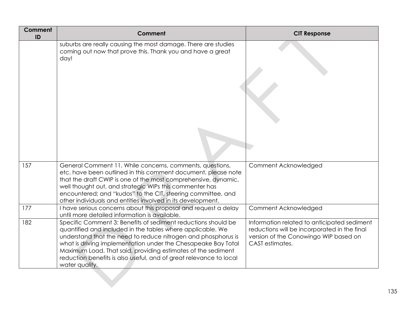| Comment<br>ID | Comment                                                                                                                                                                                                                                                                                                                                                                                                               | <b>CIT Response</b>                                                                                                                                     |
|---------------|-----------------------------------------------------------------------------------------------------------------------------------------------------------------------------------------------------------------------------------------------------------------------------------------------------------------------------------------------------------------------------------------------------------------------|---------------------------------------------------------------------------------------------------------------------------------------------------------|
|               | suburbs are really causing the most damage. There are studies<br>coming out now that prove this. Thank you and have a great<br>day!                                                                                                                                                                                                                                                                                   |                                                                                                                                                         |
| 157           | General Comment 11. While concerns, comments, questions,<br>etc. have been outlined in this comment document, please note<br>that the draft CWIP is one of the most comprehensive, dynamic,<br>well thought out, and strategic WIPs this commenter has<br>encountered; and "kudos" to the CIT, steering committee, and<br>other individuals and entities involved in its development.                                 | Comment Acknowledged                                                                                                                                    |
| 177           | I have serious concerns about this proposal and request a delay<br>until more detailed information is available.                                                                                                                                                                                                                                                                                                      | Comment Acknowledged                                                                                                                                    |
| 182           | Specific Comment 3: Benefits of sediment reductions should be<br>quantified and included in the tables where applicable. We<br>understand that the need to reduce nitrogen and phosphorus is<br>what is driving implementation under the Chesapeake Bay Total<br>Maximum Load. That said, providing estimates of the sediment<br>reduction benefits is also useful, and of great relevance to local<br>water quality. | Information related to anticipated sediment<br>reductions will be incorporated in the final<br>version of the Conowingo WIP based on<br>CAST estimates. |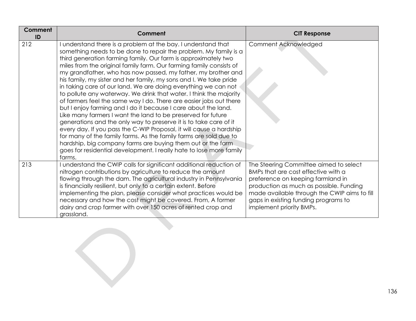| Comment<br>ID | Comment                                                                                                                                                                                                                                                                                                                                                                                                                                                                                                                                                                                                                                                                                                                                                                                                                                                                                                                                                                                                                                                                                                                          | <b>CIT Response</b>                                                                                                                                                                                                                                                               |
|---------------|----------------------------------------------------------------------------------------------------------------------------------------------------------------------------------------------------------------------------------------------------------------------------------------------------------------------------------------------------------------------------------------------------------------------------------------------------------------------------------------------------------------------------------------------------------------------------------------------------------------------------------------------------------------------------------------------------------------------------------------------------------------------------------------------------------------------------------------------------------------------------------------------------------------------------------------------------------------------------------------------------------------------------------------------------------------------------------------------------------------------------------|-----------------------------------------------------------------------------------------------------------------------------------------------------------------------------------------------------------------------------------------------------------------------------------|
| 212           | understand there is a problem at the bay. I understand that<br>something needs to be done to repair the problem. My family is a<br>third generation farming family. Our farm is approximately two<br>miles from the original family farm. Our farming family consists of<br>my grandfather, who has now passed, my father, my brother and<br>his family, my sister and her family, my sons and I. We take pride<br>in taking care of our land. We are doing everything we can not<br>to pollute any waterway. We drink that water. I think the majority<br>of farmers feel the same way I do. There are easier jobs out there<br>but I enjoy farming and I do it because I care about the land.<br>Like many farmers I want the land to be preserved for future<br>generations and the only way to preserve it is to take care of it<br>every day. If you pass the C-WIP Proposal, it will cause a hardship<br>for many of the family farms. As the family farms are sold due to<br>hardship, big company farms are buying them out or the farm<br>goes for residential development. I really hate to lose more family<br>farms. | Comment Acknowledged                                                                                                                                                                                                                                                              |
| 213           | I understand the CWIP calls for significant additional reduction of<br>nitrogen contributions by agriculture to reduce the amount<br>flowing through the dam. The agricultural industry in Pennsylvania<br>is financially resilient, but only to a certain extent. Before<br>implementing the plan, please consider what practices would be<br>necessary and how the cost might be covered. From, A former<br>dairy and crop farmer with over 150 acres of rented crop and<br>grassland.                                                                                                                                                                                                                                                                                                                                                                                                                                                                                                                                                                                                                                         | The Steering Committee aimed to select<br>BMPs that are cost effective with a<br>preference on keeping farmland in<br>production as much as possible. Funding<br>made available through the CWIP aims to fill<br>gaps in existing funding programs to<br>implement priority BMPs. |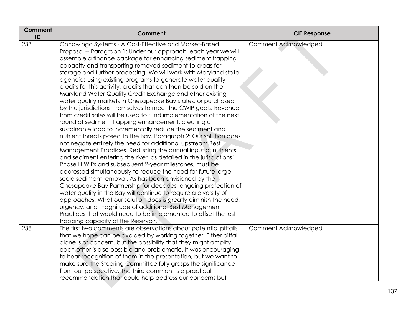| Comment<br>ID | <b>Comment</b>                                                                                                                                                                                                                                                                                                                                                                                                                                                                                                                                                                                                                                                                                                                                                                                                                                                                                                                                                                                                                                                                                                                                                                                                                                                                                                                                                                                                                                                                                                                                                                                                                                                                        | <b>CIT Response</b>  |
|---------------|---------------------------------------------------------------------------------------------------------------------------------------------------------------------------------------------------------------------------------------------------------------------------------------------------------------------------------------------------------------------------------------------------------------------------------------------------------------------------------------------------------------------------------------------------------------------------------------------------------------------------------------------------------------------------------------------------------------------------------------------------------------------------------------------------------------------------------------------------------------------------------------------------------------------------------------------------------------------------------------------------------------------------------------------------------------------------------------------------------------------------------------------------------------------------------------------------------------------------------------------------------------------------------------------------------------------------------------------------------------------------------------------------------------------------------------------------------------------------------------------------------------------------------------------------------------------------------------------------------------------------------------------------------------------------------------|----------------------|
| 233           | Conowingo Systems - A Cost-Effective and Market-Based<br>Proposal -- Paragraph 1: Under our approach, each year we will<br>assemble a finance package for enhancing sediment trapping<br>capacity and transporting removed sediment to areas for<br>storage and further processing. We will work with Maryland state<br>agencies using existing programs to generate water quality<br>credits for this activity, credits that can then be sold on the<br>Maryland Water Quality Credit Exchange and other existing<br>water quality markets in Chesapeake Bay states, or purchased<br>by the jurisdictions themselves to meet the CWIP goals. Revenue<br>from credit sales will be used to fund implementation of the next<br>round of sediment trapping enhancement, creating a<br>sustainable loop to incrementally reduce the sediment and<br>nutrient threats posed to the Bay. Paragraph 2: Our solution does<br>not negate entirely the need for additional upstream Best<br>Management Practices. Reducing the annual input of nutrients<br>and sediment entering the river, as detailed in the jurisdictions'<br>Phase III WIPs and subsequent 2-year milestones, must be<br>addressed simultaneously to reduce the need for future large-<br>scale sediment removal. As has been envisioned by the<br>Chesapeake Bay Partnership for decades, ongoing protection of<br>water quality in the Bay will continue to require a diversity of<br>approaches. What our solution does is greatly diminish the need,<br>urgency, and magnitude of additional Best Management<br>Practices that would need to be implemented to offset the lost<br>trapping capacity of the Reservoir. | Comment Acknowledged |
| 238           | The first two comments are observations about pote ntial pitfalls<br>that we hope can be avoided by working together. Either pitfall<br>alone is of concern, but the possibility that they might amplify<br>each other is also possible and problematic. It was encouraging<br>to hear recognition of them in the presentation, but we want to<br>make sure the Steering Committee fully grasps the significance<br>from our perspective. The third comment is a practical<br>recommendation that could help address our concerns but                                                                                                                                                                                                                                                                                                                                                                                                                                                                                                                                                                                                                                                                                                                                                                                                                                                                                                                                                                                                                                                                                                                                                 | Comment Acknowledged |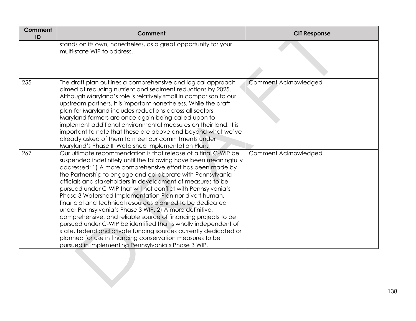| <b>Comment</b><br>ID | <b>Comment</b>                                                                                                                                                                                                                                                                                                                                                                                                                                                                                                                                                                                                                                                                                                                                                                                                                                                                                                     | <b>CIT Response</b>  |
|----------------------|--------------------------------------------------------------------------------------------------------------------------------------------------------------------------------------------------------------------------------------------------------------------------------------------------------------------------------------------------------------------------------------------------------------------------------------------------------------------------------------------------------------------------------------------------------------------------------------------------------------------------------------------------------------------------------------------------------------------------------------------------------------------------------------------------------------------------------------------------------------------------------------------------------------------|----------------------|
|                      | stands on its own, nonetheless, as a great opportunity for your<br>multi-state WIP to address.                                                                                                                                                                                                                                                                                                                                                                                                                                                                                                                                                                                                                                                                                                                                                                                                                     |                      |
| 255                  | The draft plan outlines a comprehensive and logical approach<br>aimed at reducing nutrient and sediment reductions by 2025.<br>Although Maryland's role is relatively small in comparison to our<br>upstream partners, it is important nonetheless. While the draft<br>plan for Maryland includes reductions across all sectors,<br>Maryland farmers are once again being called upon to<br>implement additional environmental measures on their land. It is<br>important to note that these are above and beyond what we've<br>already asked of them to meet our commitments under<br>Maryland's Phase III Watershed Implementation Plan.                                                                                                                                                                                                                                                                         | Comment Acknowledged |
| 267                  | Our ultimate recommendation is that release of a final C-WIP be<br>suspended indefinitely until the following have been meaningfully<br>addressed: 1) A more comprehensive effort has been made by<br>the Partnership to engage and collaborate with Pennsylvania<br>officials and stakeholders in development of measures to be<br>pursued under C-WIP that will not conflict with Pennsylvania's<br>Phase 3 Watershed Implementation Plan nor divert human,<br>financial and technical resources planned to be dedicated<br>under Pennsylvania's Phase 3 WIP. 2) A more definitive,<br>comprehensive, and reliable source of financing projects to be<br>pursued under C-WIP be identified that is wholly independent of<br>state, federal and private funding sources currently dedicated or<br>planned for use in financing conservation measures to be<br>pursued in implementing Pennsylvania's Phase 3 WIP. | Comment Acknowledged |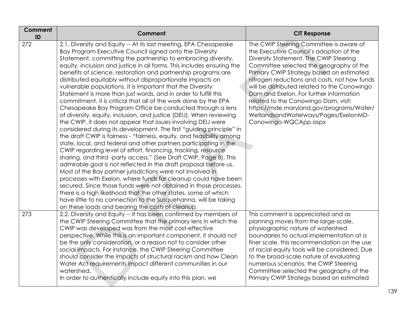| Comment<br>ID | Comment                                                                                                                                                                                                                                                                                                                                                                                                                                                                                                                                                                                                                                                                                                                                                                                                                                                                                                                                                                                                                                                                                                                                                                                                                                                                                                                                                                                                                                                                                                                                                                                                                                   | <b>CIT Response</b>                                                                                                                                                                                                                                                                                                                                                                                                                                                                                                 |
|---------------|-------------------------------------------------------------------------------------------------------------------------------------------------------------------------------------------------------------------------------------------------------------------------------------------------------------------------------------------------------------------------------------------------------------------------------------------------------------------------------------------------------------------------------------------------------------------------------------------------------------------------------------------------------------------------------------------------------------------------------------------------------------------------------------------------------------------------------------------------------------------------------------------------------------------------------------------------------------------------------------------------------------------------------------------------------------------------------------------------------------------------------------------------------------------------------------------------------------------------------------------------------------------------------------------------------------------------------------------------------------------------------------------------------------------------------------------------------------------------------------------------------------------------------------------------------------------------------------------------------------------------------------------|---------------------------------------------------------------------------------------------------------------------------------------------------------------------------------------------------------------------------------------------------------------------------------------------------------------------------------------------------------------------------------------------------------------------------------------------------------------------------------------------------------------------|
| 272           | 2.1. Diversity and Equity -- At its last meeting, EPA Chesapeake<br>Bay Program Executive Council signed onto the Diversity<br>Statement, committing the partnership to embracing diversity,<br>equity, inclusion and justice in all forms. This includes ensuring the<br>benefits of science, restoration and partnership programs are<br>distributed equitably without disproportionate impacts on<br>vulnerable populations. It is important that the Diversity<br>Statement is more than just words, and in order to fulfill this<br>commitment, it is critical that all of the work done by the EPA<br>Chesapeake Bay Program Office be conducted through a lens<br>of diversity, equity, inclusion, and justice (DEIJ). When reviewing<br>the CWIP, it does not appear that issues involving DEIJ were<br>considered during its development. The first "guiding principle" in<br>the draft CWIP is fairness - "fairness, equity, and feasibility among<br>state, local, and federal and other partners participating in the<br>CWIP regarding level of effort, financing, tracking, resource<br>sharing, and third -party access." (See Draft CWIP, Page 8). This<br>admirable goal is not reflected in the draft proposal before us.<br>Most of the Bay partner jurisdictions were not involved in<br>processes with Exelon, where funds for cleanup could have been<br>secured. Since those funds were not obtained in those processes,<br>there is a high likelihood that the other states, some of which<br>have little to no connection to the Susquehanna, will be taking<br>on these loads and bearing the costs of cleanup. | The CWIP Steering Committee is aware of<br>the Executive Council's adoption of the<br>Diversity Statement. The CWIP Steering<br>Committee selected the geography of the<br>Primary CWIP Strategy based on estimated<br>nitrogen reductions and costs, not how funds<br>will be distributed related to the Conowingo<br>Dam and Exelon. For further information<br>related to the Conowingo Dam, visit:<br>https://mde.maryland.gov/programs/Water/<br>WetlandsandWaterways/Pages/ExelonMD-<br>Conowingo-WQCApp.aspx |
| 273           | 2.2. Diversity and Equity -- It has been confirmed by members of<br>the CWIP Steering Committee that the primary lens in which the<br>CWIP was developed was from the most cost-effective<br>perspective. While this is an important component, it should not<br>be the only consideration, or a reason not to consider other<br>social impacts. For instance, the CWIP Steering Committee<br>should consider the impacts of structural racism and how Clean<br>Water Act requirements impact different communities in our<br>watershed.<br>In order to authentically include equity into this plan, we                                                                                                                                                                                                                                                                                                                                                                                                                                                                                                                                                                                                                                                                                                                                                                                                                                                                                                                                                                                                                                   | This comment is appreciated and as<br>planning moves from the large-scale,<br>physiographic nature of watershed<br>boundaries to actual implementation at a<br>finer scale, this recommendation on the use<br>of racial equity tools will be considered. Due<br>to the broad-scale nature of evaluating<br>numerous scenarios, the CWIP Steering<br>Committee selected the geography of the<br>Primary CWIP Strategy based on estimated                                                                             |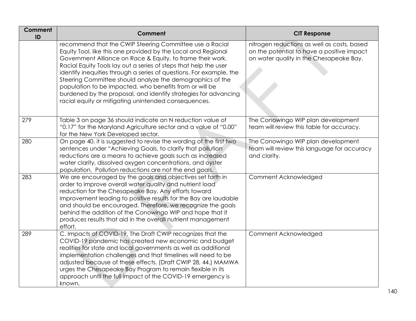| <b>Comment</b><br>ID | Comment                                                                                                                                                                                                                                                                                                                                                                                                                                                                                                                                                                              | <b>CIT Response</b>                                                                                                                  |
|----------------------|--------------------------------------------------------------------------------------------------------------------------------------------------------------------------------------------------------------------------------------------------------------------------------------------------------------------------------------------------------------------------------------------------------------------------------------------------------------------------------------------------------------------------------------------------------------------------------------|--------------------------------------------------------------------------------------------------------------------------------------|
|                      | recommend that the CWIP Steering Committee use a Racial<br>Equity Tool, like this one provided by the Local and Regional<br>Government Alliance on Race & Equity, to frame their work.<br>Racial Equity Tools lay out a series of steps that help the user<br>identify inequities through a series of questions. For example, the<br>Steering Committee should analyze the demographics of the<br>population to be impacted, who benefits from or will be<br>burdened by the proposal, and identify strategies for advancing<br>racial equity or mitigating unintended consequences. | nitrogen reductions as well as costs, based<br>on the potential to have a positive impact<br>on water quality in the Chesapeake Bay. |
| 279                  | Table 3 on page 36 should indicate an N reduction value of<br>"0.17" for the Maryland Agriculture sector and a value of "0.00"<br>for the New York Developed sector.                                                                                                                                                                                                                                                                                                                                                                                                                 | The Conowingo WIP plan development<br>team will review this table for accuracy.                                                      |
| 280                  | On page 40, it is suggested to revise the wording of the first two<br>sentences under "Achieving Goals, to clarify that pollution<br>reductions are a means to achieve goals such as increased<br>water clarity, dissolved oxygen concentrations, and oyster<br>population. Pollution reductions are not the end goals.                                                                                                                                                                                                                                                              | The Conowingo WIP plan development<br>team will review this language for accuracy<br>and clarity.                                    |
| 283                  | We are encouraged by the goals and objectives set forth in<br>order to improve overall water quality and nutrient load<br>reduction for the Chesapeake Bay. Any efforts toward<br>improvement leading to positive results for the Bay are laudable<br>and should be encouraged. Therefore, we recognize the goals<br>behind the addition of the Conowingo WIP and hope that it<br>produces results that aid in the overall nutrient management<br>effort.                                                                                                                            | Comment Acknowledged                                                                                                                 |
| 289                  | C. Impacts of COVID-19. The Draft CWIP recognizes that the<br>COVID-19 pandemic has created new economic and budget<br>realities for state and local governments as well as additional<br>implementation challenges and that timelines will need to be<br>adjusted because of these effects. (Draft CWIP 28, 44.) MAMWA<br>urges the Chesapeake Bay Program to remain flexible in its<br>approach until the full impact of the COVID-19 emergency is<br>known.                                                                                                                       | Comment Acknowledged                                                                                                                 |